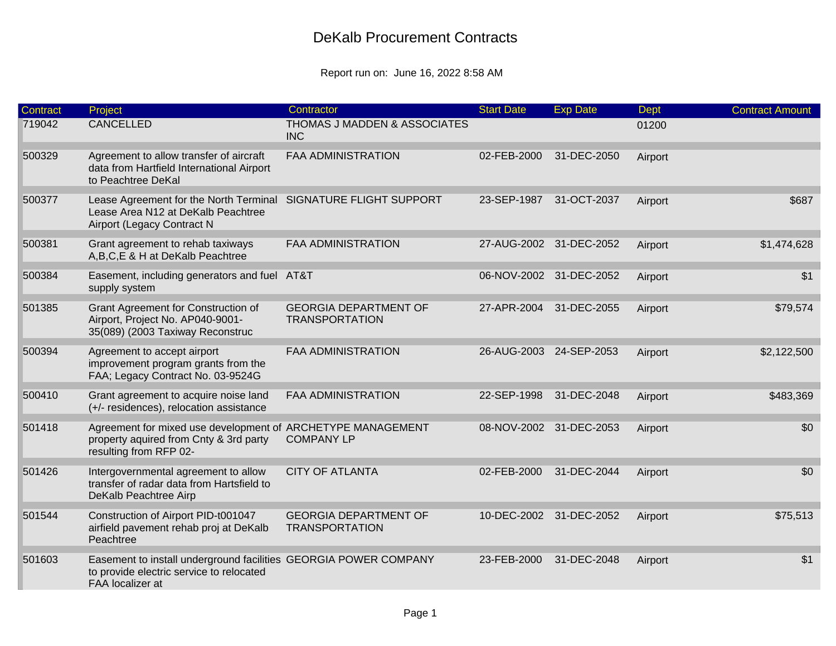| Contract | Project                                                                                                                             | Contractor                                            | <b>Start Date</b> | <b>Exp Date</b>         | Dept    | <b>Contract Amount</b> |
|----------|-------------------------------------------------------------------------------------------------------------------------------------|-------------------------------------------------------|-------------------|-------------------------|---------|------------------------|
| 719042   | <b>CANCELLED</b>                                                                                                                    | THOMAS J MADDEN & ASSOCIATES<br><b>INC</b>            |                   |                         | 01200   |                        |
| 500329   | Agreement to allow transfer of aircraft<br>data from Hartfield International Airport<br>to Peachtree DeKal                          | <b>FAA ADMINISTRATION</b>                             | 02-FEB-2000       | 31-DEC-2050             | Airport |                        |
| 500377   | Lease Agreement for the North Terminal SIGNATURE FLIGHT SUPPORT<br>Lease Area N12 at DeKalb Peachtree<br>Airport (Legacy Contract N |                                                       | 23-SEP-1987       | 31-OCT-2037             | Airport | \$687                  |
| 500381   | Grant agreement to rehab taxiways<br>A,B,C,E & H at DeKalb Peachtree                                                                | <b>FAA ADMINISTRATION</b>                             |                   | 27-AUG-2002 31-DEC-2052 | Airport | \$1,474,628            |
| 500384   | Easement, including generators and fuel AT&T<br>supply system                                                                       |                                                       | 06-NOV-2002       | 31-DEC-2052             | Airport | \$1                    |
| 501385   | Grant Agreement for Construction of<br>Airport, Project No. AP040-9001-<br>35(089) (2003 Taxiway Reconstruc                         | <b>GEORGIA DEPARTMENT OF</b><br><b>TRANSPORTATION</b> | 27-APR-2004       | 31-DEC-2055             | Airport | \$79,574               |
| 500394   | Agreement to accept airport<br>improvement program grants from the<br>FAA; Legacy Contract No. 03-9524G                             | FAA ADMINISTRATION                                    | 26-AUG-2003       | 24-SEP-2053             | Airport | \$2,122,500            |
| 500410   | Grant agreement to acquire noise land<br>(+/- residences), relocation assistance                                                    | <b>FAA ADMINISTRATION</b>                             | 22-SEP-1998       | 31-DEC-2048             | Airport | \$483,369              |
| 501418   | Agreement for mixed use development of ARCHETYPE MANAGEMENT<br>property aquired from Cnty & 3rd party<br>resulting from RFP 02-     | <b>COMPANY LP</b>                                     |                   | 08-NOV-2002 31-DEC-2053 | Airport | \$0                    |
| 501426   | Intergovernmental agreement to allow<br>transfer of radar data from Hartsfield to<br>DeKalb Peachtree Airp                          | <b>CITY OF ATLANTA</b>                                | 02-FEB-2000       | 31-DEC-2044             | Airport | \$0                    |
| 501544   | Construction of Airport PID-t001047<br>airfield pavement rehab proj at DeKalb<br>Peachtree                                          | <b>GEORGIA DEPARTMENT OF</b><br><b>TRANSPORTATION</b> |                   | 10-DEC-2002 31-DEC-2052 | Airport | \$75,513               |
| 501603   | Easement to install underground facilities GEORGIA POWER COMPANY<br>to provide electric service to relocated<br>FAA localizer at    |                                                       | 23-FEB-2000       | 31-DEC-2048             | Airport | \$1                    |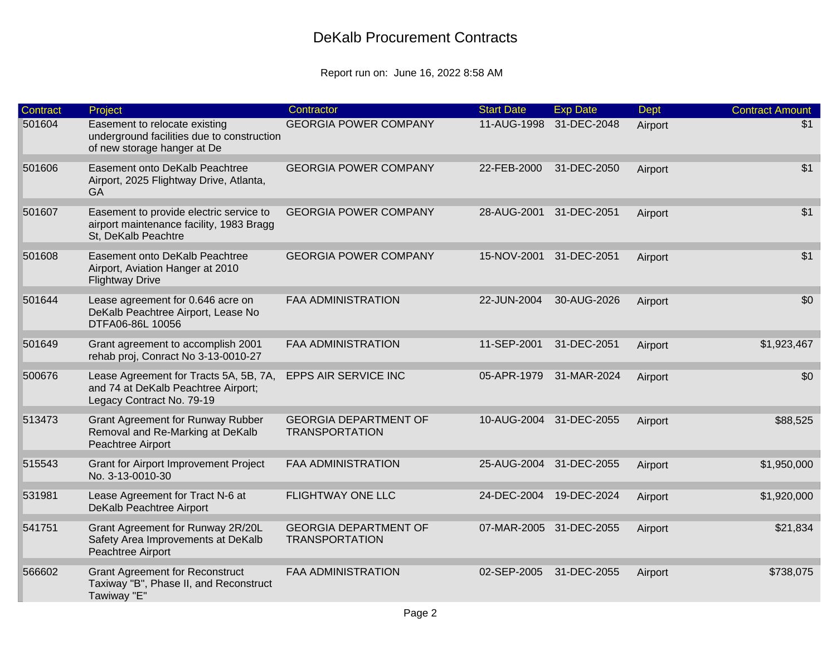| Contract | Project                                                                                                    | Contractor                                            | <b>Start Date</b> | <b>Exp Date</b>         | <b>Dept</b> | <b>Contract Amount</b> |
|----------|------------------------------------------------------------------------------------------------------------|-------------------------------------------------------|-------------------|-------------------------|-------------|------------------------|
| 501604   | Easement to relocate existing<br>underground facilities due to construction<br>of new storage hanger at De | <b>GEORGIA POWER COMPANY</b>                          | 11-AUG-1998       | 31-DEC-2048             | Airport     | \$1                    |
| 501606   | Easement onto DeKalb Peachtree<br>Airport, 2025 Flightway Drive, Atlanta,<br><b>GA</b>                     | <b>GEORGIA POWER COMPANY</b>                          | 22-FEB-2000       | 31-DEC-2050             | Airport     | \$1                    |
| 501607   | Easement to provide electric service to<br>airport maintenance facility, 1983 Bragg<br>St, DeKalb Peachtre | <b>GEORGIA POWER COMPANY</b>                          | 28-AUG-2001       | 31-DEC-2051             | Airport     | \$1                    |
| 501608   | Easement onto DeKalb Peachtree<br>Airport, Aviation Hanger at 2010<br><b>Flightway Drive</b>               | <b>GEORGIA POWER COMPANY</b>                          | 15-NOV-2001       | 31-DEC-2051             | Airport     | \$1                    |
| 501644   | Lease agreement for 0.646 acre on<br>DeKalb Peachtree Airport, Lease No<br>DTFA06-86L 10056                | <b>FAA ADMINISTRATION</b>                             | 22-JUN-2004       | 30-AUG-2026             | Airport     | \$0                    |
| 501649   | Grant agreement to accomplish 2001<br>rehab proj, Conract No 3-13-0010-27                                  | <b>FAA ADMINISTRATION</b>                             | 11-SEP-2001       | 31-DEC-2051             | Airport     | \$1,923,467            |
| 500676   | Lease Agreement for Tracts 5A, 5B, 7A,<br>and 74 at DeKalb Peachtree Airport;<br>Legacy Contract No. 79-19 | EPPS AIR SERVICE INC                                  | 05-APR-1979       | 31-MAR-2024             | Airport     | \$0                    |
| 513473   | <b>Grant Agreement for Runway Rubber</b><br>Removal and Re-Marking at DeKalb<br>Peachtree Airport          | <b>GEORGIA DEPARTMENT OF</b><br><b>TRANSPORTATION</b> |                   | 10-AUG-2004 31-DEC-2055 | Airport     | \$88,525               |
| 515543   | <b>Grant for Airport Improvement Project</b><br>No. 3-13-0010-30                                           | <b>FAA ADMINISTRATION</b>                             | 25-AUG-2004       | 31-DEC-2055             | Airport     | \$1,950,000            |
| 531981   | Lease Agreement for Tract N-6 at<br>DeKalb Peachtree Airport                                               | <b>FLIGHTWAY ONE LLC</b>                              | 24-DEC-2004       | 19-DEC-2024             | Airport     | \$1,920,000            |
| 541751   | Grant Agreement for Runway 2R/20L<br>Safety Area Improvements at DeKalb<br>Peachtree Airport               | <b>GEORGIA DEPARTMENT OF</b><br><b>TRANSPORTATION</b> |                   | 07-MAR-2005 31-DEC-2055 | Airport     | \$21,834               |
| 566602   | <b>Grant Agreement for Reconstruct</b><br>Taxiway "B", Phase II, and Reconstruct<br>Tawiway "E"            | <b>FAA ADMINISTRATION</b>                             | 02-SEP-2005       | 31-DEC-2055             | Airport     | \$738,075              |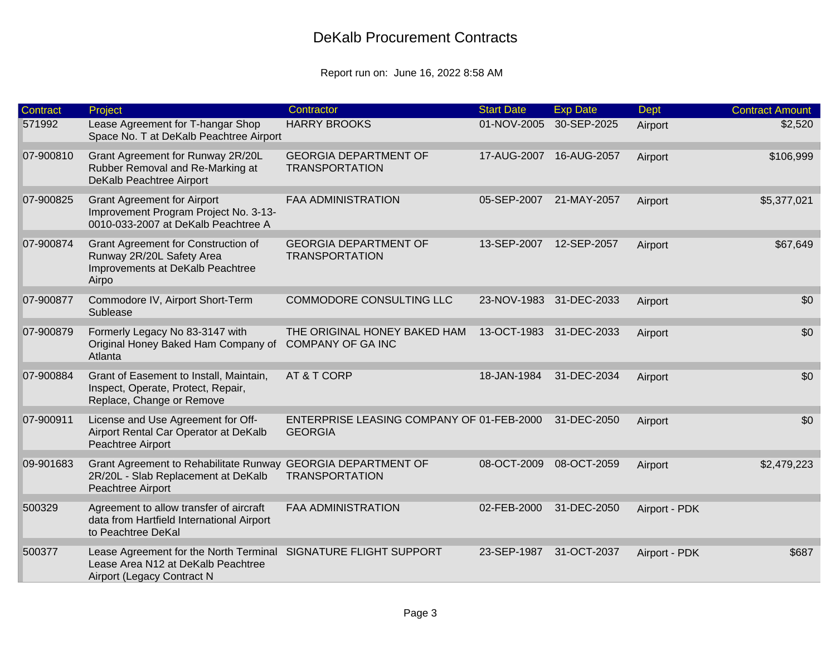| <b>Contract</b> | Project                                                                                                                  | Contractor                                                  | <b>Start Date</b> | <b>Exp Date</b>         | Dept          | <b>Contract Amount</b> |
|-----------------|--------------------------------------------------------------------------------------------------------------------------|-------------------------------------------------------------|-------------------|-------------------------|---------------|------------------------|
| 571992          | Lease Agreement for T-hangar Shop<br>Space No. T at DeKalb Peachtree Airport                                             | <b>HARRY BROOKS</b>                                         | 01-NOV-2005       | 30-SEP-2025             | Airport       | \$2,520                |
| 07-900810       | Grant Agreement for Runway 2R/20L<br>Rubber Removal and Re-Marking at<br>DeKalb Peachtree Airport                        | <b>GEORGIA DEPARTMENT OF</b><br><b>TRANSPORTATION</b>       | 17-AUG-2007       | 16-AUG-2057             | Airport       | \$106,999              |
| 07-900825       | <b>Grant Agreement for Airport</b><br>Improvement Program Project No. 3-13-<br>0010-033-2007 at DeKalb Peachtree A       | <b>FAA ADMINISTRATION</b>                                   | 05-SEP-2007       | 21-MAY-2057             | Airport       | \$5,377,021            |
| 07-900874       | Grant Agreement for Construction of<br>Runway 2R/20L Safety Area<br>Improvements at DeKalb Peachtree<br>Airpo            | <b>GEORGIA DEPARTMENT OF</b><br><b>TRANSPORTATION</b>       | 13-SEP-2007       | 12-SEP-2057             | Airport       | \$67,649               |
| 07-900877       | Commodore IV, Airport Short-Term<br>Sublease                                                                             | COMMODORE CONSULTING LLC                                    |                   | 23-NOV-1983 31-DEC-2033 | Airport       | \$0                    |
| 07-900879       | Formerly Legacy No 83-3147 with<br>Original Honey Baked Ham Company of<br>Atlanta                                        | THE ORIGINAL HONEY BAKED HAM<br><b>COMPANY OF GA INC</b>    |                   | 13-OCT-1983 31-DEC-2033 | Airport       | \$0                    |
| 07-900884       | Grant of Easement to Install, Maintain,<br>Inspect, Operate, Protect, Repair,<br>Replace, Change or Remove               | AT & T CORP                                                 | 18-JAN-1984       | 31-DEC-2034             | Airport       | \$0                    |
| 07-900911       | License and Use Agreement for Off-<br>Airport Rental Car Operator at DeKalb<br>Peachtree Airport                         | ENTERPRISE LEASING COMPANY OF 01-FEB-2000<br><b>GEORGIA</b> |                   | 31-DEC-2050             | Airport       | \$0                    |
| 09-901683       | Grant Agreement to Rehabilitate Runway GEORGIA DEPARTMENT OF<br>2R/20L - Slab Replacement at DeKalb<br>Peachtree Airport | <b>TRANSPORTATION</b>                                       | 08-OCT-2009       | 08-OCT-2059             | Airport       | \$2,479,223            |
| 500329          | Agreement to allow transfer of aircraft<br>data from Hartfield International Airport<br>to Peachtree DeKal               | <b>FAA ADMINISTRATION</b>                                   | 02-FEB-2000       | 31-DEC-2050             | Airport - PDK |                        |
| 500377          | Lease Agreement for the North Terminal<br>Lease Area N12 at DeKalb Peachtree<br>Airport (Legacy Contract N               | SIGNATURE FLIGHT SUPPORT                                    | 23-SEP-1987       | 31-OCT-2037             | Airport - PDK | \$687                  |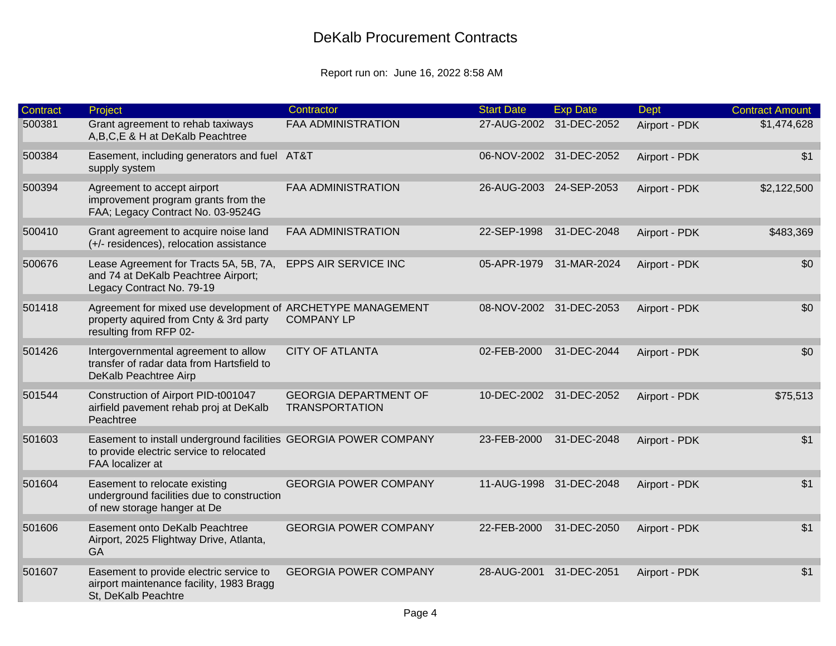| <b>Contract</b> | Project                                                                                                                          | Contractor                                            | <b>Start Date</b> | <b>Exp Date</b>         | Dept          | <b>Contract Amount</b> |
|-----------------|----------------------------------------------------------------------------------------------------------------------------------|-------------------------------------------------------|-------------------|-------------------------|---------------|------------------------|
| 500381          | Grant agreement to rehab taxiways<br>A,B,C,E & H at DeKalb Peachtree                                                             | <b>FAA ADMINISTRATION</b>                             |                   | 27-AUG-2002 31-DEC-2052 | Airport - PDK | \$1,474,628            |
| 500384          | Easement, including generators and fuel AT&T<br>supply system                                                                    |                                                       |                   | 06-NOV-2002 31-DEC-2052 | Airport - PDK | \$1                    |
| 500394          | Agreement to accept airport<br>improvement program grants from the<br>FAA; Legacy Contract No. 03-9524G                          | <b>FAA ADMINISTRATION</b>                             |                   | 26-AUG-2003 24-SEP-2053 | Airport - PDK | \$2,122,500            |
| 500410          | Grant agreement to acquire noise land<br>(+/- residences), relocation assistance                                                 | <b>FAA ADMINISTRATION</b>                             | 22-SEP-1998       | 31-DEC-2048             | Airport - PDK | \$483,369              |
| 500676          | Lease Agreement for Tracts 5A, 5B, 7A,<br>and 74 at DeKalb Peachtree Airport;<br>Legacy Contract No. 79-19                       | EPPS AIR SERVICE INC                                  | 05-APR-1979       | 31-MAR-2024             | Airport - PDK | \$0                    |
| 501418          | Agreement for mixed use development of ARCHETYPE MANAGEMENT<br>property aquired from Cnty & 3rd party<br>resulting from RFP 02-  | <b>COMPANY LP</b>                                     |                   | 08-NOV-2002 31-DEC-2053 | Airport - PDK | \$0                    |
| 501426          | Intergovernmental agreement to allow<br>transfer of radar data from Hartsfield to<br>DeKalb Peachtree Airp                       | <b>CITY OF ATLANTA</b>                                | 02-FEB-2000       | 31-DEC-2044             | Airport - PDK | \$0                    |
| 501544          | Construction of Airport PID-t001047<br>airfield pavement rehab proj at DeKalb<br>Peachtree                                       | <b>GEORGIA DEPARTMENT OF</b><br><b>TRANSPORTATION</b> |                   | 10-DEC-2002 31-DEC-2052 | Airport - PDK | \$75,513               |
| 501603          | Easement to install underground facilities GEORGIA POWER COMPANY<br>to provide electric service to relocated<br>FAA localizer at |                                                       | 23-FEB-2000       | 31-DEC-2048             | Airport - PDK | \$1                    |
| 501604          | Easement to relocate existing<br>underground facilities due to construction<br>of new storage hanger at De                       | <b>GEORGIA POWER COMPANY</b>                          |                   | 11-AUG-1998 31-DEC-2048 | Airport - PDK | \$1                    |
| 501606          | Easement onto DeKalb Peachtree<br>Airport, 2025 Flightway Drive, Atlanta,<br>GA                                                  | <b>GEORGIA POWER COMPANY</b>                          | 22-FEB-2000       | 31-DEC-2050             | Airport - PDK | \$1                    |
| 501607          | Easement to provide electric service to<br>airport maintenance facility, 1983 Bragg<br>St, DeKalb Peachtre                       | <b>GEORGIA POWER COMPANY</b>                          | 28-AUG-2001       | 31-DEC-2051             | Airport - PDK | \$1                    |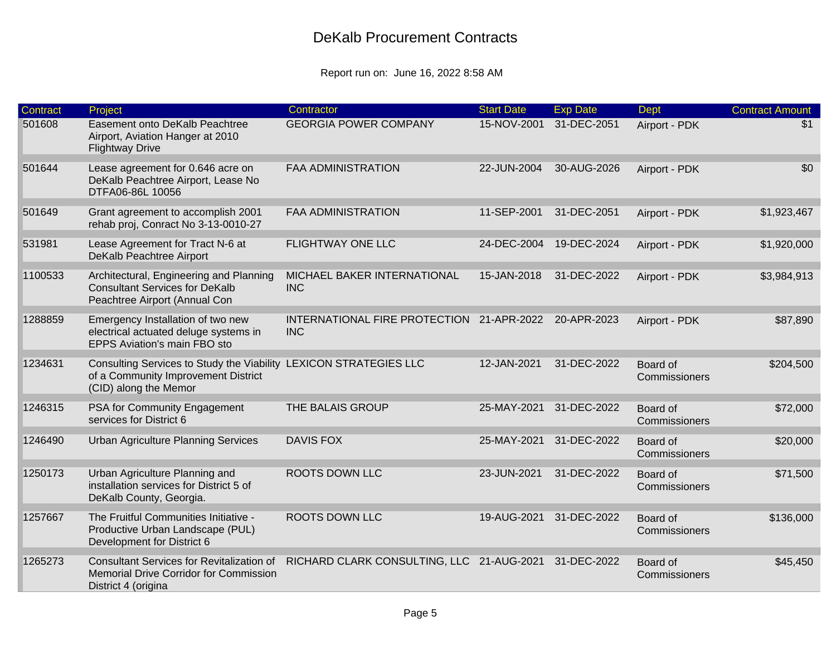| <b>Contract</b> | Project                                                                                                                           | Contractor                                              | <b>Start Date</b> | <b>Exp Date</b> | Dept                      | <b>Contract Amount</b> |
|-----------------|-----------------------------------------------------------------------------------------------------------------------------------|---------------------------------------------------------|-------------------|-----------------|---------------------------|------------------------|
| 501608          | Easement onto DeKalb Peachtree<br>Airport, Aviation Hanger at 2010<br><b>Flightway Drive</b>                                      | <b>GEORGIA POWER COMPANY</b>                            | 15-NOV-2001       | 31-DEC-2051     | Airport - PDK             | \$1                    |
| 501644          | Lease agreement for 0.646 acre on<br>DeKalb Peachtree Airport, Lease No<br>DTFA06-86L 10056                                       | <b>FAA ADMINISTRATION</b>                               | 22-JUN-2004       | 30-AUG-2026     | Airport - PDK             | \$0                    |
| 501649          | Grant agreement to accomplish 2001<br>rehab proj, Conract No 3-13-0010-27                                                         | <b>FAA ADMINISTRATION</b>                               | 11-SEP-2001       | 31-DEC-2051     | Airport - PDK             | \$1,923,467            |
| 531981          | Lease Agreement for Tract N-6 at<br>DeKalb Peachtree Airport                                                                      | <b>FLIGHTWAY ONE LLC</b>                                | 24-DEC-2004       | 19-DEC-2024     | Airport - PDK             | \$1,920,000            |
| 1100533         | Architectural, Engineering and Planning<br><b>Consultant Services for DeKalb</b><br>Peachtree Airport (Annual Con                 | MICHAEL BAKER INTERNATIONAL<br><b>INC</b>               | 15-JAN-2018       | 31-DEC-2022     | Airport - PDK             | \$3,984,913            |
| 1288859         | Emergency Installation of two new<br>electrical actuated deluge systems in<br>EPPS Aviation's main FBO sto                        | INTERNATIONAL FIRE PROTECTION 21-APR-2022<br><b>INC</b> |                   | 20-APR-2023     | Airport - PDK             | \$87,890               |
| 1234631         | Consulting Services to Study the Viability LEXICON STRATEGIES LLC<br>of a Community Improvement District<br>(CID) along the Memor |                                                         | 12-JAN-2021       | 31-DEC-2022     | Board of<br>Commissioners | \$204,500              |
| 1246315         | PSA for Community Engagement<br>services for District 6                                                                           | THE BALAIS GROUP                                        | 25-MAY-2021       | 31-DEC-2022     | Board of<br>Commissioners | \$72,000               |
| 1246490         | <b>Urban Agriculture Planning Services</b>                                                                                        | <b>DAVIS FOX</b>                                        | 25-MAY-2021       | 31-DEC-2022     | Board of<br>Commissioners | \$20,000               |
| 1250173         | Urban Agriculture Planning and<br>installation services for District 5 of<br>DeKalb County, Georgia.                              | ROOTS DOWN LLC                                          | 23-JUN-2021       | 31-DEC-2022     | Board of<br>Commissioners | \$71,500               |
| 1257667         | The Fruitful Communities Initiative -<br>Productive Urban Landscape (PUL)<br>Development for District 6                           | <b>ROOTS DOWN LLC</b>                                   | 19-AUG-2021       | 31-DEC-2022     | Board of<br>Commissioners | \$136,000              |
| 1265273         | <b>Consultant Services for Revitalization of</b><br>Memorial Drive Corridor for Commission<br>District 4 (origina                 | RICHARD CLARK CONSULTING, LLC 21-AUG-2021               |                   | 31-DEC-2022     | Board of<br>Commissioners | \$45,450               |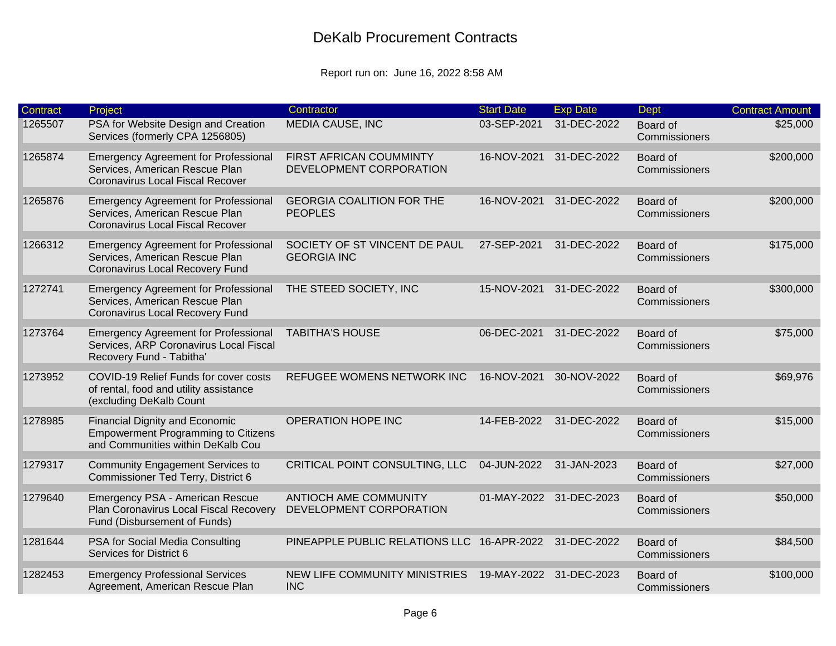| <b>Contract</b> | Project                                                                                                                  | Contractor                                              | <b>Start Date</b>       | <b>Exp Date</b> | <b>Dept</b>               | <b>Contract Amount</b> |
|-----------------|--------------------------------------------------------------------------------------------------------------------------|---------------------------------------------------------|-------------------------|-----------------|---------------------------|------------------------|
| 1265507         | PSA for Website Design and Creation<br>Services (formerly CPA 1256805)                                                   | <b>MEDIA CAUSE, INC</b>                                 | 03-SEP-2021             | 31-DEC-2022     | Board of<br>Commissioners | \$25,000               |
| 1265874         | <b>Emergency Agreement for Professional</b><br>Services, American Rescue Plan<br><b>Coronavirus Local Fiscal Recover</b> | FIRST AFRICAN COUMMINTY<br>DEVELOPMENT CORPORATION      | 16-NOV-2021             | 31-DEC-2022     | Board of<br>Commissioners | \$200,000              |
| 1265876         | <b>Emergency Agreement for Professional</b><br>Services, American Rescue Plan<br><b>Coronavirus Local Fiscal Recover</b> | <b>GEORGIA COALITION FOR THE</b><br><b>PEOPLES</b>      | 16-NOV-2021             | 31-DEC-2022     | Board of<br>Commissioners | \$200,000              |
| 1266312         | <b>Emergency Agreement for Professional</b><br>Services, American Rescue Plan<br>Coronavirus Local Recovery Fund         | SOCIETY OF ST VINCENT DE PAUL<br><b>GEORGIA INC</b>     | 27-SEP-2021             | 31-DEC-2022     | Board of<br>Commissioners | \$175,000              |
| 1272741         | <b>Emergency Agreement for Professional</b><br>Services, American Rescue Plan<br>Coronavirus Local Recovery Fund         | THE STEED SOCIETY, INC                                  | 15-NOV-2021             | 31-DEC-2022     | Board of<br>Commissioners | \$300,000              |
| 1273764         | <b>Emergency Agreement for Professional</b><br>Services, ARP Coronavirus Local Fiscal<br>Recovery Fund - Tabitha'        | <b>TABITHA'S HOUSE</b>                                  | 06-DEC-2021             | 31-DEC-2022     | Board of<br>Commissioners | \$75,000               |
| 1273952         | COVID-19 Relief Funds for cover costs<br>of rental, food and utility assistance<br>(excluding DeKalb Count               | REFUGEE WOMENS NETWORK INC                              | 16-NOV-2021             | 30-NOV-2022     | Board of<br>Commissioners | \$69,976               |
| 1278985         | <b>Financial Dignity and Economic</b><br><b>Empowerment Programming to Citizens</b><br>and Communities within DeKalb Cou | OPERATION HOPE INC                                      | 14-FEB-2022             | 31-DEC-2022     | Board of<br>Commissioners | \$15,000               |
| 1279317         | <b>Community Engagement Services to</b><br>Commissioner Ted Terry, District 6                                            | CRITICAL POINT CONSULTING, LLC                          | 04-JUN-2022             | 31-JAN-2023     | Board of<br>Commissioners | \$27,000               |
| 1279640         | Emergency PSA - American Rescue<br>Plan Coronavirus Local Fiscal Recovery<br>Fund (Disbursement of Funds)                | <b>ANTIOCH AME COMMUNITY</b><br>DEVELOPMENT CORPORATION | 01-MAY-2022             | 31-DEC-2023     | Board of<br>Commissioners | \$50,000               |
| 1281644         | PSA for Social Media Consulting<br>Services for District 6                                                               | PINEAPPLE PUBLIC RELATIONS LLC 16-APR-2022              |                         | 31-DEC-2022     | Board of<br>Commissioners | \$84,500               |
| 1282453         | <b>Emergency Professional Services</b><br>Agreement, American Rescue Plan                                                | NEW LIFE COMMUNITY MINISTRIES<br><b>INC</b>             | 19-MAY-2022 31-DEC-2023 |                 | Board of<br>Commissioners | \$100,000              |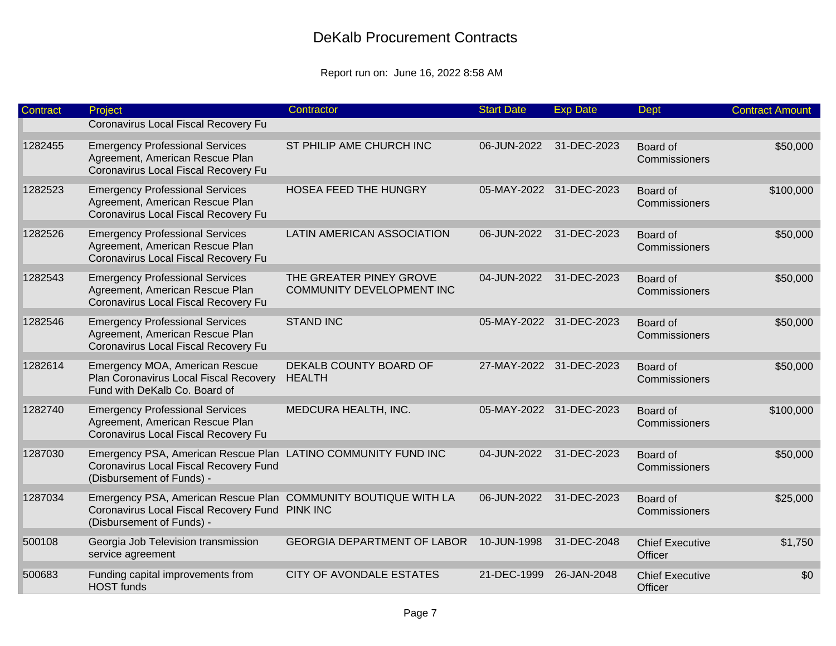| Contract | Project                                                                                                                                        | Contractor                                                  | <b>Start Date</b> | <b>Exp Date</b>         | <b>Dept</b>                       | <b>Contract Amount</b> |
|----------|------------------------------------------------------------------------------------------------------------------------------------------------|-------------------------------------------------------------|-------------------|-------------------------|-----------------------------------|------------------------|
|          | Coronavirus Local Fiscal Recovery Fu                                                                                                           |                                                             |                   |                         |                                   |                        |
| 1282455  | <b>Emergency Professional Services</b><br>Agreement, American Rescue Plan<br>Coronavirus Local Fiscal Recovery Fu                              | ST PHILIP AME CHURCH INC                                    | 06-JUN-2022       | 31-DEC-2023             | Board of<br>Commissioners         | \$50,000               |
| 1282523  | <b>Emergency Professional Services</b><br>Agreement, American Rescue Plan<br>Coronavirus Local Fiscal Recovery Fu                              | HOSEA FEED THE HUNGRY                                       |                   | 05-MAY-2022 31-DEC-2023 | Board of<br>Commissioners         | \$100,000              |
| 1282526  | <b>Emergency Professional Services</b><br>Agreement, American Rescue Plan<br>Coronavirus Local Fiscal Recovery Fu                              | LATIN AMERICAN ASSOCIATION                                  | 06-JUN-2022       | 31-DEC-2023             | Board of<br>Commissioners         | \$50,000               |
| 1282543  | <b>Emergency Professional Services</b><br>Agreement, American Rescue Plan<br>Coronavirus Local Fiscal Recovery Fu                              | THE GREATER PINEY GROVE<br><b>COMMUNITY DEVELOPMENT INC</b> | 04-JUN-2022       | 31-DEC-2023             | Board of<br>Commissioners         | \$50,000               |
| 1282546  | <b>Emergency Professional Services</b><br>Agreement, American Rescue Plan<br>Coronavirus Local Fiscal Recovery Fu                              | <b>STAND INC</b>                                            |                   | 05-MAY-2022 31-DEC-2023 | Board of<br>Commissioners         | \$50,000               |
| 1282614  | Emergency MOA, American Rescue<br>Plan Coronavirus Local Fiscal Recovery<br>Fund with DeKalb Co. Board of                                      | DEKALB COUNTY BOARD OF<br><b>HEALTH</b>                     |                   | 27-MAY-2022 31-DEC-2023 | Board of<br>Commissioners         | \$50,000               |
| 1282740  | <b>Emergency Professional Services</b><br>Agreement, American Rescue Plan<br>Coronavirus Local Fiscal Recovery Fu                              | MEDCURA HEALTH, INC.                                        |                   | 05-MAY-2022 31-DEC-2023 | Board of<br>Commissioners         | \$100,000              |
| 1287030  | Emergency PSA, American Rescue Plan LATINO COMMUNITY FUND INC<br>Coronavirus Local Fiscal Recovery Fund<br>(Disbursement of Funds) -           |                                                             | 04-JUN-2022       | 31-DEC-2023             | Board of<br>Commissioners         | \$50,000               |
| 1287034  | Emergency PSA, American Rescue Plan COMMUNITY BOUTIQUE WITH LA<br>Coronavirus Local Fiscal Recovery Fund PINK INC<br>(Disbursement of Funds) - |                                                             | 06-JUN-2022       | 31-DEC-2023             | Board of<br>Commissioners         | \$25,000               |
| 500108   | Georgia Job Television transmission<br>service agreement                                                                                       | <b>GEORGIA DEPARTMENT OF LABOR</b>                          | 10-JUN-1998       | 31-DEC-2048             | <b>Chief Executive</b><br>Officer | \$1,750                |
| 500683   | Funding capital improvements from<br><b>HOST</b> funds                                                                                         | <b>CITY OF AVONDALE ESTATES</b>                             | 21-DEC-1999       | 26-JAN-2048             | <b>Chief Executive</b><br>Officer | \$0                    |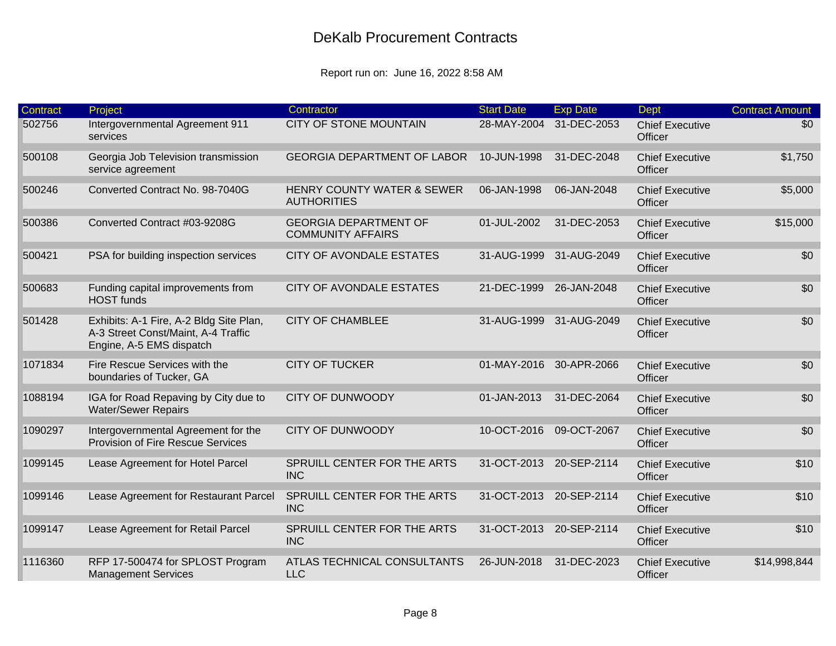| <b>Contract</b> | Project                                                                                                    | Contractor                                               | <b>Start Date</b>       | <b>Exp Date</b> | <b>Dept</b>                       | <b>Contract Amount</b> |
|-----------------|------------------------------------------------------------------------------------------------------------|----------------------------------------------------------|-------------------------|-----------------|-----------------------------------|------------------------|
| 502756          | Intergovernmental Agreement 911<br>services                                                                | <b>CITY OF STONE MOUNTAIN</b>                            | 28-MAY-2004             | 31-DEC-2053     | <b>Chief Executive</b><br>Officer | \$0                    |
| 500108          | Georgia Job Television transmission<br>service agreement                                                   | <b>GEORGIA DEPARTMENT OF LABOR</b>                       | 10-JUN-1998             | 31-DEC-2048     | <b>Chief Executive</b><br>Officer | \$1,750                |
| 500246          | Converted Contract No. 98-7040G                                                                            | HENRY COUNTY WATER & SEWER<br><b>AUTHORITIES</b>         | 06-JAN-1998             | 06-JAN-2048     | <b>Chief Executive</b><br>Officer | \$5,000                |
| 500386          | Converted Contract #03-9208G                                                                               | <b>GEORGIA DEPARTMENT OF</b><br><b>COMMUNITY AFFAIRS</b> | 01-JUL-2002             | 31-DEC-2053     | <b>Chief Executive</b><br>Officer | \$15,000               |
| 500421          | PSA for building inspection services                                                                       | <b>CITY OF AVONDALE ESTATES</b>                          | 31-AUG-1999             | 31-AUG-2049     | <b>Chief Executive</b><br>Officer | \$0                    |
| 500683          | Funding capital improvements from<br><b>HOST</b> funds                                                     | CITY OF AVONDALE ESTATES                                 | 21-DEC-1999             | 26-JAN-2048     | <b>Chief Executive</b><br>Officer | \$0                    |
| 501428          | Exhibits: A-1 Fire, A-2 Bldg Site Plan,<br>A-3 Street Const/Maint, A-4 Traffic<br>Engine, A-5 EMS dispatch | <b>CITY OF CHAMBLEE</b>                                  | 31-AUG-1999             | 31-AUG-2049     | <b>Chief Executive</b><br>Officer | \$0                    |
| 1071834         | Fire Rescue Services with the<br>boundaries of Tucker, GA                                                  | <b>CITY OF TUCKER</b>                                    | 01-MAY-2016             | 30-APR-2066     | <b>Chief Executive</b><br>Officer | \$0                    |
| 1088194         | IGA for Road Repaving by City due to<br><b>Water/Sewer Repairs</b>                                         | <b>CITY OF DUNWOODY</b>                                  | 01-JAN-2013             | 31-DEC-2064     | <b>Chief Executive</b><br>Officer | \$0                    |
| 1090297         | Intergovernmental Agreement for the<br>Provision of Fire Rescue Services                                   | <b>CITY OF DUNWOODY</b>                                  | 10-OCT-2016             | 09-OCT-2067     | <b>Chief Executive</b><br>Officer | \$0                    |
| 1099145         | Lease Agreement for Hotel Parcel                                                                           | SPRUILL CENTER FOR THE ARTS<br><b>INC</b>                | 31-OCT-2013 20-SEP-2114 |                 | <b>Chief Executive</b><br>Officer | \$10                   |
| 1099146         | Lease Agreement for Restaurant Parcel                                                                      | SPRUILL CENTER FOR THE ARTS<br><b>INC</b>                | 31-OCT-2013 20-SEP-2114 |                 | <b>Chief Executive</b><br>Officer | \$10                   |
| 1099147         | Lease Agreement for Retail Parcel                                                                          | SPRUILL CENTER FOR THE ARTS<br><b>INC</b>                | 31-OCT-2013 20-SEP-2114 |                 | <b>Chief Executive</b><br>Officer | \$10                   |
| 1116360         | RFP 17-500474 for SPLOST Program<br><b>Management Services</b>                                             | ATLAS TECHNICAL CONSULTANTS<br><b>LLC</b>                | 26-JUN-2018             | 31-DEC-2023     | <b>Chief Executive</b><br>Officer | \$14,998,844           |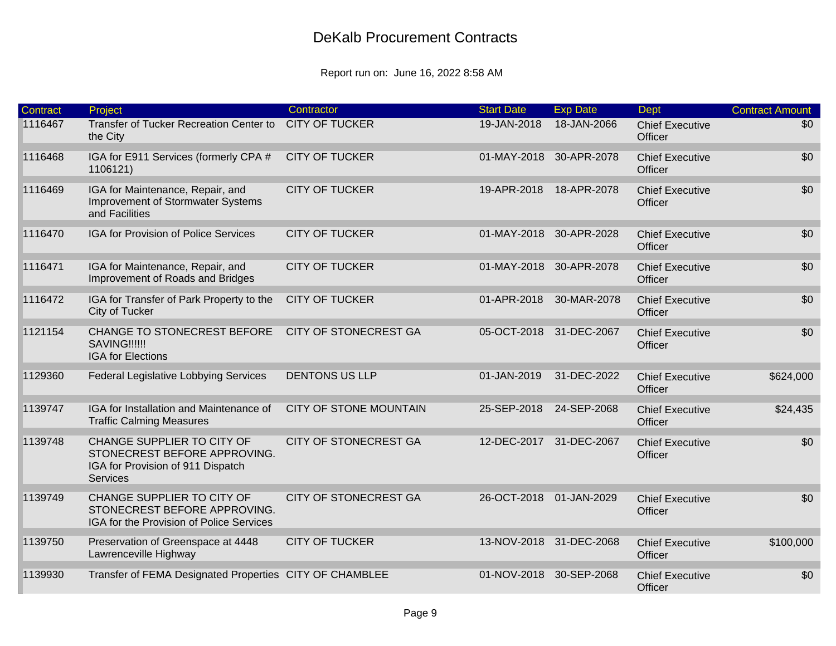| <b>Contract</b> | Project                                                                                                            | Contractor                    | <b>Start Date</b>       | <b>Exp Date</b>         | <b>Dept</b>                       | <b>Contract Amount</b> |
|-----------------|--------------------------------------------------------------------------------------------------------------------|-------------------------------|-------------------------|-------------------------|-----------------------------------|------------------------|
| 1116467         | Transfer of Tucker Recreation Center to<br>the City                                                                | <b>CITY OF TUCKER</b>         | 19-JAN-2018             | 18-JAN-2066             | <b>Chief Executive</b><br>Officer | \$0                    |
| 1116468         | IGA for E911 Services (formerly CPA #<br>1106121)                                                                  | <b>CITY OF TUCKER</b>         | 01-MAY-2018 30-APR-2078 |                         | <b>Chief Executive</b><br>Officer | \$0                    |
| 1116469         | IGA for Maintenance, Repair, and<br>Improvement of Stormwater Systems<br>and Facilities                            | <b>CITY OF TUCKER</b>         | 19-APR-2018             | 18-APR-2078             | <b>Chief Executive</b><br>Officer | \$0                    |
| 1116470         | <b>IGA for Provision of Police Services</b>                                                                        | <b>CITY OF TUCKER</b>         | 01-MAY-2018 30-APR-2028 |                         | <b>Chief Executive</b><br>Officer | \$0                    |
| 1116471         | IGA for Maintenance, Repair, and<br>Improvement of Roads and Bridges                                               | <b>CITY OF TUCKER</b>         | 01-MAY-2018 30-APR-2078 |                         | <b>Chief Executive</b><br>Officer | \$0                    |
| 1116472         | IGA for Transfer of Park Property to the<br>City of Tucker                                                         | <b>CITY OF TUCKER</b>         | 01-APR-2018             | 30-MAR-2078             | <b>Chief Executive</b><br>Officer | \$0                    |
| 1121154         | CHANGE TO STONECREST BEFORE<br>SAVING!!!!!!<br><b>IGA for Elections</b>                                            | <b>CITY OF STONECREST GA</b>  | 05-OCT-2018 31-DEC-2067 |                         | <b>Chief Executive</b><br>Officer | \$0                    |
| 1129360         | <b>Federal Legislative Lobbying Services</b>                                                                       | <b>DENTONS US LLP</b>         | 01-JAN-2019             | 31-DEC-2022             | <b>Chief Executive</b><br>Officer | \$624,000              |
| 1139747         | IGA for Installation and Maintenance of<br><b>Traffic Calming Measures</b>                                         | <b>CITY OF STONE MOUNTAIN</b> | 25-SEP-2018             | 24-SEP-2068             | <b>Chief Executive</b><br>Officer | \$24,435               |
| 1139748         | CHANGE SUPPLIER TO CITY OF<br>STONECREST BEFORE APPROVING.<br>IGA for Provision of 911 Dispatch<br><b>Services</b> | <b>CITY OF STONECREST GA</b>  | 12-DEC-2017             | 31-DEC-2067             | <b>Chief Executive</b><br>Officer | \$0                    |
| 1139749         | CHANGE SUPPLIER TO CITY OF<br>STONECREST BEFORE APPROVING.<br>IGA for the Provision of Police Services             | <b>CITY OF STONECREST GA</b>  | 26-OCT-2018             | 01-JAN-2029             | <b>Chief Executive</b><br>Officer | \$0                    |
| 1139750         | Preservation of Greenspace at 4448<br>Lawrenceville Highway                                                        | <b>CITY OF TUCKER</b>         |                         | 13-NOV-2018 31-DEC-2068 | <b>Chief Executive</b><br>Officer | \$100,000              |
| 1139930         | Transfer of FEMA Designated Properties CITY OF CHAMBLEE                                                            |                               | 01-NOV-2018 30-SEP-2068 |                         | <b>Chief Executive</b><br>Officer | \$0                    |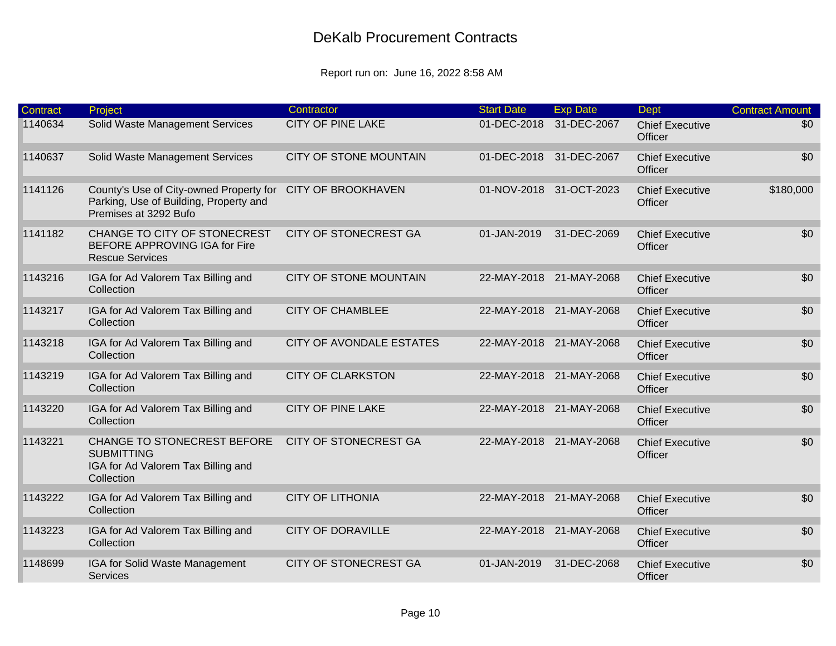| <b>Contract</b> | Project                                                                                                                       | Contractor                      | <b>Start Date</b> | <b>Exp Date</b>         | <b>Dept</b>                       | <b>Contract Amount</b> |
|-----------------|-------------------------------------------------------------------------------------------------------------------------------|---------------------------------|-------------------|-------------------------|-----------------------------------|------------------------|
| 1140634         | Solid Waste Management Services                                                                                               | <b>CITY OF PINE LAKE</b>        | 01-DEC-2018       | 31-DEC-2067             | <b>Chief Executive</b><br>Officer | \$0                    |
| 1140637         | Solid Waste Management Services                                                                                               | CITY OF STONE MOUNTAIN          |                   | 01-DEC-2018 31-DEC-2067 | <b>Chief Executive</b><br>Officer | \$0                    |
| 1141126         | County's Use of City-owned Property for CITY OF BROOKHAVEN<br>Parking, Use of Building, Property and<br>Premises at 3292 Bufo |                                 |                   | 01-NOV-2018 31-OCT-2023 | <b>Chief Executive</b><br>Officer | \$180,000              |
| 1141182         | CHANGE TO CITY OF STONECREST<br>BEFORE APPROVING IGA for Fire<br><b>Rescue Services</b>                                       | <b>CITY OF STONECREST GA</b>    | 01-JAN-2019       | 31-DEC-2069             | <b>Chief Executive</b><br>Officer | \$0                    |
| 1143216         | IGA for Ad Valorem Tax Billing and<br>Collection                                                                              | <b>CITY OF STONE MOUNTAIN</b>   |                   | 22-MAY-2018 21-MAY-2068 | <b>Chief Executive</b><br>Officer | \$0                    |
| 1143217         | IGA for Ad Valorem Tax Billing and<br>Collection                                                                              | <b>CITY OF CHAMBLEE</b>         |                   | 22-MAY-2018 21-MAY-2068 | <b>Chief Executive</b><br>Officer | \$0                    |
| 1143218         | IGA for Ad Valorem Tax Billing and<br>Collection                                                                              | <b>CITY OF AVONDALE ESTATES</b> |                   | 22-MAY-2018 21-MAY-2068 | <b>Chief Executive</b><br>Officer | \$0                    |
| 1143219         | IGA for Ad Valorem Tax Billing and<br>Collection                                                                              | <b>CITY OF CLARKSTON</b>        |                   | 22-MAY-2018 21-MAY-2068 | <b>Chief Executive</b><br>Officer | \$0                    |
| 1143220         | IGA for Ad Valorem Tax Billing and<br>Collection                                                                              | <b>CITY OF PINE LAKE</b>        |                   | 22-MAY-2018 21-MAY-2068 | <b>Chief Executive</b><br>Officer | \$0                    |
| 1143221         | CHANGE TO STONECREST BEFORE<br><b>SUBMITTING</b><br>IGA for Ad Valorem Tax Billing and<br>Collection                          | <b>CITY OF STONECREST GA</b>    |                   | 22-MAY-2018 21-MAY-2068 | <b>Chief Executive</b><br>Officer | \$0                    |
| 1143222         | IGA for Ad Valorem Tax Billing and<br>Collection                                                                              | <b>CITY OF LITHONIA</b>         |                   | 22-MAY-2018 21-MAY-2068 | <b>Chief Executive</b><br>Officer | \$0                    |
| 1143223         | IGA for Ad Valorem Tax Billing and<br>Collection                                                                              | <b>CITY OF DORAVILLE</b>        |                   | 22-MAY-2018 21-MAY-2068 | <b>Chief Executive</b><br>Officer | \$0                    |
| 1148699         | IGA for Solid Waste Management<br><b>Services</b>                                                                             | <b>CITY OF STONECREST GA</b>    | 01-JAN-2019       | 31-DEC-2068             | <b>Chief Executive</b><br>Officer | \$0                    |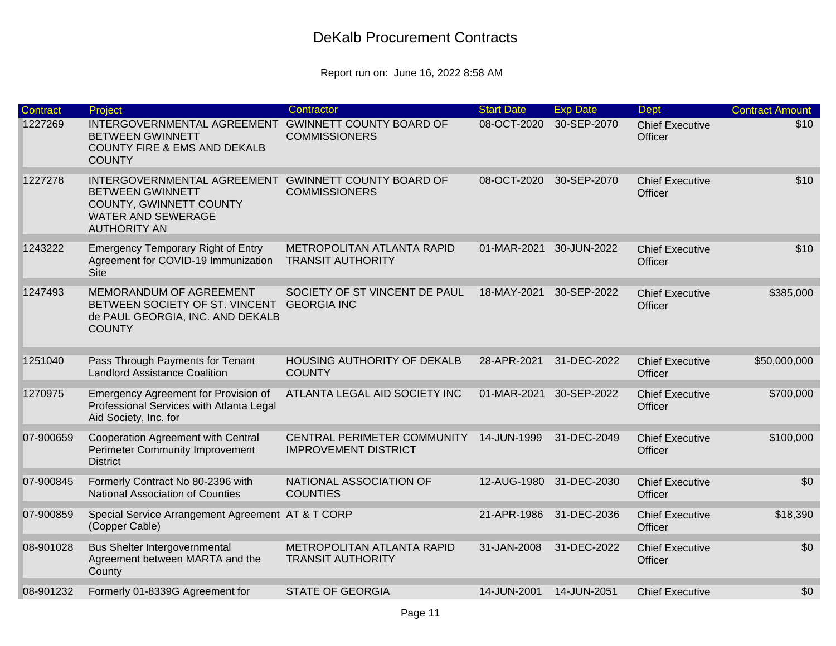| <b>Contract</b> | Project                                                                                                                                                        | Contractor                                                 | <b>Start Date</b> | <b>Exp Date</b> | <b>Dept</b>                       | <b>Contract Amount</b> |
|-----------------|----------------------------------------------------------------------------------------------------------------------------------------------------------------|------------------------------------------------------------|-------------------|-----------------|-----------------------------------|------------------------|
| 1227269         | INTERGOVERNMENTAL AGREEMENT<br><b>BETWEEN GWINNETT</b><br><b>COUNTY FIRE &amp; EMS AND DEKALB</b><br><b>COUNTY</b>                                             | <b>GWINNETT COUNTY BOARD OF</b><br><b>COMMISSIONERS</b>    | 08-OCT-2020       | 30-SEP-2070     | <b>Chief Executive</b><br>Officer | \$10                   |
| 1227278         | INTERGOVERNMENTAL AGREEMENT GWINNETT COUNTY BOARD OF<br><b>BETWEEN GWINNETT</b><br>COUNTY, GWINNETT COUNTY<br><b>WATER AND SEWERAGE</b><br><b>AUTHORITY AN</b> | <b>COMMISSIONERS</b>                                       | 08-OCT-2020       | 30-SEP-2070     | <b>Chief Executive</b><br>Officer | \$10                   |
| 1243222         | <b>Emergency Temporary Right of Entry</b><br>Agreement for COVID-19 Immunization<br><b>Site</b>                                                                | METROPOLITAN ATLANTA RAPID<br><b>TRANSIT AUTHORITY</b>     | 01-MAR-2021       | 30-JUN-2022     | <b>Chief Executive</b><br>Officer | \$10                   |
| 1247493         | MEMORANDUM OF AGREEMENT<br>BETWEEN SOCIETY OF ST. VINCENT<br>de PAUL GEORGIA, INC. AND DEKALB<br><b>COUNTY</b>                                                 | SOCIETY OF ST VINCENT DE PAUL<br><b>GEORGIA INC</b>        | 18-MAY-2021       | 30-SEP-2022     | <b>Chief Executive</b><br>Officer | \$385,000              |
| 1251040         | Pass Through Payments for Tenant<br><b>Landlord Assistance Coalition</b>                                                                                       | <b>HOUSING AUTHORITY OF DEKALB</b><br><b>COUNTY</b>        | 28-APR-2021       | 31-DEC-2022     | <b>Chief Executive</b><br>Officer | \$50,000,000           |
| 1270975         | Emergency Agreement for Provision of<br>Professional Services with Atlanta Legal<br>Aid Society, Inc. for                                                      | ATLANTA LEGAL AID SOCIETY INC                              | 01-MAR-2021       | 30-SEP-2022     | <b>Chief Executive</b><br>Officer | \$700,000              |
| 07-900659       | <b>Cooperation Agreement with Central</b><br><b>Perimeter Community Improvement</b><br><b>District</b>                                                         | CENTRAL PERIMETER COMMUNITY<br><b>IMPROVEMENT DISTRICT</b> | 14-JUN-1999       | 31-DEC-2049     | <b>Chief Executive</b><br>Officer | \$100,000              |
| 07-900845       | Formerly Contract No 80-2396 with<br><b>National Association of Counties</b>                                                                                   | NATIONAL ASSOCIATION OF<br><b>COUNTIES</b>                 | 12-AUG-1980       | 31-DEC-2030     | <b>Chief Executive</b><br>Officer | \$0                    |
| 07-900859       | Special Service Arrangement Agreement AT & T CORP<br>(Copper Cable)                                                                                            |                                                            | 21-APR-1986       | 31-DEC-2036     | <b>Chief Executive</b><br>Officer | \$18,390               |
| 08-901028       | Bus Shelter Intergovernmental<br>Agreement between MARTA and the<br>County                                                                                     | METROPOLITAN ATLANTA RAPID<br><b>TRANSIT AUTHORITY</b>     | 31-JAN-2008       | 31-DEC-2022     | <b>Chief Executive</b><br>Officer | \$0                    |
| 08-901232       | Formerly 01-8339G Agreement for                                                                                                                                | <b>STATE OF GEORGIA</b>                                    | 14-JUN-2001       | 14-JUN-2051     | <b>Chief Executive</b>            | \$0                    |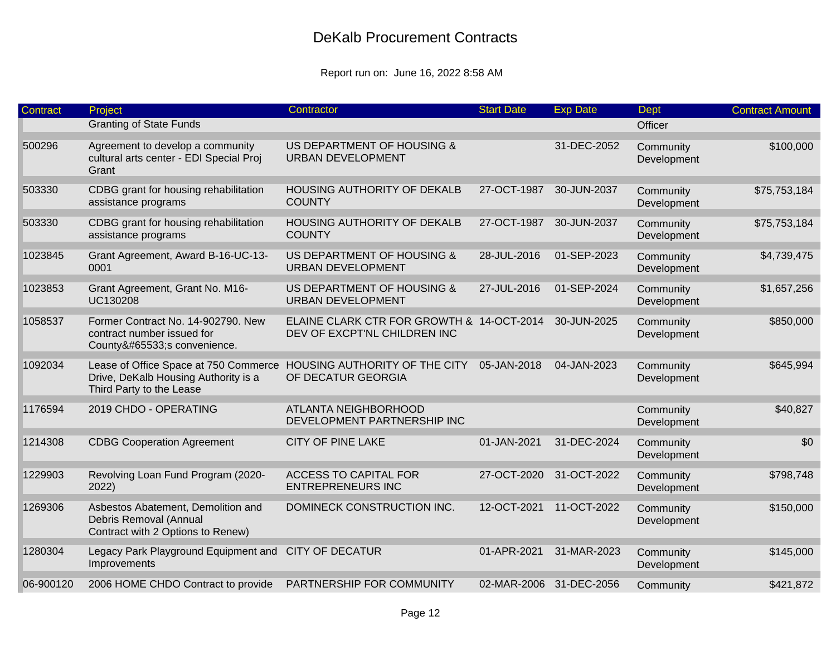| <b>Contract</b> | Project                                                                                                   | Contractor                                                                | <b>Start Date</b> | <b>Exp Date</b>         | Dept                     | <b>Contract Amount</b> |
|-----------------|-----------------------------------------------------------------------------------------------------------|---------------------------------------------------------------------------|-------------------|-------------------------|--------------------------|------------------------|
|                 | <b>Granting of State Funds</b>                                                                            |                                                                           |                   |                         | Officer                  |                        |
| 500296          | Agreement to develop a community<br>cultural arts center - EDI Special Proj<br>Grant                      | US DEPARTMENT OF HOUSING &<br><b>URBAN DEVELOPMENT</b>                    |                   | 31-DEC-2052             | Community<br>Development | \$100,000              |
| 503330          | CDBG grant for housing rehabilitation<br>assistance programs                                              | HOUSING AUTHORITY OF DEKALB<br><b>COUNTY</b>                              | 27-OCT-1987       | 30-JUN-2037             | Community<br>Development | \$75,753,184           |
| 503330          | CDBG grant for housing rehabilitation<br>assistance programs                                              | HOUSING AUTHORITY OF DEKALB<br><b>COUNTY</b>                              | 27-OCT-1987       | 30-JUN-2037             | Community<br>Development | \$75,753,184           |
| 1023845         | Grant Agreement, Award B-16-UC-13-<br>0001                                                                | US DEPARTMENT OF HOUSING &<br><b>URBAN DEVELOPMENT</b>                    | 28-JUL-2016       | 01-SEP-2023             | Community<br>Development | \$4,739,475            |
| 1023853         | Grant Agreement, Grant No. M16-<br>UC130208                                                               | US DEPARTMENT OF HOUSING &<br><b>URBAN DEVELOPMENT</b>                    | 27-JUL-2016       | 01-SEP-2024             | Community<br>Development | \$1,657,256            |
| 1058537         | Former Contract No. 14-902790. New<br>contract number issued for<br>County�s convenience.                 | ELAINE CLARK CTR FOR GROWTH & 14-OCT-2014<br>DEV OF EXCPT'NL CHILDREN INC |                   | 30-JUN-2025             | Community<br>Development | \$850,000              |
| 1092034         | Lease of Office Space at 750 Commerce<br>Drive, DeKalb Housing Authority is a<br>Third Party to the Lease | HOUSING AUTHORITY OF THE CITY<br>OF DECATUR GEORGIA                       | 05-JAN-2018       | 04-JAN-2023             | Community<br>Development | \$645,994              |
| 1176594         | 2019 CHDO - OPERATING                                                                                     | <b>ATLANTA NEIGHBORHOOD</b><br>DEVELOPMENT PARTNERSHIP INC                |                   |                         | Community<br>Development | \$40,827               |
| 1214308         | <b>CDBG Cooperation Agreement</b>                                                                         | <b>CITY OF PINE LAKE</b>                                                  | 01-JAN-2021       | 31-DEC-2024             | Community<br>Development | \$0                    |
| 1229903         | Revolving Loan Fund Program (2020-<br>2022)                                                               | <b>ACCESS TO CAPITAL FOR</b><br><b>ENTREPRENEURS INC</b>                  | 27-OCT-2020       | 31-OCT-2022             | Community<br>Development | \$798,748              |
| 1269306         | Asbestos Abatement, Demolition and<br>Debris Removal (Annual<br>Contract with 2 Options to Renew)         | DOMINECK CONSTRUCTION INC.                                                | 12-OCT-2021       | 11-OCT-2022             | Community<br>Development | \$150,000              |
| 1280304         | Legacy Park Playground Equipment and<br>Improvements                                                      | <b>CITY OF DECATUR</b>                                                    | 01-APR-2021       | 31-MAR-2023             | Community<br>Development | \$145,000              |
| 06-900120       | 2006 HOME CHDO Contract to provide                                                                        | PARTNERSHIP FOR COMMUNITY                                                 |                   | 02-MAR-2006 31-DEC-2056 | Community                | \$421,872              |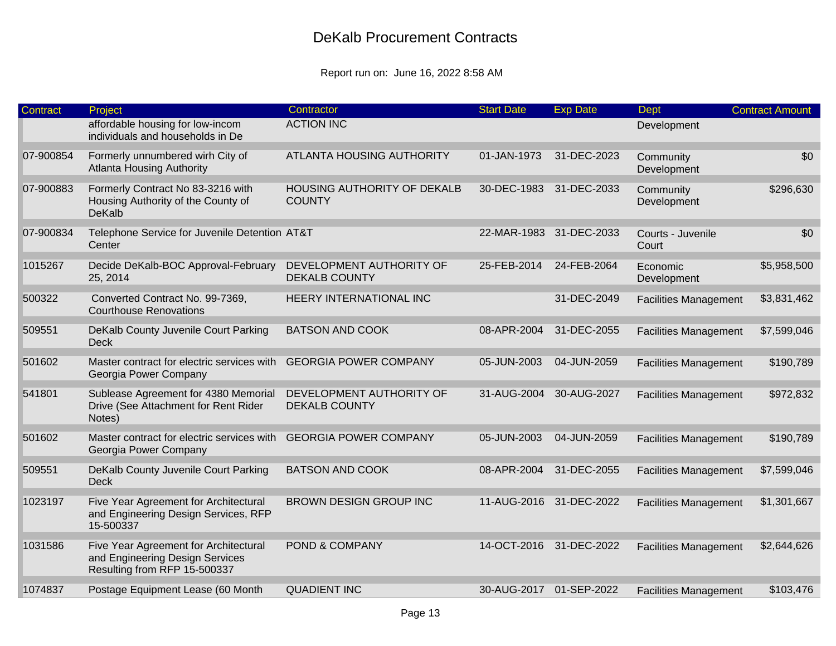| <b>Contract</b> | Project                                                                                                  | Contractor                                       | <b>Start Date</b>       | <b>Exp Date</b>         | Dept                         | <b>Contract Amount</b> |
|-----------------|----------------------------------------------------------------------------------------------------------|--------------------------------------------------|-------------------------|-------------------------|------------------------------|------------------------|
|                 | affordable housing for low-incom<br>individuals and households in De                                     | <b>ACTION INC</b>                                |                         |                         | Development                  |                        |
| 07-900854       | Formerly unnumbered wirh City of<br><b>Atlanta Housing Authority</b>                                     | ATLANTA HOUSING AUTHORITY                        | 01-JAN-1973             | 31-DEC-2023             | Community<br>Development     | \$0                    |
| 07-900883       | Formerly Contract No 83-3216 with<br>Housing Authority of the County of<br><b>DeKalb</b>                 | HOUSING AUTHORITY OF DEKALB<br><b>COUNTY</b>     | 30-DEC-1983             | 31-DEC-2033             | Community<br>Development     | \$296,630              |
| 07-900834       | Telephone Service for Juvenile Detention AT&T<br>Center                                                  |                                                  |                         | 22-MAR-1983 31-DEC-2033 | Courts - Juvenile<br>Court   | \$0                    |
| 1015267         | Decide DeKalb-BOC Approval-February<br>25, 2014                                                          | DEVELOPMENT AUTHORITY OF<br><b>DEKALB COUNTY</b> | 25-FEB-2014             | 24-FEB-2064             | Economic<br>Development      | \$5,958,500            |
| 500322          | Converted Contract No. 99-7369,<br><b>Courthouse Renovations</b>                                         | HEERY INTERNATIONAL INC                          |                         | 31-DEC-2049             | <b>Facilities Management</b> | \$3,831,462            |
| 509551          | DeKalb County Juvenile Court Parking<br><b>Deck</b>                                                      | <b>BATSON AND COOK</b>                           | 08-APR-2004             | 31-DEC-2055             | <b>Facilities Management</b> | \$7,599,046            |
| 501602          | Master contract for electric services with<br>Georgia Power Company                                      | <b>GEORGIA POWER COMPANY</b>                     | 05-JUN-2003             | 04-JUN-2059             | <b>Facilities Management</b> | \$190,789              |
| 541801          | Sublease Agreement for 4380 Memorial<br>Drive (See Attachment for Rent Rider<br>Notes)                   | DEVELOPMENT AUTHORITY OF<br><b>DEKALB COUNTY</b> | 31-AUG-2004 30-AUG-2027 |                         | <b>Facilities Management</b> | \$972,832              |
| 501602          | Master contract for electric services with<br>Georgia Power Company                                      | <b>GEORGIA POWER COMPANY</b>                     | 05-JUN-2003             | 04-JUN-2059             | <b>Facilities Management</b> | \$190,789              |
| 509551          | DeKalb County Juvenile Court Parking<br><b>Deck</b>                                                      | <b>BATSON AND COOK</b>                           | 08-APR-2004             | 31-DEC-2055             | <b>Facilities Management</b> | \$7,599,046            |
| 1023197         | Five Year Agreement for Architectural<br>and Engineering Design Services, RFP<br>15-500337               | BROWN DESIGN GROUP INC                           |                         | 11-AUG-2016 31-DEC-2022 | <b>Facilities Management</b> | \$1,301,667            |
| 1031586         | Five Year Agreement for Architectural<br>and Engineering Design Services<br>Resulting from RFP 15-500337 | POND & COMPANY                                   |                         | 14-OCT-2016 31-DEC-2022 | <b>Facilities Management</b> | \$2,644,626            |
| 1074837         | Postage Equipment Lease (60 Month                                                                        | <b>QUADIENT INC</b>                              | 30-AUG-2017 01-SEP-2022 |                         | <b>Facilities Management</b> | \$103,476              |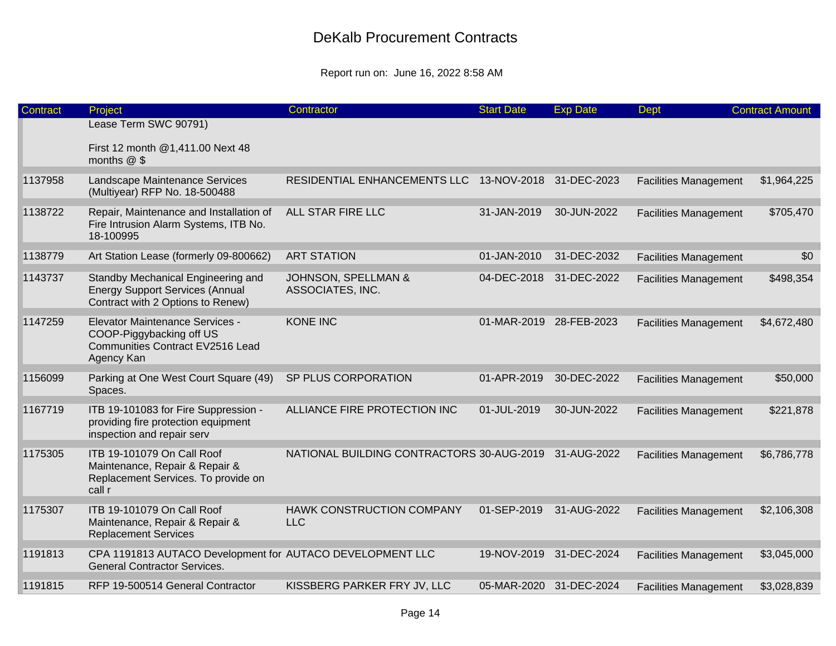| Contract | Project                                                                                                              | Contractor                                           | <b>Start Date</b>       | <b>Exp Date</b> | Dept                         | <b>Contract Amount</b> |
|----------|----------------------------------------------------------------------------------------------------------------------|------------------------------------------------------|-------------------------|-----------------|------------------------------|------------------------|
|          | Lease Term SWC 90791)                                                                                                |                                                      |                         |                 |                              |                        |
|          | First 12 month @1,411.00 Next 48<br>months $@$ \$                                                                    |                                                      |                         |                 |                              |                        |
| 1137958  | Landscape Maintenance Services<br>(Multiyear) RFP No. 18-500488                                                      | RESIDENTIAL ENHANCEMENTS LLC 13-NOV-2018 31-DEC-2023 |                         |                 | <b>Facilities Management</b> | \$1,964,225            |
| 1138722  | Repair, Maintenance and Installation of<br>Fire Intrusion Alarm Systems, ITB No.<br>18-100995                        | ALL STAR FIRE LLC                                    | 31-JAN-2019             | 30-JUN-2022     | <b>Facilities Management</b> | \$705,470              |
| 1138779  | Art Station Lease (formerly 09-800662)                                                                               | <b>ART STATION</b>                                   | 01-JAN-2010             | 31-DEC-2032     | <b>Facilities Management</b> | \$0                    |
| 1143737  | Standby Mechanical Engineering and<br><b>Energy Support Services (Annual</b><br>Contract with 2 Options to Renew)    | JOHNSON, SPELLMAN &<br>ASSOCIATES, INC.              | 04-DEC-2018             | 31-DEC-2022     | <b>Facilities Management</b> | \$498,354              |
| 1147259  | Elevator Maintenance Services -<br>COOP-Piggybacking off US<br><b>Communities Contract EV2516 Lead</b><br>Agency Kan | <b>KONE INC</b>                                      | 01-MAR-2019 28-FEB-2023 |                 | <b>Facilities Management</b> | \$4,672,480            |
| 1156099  | Parking at One West Court Square (49)<br>Spaces.                                                                     | SP PLUS CORPORATION                                  | 01-APR-2019             | 30-DEC-2022     | <b>Facilities Management</b> | \$50,000               |
| 1167719  | ITB 19-101083 for Fire Suppression -<br>providing fire protection equipment<br>inspection and repair serv            | ALLIANCE FIRE PROTECTION INC                         | 01-JUL-2019             | 30-JUN-2022     | <b>Facilities Management</b> | \$221,878              |
| 1175305  | ITB 19-101079 On Call Roof<br>Maintenance, Repair & Repair &<br>Replacement Services. To provide on<br>call r        | NATIONAL BUILDING CONTRACTORS 30-AUG-2019            |                         | 31-AUG-2022     | <b>Facilities Management</b> | \$6,786,778            |
| 1175307  | ITB 19-101079 On Call Roof<br>Maintenance, Repair & Repair &<br><b>Replacement Services</b>                          | HAWK CONSTRUCTION COMPANY<br><b>LLC</b>              | 01-SEP-2019             | 31-AUG-2022     | <b>Facilities Management</b> | \$2,106,308            |
| 1191813  | CPA 1191813 AUTACO Development for AUTACO DEVELOPMENT LLC<br><b>General Contractor Services.</b>                     |                                                      | 19-NOV-2019             | 31-DEC-2024     | <b>Facilities Management</b> | \$3,045,000            |
| 1191815  | RFP 19-500514 General Contractor                                                                                     | KISSBERG PARKER FRY JV, LLC                          | 05-MAR-2020 31-DEC-2024 |                 | <b>Facilities Management</b> | \$3,028,839            |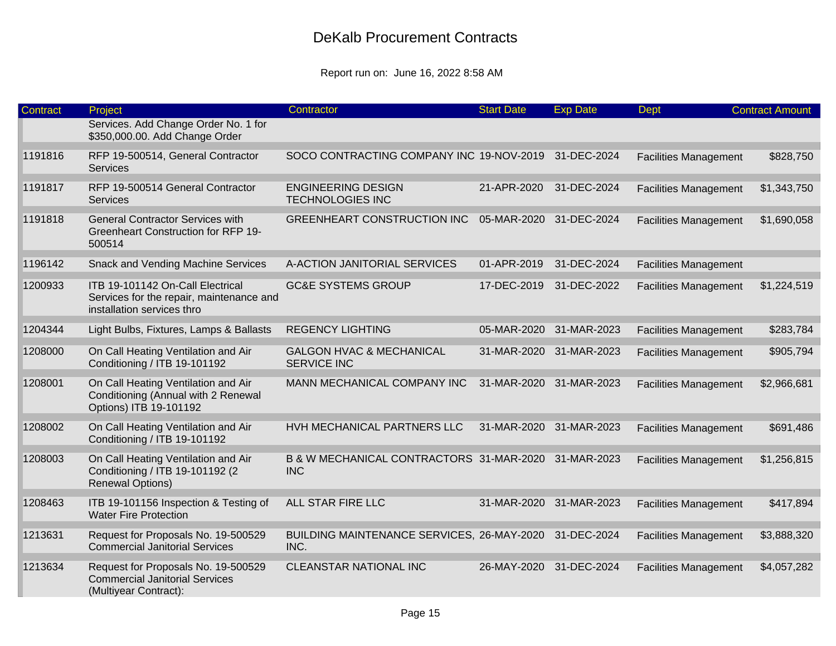| <b>Contract</b> | Project                                                                                                    | Contractor                                                | <b>Start Date</b>       | <b>Exp Date</b>         | <b>Dept</b>                  | <b>Contract Amount</b> |
|-----------------|------------------------------------------------------------------------------------------------------------|-----------------------------------------------------------|-------------------------|-------------------------|------------------------------|------------------------|
|                 | Services. Add Change Order No. 1 for<br>\$350,000.00. Add Change Order                                     |                                                           |                         |                         |                              |                        |
| 1191816         | RFP 19-500514, General Contractor<br><b>Services</b>                                                       | SOCO CONTRACTING COMPANY INC 19-NOV-2019                  |                         | 31-DEC-2024             | <b>Facilities Management</b> | \$828,750              |
| 1191817         | RFP 19-500514 General Contractor<br><b>Services</b>                                                        | <b>ENGINEERING DESIGN</b><br><b>TECHNOLOGIES INC</b>      | 21-APR-2020             | 31-DEC-2024             | <b>Facilities Management</b> | \$1,343,750            |
| 1191818         | <b>General Contractor Services with</b><br><b>Greenheart Construction for RFP 19-</b><br>500514            | <b>GREENHEART CONSTRUCTION INC</b>                        | 05-MAR-2020 31-DEC-2024 |                         | <b>Facilities Management</b> | \$1,690,058            |
| 1196142         | <b>Snack and Vending Machine Services</b>                                                                  | A-ACTION JANITORIAL SERVICES                              | 01-APR-2019             | 31-DEC-2024             | <b>Facilities Management</b> |                        |
| 1200933         | ITB 19-101142 On-Call Electrical<br>Services for the repair, maintenance and<br>installation services thro | <b>GC&amp;E SYSTEMS GROUP</b>                             | 17-DEC-2019             | 31-DEC-2022             | <b>Facilities Management</b> | \$1,224,519            |
| 1204344         | Light Bulbs, Fixtures, Lamps & Ballasts                                                                    | <b>REGENCY LIGHTING</b>                                   | 05-MAR-2020             | 31-MAR-2023             | <b>Facilities Management</b> | \$283,784              |
| 1208000         | On Call Heating Ventilation and Air<br>Conditioning / ITB 19-101192                                        | <b>GALGON HVAC &amp; MECHANICAL</b><br><b>SERVICE INC</b> | 31-MAR-2020 31-MAR-2023 |                         | <b>Facilities Management</b> | \$905,794              |
| 1208001         | On Call Heating Ventilation and Air<br>Conditioning (Annual with 2 Renewal<br>Options) ITB 19-101192       | MANN MECHANICAL COMPANY INC                               | 31-MAR-2020             | 31-MAR-2023             | <b>Facilities Management</b> | \$2,966,681            |
| 1208002         | On Call Heating Ventilation and Air<br>Conditioning / ITB 19-101192                                        | HVH MECHANICAL PARTNERS LLC                               |                         | 31-MAR-2020 31-MAR-2023 | <b>Facilities Management</b> | \$691,486              |
| 1208003         | On Call Heating Ventilation and Air<br>Conditioning / ITB 19-101192 (2<br><b>Renewal Options)</b>          | B & W MECHANICAL CONTRACTORS 31-MAR-2020<br><b>INC</b>    |                         | 31-MAR-2023             | <b>Facilities Management</b> | \$1,256,815            |
| 1208463         | ITB 19-101156 Inspection & Testing of<br><b>Water Fire Protection</b>                                      | ALL STAR FIRE LLC                                         | 31-MAR-2020             | 31-MAR-2023             | <b>Facilities Management</b> | \$417,894              |
| 1213631         | Request for Proposals No. 19-500529<br><b>Commercial Janitorial Services</b>                               | BUILDING MAINTENANCE SERVICES, 26-MAY-2020<br>INC.        |                         | 31-DEC-2024             | <b>Facilities Management</b> | \$3,888,320            |
| 1213634         | Request for Proposals No. 19-500529<br><b>Commercial Janitorial Services</b><br>(Multiyear Contract):      | <b>CLEANSTAR NATIONAL INC</b>                             | 26-MAY-2020             | 31-DEC-2024             | <b>Facilities Management</b> | \$4,057,282            |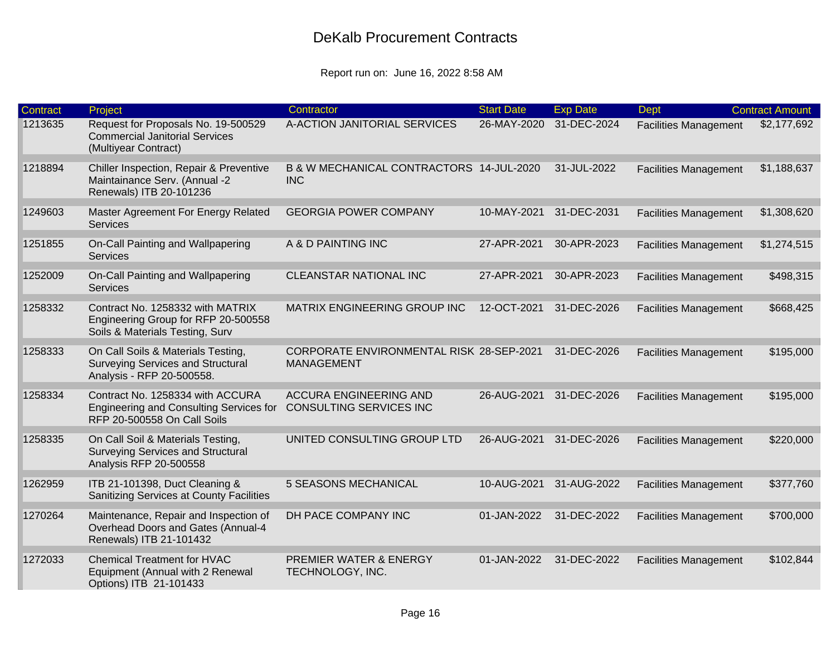| Contract | Project                                                                                                    | Contractor                                                      | <b>Start Date</b> | <b>Exp Date</b> | <b>Dept</b>                  | <b>Contract Amount</b> |
|----------|------------------------------------------------------------------------------------------------------------|-----------------------------------------------------------------|-------------------|-----------------|------------------------------|------------------------|
| 1213635  | Request for Proposals No. 19-500529<br><b>Commercial Janitorial Services</b><br>(Multiyear Contract)       | A-ACTION JANITORIAL SERVICES                                    | 26-MAY-2020       | 31-DEC-2024     | <b>Facilities Management</b> | \$2,177,692            |
| 1218894  | Chiller Inspection, Repair & Preventive<br>Maintainance Serv. (Annual -2<br>Renewals) ITB 20-101236        | B & W MECHANICAL CONTRACTORS 14-JUL-2020<br><b>INC</b>          |                   | 31-JUL-2022     | <b>Facilities Management</b> | \$1,188,637            |
| 1249603  | Master Agreement For Energy Related<br>Services                                                            | <b>GEORGIA POWER COMPANY</b>                                    | 10-MAY-2021       | 31-DEC-2031     | <b>Facilities Management</b> | \$1,308,620            |
| 1251855  | On-Call Painting and Wallpapering<br>Services                                                              | A & D PAINTING INC                                              | 27-APR-2021       | 30-APR-2023     | <b>Facilities Management</b> | \$1,274,515            |
| 1252009  | On-Call Painting and Wallpapering<br>Services                                                              | CLEANSTAR NATIONAL INC                                          | 27-APR-2021       | 30-APR-2023     | <b>Facilities Management</b> | \$498,315              |
| 1258332  | Contract No. 1258332 with MATRIX<br>Engineering Group for RFP 20-500558<br>Soils & Materials Testing, Surv | MATRIX ENGINEERING GROUP INC                                    | 12-OCT-2021       | 31-DEC-2026     | <b>Facilities Management</b> | \$668,425              |
| 1258333  | On Call Soils & Materials Testing,<br>Surveying Services and Structural<br>Analysis - RFP 20-500558.       | CORPORATE ENVIRONMENTAL RISK 28-SEP-2021<br><b>MANAGEMENT</b>   |                   | 31-DEC-2026     | <b>Facilities Management</b> | \$195,000              |
| 1258334  | Contract No. 1258334 with ACCURA<br>Engineering and Consulting Services for<br>RFP 20-500558 On Call Soils | <b>ACCURA ENGINEERING AND</b><br><b>CONSULTING SERVICES INC</b> | 26-AUG-2021       | 31-DEC-2026     | <b>Facilities Management</b> | \$195,000              |
| 1258335  | On Call Soil & Materials Testing,<br><b>Surveying Services and Structural</b><br>Analysis RFP 20-500558    | UNITED CONSULTING GROUP LTD                                     | 26-AUG-2021       | 31-DEC-2026     | <b>Facilities Management</b> | \$220,000              |
| 1262959  | ITB 21-101398, Duct Cleaning &<br>Sanitizing Services at County Facilities                                 | <b>5 SEASONS MECHANICAL</b>                                     | 10-AUG-2021       | 31-AUG-2022     | <b>Facilities Management</b> | \$377,760              |
| 1270264  | Maintenance, Repair and Inspection of<br>Overhead Doors and Gates (Annual-4<br>Renewals) ITB 21-101432     | DH PACE COMPANY INC                                             | 01-JAN-2022       | 31-DEC-2022     | <b>Facilities Management</b> | \$700,000              |
| 1272033  | <b>Chemical Treatment for HVAC</b><br>Equipment (Annual with 2 Renewal<br>Options) ITB 21-101433           | <b>PREMIER WATER &amp; ENERGY</b><br>TECHNOLOGY, INC.           | 01-JAN-2022       | 31-DEC-2022     | <b>Facilities Management</b> | \$102,844              |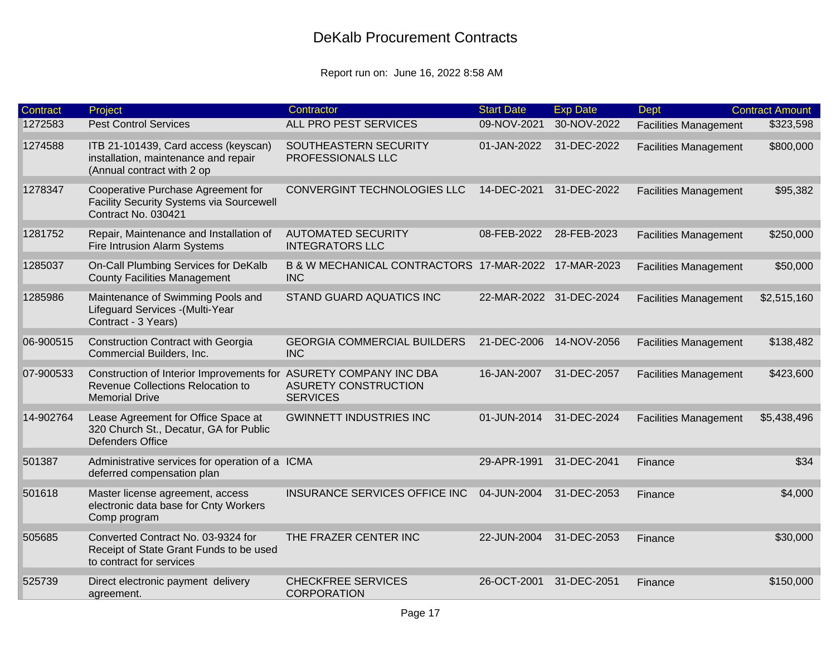| Contract  | Project                                                                                                                         | Contractor                                                         | <b>Start Date</b>       | <b>Exp Date</b> | <b>Dept</b>                  | <b>Contract Amount</b> |
|-----------|---------------------------------------------------------------------------------------------------------------------------------|--------------------------------------------------------------------|-------------------------|-----------------|------------------------------|------------------------|
| 1272583   | <b>Pest Control Services</b>                                                                                                    | ALL PRO PEST SERVICES                                              | 09-NOV-2021             | 30-NOV-2022     | <b>Facilities Management</b> | \$323,598              |
| 1274588   | ITB 21-101439, Card access (keyscan)<br>installation, maintenance and repair<br>(Annual contract with 2 op                      | SOUTHEASTERN SECURITY<br>PROFESSIONALS LLC                         | 01-JAN-2022             | 31-DEC-2022     | <b>Facilities Management</b> | \$800,000              |
| 1278347   | Cooperative Purchase Agreement for<br>Facility Security Systems via Sourcewell<br>Contract No. 030421                           | CONVERGINT TECHNOLOGIES LLC                                        | 14-DEC-2021             | 31-DEC-2022     | <b>Facilities Management</b> | \$95,382               |
| 1281752   | Repair, Maintenance and Installation of<br>Fire Intrusion Alarm Systems                                                         | <b>AUTOMATED SECURITY</b><br><b>INTEGRATORS LLC</b>                | 08-FEB-2022             | 28-FEB-2023     | <b>Facilities Management</b> | \$250,000              |
| 1285037   | On-Call Plumbing Services for DeKalb<br><b>County Facilities Management</b>                                                     | B & W MECHANICAL CONTRACTORS 17-MAR-2022 17-MAR-2023<br><b>INC</b> |                         |                 | <b>Facilities Management</b> | \$50,000               |
| 1285986   | Maintenance of Swimming Pools and<br>Lifeguard Services - (Multi-Year<br>Contract - 3 Years)                                    | STAND GUARD AQUATICS INC                                           | 22-MAR-2022 31-DEC-2024 |                 | <b>Facilities Management</b> | \$2,515,160            |
| 06-900515 | <b>Construction Contract with Georgia</b><br>Commercial Builders, Inc.                                                          | <b>GEORGIA COMMERCIAL BUILDERS</b><br><b>INC</b>                   | 21-DEC-2006             | 14-NOV-2056     | <b>Facilities Management</b> | \$138,482              |
| 07-900533 | Construction of Interior Improvements for ASURETY COMPANY INC DBA<br>Revenue Collections Relocation to<br><b>Memorial Drive</b> | ASURETY CONSTRUCTION<br><b>SERVICES</b>                            | 16-JAN-2007             | 31-DEC-2057     | <b>Facilities Management</b> | \$423,600              |
| 14-902764 | Lease Agreement for Office Space at<br>320 Church St., Decatur, GA for Public<br><b>Defenders Office</b>                        | <b>GWINNETT INDUSTRIES INC</b>                                     | 01-JUN-2014             | 31-DEC-2024     | <b>Facilities Management</b> | \$5,438,496            |
| 501387    | Administrative services for operation of a ICMA<br>deferred compensation plan                                                   |                                                                    | 29-APR-1991             | 31-DEC-2041     | Finance                      | \$34                   |
| 501618    | Master license agreement, access<br>electronic data base for Cnty Workers<br>Comp program                                       | INSURANCE SERVICES OFFICE INC                                      | 04-JUN-2004             | 31-DEC-2053     | Finance                      | \$4,000                |
| 505685    | Converted Contract No. 03-9324 for<br>Receipt of State Grant Funds to be used<br>to contract for services                       | THE FRAZER CENTER INC                                              | 22-JUN-2004             | 31-DEC-2053     | Finance                      | \$30,000               |
| 525739    | Direct electronic payment delivery<br>agreement.                                                                                | <b>CHECKFREE SERVICES</b><br><b>CORPORATION</b>                    | 26-OCT-2001             | 31-DEC-2051     | Finance                      | \$150,000              |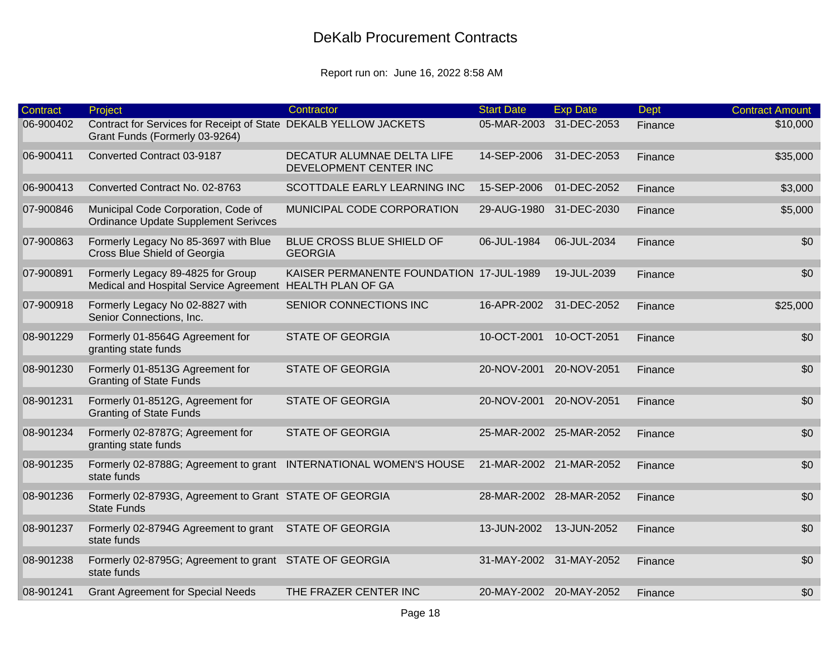| Contract  | Project                                                                                            | Contractor                                           | <b>Start Date</b>       | <b>Exp Date</b>         | <b>Dept</b> | <b>Contract Amount</b> |
|-----------|----------------------------------------------------------------------------------------------------|------------------------------------------------------|-------------------------|-------------------------|-------------|------------------------|
| 06-900402 | Contract for Services for Receipt of State DEKALB YELLOW JACKETS<br>Grant Funds (Formerly 03-9264) |                                                      | 05-MAR-2003             | 31-DEC-2053             | Finance     | \$10,000               |
| 06-900411 | Converted Contract 03-9187                                                                         | DECATUR ALUMNAE DELTA LIFE<br>DEVELOPMENT CENTER INC | 14-SEP-2006             | 31-DEC-2053             | Finance     | \$35,000               |
| 06-900413 | Converted Contract No. 02-8763                                                                     | SCOTTDALE EARLY LEARNING INC                         | 15-SEP-2006             | 01-DEC-2052             | Finance     | \$3,000                |
| 07-900846 | Municipal Code Corporation, Code of<br><b>Ordinance Update Supplement Serivces</b>                 | MUNICIPAL CODE CORPORATION                           |                         | 29-AUG-1980 31-DEC-2030 | Finance     | \$5,000                |
| 07-900863 | Formerly Legacy No 85-3697 with Blue<br>Cross Blue Shield of Georgia                               | BLUE CROSS BLUE SHIELD OF<br><b>GEORGIA</b>          | 06-JUL-1984             | 06-JUL-2034             | Finance     | \$0                    |
| 07-900891 | Formerly Legacy 89-4825 for Group<br>Medical and Hospital Service Agreement HEALTH PLAN OF GA      | KAISER PERMANENTE FOUNDATION 17-JUL-1989             |                         | 19-JUL-2039             | Finance     | \$0                    |
| 07-900918 | Formerly Legacy No 02-8827 with<br>Senior Connections, Inc.                                        | SENIOR CONNECTIONS INC                               | 16-APR-2002             | 31-DEC-2052             | Finance     | \$25,000               |
| 08-901229 | Formerly 01-8564G Agreement for<br>granting state funds                                            | <b>STATE OF GEORGIA</b>                              | 10-OCT-2001             | 10-OCT-2051             | Finance     | \$0                    |
| 08-901230 | Formerly 01-8513G Agreement for<br><b>Granting of State Funds</b>                                  | <b>STATE OF GEORGIA</b>                              | 20-NOV-2001             | 20-NOV-2051             | Finance     | \$0                    |
| 08-901231 | Formerly 01-8512G, Agreement for<br><b>Granting of State Funds</b>                                 | <b>STATE OF GEORGIA</b>                              | 20-NOV-2001             | 20-NOV-2051             | Finance     | \$0                    |
| 08-901234 | Formerly 02-8787G; Agreement for<br>granting state funds                                           | <b>STATE OF GEORGIA</b>                              |                         | 25-MAR-2002 25-MAR-2052 | Finance     | \$0                    |
| 08-901235 | Formerly 02-8788G; Agreement to grant INTERNATIONAL WOMEN'S HOUSE<br>state funds                   |                                                      | 21-MAR-2002 21-MAR-2052 |                         | Finance     | \$0                    |
| 08-901236 | Formerly 02-8793G, Agreement to Grant STATE OF GEORGIA<br><b>State Funds</b>                       |                                                      |                         | 28-MAR-2002 28-MAR-2052 | Finance     | \$0                    |
| 08-901237 | Formerly 02-8794G Agreement to grant STATE OF GEORGIA<br>state funds                               |                                                      | 13-JUN-2002             | 13-JUN-2052             | Finance     | \$0                    |
| 08-901238 | Formerly 02-8795G; Agreement to grant STATE OF GEORGIA<br>state funds                              |                                                      | 31-MAY-2002 31-MAY-2052 |                         | Finance     | \$0                    |
| 08-901241 | <b>Grant Agreement for Special Needs</b>                                                           | THE FRAZER CENTER INC                                |                         | 20-MAY-2002 20-MAY-2052 | Finance     | \$0                    |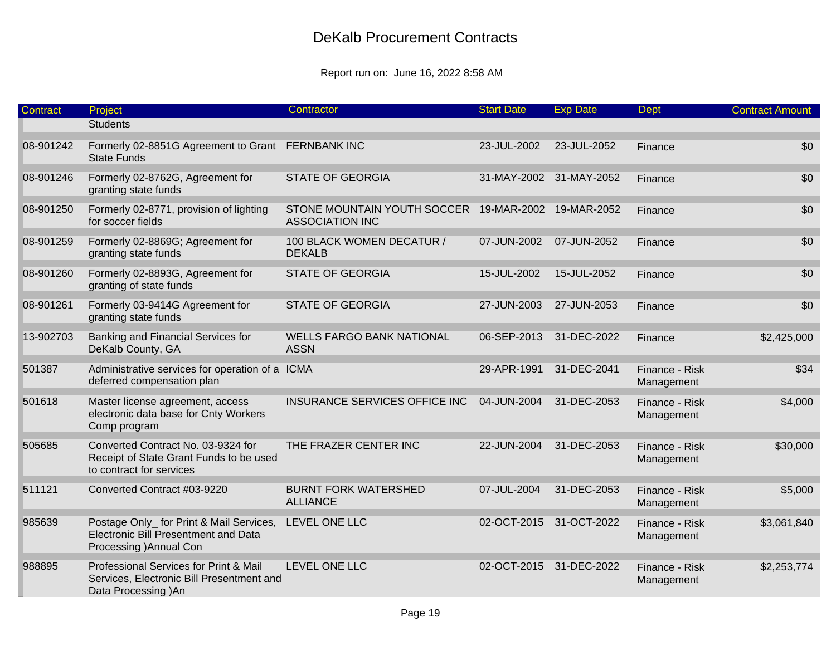| Contract  | Project                                                                                                     | Contractor                                                                    | <b>Start Date</b> | <b>Exp Date</b>         | <b>Dept</b>                  | <b>Contract Amount</b> |
|-----------|-------------------------------------------------------------------------------------------------------------|-------------------------------------------------------------------------------|-------------------|-------------------------|------------------------------|------------------------|
|           | <b>Students</b>                                                                                             |                                                                               |                   |                         |                              |                        |
| 08-901242 | Formerly 02-8851G Agreement to Grant FERNBANK INC<br><b>State Funds</b>                                     |                                                                               | 23-JUL-2002       | 23-JUL-2052             | Finance                      | \$0                    |
| 08-901246 | Formerly 02-8762G, Agreement for<br>granting state funds                                                    | <b>STATE OF GEORGIA</b>                                                       |                   | 31-MAY-2002 31-MAY-2052 | Finance                      | \$0                    |
| 08-901250 | Formerly 02-8771, provision of lighting<br>for soccer fields                                                | STONE MOUNTAIN YOUTH SOCCER 19-MAR-2002 19-MAR-2052<br><b>ASSOCIATION INC</b> |                   |                         | Finance                      | \$0                    |
| 08-901259 | Formerly 02-8869G; Agreement for<br>granting state funds                                                    | 100 BLACK WOMEN DECATUR /<br><b>DEKALB</b>                                    | 07-JUN-2002       | 07-JUN-2052             | Finance                      | \$0                    |
| 08-901260 | Formerly 02-8893G, Agreement for<br>granting of state funds                                                 | <b>STATE OF GEORGIA</b>                                                       | 15-JUL-2002       | 15-JUL-2052             | Finance                      | \$0                    |
| 08-901261 | Formerly 03-9414G Agreement for<br>granting state funds                                                     | <b>STATE OF GEORGIA</b>                                                       | 27-JUN-2003       | 27-JUN-2053             | Finance                      | \$0                    |
| 13-902703 | Banking and Financial Services for<br>DeKalb County, GA                                                     | <b>WELLS FARGO BANK NATIONAL</b><br><b>ASSN</b>                               | 06-SEP-2013       | 31-DEC-2022             | Finance                      | \$2,425,000            |
| 501387    | Administrative services for operation of a ICMA<br>deferred compensation plan                               |                                                                               | 29-APR-1991       | 31-DEC-2041             | Finance - Risk<br>Management | \$34                   |
| 501618    | Master license agreement, access<br>electronic data base for Cnty Workers<br>Comp program                   | INSURANCE SERVICES OFFICE INC                                                 | 04-JUN-2004       | 31-DEC-2053             | Finance - Risk<br>Management | \$4,000                |
| 505685    | Converted Contract No. 03-9324 for<br>Receipt of State Grant Funds to be used<br>to contract for services   | THE FRAZER CENTER INC                                                         | 22-JUN-2004       | 31-DEC-2053             | Finance - Risk<br>Management | \$30,000               |
| 511121    | Converted Contract #03-9220                                                                                 | <b>BURNT FORK WATERSHED</b><br><b>ALLIANCE</b>                                | 07-JUL-2004       | 31-DEC-2053             | Finance - Risk<br>Management | \$5,000                |
| 985639    | Postage Only_ for Print & Mail Services,<br>Electronic Bill Presentment and Data<br>Processing ) Annual Con | LEVEL ONE LLC                                                                 |                   | 02-OCT-2015 31-OCT-2022 | Finance - Risk<br>Management | \$3,061,840            |
| 988895    | Professional Services for Print & Mail<br>Services, Electronic Bill Presentment and<br>Data Processing )An  | LEVEL ONE LLC                                                                 |                   | 02-OCT-2015 31-DEC-2022 | Finance - Risk<br>Management | \$2,253,774            |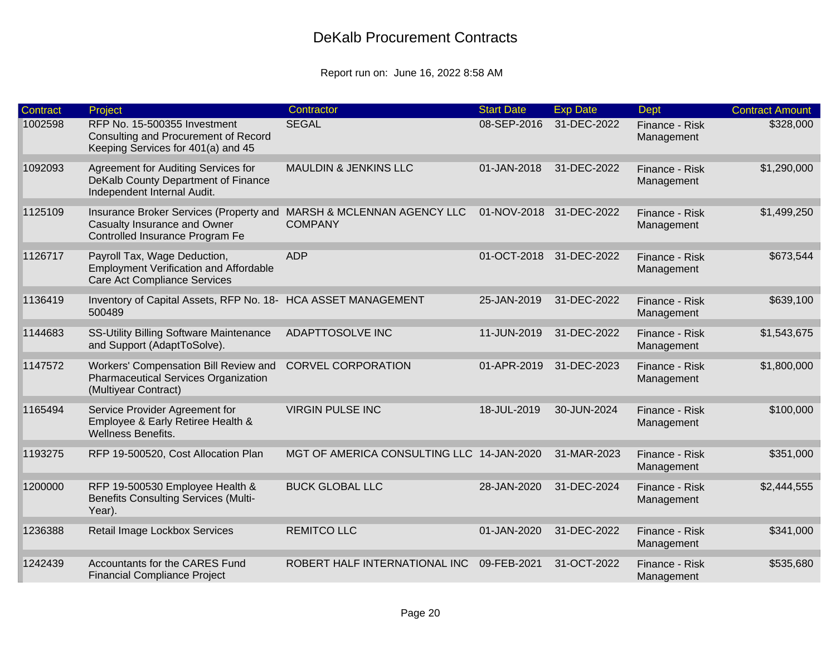| <b>Contract</b> | Project                                                                                                              | Contractor                                    | <b>Start Date</b> | <b>Exp Date</b>         | <b>Dept</b>                  | <b>Contract Amount</b> |
|-----------------|----------------------------------------------------------------------------------------------------------------------|-----------------------------------------------|-------------------|-------------------------|------------------------------|------------------------|
| 1002598         | RFP No. 15-500355 Investment<br>Consulting and Procurement of Record<br>Keeping Services for 401(a) and 45           | <b>SEGAL</b>                                  | 08-SEP-2016       | 31-DEC-2022             | Finance - Risk<br>Management | \$328,000              |
| 1092093         | Agreement for Auditing Services for<br>DeKalb County Department of Finance<br>Independent Internal Audit.            | <b>MAULDIN &amp; JENKINS LLC</b>              | 01-JAN-2018       | 31-DEC-2022             | Finance - Risk<br>Management | \$1,290,000            |
| 1125109         | Insurance Broker Services (Property and<br>Casualty Insurance and Owner<br>Controlled Insurance Program Fe           | MARSH & MCLENNAN AGENCY LLC<br><b>COMPANY</b> | 01-NOV-2018       | 31-DEC-2022             | Finance - Risk<br>Management | \$1,499,250            |
| 1126717         | Payroll Tax, Wage Deduction,<br><b>Employment Verification and Affordable</b><br><b>Care Act Compliance Services</b> | <b>ADP</b>                                    |                   | 01-OCT-2018 31-DEC-2022 | Finance - Risk<br>Management | \$673,544              |
| 1136419         | Inventory of Capital Assets, RFP No. 18- HCA ASSET MANAGEMENT<br>500489                                              |                                               | 25-JAN-2019       | 31-DEC-2022             | Finance - Risk<br>Management | \$639,100              |
| 1144683         | <b>SS-Utility Billing Software Maintenance</b><br>and Support (AdaptToSolve).                                        | ADAPTTOSOLVE INC                              | 11-JUN-2019       | 31-DEC-2022             | Finance - Risk<br>Management | \$1,543,675            |
| 1147572         | Workers' Compensation Bill Review and<br><b>Pharmaceutical Services Organization</b><br>(Multiyear Contract)         | <b>CORVEL CORPORATION</b>                     | 01-APR-2019       | 31-DEC-2023             | Finance - Risk<br>Management | \$1,800,000            |
| 1165494         | Service Provider Agreement for<br>Employee & Early Retiree Health &<br>Wellness Benefits.                            | <b>VIRGIN PULSE INC</b>                       | 18-JUL-2019       | 30-JUN-2024             | Finance - Risk<br>Management | \$100,000              |
| 1193275         | RFP 19-500520, Cost Allocation Plan                                                                                  | MGT OF AMERICA CONSULTING LLC 14-JAN-2020     |                   | 31-MAR-2023             | Finance - Risk<br>Management | \$351,000              |
| 1200000         | RFP 19-500530 Employee Health &<br><b>Benefits Consulting Services (Multi-</b><br>Year).                             | <b>BUCK GLOBAL LLC</b>                        | 28-JAN-2020       | 31-DEC-2024             | Finance - Risk<br>Management | \$2,444,555            |
| 1236388         | Retail Image Lockbox Services                                                                                        | <b>REMITCO LLC</b>                            | 01-JAN-2020       | 31-DEC-2022             | Finance - Risk<br>Management | \$341,000              |
| 1242439         | <b>Accountants for the CARES Fund</b><br><b>Financial Compliance Project</b>                                         | ROBERT HALF INTERNATIONAL INC                 | 09-FEB-2021       | 31-OCT-2022             | Finance - Risk<br>Management | \$535,680              |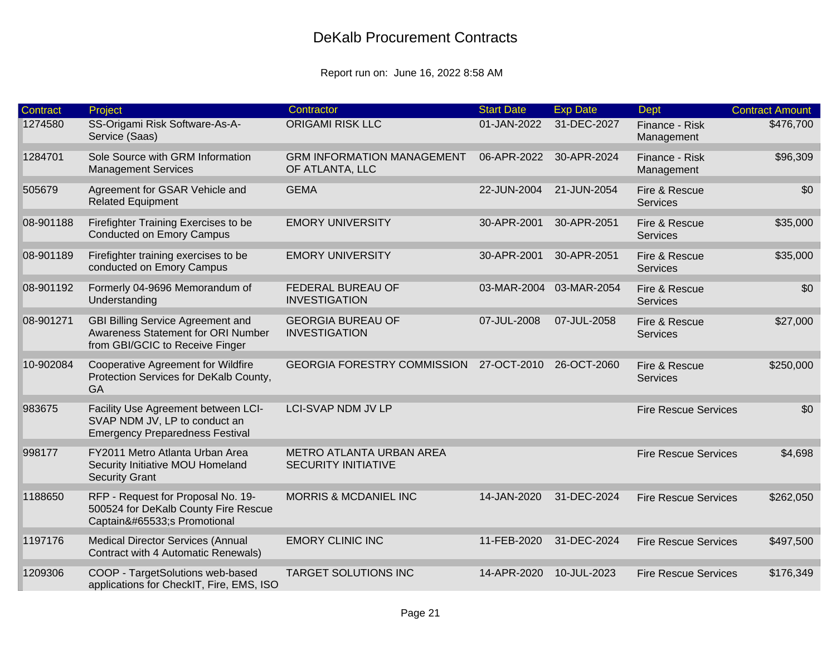| <b>Contract</b> | Project                                                                                                           | Contractor                                                    | <b>Start Date</b> | <b>Exp Date</b> | <b>Dept</b>                      | <b>Contract Amount</b> |
|-----------------|-------------------------------------------------------------------------------------------------------------------|---------------------------------------------------------------|-------------------|-----------------|----------------------------------|------------------------|
| 1274580         | SS-Origami Risk Software-As-A-<br>Service (Saas)                                                                  | <b>ORIGAMI RISK LLC</b>                                       | 01-JAN-2022       | 31-DEC-2027     | Finance - Risk<br>Management     | \$476,700              |
| 1284701         | Sole Source with GRM Information<br><b>Management Services</b>                                                    | <b>GRM INFORMATION MANAGEMENT</b><br>OF ATLANTA, LLC          | 06-APR-2022       | 30-APR-2024     | Finance - Risk<br>Management     | \$96,309               |
| 505679          | Agreement for GSAR Vehicle and<br><b>Related Equipment</b>                                                        | <b>GEMA</b>                                                   | 22-JUN-2004       | 21-JUN-2054     | Fire & Rescue<br>Services        | \$0                    |
| 08-901188       | Firefighter Training Exercises to be<br><b>Conducted on Emory Campus</b>                                          | <b>EMORY UNIVERSITY</b>                                       | 30-APR-2001       | 30-APR-2051     | Fire & Rescue<br><b>Services</b> | \$35,000               |
| 08-901189       | Firefighter training exercises to be<br>conducted on Emory Campus                                                 | <b>EMORY UNIVERSITY</b>                                       | 30-APR-2001       | 30-APR-2051     | Fire & Rescue<br><b>Services</b> | \$35,000               |
| 08-901192       | Formerly 04-9696 Memorandum of<br>Understanding                                                                   | FEDERAL BUREAU OF<br><b>INVESTIGATION</b>                     | 03-MAR-2004       | 03-MAR-2054     | Fire & Rescue<br>Services        | \$0                    |
| 08-901271       | <b>GBI Billing Service Agreement and</b><br>Awareness Statement for ORI Number<br>from GBI/GCIC to Receive Finger | <b>GEORGIA BUREAU OF</b><br><b>INVESTIGATION</b>              | 07-JUL-2008       | 07-JUL-2058     | Fire & Rescue<br>Services        | \$27,000               |
| 10-902084       | <b>Cooperative Agreement for Wildfire</b><br>Protection Services for DeKalb County,<br><b>GA</b>                  | <b>GEORGIA FORESTRY COMMISSION</b>                            | 27-OCT-2010       | 26-OCT-2060     | Fire & Rescue<br>Services        | \$250,000              |
| 983675          | Facility Use Agreement between LCI-<br>SVAP NDM JV, LP to conduct an<br><b>Emergency Preparedness Festival</b>    | <b>LCI-SVAP NDM JV LP</b>                                     |                   |                 | <b>Fire Rescue Services</b>      | \$0                    |
| 998177          | FY2011 Metro Atlanta Urban Area<br>Security Initiative MOU Homeland<br><b>Security Grant</b>                      | <b>METRO ATLANTA URBAN AREA</b><br><b>SECURITY INITIATIVE</b> |                   |                 | <b>Fire Rescue Services</b>      | \$4,698                |
| 1188650         | RFP - Request for Proposal No. 19-<br>500524 for DeKalb County Fire Rescue<br>Captain�s Promotional               | <b>MORRIS &amp; MCDANIEL INC</b>                              | 14-JAN-2020       | 31-DEC-2024     | <b>Fire Rescue Services</b>      | \$262,050              |
| 1197176         | <b>Medical Director Services (Annual</b><br>Contract with 4 Automatic Renewals)                                   | <b>EMORY CLINIC INC</b>                                       | 11-FEB-2020       | 31-DEC-2024     | <b>Fire Rescue Services</b>      | \$497,500              |
| 1209306         | COOP - TargetSolutions web-based<br>applications for CheckIT, Fire, EMS, ISO                                      | <b>TARGET SOLUTIONS INC</b>                                   | 14-APR-2020       | 10-JUL-2023     | <b>Fire Rescue Services</b>      | \$176,349              |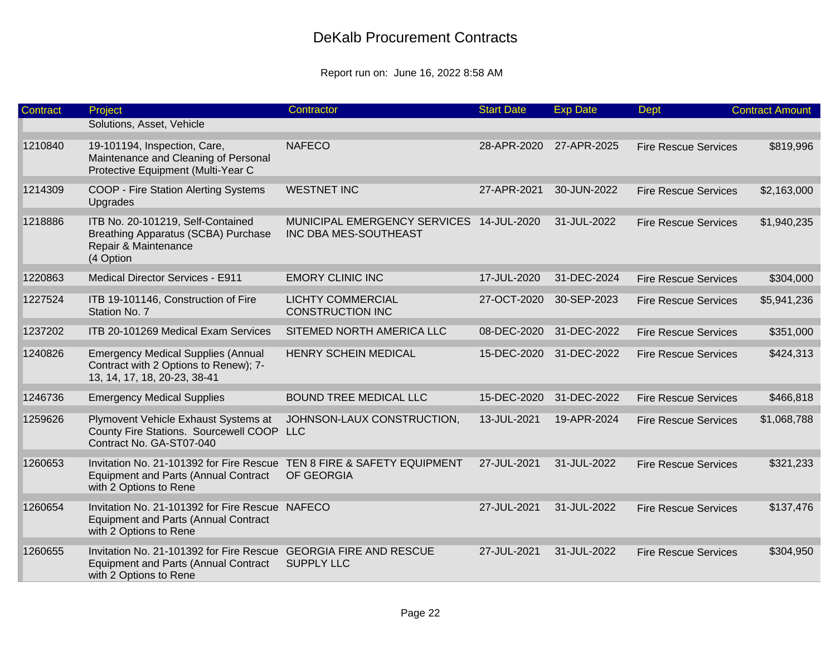| Contract | Project                                                                                                                  | Contractor                                                        | <b>Start Date</b> | <b>Exp Date</b> | <b>Dept</b>                 | <b>Contract Amount</b> |
|----------|--------------------------------------------------------------------------------------------------------------------------|-------------------------------------------------------------------|-------------------|-----------------|-----------------------------|------------------------|
|          | Solutions, Asset, Vehicle                                                                                                |                                                                   |                   |                 |                             |                        |
| 1210840  | 19-101194, Inspection, Care,<br>Maintenance and Cleaning of Personal<br>Protective Equipment (Multi-Year C               | <b>NAFECO</b>                                                     | 28-APR-2020       | 27-APR-2025     | <b>Fire Rescue Services</b> | \$819,996              |
| 1214309  | COOP - Fire Station Alerting Systems<br>Upgrades                                                                         | <b>WESTNET INC</b>                                                | 27-APR-2021       | 30-JUN-2022     | <b>Fire Rescue Services</b> | \$2,163,000            |
| 1218886  | ITB No. 20-101219, Self-Contained<br><b>Breathing Apparatus (SCBA) Purchase</b><br>Repair & Maintenance<br>(4 Option     | MUNICIPAL EMERGENCY SERVICES 14-JUL-2020<br>INC DBA MES-SOUTHEAST |                   | 31-JUL-2022     | <b>Fire Rescue Services</b> | \$1,940,235            |
| 1220863  | <b>Medical Director Services - E911</b>                                                                                  | <b>EMORY CLINIC INC</b>                                           | 17-JUL-2020       | 31-DEC-2024     | <b>Fire Rescue Services</b> | \$304,000              |
| 1227524  | ITB 19-101146, Construction of Fire<br>Station No. 7                                                                     | <b>LICHTY COMMERCIAL</b><br><b>CONSTRUCTION INC</b>               | 27-OCT-2020       | 30-SEP-2023     | <b>Fire Rescue Services</b> | \$5,941,236            |
| 1237202  | ITB 20-101269 Medical Exam Services                                                                                      | SITEMED NORTH AMERICA LLC                                         | 08-DEC-2020       | 31-DEC-2022     | <b>Fire Rescue Services</b> | \$351,000              |
| 1240826  | <b>Emergency Medical Supplies (Annual</b><br>Contract with 2 Options to Renew); 7-<br>13, 14, 17, 18, 20-23, 38-41       | <b>HENRY SCHEIN MEDICAL</b>                                       | 15-DEC-2020       | 31-DEC-2022     | <b>Fire Rescue Services</b> | \$424,313              |
| 1246736  | <b>Emergency Medical Supplies</b>                                                                                        | <b>BOUND TREE MEDICAL LLC</b>                                     | 15-DEC-2020       | 31-DEC-2022     | <b>Fire Rescue Services</b> | \$466,818              |
| 1259626  | Plymovent Vehicle Exhaust Systems at<br>County Fire Stations. Sourcewell COOP<br>Contract No. GA-ST07-040                | JOHNSON-LAUX CONSTRUCTION,<br><b>LLC</b>                          | 13-JUL-2021       | 19-APR-2024     | <b>Fire Rescue Services</b> | \$1,068,788            |
| 1260653  | Invitation No. 21-101392 for Fire Rescue<br><b>Equipment and Parts (Annual Contract</b><br>with 2 Options to Rene        | TEN 8 FIRE & SAFETY EQUIPMENT<br>OF GEORGIA                       | 27-JUL-2021       | 31-JUL-2022     | <b>Fire Rescue Services</b> | \$321,233              |
| 1260654  | Invitation No. 21-101392 for Fire Rescue NAFECO<br><b>Equipment and Parts (Annual Contract</b><br>with 2 Options to Rene |                                                                   | 27-JUL-2021       | 31-JUL-2022     | <b>Fire Rescue Services</b> | \$137,476              |
| 1260655  | Invitation No. 21-101392 for Fire Rescue<br><b>Equipment and Parts (Annual Contract</b><br>with 2 Options to Rene        | <b>GEORGIA FIRE AND RESCUE</b><br><b>SUPPLY LLC</b>               | 27-JUL-2021       | 31-JUL-2022     | <b>Fire Rescue Services</b> | \$304,950              |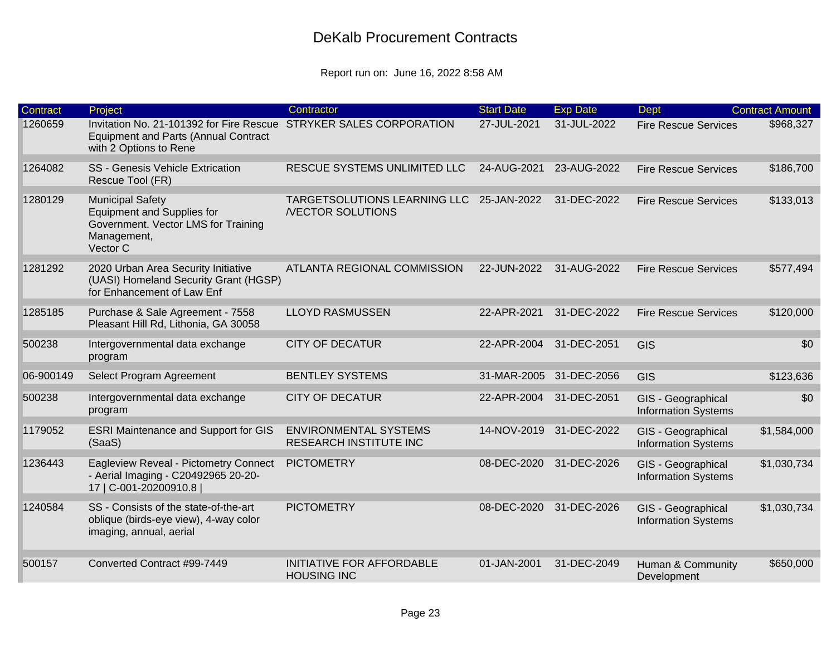| <b>Contract</b> | Project                                                                                                                                     | Contractor                                                    | <b>Start Date</b> | <b>Exp Date</b>         | Dept                                             | <b>Contract Amount</b> |
|-----------------|---------------------------------------------------------------------------------------------------------------------------------------------|---------------------------------------------------------------|-------------------|-------------------------|--------------------------------------------------|------------------------|
| 1260659         | Invitation No. 21-101392 for Fire Rescue STRYKER SALES CORPORATION<br><b>Equipment and Parts (Annual Contract</b><br>with 2 Options to Rene |                                                               | 27-JUL-2021       | 31-JUL-2022             | <b>Fire Rescue Services</b>                      | \$968,327              |
| 1264082         | <b>SS - Genesis Vehicle Extrication</b><br>Rescue Tool (FR)                                                                                 | RESCUE SYSTEMS UNLIMITED LLC                                  | 24-AUG-2021       | 23-AUG-2022             | <b>Fire Rescue Services</b>                      | \$186,700              |
| 1280129         | <b>Municipal Safety</b><br><b>Equipment and Supplies for</b><br>Government. Vector LMS for Training<br>Management,<br>Vector C              | TARGETSOLUTIONS LEARNING LLC<br><b>/VECTOR SOLUTIONS</b>      | 25-JAN-2022       | 31-DEC-2022             | <b>Fire Rescue Services</b>                      | \$133,013              |
| 1281292         | 2020 Urban Area Security Initiative<br>(UASI) Homeland Security Grant (HGSP)<br>for Enhancement of Law Enf                                  | ATLANTA REGIONAL COMMISSION                                   | 22-JUN-2022       | 31-AUG-2022             | <b>Fire Rescue Services</b>                      | \$577,494              |
| 1285185         | Purchase & Sale Agreement - 7558<br>Pleasant Hill Rd, Lithonia, GA 30058                                                                    | <b>LLOYD RASMUSSEN</b>                                        | 22-APR-2021       | 31-DEC-2022             | <b>Fire Rescue Services</b>                      | \$120,000              |
| 500238          | Intergovernmental data exchange<br>program                                                                                                  | <b>CITY OF DECATUR</b>                                        | 22-APR-2004       | 31-DEC-2051             | <b>GIS</b>                                       | \$0                    |
| 06-900149       | Select Program Agreement                                                                                                                    | <b>BENTLEY SYSTEMS</b>                                        | 31-MAR-2005       | 31-DEC-2056             | <b>GIS</b>                                       | \$123,636              |
| 500238          | Intergovernmental data exchange<br>program                                                                                                  | <b>CITY OF DECATUR</b>                                        | 22-APR-2004       | 31-DEC-2051             | GIS - Geographical<br><b>Information Systems</b> | \$0                    |
| 1179052         | <b>ESRI Maintenance and Support for GIS</b><br>(SaaS)                                                                                       | <b>ENVIRONMENTAL SYSTEMS</b><br><b>RESEARCH INSTITUTE INC</b> |                   | 14-NOV-2019 31-DEC-2022 | GIS - Geographical<br><b>Information Systems</b> | \$1,584,000            |
| 1236443         | Eagleview Reveal - Pictometry Connect<br>- Aerial Imaging - C20492965 20-20-<br>17   C-001-20200910.8                                       | <b>PICTOMETRY</b>                                             | 08-DEC-2020       | 31-DEC-2026             | GIS - Geographical<br><b>Information Systems</b> | \$1,030,734            |
| 1240584         | SS - Consists of the state-of-the-art<br>oblique (birds-eye view), 4-way color<br>imaging, annual, aerial                                   | <b>PICTOMETRY</b>                                             | 08-DEC-2020       | 31-DEC-2026             | GIS - Geographical<br><b>Information Systems</b> | \$1,030,734            |
| 500157          | Converted Contract #99-7449                                                                                                                 | <b>INITIATIVE FOR AFFORDABLE</b><br><b>HOUSING INC</b>        | 01-JAN-2001       | 31-DEC-2049             | Human & Community<br>Development                 | \$650,000              |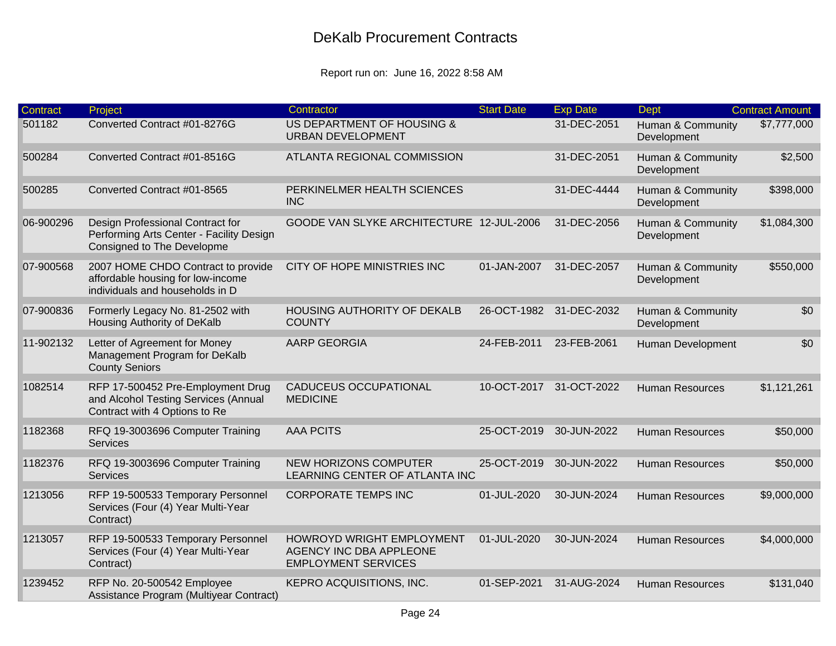| Contract  | Project                                                                                                    | Contractor                                                                         | <b>Start Date</b> | <b>Exp Date</b>         | <b>Dept</b>                      | <b>Contract Amount</b> |
|-----------|------------------------------------------------------------------------------------------------------------|------------------------------------------------------------------------------------|-------------------|-------------------------|----------------------------------|------------------------|
| 501182    | Converted Contract #01-8276G                                                                               | US DEPARTMENT OF HOUSING &<br><b>URBAN DEVELOPMENT</b>                             |                   | 31-DEC-2051             | Human & Community<br>Development | \$7,777,000            |
| 500284    | Converted Contract #01-8516G                                                                               | <b>ATLANTA REGIONAL COMMISSION</b>                                                 |                   | 31-DEC-2051             | Human & Community<br>Development | \$2,500                |
| 500285    | Converted Contract #01-8565                                                                                | PERKINELMER HEALTH SCIENCES<br><b>INC</b>                                          |                   | 31-DEC-4444             | Human & Community<br>Development | \$398,000              |
| 06-900296 | Design Professional Contract for<br>Performing Arts Center - Facility Design<br>Consigned to The Developme | GOODE VAN SLYKE ARCHITECTURE 12-JUL-2006                                           |                   | 31-DEC-2056             | Human & Community<br>Development | \$1,084,300            |
| 07-900568 | 2007 HOME CHDO Contract to provide<br>affordable housing for low-income<br>individuals and households in D | CITY OF HOPE MINISTRIES INC                                                        | 01-JAN-2007       | 31-DEC-2057             | Human & Community<br>Development | \$550,000              |
| 07-900836 | Formerly Legacy No. 81-2502 with<br>Housing Authority of DeKalb                                            | <b>HOUSING AUTHORITY OF DEKALB</b><br><b>COUNTY</b>                                |                   | 26-OCT-1982 31-DEC-2032 | Human & Community<br>Development | \$0                    |
| 11-902132 | Letter of Agreement for Money<br>Management Program for DeKalb<br><b>County Seniors</b>                    | <b>AARP GEORGIA</b>                                                                | 24-FEB-2011       | 23-FEB-2061             | Human Development                | \$0                    |
| 1082514   | RFP 17-500452 Pre-Employment Drug<br>and Alcohol Testing Services (Annual<br>Contract with 4 Options to Re | <b>CADUCEUS OCCUPATIONAL</b><br><b>MEDICINE</b>                                    | 10-OCT-2017       | 31-OCT-2022             | <b>Human Resources</b>           | \$1,121,261            |
| 1182368   | RFQ 19-3003696 Computer Training<br><b>Services</b>                                                        | <b>AAA PCITS</b>                                                                   | 25-OCT-2019       | 30-JUN-2022             | <b>Human Resources</b>           | \$50,000               |
| 1182376   | RFQ 19-3003696 Computer Training<br><b>Services</b>                                                        | <b>NEW HORIZONS COMPUTER</b><br>LEARNING CENTER OF ATLANTA INC                     | 25-OCT-2019       | 30-JUN-2022             | <b>Human Resources</b>           | \$50,000               |
| 1213056   | RFP 19-500533 Temporary Personnel<br>Services (Four (4) Year Multi-Year<br>Contract)                       | <b>CORPORATE TEMPS INC</b>                                                         | 01-JUL-2020       | 30-JUN-2024             | <b>Human Resources</b>           | \$9,000,000            |
| 1213057   | RFP 19-500533 Temporary Personnel<br>Services (Four (4) Year Multi-Year<br>Contract)                       | HOWROYD WRIGHT EMPLOYMENT<br>AGENCY INC DBA APPLEONE<br><b>EMPLOYMENT SERVICES</b> | 01-JUL-2020       | 30-JUN-2024             | <b>Human Resources</b>           | \$4,000,000            |
| 1239452   | RFP No. 20-500542 Employee<br>Assistance Program (Multiyear Contract)                                      | KEPRO ACQUISITIONS, INC.                                                           | 01-SEP-2021       | 31-AUG-2024             | <b>Human Resources</b>           | \$131,040              |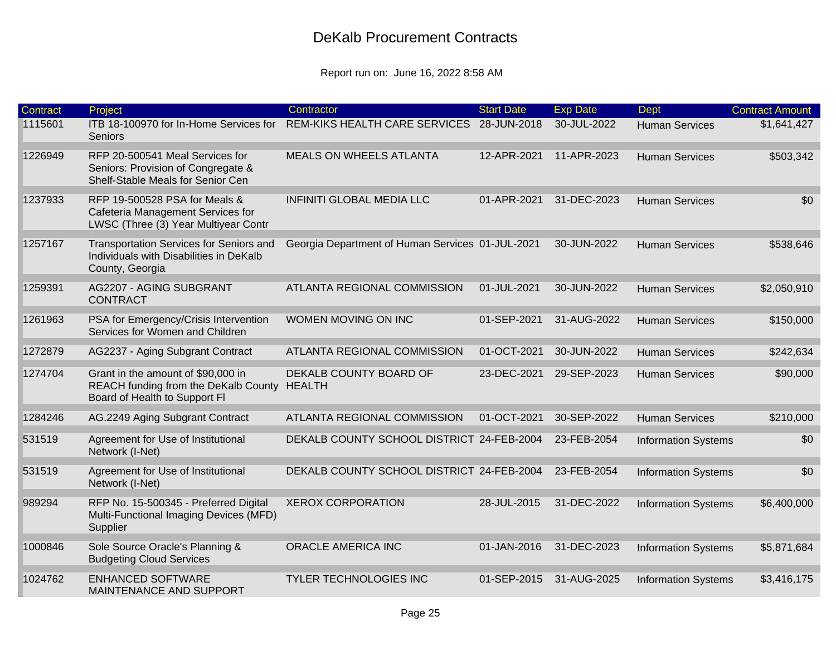| Contract | Project                                                                                                     | Contractor                                       | <b>Start Date</b> | <b>Exp Date</b> | <b>Dept</b>                | <b>Contract Amount</b> |
|----------|-------------------------------------------------------------------------------------------------------------|--------------------------------------------------|-------------------|-----------------|----------------------------|------------------------|
| 1115601  | ITB 18-100970 for In-Home Services for<br>Seniors                                                           | REM-KIKS HEALTH CARE SERVICES 28-JUN-2018        |                   | 30-JUL-2022     | <b>Human Services</b>      | \$1,641,427            |
| 1226949  | RFP 20-500541 Meal Services for<br>Seniors: Provision of Congregate &<br>Shelf-Stable Meals for Senior Cen  | <b>MEALS ON WHEELS ATLANTA</b>                   | 12-APR-2021       | 11-APR-2023     | <b>Human Services</b>      | \$503,342              |
| 1237933  | RFP 19-500528 PSA for Meals &<br>Cafeteria Management Services for<br>LWSC (Three (3) Year Multiyear Contr  | <b>INFINITI GLOBAL MEDIA LLC</b>                 | 01-APR-2021       | 31-DEC-2023     | <b>Human Services</b>      | \$0                    |
| 1257167  | Transportation Services for Seniors and<br>Individuals with Disabilities in DeKalb<br>County, Georgia       | Georgia Department of Human Services 01-JUL-2021 |                   | 30-JUN-2022     | <b>Human Services</b>      | \$538,646              |
| 1259391  | AG2207 - AGING SUBGRANT<br><b>CONTRACT</b>                                                                  | <b>ATLANTA REGIONAL COMMISSION</b>               | 01-JUL-2021       | 30-JUN-2022     | <b>Human Services</b>      | \$2,050,910            |
| 1261963  | PSA for Emergency/Crisis Intervention<br>Services for Women and Children                                    | WOMEN MOVING ON INC                              | 01-SEP-2021       | 31-AUG-2022     | <b>Human Services</b>      | \$150,000              |
| 1272879  | AG2237 - Aging Subgrant Contract                                                                            | ATLANTA REGIONAL COMMISSION                      | 01-OCT-2021       | 30-JUN-2022     | <b>Human Services</b>      | \$242,634              |
| 1274704  | Grant in the amount of \$90,000 in<br>REACH funding from the DeKalb County<br>Board of Health to Support FI | DEKALB COUNTY BOARD OF<br><b>HEALTH</b>          | 23-DEC-2021       | 29-SEP-2023     | <b>Human Services</b>      | \$90,000               |
| 1284246  | AG.2249 Aging Subgrant Contract                                                                             | ATLANTA REGIONAL COMMISSION                      | 01-OCT-2021       | 30-SEP-2022     | <b>Human Services</b>      | \$210,000              |
| 531519   | Agreement for Use of Institutional<br>Network (I-Net)                                                       | DEKALB COUNTY SCHOOL DISTRICT 24-FEB-2004        |                   | 23-FEB-2054     | <b>Information Systems</b> | \$0                    |
| 531519   | Agreement for Use of Institutional<br>Network (I-Net)                                                       | DEKALB COUNTY SCHOOL DISTRICT 24-FEB-2004        |                   | 23-FEB-2054     | <b>Information Systems</b> | \$0                    |
| 989294   | RFP No. 15-500345 - Preferred Digital<br>Multi-Functional Imaging Devices (MFD)<br>Supplier                 | <b>XEROX CORPORATION</b>                         | 28-JUL-2015       | 31-DEC-2022     | <b>Information Systems</b> | \$6,400,000            |
| 1000846  | Sole Source Oracle's Planning &<br><b>Budgeting Cloud Services</b>                                          | ORACLE AMERICA INC                               | 01-JAN-2016       | 31-DEC-2023     | <b>Information Systems</b> | \$5,871,684            |
| 1024762  | <b>ENHANCED SOFTWARE</b><br>MAINTENANCE AND SUPPORT                                                         | <b>TYLER TECHNOLOGIES INC</b>                    | 01-SEP-2015       | 31-AUG-2025     | <b>Information Systems</b> | \$3,416,175            |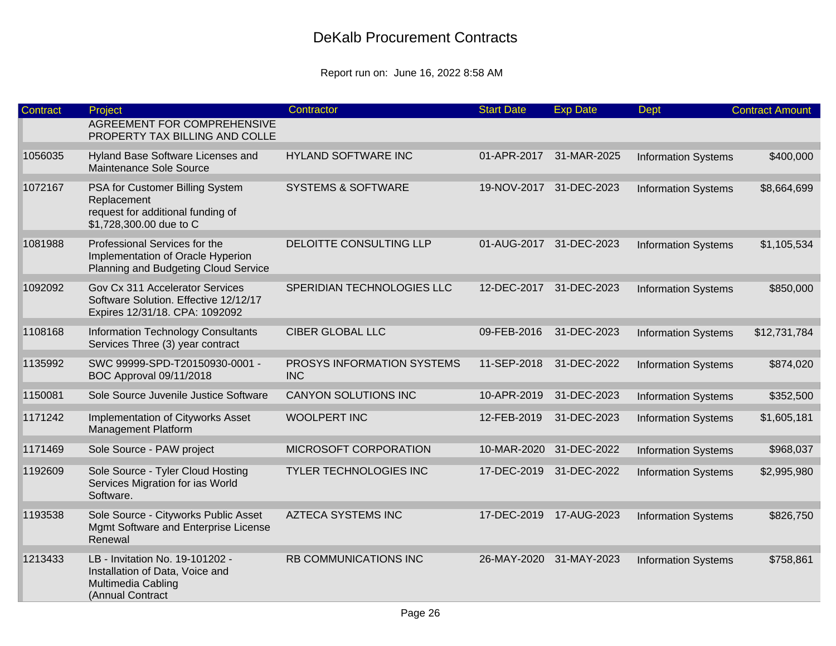| <b>Contract</b> | Project                                                                                                        | Contractor                               | <b>Start Date</b> | <b>Exp Date</b>         | <b>Dept</b>                | <b>Contract Amount</b> |
|-----------------|----------------------------------------------------------------------------------------------------------------|------------------------------------------|-------------------|-------------------------|----------------------------|------------------------|
|                 | <b>AGREEMENT FOR COMPREHENSIVE</b><br>PROPERTY TAX BILLING AND COLLE                                           |                                          |                   |                         |                            |                        |
| 1056035         | Hyland Base Software Licenses and<br>Maintenance Sole Source                                                   | <b>HYLAND SOFTWARE INC</b>               | 01-APR-2017       | 31-MAR-2025             | <b>Information Systems</b> | \$400,000              |
| 1072167         | PSA for Customer Billing System<br>Replacement<br>request for additional funding of<br>\$1,728,300.00 due to C | <b>SYSTEMS &amp; SOFTWARE</b>            | 19-NOV-2017       | 31-DEC-2023             | <b>Information Systems</b> | \$8,664,699            |
| 1081988         | Professional Services for the<br>Implementation of Oracle Hyperion<br>Planning and Budgeting Cloud Service     | DELOITTE CONSULTING LLP                  |                   | 01-AUG-2017 31-DEC-2023 | <b>Information Systems</b> | \$1,105,534            |
| 1092092         | Gov Cx 311 Accelerator Services<br>Software Solution. Effective 12/12/17<br>Expires 12/31/18. CPA: 1092092     | SPERIDIAN TECHNOLOGIES LLC               |                   | 12-DEC-2017 31-DEC-2023 | <b>Information Systems</b> | \$850,000              |
| 1108168         | Information Technology Consultants<br>Services Three (3) year contract                                         | <b>CIBER GLOBAL LLC</b>                  | 09-FEB-2016       | 31-DEC-2023             | <b>Information Systems</b> | \$12,731,784           |
| 1135992         | SWC 99999-SPD-T20150930-0001 -<br><b>BOC Approval 09/11/2018</b>                                               | PROSYS INFORMATION SYSTEMS<br><b>INC</b> | 11-SEP-2018       | 31-DEC-2022             | <b>Information Systems</b> | \$874,020              |
| 1150081         | Sole Source Juvenile Justice Software                                                                          | <b>CANYON SOLUTIONS INC</b>              | 10-APR-2019       | 31-DEC-2023             | <b>Information Systems</b> | \$352,500              |
| 1171242         | Implementation of Cityworks Asset<br><b>Management Platform</b>                                                | <b>WOOLPERT INC</b>                      | 12-FEB-2019       | 31-DEC-2023             | <b>Information Systems</b> | \$1,605,181            |
| 1171469         | Sole Source - PAW project                                                                                      | MICROSOFT CORPORATION                    |                   | 10-MAR-2020 31-DEC-2022 | <b>Information Systems</b> | \$968,037              |
| 1192609         | Sole Source - Tyler Cloud Hosting<br>Services Migration for ias World<br>Software.                             | <b>TYLER TECHNOLOGIES INC</b>            | 17-DEC-2019       | 31-DEC-2022             | <b>Information Systems</b> | \$2,995,980            |
| 1193538         | Sole Source - Cityworks Public Asset<br>Mgmt Software and Enterprise License<br>Renewal                        | <b>AZTECA SYSTEMS INC</b>                |                   | 17-DEC-2019 17-AUG-2023 | <b>Information Systems</b> | \$826,750              |
| 1213433         | LB - Invitation No. 19-101202 -<br>Installation of Data, Voice and<br>Multimedia Cabling<br>(Annual Contract   | RB COMMUNICATIONS INC                    | 26-MAY-2020       | 31-MAY-2023             | <b>Information Systems</b> | \$758,861              |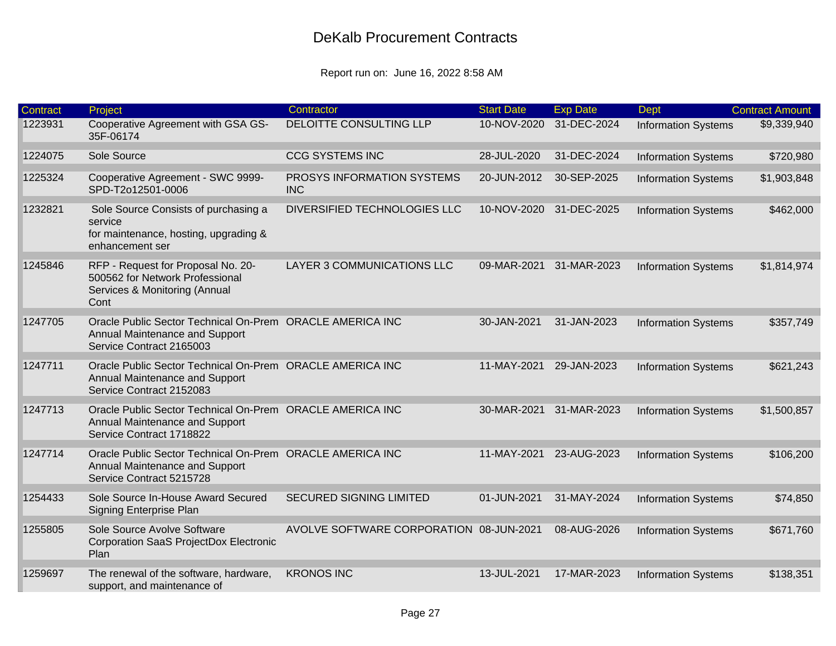| <b>Contract</b> | Project                                                                                                                 | Contractor                               | <b>Start Date</b> | <b>Exp Date</b> | <b>Dept</b>                | <b>Contract Amount</b> |
|-----------------|-------------------------------------------------------------------------------------------------------------------------|------------------------------------------|-------------------|-----------------|----------------------------|------------------------|
| 1223931         | Cooperative Agreement with GSA GS-<br>35F-06174                                                                         | DELOITTE CONSULTING LLP                  | 10-NOV-2020       | 31-DEC-2024     | <b>Information Systems</b> | \$9,339,940            |
| 1224075         | Sole Source                                                                                                             | <b>CCG SYSTEMS INC</b>                   | 28-JUL-2020       | 31-DEC-2024     | <b>Information Systems</b> | \$720,980              |
| 1225324         | Cooperative Agreement - SWC 9999-<br>SPD-T2o12501-0006                                                                  | PROSYS INFORMATION SYSTEMS<br><b>INC</b> | 20-JUN-2012       | 30-SEP-2025     | <b>Information Systems</b> | \$1,903,848            |
| 1232821         | Sole Source Consists of purchasing a<br>service<br>for maintenance, hosting, upgrading &<br>enhancement ser             | DIVERSIFIED TECHNOLOGIES LLC             | 10-NOV-2020       | 31-DEC-2025     | <b>Information Systems</b> | \$462,000              |
| 1245846         | RFP - Request for Proposal No. 20-<br>500562 for Network Professional<br>Services & Monitoring (Annual<br>Cont          | LAYER 3 COMMUNICATIONS LLC               | 09-MAR-2021       | 31-MAR-2023     | <b>Information Systems</b> | \$1,814,974            |
| 1247705         | Oracle Public Sector Technical On-Prem ORACLE AMERICA INC<br>Annual Maintenance and Support<br>Service Contract 2165003 |                                          | 30-JAN-2021       | 31-JAN-2023     | <b>Information Systems</b> | \$357,749              |
| 1247711         | Oracle Public Sector Technical On-Prem ORACLE AMERICA INC<br>Annual Maintenance and Support<br>Service Contract 2152083 |                                          | 11-MAY-2021       | 29-JAN-2023     | <b>Information Systems</b> | \$621,243              |
| 1247713         | Oracle Public Sector Technical On-Prem ORACLE AMERICA INC<br>Annual Maintenance and Support<br>Service Contract 1718822 |                                          | 30-MAR-2021       | 31-MAR-2023     | <b>Information Systems</b> | \$1,500,857            |
| 1247714         | Oracle Public Sector Technical On-Prem ORACLE AMERICA INC<br>Annual Maintenance and Support<br>Service Contract 5215728 |                                          | 11-MAY-2021       | 23-AUG-2023     | <b>Information Systems</b> | \$106,200              |
| 1254433         | Sole Source In-House Award Secured<br>Signing Enterprise Plan                                                           | <b>SECURED SIGNING LIMITED</b>           | 01-JUN-2021       | 31-MAY-2024     | <b>Information Systems</b> | \$74,850               |
| 1255805         | Sole Source Avolve Software<br>Corporation SaaS ProjectDox Electronic<br>Plan                                           | AVOLVE SOFTWARE CORPORATION 08-JUN-2021  |                   | 08-AUG-2026     | <b>Information Systems</b> | \$671,760              |
| 1259697         | The renewal of the software, hardware,<br>support, and maintenance of                                                   | <b>KRONOS INC</b>                        | 13-JUL-2021       | 17-MAR-2023     | <b>Information Systems</b> | \$138,351              |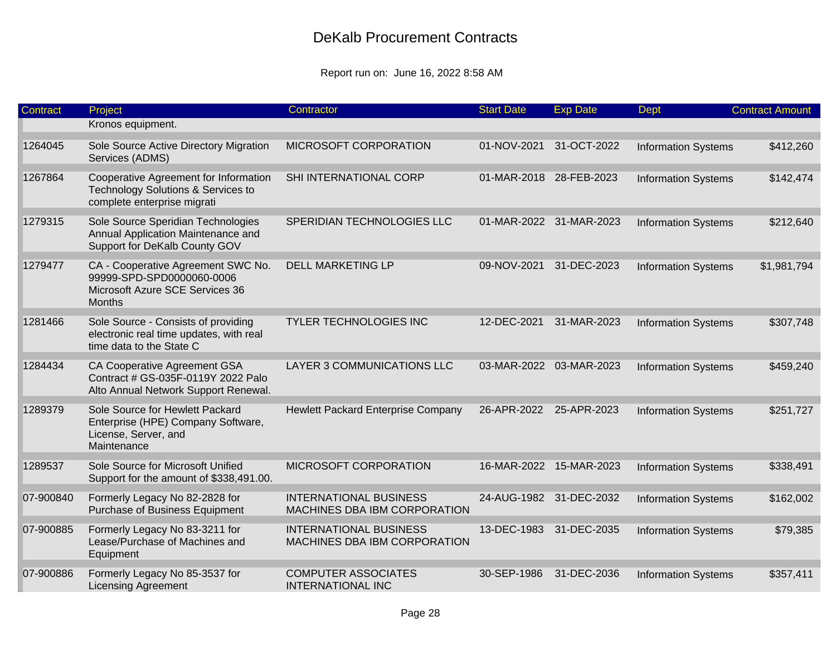| Contract  | Project                                                                                                             | Contractor                                                           | <b>Start Date</b>       | <b>Exp Date</b>         | <b>Dept</b>                | <b>Contract Amount</b> |
|-----------|---------------------------------------------------------------------------------------------------------------------|----------------------------------------------------------------------|-------------------------|-------------------------|----------------------------|------------------------|
|           | Kronos equipment.                                                                                                   |                                                                      |                         |                         |                            |                        |
| 1264045   | Sole Source Active Directory Migration<br>Services (ADMS)                                                           | MICROSOFT CORPORATION                                                | 01-NOV-2021             | 31-OCT-2022             | <b>Information Systems</b> | \$412,260              |
| 1267864   | Cooperative Agreement for Information<br>Technology Solutions & Services to<br>complete enterprise migrati          | SHI INTERNATIONAL CORP                                               | 01-MAR-2018 28-FEB-2023 |                         | <b>Information Systems</b> | \$142,474              |
| 1279315   | Sole Source Speridian Technologies<br>Annual Application Maintenance and<br>Support for DeKalb County GOV           | SPERIDIAN TECHNOLOGIES LLC                                           |                         | 01-MAR-2022 31-MAR-2023 | <b>Information Systems</b> | \$212,640              |
| 1279477   | CA - Cooperative Agreement SWC No.<br>99999-SPD-SPD0000060-0006<br>Microsoft Azure SCE Services 36<br><b>Months</b> | <b>DELL MARKETING LP</b>                                             | 09-NOV-2021             | 31-DEC-2023             | <b>Information Systems</b> | \$1,981,794            |
| 1281466   | Sole Source - Consists of providing<br>electronic real time updates, with real<br>time data to the State C          | TYLER TECHNOLOGIES INC                                               | 12-DEC-2021             | 31-MAR-2023             | <b>Information Systems</b> | \$307,748              |
| 1284434   | CA Cooperative Agreement GSA<br>Contract # GS-035F-0119Y 2022 Palo<br>Alto Annual Network Support Renewal.          | <b>LAYER 3 COMMUNICATIONS LLC</b>                                    |                         | 03-MAR-2022 03-MAR-2023 | <b>Information Systems</b> | \$459,240              |
| 1289379   | Sole Source for Hewlett Packard<br>Enterprise (HPE) Company Software,<br>License, Server, and<br>Maintenance        | Hewlett Packard Enterprise Company                                   | 26-APR-2022 25-APR-2023 |                         | <b>Information Systems</b> | \$251,727              |
| 1289537   | Sole Source for Microsoft Unified<br>Support for the amount of \$338,491.00.                                        | MICROSOFT CORPORATION                                                |                         | 16-MAR-2022 15-MAR-2023 | <b>Information Systems</b> | \$338,491              |
| 07-900840 | Formerly Legacy No 82-2828 for<br>Purchase of Business Equipment                                                    | <b>INTERNATIONAL BUSINESS</b><br>MACHINES DBA IBM CORPORATION        |                         | 24-AUG-1982 31-DEC-2032 | <b>Information Systems</b> | \$162,002              |
| 07-900885 | Formerly Legacy No 83-3211 for<br>Lease/Purchase of Machines and<br>Equipment                                       | <b>INTERNATIONAL BUSINESS</b><br><b>MACHINES DBA IBM CORPORATION</b> | 13-DEC-1983             | 31-DEC-2035             | <b>Information Systems</b> | \$79,385               |
| 07-900886 | Formerly Legacy No 85-3537 for<br><b>Licensing Agreement</b>                                                        | <b>COMPUTER ASSOCIATES</b><br><b>INTERNATIONAL INC</b>               | 30-SEP-1986             | 31-DEC-2036             | <b>Information Systems</b> | \$357,411              |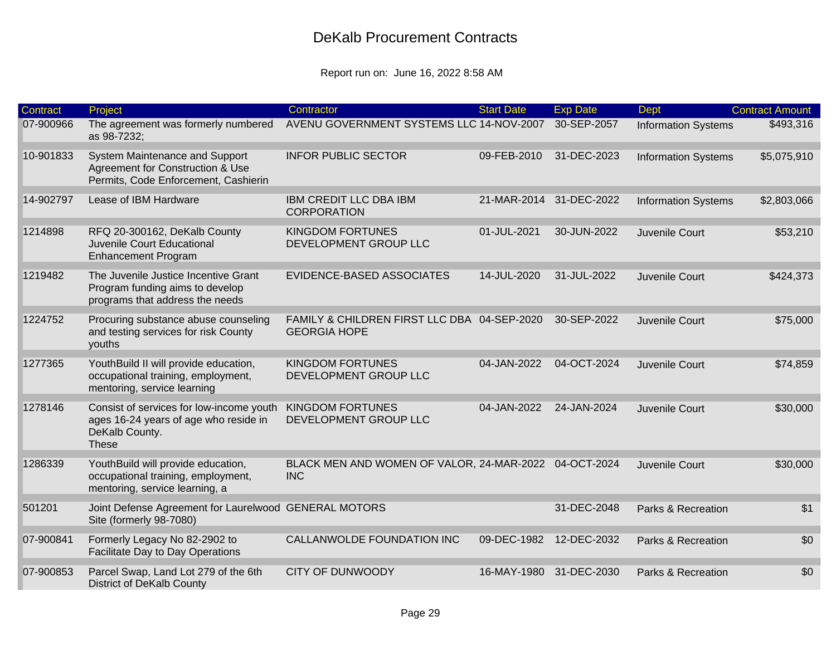| <b>Contract</b> | Project                                                                                                             | Contractor                                                          | <b>Start Date</b> | <b>Exp Date</b>         | <b>Dept</b>                | <b>Contract Amount</b> |
|-----------------|---------------------------------------------------------------------------------------------------------------------|---------------------------------------------------------------------|-------------------|-------------------------|----------------------------|------------------------|
| 07-900966       | The agreement was formerly numbered<br>as 98-7232;                                                                  | AVENU GOVERNMENT SYSTEMS LLC 14-NOV-2007                            |                   | 30-SEP-2057             | <b>Information Systems</b> | \$493,316              |
| 10-901833       | System Maintenance and Support<br>Agreement for Construction & Use<br>Permits, Code Enforcement, Cashierin          | <b>INFOR PUBLIC SECTOR</b>                                          | 09-FEB-2010       | 31-DEC-2023             | <b>Information Systems</b> | \$5,075,910            |
| 14-902797       | Lease of IBM Hardware                                                                                               | <b>IBM CREDIT LLC DBA IBM</b><br><b>CORPORATION</b>                 |                   | 21-MAR-2014 31-DEC-2022 | <b>Information Systems</b> | \$2,803,066            |
| 1214898         | RFQ 20-300162, DeKalb County<br>Juvenile Court Educational<br><b>Enhancement Program</b>                            | <b>KINGDOM FORTUNES</b><br>DEVELOPMENT GROUP LLC                    | 01-JUL-2021       | 30-JUN-2022             | Juvenile Court             | \$53,210               |
| 1219482         | The Juvenile Justice Incentive Grant<br>Program funding aims to develop<br>programs that address the needs          | EVIDENCE-BASED ASSOCIATES                                           | 14-JUL-2020       | 31-JUL-2022             | Juvenile Court             | \$424,373              |
| 1224752         | Procuring substance abuse counseling<br>and testing services for risk County<br>youths                              | FAMILY & CHILDREN FIRST LLC DBA 04-SEP-2020<br><b>GEORGIA HOPE</b>  |                   | 30-SEP-2022             | Juvenile Court             | \$75,000               |
| 1277365         | YouthBuild II will provide education,<br>occupational training, employment,<br>mentoring, service learning          | <b>KINGDOM FORTUNES</b><br>DEVELOPMENT GROUP LLC                    | 04-JAN-2022       | 04-OCT-2024             | Juvenile Court             | \$74,859               |
| 1278146         | Consist of services for low-income youth<br>ages 16-24 years of age who reside in<br>DeKalb County.<br><b>These</b> | <b>KINGDOM FORTUNES</b><br>DEVELOPMENT GROUP LLC                    | 04-JAN-2022       | 24-JAN-2024             | Juvenile Court             | \$30,000               |
| 1286339         | YouthBuild will provide education,<br>occupational training, employment,<br>mentoring, service learning, a          | BLACK MEN AND WOMEN OF VALOR, 24-MAR-2022 04-OCT-2024<br><b>INC</b> |                   |                         | Juvenile Court             | \$30,000               |
| 501201          | Joint Defense Agreement for Laurelwood GENERAL MOTORS<br>Site (formerly 98-7080)                                    |                                                                     |                   | 31-DEC-2048             | Parks & Recreation         | \$1                    |
| 07-900841       | Formerly Legacy No 82-2902 to<br>Facilitate Day to Day Operations                                                   | CALLANWOLDE FOUNDATION INC                                          | 09-DEC-1982       | 12-DEC-2032             | Parks & Recreation         | \$0                    |
| 07-900853       | Parcel Swap, Land Lot 279 of the 6th<br><b>District of DeKalb County</b>                                            | <b>CITY OF DUNWOODY</b>                                             | 16-MAY-1980       | 31-DEC-2030             | Parks & Recreation         | \$0                    |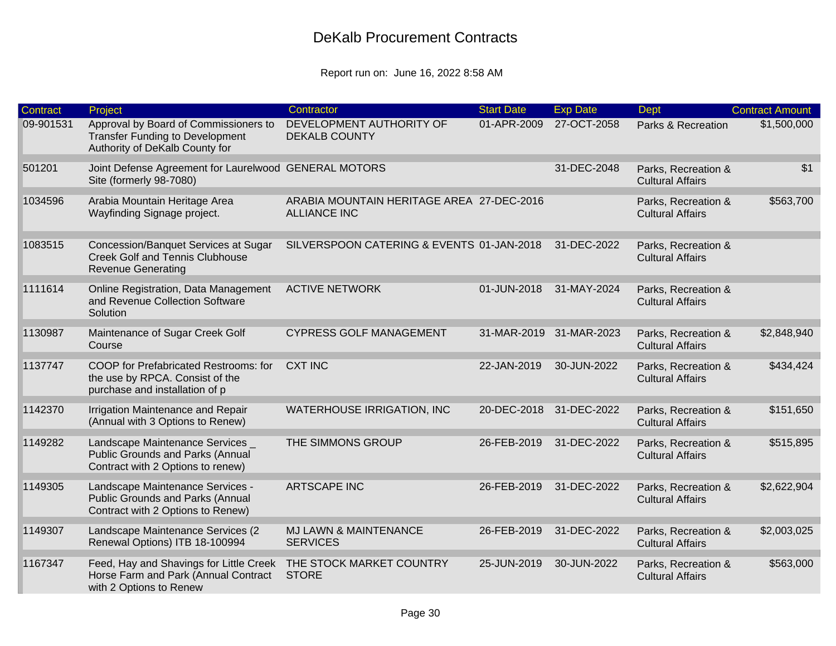| <b>Contract</b> | Project                                                                                                           | Contractor                                                       | <b>Start Date</b>       | <b>Exp Date</b>         | <b>Dept</b>                                    | <b>Contract Amount</b> |
|-----------------|-------------------------------------------------------------------------------------------------------------------|------------------------------------------------------------------|-------------------------|-------------------------|------------------------------------------------|------------------------|
| 09-901531       | Approval by Board of Commissioners to<br><b>Transfer Funding to Development</b><br>Authority of DeKalb County for | DEVELOPMENT AUTHORITY OF<br><b>DEKALB COUNTY</b>                 | 01-APR-2009             | 27-OCT-2058             | Parks & Recreation                             | \$1,500,000            |
| 501201          | Joint Defense Agreement for Laurelwood GENERAL MOTORS<br>Site (formerly 98-7080)                                  |                                                                  |                         | 31-DEC-2048             | Parks, Recreation &<br><b>Cultural Affairs</b> | \$1                    |
| 1034596         | Arabia Mountain Heritage Area<br>Wayfinding Signage project.                                                      | ARABIA MOUNTAIN HERITAGE AREA 27-DEC-2016<br><b>ALLIANCE INC</b> |                         |                         | Parks, Recreation &<br><b>Cultural Affairs</b> | \$563,700              |
| 1083515         | Concession/Banquet Services at Sugar<br><b>Creek Golf and Tennis Clubhouse</b><br><b>Revenue Generating</b>       | SILVERSPOON CATERING & EVENTS 01-JAN-2018                        |                         | 31-DEC-2022             | Parks, Recreation &<br><b>Cultural Affairs</b> |                        |
| 1111614         | Online Registration, Data Management<br>and Revenue Collection Software<br>Solution                               | <b>ACTIVE NETWORK</b>                                            | 01-JUN-2018             | 31-MAY-2024             | Parks, Recreation &<br><b>Cultural Affairs</b> |                        |
| 1130987         | Maintenance of Sugar Creek Golf<br>Course                                                                         | <b>CYPRESS GOLF MANAGEMENT</b>                                   |                         | 31-MAR-2019 31-MAR-2023 | Parks, Recreation &<br><b>Cultural Affairs</b> | \$2,848,940            |
| 1137747         | COOP for Prefabricated Restrooms: for<br>the use by RPCA. Consist of the<br>purchase and installation of p        | <b>CXT INC</b>                                                   | 22-JAN-2019             | 30-JUN-2022             | Parks, Recreation &<br><b>Cultural Affairs</b> | \$434,424              |
| 1142370         | Irrigation Maintenance and Repair<br>(Annual with 3 Options to Renew)                                             | <b>WATERHOUSE IRRIGATION, INC</b>                                | 20-DEC-2018 31-DEC-2022 |                         | Parks, Recreation &<br><b>Cultural Affairs</b> | \$151,650              |
| 1149282         | Landscape Maintenance Services _<br><b>Public Grounds and Parks (Annual</b><br>Contract with 2 Options to renew)  | THE SIMMONS GROUP                                                | 26-FEB-2019             | 31-DEC-2022             | Parks, Recreation &<br><b>Cultural Affairs</b> | \$515,895              |
| 1149305         | Landscape Maintenance Services -<br><b>Public Grounds and Parks (Annual</b><br>Contract with 2 Options to Renew)  | <b>ARTSCAPE INC</b>                                              | 26-FEB-2019             | 31-DEC-2022             | Parks, Recreation &<br><b>Cultural Affairs</b> | \$2,622,904            |
| 1149307         | Landscape Maintenance Services (2<br>Renewal Options) ITB 18-100994                                               | <b>MJ LAWN &amp; MAINTENANCE</b><br><b>SERVICES</b>              | 26-FEB-2019             | 31-DEC-2022             | Parks, Recreation &<br><b>Cultural Affairs</b> | \$2,003,025            |
| 1167347         | Feed, Hay and Shavings for Little Creek<br>Horse Farm and Park (Annual Contract<br>with 2 Options to Renew        | THE STOCK MARKET COUNTRY<br><b>STORE</b>                         | 25-JUN-2019             | 30-JUN-2022             | Parks, Recreation &<br><b>Cultural Affairs</b> | \$563,000              |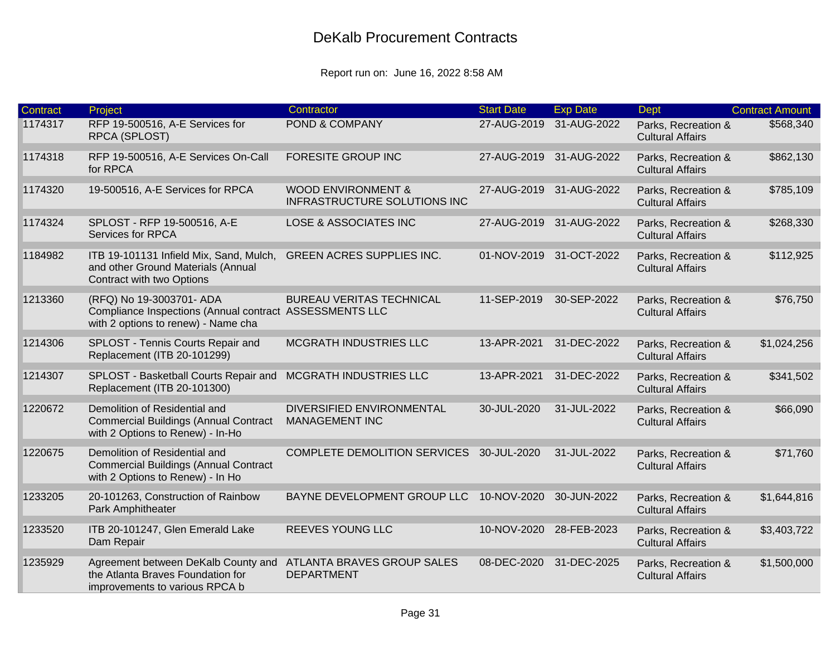| <b>Contract</b> | Project                                                                                                                    | Contractor                                                    | <b>Start Date</b> | <b>Exp Date</b>         | <b>Dept</b>                                    | <b>Contract Amount</b> |
|-----------------|----------------------------------------------------------------------------------------------------------------------------|---------------------------------------------------------------|-------------------|-------------------------|------------------------------------------------|------------------------|
| 1174317         | RFP 19-500516, A-E Services for<br>RPCA (SPLOST)                                                                           | POND & COMPANY                                                | 27-AUG-2019       | 31-AUG-2022             | Parks, Recreation &<br><b>Cultural Affairs</b> | \$568,340              |
| 1174318         | RFP 19-500516, A-E Services On-Call<br>for RPCA                                                                            | <b>FORESITE GROUP INC</b>                                     | 27-AUG-2019       | 31-AUG-2022             | Parks, Recreation &<br><b>Cultural Affairs</b> | \$862,130              |
| 1174320         | 19-500516, A-E Services for RPCA                                                                                           | <b>WOOD ENVIRONMENT &amp;</b><br>INFRASTRUCTURE SOLUTIONS INC | 27-AUG-2019       | 31-AUG-2022             | Parks, Recreation &<br><b>Cultural Affairs</b> | \$785,109              |
| 1174324         | SPLOST - RFP 19-500516, A-E<br>Services for RPCA                                                                           | <b>LOSE &amp; ASSOCIATES INC</b>                              | 27-AUG-2019       | 31-AUG-2022             | Parks, Recreation &<br><b>Cultural Affairs</b> | \$268,330              |
| 1184982         | ITB 19-101131 Infield Mix, Sand, Mulch,<br>and other Ground Materials (Annual<br>Contract with two Options                 | <b>GREEN ACRES SUPPLIES INC.</b>                              |                   | 01-NOV-2019 31-OCT-2022 | Parks, Recreation &<br><b>Cultural Affairs</b> | \$112,925              |
| 1213360         | (RFQ) No 19-3003701- ADA<br>Compliance Inspections (Annual contract ASSESSMENTS LLC<br>with 2 options to renew) - Name cha | <b>BUREAU VERITAS TECHNICAL</b>                               | 11-SEP-2019       | 30-SEP-2022             | Parks, Recreation &<br><b>Cultural Affairs</b> | \$76,750               |
| 1214306         | SPLOST - Tennis Courts Repair and<br>Replacement (ITB 20-101299)                                                           | <b>MCGRATH INDUSTRIES LLC</b>                                 | 13-APR-2021       | 31-DEC-2022             | Parks, Recreation &<br><b>Cultural Affairs</b> | \$1,024,256            |
| 1214307         | SPLOST - Basketball Courts Repair and<br>Replacement (ITB 20-101300)                                                       | <b>MCGRATH INDUSTRIES LLC</b>                                 | 13-APR-2021       | 31-DEC-2022             | Parks, Recreation &<br><b>Cultural Affairs</b> | \$341,502              |
| 1220672         | Demolition of Residential and<br><b>Commercial Buildings (Annual Contract</b><br>with 2 Options to Renew) - In-Ho          | DIVERSIFIED ENVIRONMENTAL<br><b>MANAGEMENT INC</b>            | 30-JUL-2020       | 31-JUL-2022             | Parks, Recreation &<br><b>Cultural Affairs</b> | \$66,090               |
| 1220675         | Demolition of Residential and<br><b>Commercial Buildings (Annual Contract</b><br>with 2 Options to Renew) - In Ho          | <b>COMPLETE DEMOLITION SERVICES</b>                           | 30-JUL-2020       | 31-JUL-2022             | Parks, Recreation &<br><b>Cultural Affairs</b> | \$71,760               |
| 1233205         | 20-101263, Construction of Rainbow<br>Park Amphitheater                                                                    | BAYNE DEVELOPMENT GROUP LLC                                   | 10-NOV-2020       | 30-JUN-2022             | Parks, Recreation &<br><b>Cultural Affairs</b> | \$1,644,816            |
| 1233520         | ITB 20-101247, Glen Emerald Lake<br>Dam Repair                                                                             | REEVES YOUNG LLC                                              | 10-NOV-2020       | 28-FEB-2023             | Parks, Recreation &<br><b>Cultural Affairs</b> | \$3,403,722            |
| 1235929         | Agreement between DeKalb County and<br>the Atlanta Braves Foundation for<br>improvements to various RPCA b                 | ATLANTA BRAVES GROUP SALES<br><b>DEPARTMENT</b>               | 08-DEC-2020       | 31-DEC-2025             | Parks, Recreation &<br><b>Cultural Affairs</b> | \$1,500,000            |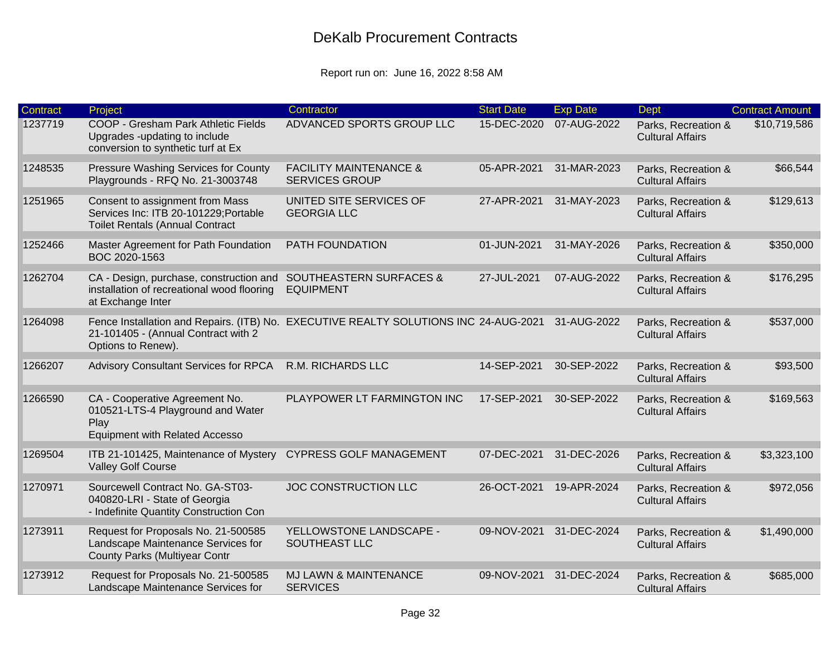| <b>Contract</b> | Project                                                                                                                                           | Contractor                                                 | <b>Start Date</b> | <b>Exp Date</b> | <b>Dept</b>                                    | <b>Contract Amount</b> |
|-----------------|---------------------------------------------------------------------------------------------------------------------------------------------------|------------------------------------------------------------|-------------------|-----------------|------------------------------------------------|------------------------|
| 1237719         | COOP - Gresham Park Athletic Fields<br>Upgrades -updating to include<br>conversion to synthetic turf at Ex                                        | ADVANCED SPORTS GROUP LLC                                  | 15-DEC-2020       | 07-AUG-2022     | Parks, Recreation &<br><b>Cultural Affairs</b> | \$10,719,586           |
| 1248535         | Pressure Washing Services for County<br>Playgrounds - RFQ No. 21-3003748                                                                          | <b>FACILITY MAINTENANCE &amp;</b><br><b>SERVICES GROUP</b> | 05-APR-2021       | 31-MAR-2023     | Parks, Recreation &<br><b>Cultural Affairs</b> | \$66,544               |
| 1251965         | Consent to assignment from Mass<br>Services Inc: ITB 20-101229; Portable<br><b>Toilet Rentals (Annual Contract</b>                                | UNITED SITE SERVICES OF<br><b>GEORGIA LLC</b>              | 27-APR-2021       | 31-MAY-2023     | Parks, Recreation &<br><b>Cultural Affairs</b> | \$129,613              |
| 1252466         | Master Agreement for Path Foundation<br>BOC 2020-1563                                                                                             | PATH FOUNDATION                                            | 01-JUN-2021       | 31-MAY-2026     | Parks, Recreation &<br><b>Cultural Affairs</b> | \$350,000              |
| 1262704         | CA - Design, purchase, construction and<br>installation of recreational wood flooring<br>at Exchange Inter                                        | <b>SOUTHEASTERN SURFACES &amp;</b><br><b>EQUIPMENT</b>     | 27-JUL-2021       | 07-AUG-2022     | Parks, Recreation &<br><b>Cultural Affairs</b> | \$176,295              |
| 1264098         | Fence Installation and Repairs. (ITB) No. EXECUTIVE REALTY SOLUTIONS INC 24-AUG-2021<br>21-101405 - (Annual Contract with 2<br>Options to Renew). |                                                            |                   | 31-AUG-2022     | Parks, Recreation &<br><b>Cultural Affairs</b> | \$537,000              |
| 1266207         | <b>Advisory Consultant Services for RPCA</b>                                                                                                      | R.M. RICHARDS LLC                                          | 14-SEP-2021       | 30-SEP-2022     | Parks, Recreation &<br><b>Cultural Affairs</b> | \$93,500               |
| 1266590         | CA - Cooperative Agreement No.<br>010521-LTS-4 Playground and Water<br>Play<br><b>Equipment with Related Accesso</b>                              | PLAYPOWER LT FARMINGTON INC                                | 17-SEP-2021       | 30-SEP-2022     | Parks, Recreation &<br><b>Cultural Affairs</b> | \$169,563              |
| 1269504         | ITB 21-101425, Maintenance of Mystery<br><b>Valley Golf Course</b>                                                                                | <b>CYPRESS GOLF MANAGEMENT</b>                             | 07-DEC-2021       | 31-DEC-2026     | Parks, Recreation &<br><b>Cultural Affairs</b> | \$3,323,100            |
| 1270971         | Sourcewell Contract No. GA-ST03-<br>040820-LRI - State of Georgia<br>- Indefinite Quantity Construction Con                                       | <b>JOC CONSTRUCTION LLC</b>                                | 26-OCT-2021       | 19-APR-2024     | Parks, Recreation &<br><b>Cultural Affairs</b> | \$972,056              |
| 1273911         | Request for Proposals No. 21-500585<br>Landscape Maintenance Services for<br><b>County Parks (Multiyear Contr</b>                                 | YELLOWSTONE LANDSCAPE -<br>SOUTHEAST LLC                   | 09-NOV-2021       | 31-DEC-2024     | Parks, Recreation &<br><b>Cultural Affairs</b> | \$1,490,000            |
| 1273912         | Request for Proposals No. 21-500585<br>Landscape Maintenance Services for                                                                         | <b>MJ LAWN &amp; MAINTENANCE</b><br><b>SERVICES</b>        | 09-NOV-2021       | 31-DEC-2024     | Parks, Recreation &<br><b>Cultural Affairs</b> | \$685,000              |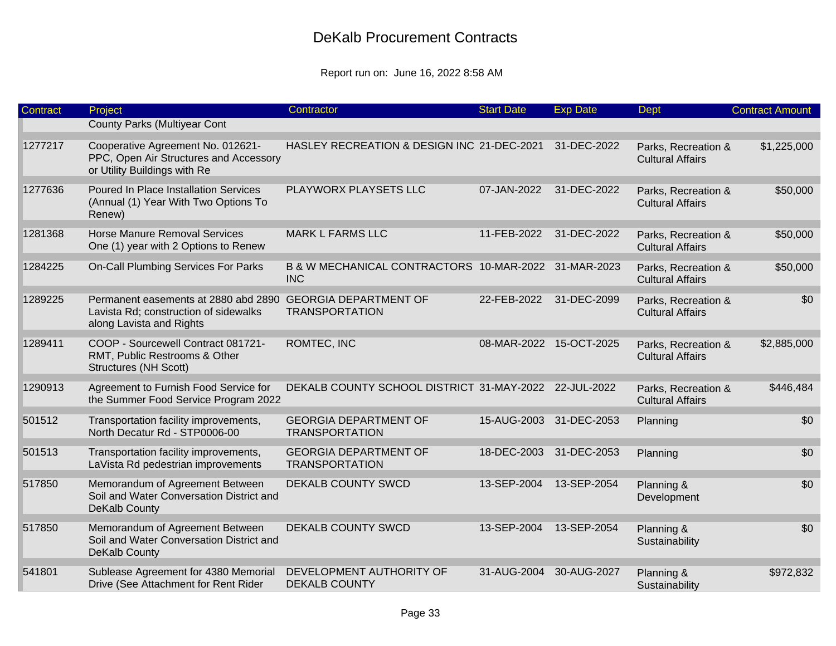| Contract | Project                                                                                                                         | Contractor                                                         | <b>Start Date</b>       | <b>Exp Date</b>         | Dept                                           | <b>Contract Amount</b> |
|----------|---------------------------------------------------------------------------------------------------------------------------------|--------------------------------------------------------------------|-------------------------|-------------------------|------------------------------------------------|------------------------|
|          | <b>County Parks (Multiyear Cont</b>                                                                                             |                                                                    |                         |                         |                                                |                        |
| 1277217  | Cooperative Agreement No. 012621-<br>PPC, Open Air Structures and Accessory<br>or Utility Buildings with Re                     | HASLEY RECREATION & DESIGN INC 21-DEC-2021                         |                         | 31-DEC-2022             | Parks, Recreation &<br><b>Cultural Affairs</b> | \$1,225,000            |
| 1277636  | <b>Poured In Place Installation Services</b><br>(Annual (1) Year With Two Options To<br>Renew)                                  | PLAYWORX PLAYSETS LLC                                              | 07-JAN-2022             | 31-DEC-2022             | Parks, Recreation &<br><b>Cultural Affairs</b> | \$50,000               |
| 1281368  | <b>Horse Manure Removal Services</b><br>One (1) year with 2 Options to Renew                                                    | <b>MARK L FARMS LLC</b>                                            | 11-FEB-2022             | 31-DEC-2022             | Parks, Recreation &<br><b>Cultural Affairs</b> | \$50,000               |
| 1284225  | On-Call Plumbing Services For Parks                                                                                             | B & W MECHANICAL CONTRACTORS 10-MAR-2022 31-MAR-2023<br><b>INC</b> |                         |                         | Parks, Recreation &<br><b>Cultural Affairs</b> | \$50,000               |
| 1289225  | Permanent easements at 2880 abd 2890 GEORGIA DEPARTMENT OF<br>Lavista Rd; construction of sidewalks<br>along Lavista and Rights | <b>TRANSPORTATION</b>                                              | 22-FEB-2022             | 31-DEC-2099             | Parks, Recreation &<br><b>Cultural Affairs</b> | \$0                    |
| 1289411  | COOP - Sourcewell Contract 081721-<br>RMT, Public Restrooms & Other<br><b>Structures (NH Scott)</b>                             | ROMTEC, INC                                                        | 08-MAR-2022 15-OCT-2025 |                         | Parks, Recreation &<br><b>Cultural Affairs</b> | \$2,885,000            |
| 1290913  | Agreement to Furnish Food Service for<br>the Summer Food Service Program 2022                                                   | DEKALB COUNTY SCHOOL DISTRICT 31-MAY-2022 22-JUL-2022              |                         |                         | Parks, Recreation &<br><b>Cultural Affairs</b> | \$446,484              |
| 501512   | Transportation facility improvements,<br>North Decatur Rd - STP0006-00                                                          | <b>GEORGIA DEPARTMENT OF</b><br><b>TRANSPORTATION</b>              | 15-AUG-2003             | 31-DEC-2053             | Planning                                       | \$0                    |
| 501513   | Transportation facility improvements,<br>LaVista Rd pedestrian improvements                                                     | <b>GEORGIA DEPARTMENT OF</b><br><b>TRANSPORTATION</b>              |                         | 18-DEC-2003 31-DEC-2053 | Planning                                       | \$0                    |
| 517850   | Memorandum of Agreement Between<br>Soil and Water Conversation District and<br>DeKalb County                                    | DEKALB COUNTY SWCD                                                 | 13-SEP-2004             | 13-SEP-2054             | Planning &<br>Development                      | \$0                    |
| 517850   | Memorandum of Agreement Between<br>Soil and Water Conversation District and<br>DeKalb County                                    | <b>DEKALB COUNTY SWCD</b>                                          | 13-SEP-2004             | 13-SEP-2054             | Planning &<br>Sustainability                   | \$0                    |
| 541801   | Sublease Agreement for 4380 Memorial<br>Drive (See Attachment for Rent Rider                                                    | DEVELOPMENT AUTHORITY OF<br><b>DEKALB COUNTY</b>                   | 31-AUG-2004 30-AUG-2027 |                         | Planning &<br>Sustainability                   | \$972,832              |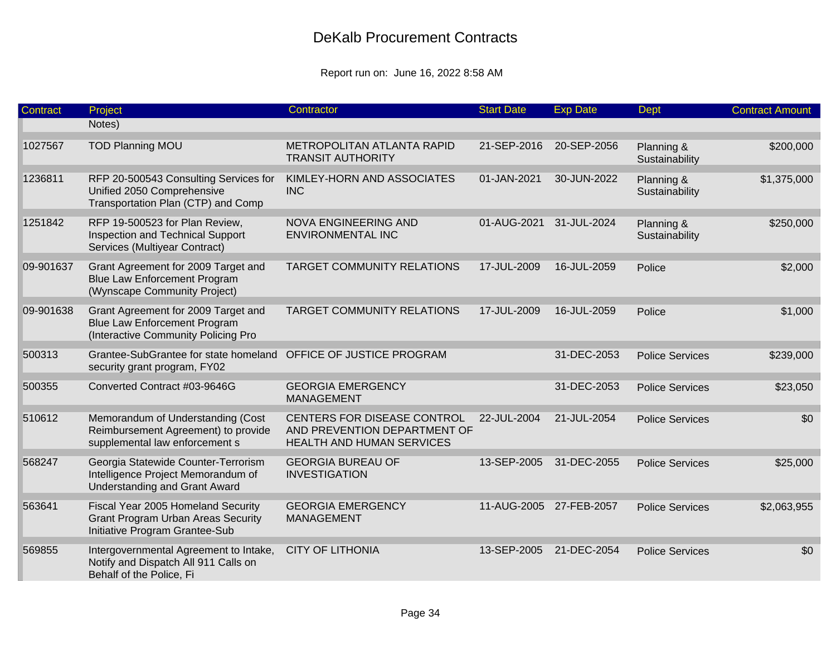| Contract  | Project                                                                                                           | Contractor                                                                                      | <b>Start Date</b>       | <b>Exp Date</b> | <b>Dept</b>                  | <b>Contract Amount</b> |
|-----------|-------------------------------------------------------------------------------------------------------------------|-------------------------------------------------------------------------------------------------|-------------------------|-----------------|------------------------------|------------------------|
|           | Notes)                                                                                                            |                                                                                                 |                         |                 |                              |                        |
| 1027567   | <b>TOD Planning MOU</b>                                                                                           | METROPOLITAN ATLANTA RAPID<br><b>TRANSIT AUTHORITY</b>                                          | 21-SEP-2016             | 20-SEP-2056     | Planning &<br>Sustainability | \$200,000              |
| 1236811   | RFP 20-500543 Consulting Services for<br>Unified 2050 Comprehensive<br>Transportation Plan (CTP) and Comp         | KIMLEY-HORN AND ASSOCIATES<br><b>INC</b>                                                        | 01-JAN-2021             | 30-JUN-2022     | Planning &<br>Sustainability | \$1,375,000            |
| 1251842   | RFP 19-500523 for Plan Review,<br>Inspection and Technical Support<br>Services (Multiyear Contract)               | NOVA ENGINEERING AND<br><b>ENVIRONMENTAL INC</b>                                                | 01-AUG-2021             | 31-JUL-2024     | Planning &<br>Sustainability | \$250,000              |
| 09-901637 | Grant Agreement for 2009 Target and<br><b>Blue Law Enforcement Program</b><br>(Wynscape Community Project)        | <b>TARGET COMMUNITY RELATIONS</b>                                                               | 17-JUL-2009             | 16-JUL-2059     | Police                       | \$2,000                |
| 09-901638 | Grant Agreement for 2009 Target and<br><b>Blue Law Enforcement Program</b><br>(Interactive Community Policing Pro | <b>TARGET COMMUNITY RELATIONS</b>                                                               | 17-JUL-2009             | 16-JUL-2059     | Police                       | \$1,000                |
| 500313    | Grantee-SubGrantee for state homeland<br>security grant program, FY02                                             | OFFICE OF JUSTICE PROGRAM                                                                       |                         | 31-DEC-2053     | <b>Police Services</b>       | \$239,000              |
| 500355    | Converted Contract #03-9646G                                                                                      | <b>GEORGIA EMERGENCY</b><br><b>MANAGEMENT</b>                                                   |                         | 31-DEC-2053     | <b>Police Services</b>       | \$23,050               |
| 510612    | Memorandum of Understanding (Cost<br>Reimbursement Agreement) to provide<br>supplemental law enforcement s        | CENTERS FOR DISEASE CONTROL<br>AND PREVENTION DEPARTMENT OF<br><b>HEALTH AND HUMAN SERVICES</b> | 22-JUL-2004             | 21-JUL-2054     | <b>Police Services</b>       | \$0                    |
| 568247    | Georgia Statewide Counter-Terrorism<br>Intelligence Project Memorandum of<br><b>Understanding and Grant Award</b> | <b>GEORGIA BUREAU OF</b><br><b>INVESTIGATION</b>                                                | 13-SEP-2005             | 31-DEC-2055     | <b>Police Services</b>       | \$25,000               |
| 563641    | Fiscal Year 2005 Homeland Security<br><b>Grant Program Urban Areas Security</b><br>Initiative Program Grantee-Sub | <b>GEORGIA EMERGENCY</b><br><b>MANAGEMENT</b>                                                   | 11-AUG-2005 27-FEB-2057 |                 | <b>Police Services</b>       | \$2,063,955            |
| 569855    | Intergovernmental Agreement to Intake,<br>Notify and Dispatch All 911 Calls on<br>Behalf of the Police, Fi        | <b>CITY OF LITHONIA</b>                                                                         | 13-SEP-2005             | 21-DEC-2054     | <b>Police Services</b>       | \$0                    |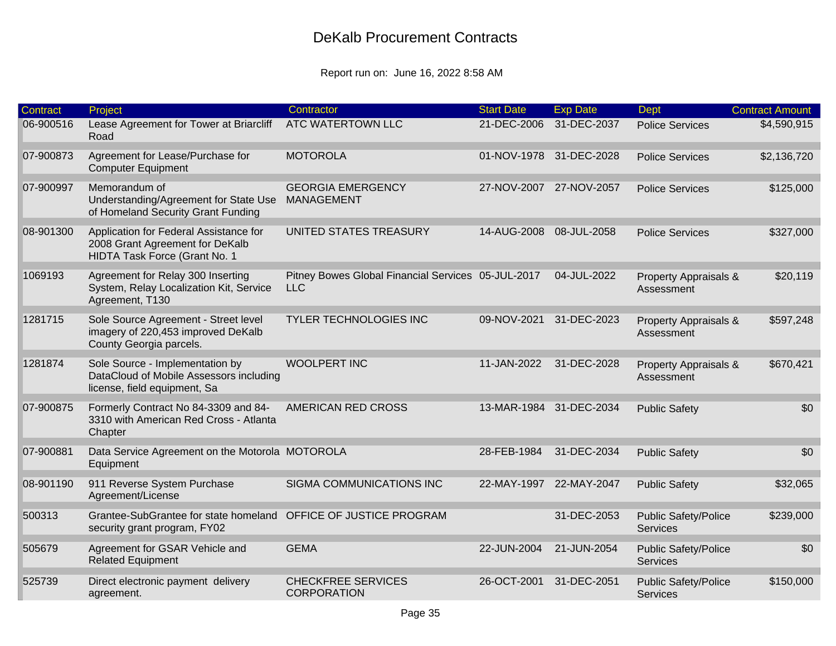| <b>Contract</b> | Project                                                                                                    | Contractor                                                       | <b>Start Date</b> | <b>Exp Date</b>         | <b>Dept</b>                                    | <b>Contract Amount</b> |
|-----------------|------------------------------------------------------------------------------------------------------------|------------------------------------------------------------------|-------------------|-------------------------|------------------------------------------------|------------------------|
| 06-900516       | Lease Agreement for Tower at Briarcliff<br>Road                                                            | ATC WATERTOWN LLC                                                | 21-DEC-2006       | 31-DEC-2037             | <b>Police Services</b>                         | \$4,590,915            |
| 07-900873       | Agreement for Lease/Purchase for<br><b>Computer Equipment</b>                                              | <b>MOTOROLA</b>                                                  |                   | 01-NOV-1978 31-DEC-2028 | <b>Police Services</b>                         | \$2,136,720            |
| 07-900997       | Memorandum of<br>Understanding/Agreement for State Use<br>of Homeland Security Grant Funding               | <b>GEORGIA EMERGENCY</b><br><b>MANAGEMENT</b>                    | 27-NOV-2007       | 27-NOV-2057             | <b>Police Services</b>                         | \$125,000              |
| 08-901300       | Application for Federal Assistance for<br>2008 Grant Agreement for DeKalb<br>HIDTA Task Force (Grant No. 1 | UNITED STATES TREASURY                                           | 14-AUG-2008       | 08-JUL-2058             | <b>Police Services</b>                         | \$327,000              |
| 1069193         | Agreement for Relay 300 Inserting<br>System, Relay Localization Kit, Service<br>Agreement, T130            | Pitney Bowes Global Financial Services 05-JUL-2017<br><b>LLC</b> |                   | 04-JUL-2022             | Property Appraisals &<br>Assessment            | \$20,119               |
| 1281715         | Sole Source Agreement - Street level<br>imagery of 220,453 improved DeKalb<br>County Georgia parcels.      | <b>TYLER TECHNOLOGIES INC</b>                                    | 09-NOV-2021       | 31-DEC-2023             | Property Appraisals &<br>Assessment            | \$597,248              |
| 1281874         | Sole Source - Implementation by<br>DataCloud of Mobile Assessors including<br>license, field equipment, Sa | <b>WOOLPERT INC</b>                                              | 11-JAN-2022       | 31-DEC-2028             | Property Appraisals &<br>Assessment            | \$670,421              |
| 07-900875       | Formerly Contract No 84-3309 and 84-<br>3310 with American Red Cross - Atlanta<br>Chapter                  | <b>AMERICAN RED CROSS</b>                                        |                   | 13-MAR-1984 31-DEC-2034 | <b>Public Safety</b>                           | \$0                    |
| 07-900881       | Data Service Agreement on the Motorola MOTOROLA<br>Equipment                                               |                                                                  | 28-FEB-1984       | 31-DEC-2034             | <b>Public Safety</b>                           | \$0                    |
| 08-901190       | 911 Reverse System Purchase<br>Agreement/License                                                           | SIGMA COMMUNICATIONS INC                                         |                   | 22-MAY-1997 22-MAY-2047 | <b>Public Safety</b>                           | \$32,065               |
| 500313          | Grantee-SubGrantee for state homeland<br>security grant program, FY02                                      | OFFICE OF JUSTICE PROGRAM                                        |                   | 31-DEC-2053             | <b>Public Safety/Police</b><br>Services        | \$239,000              |
| 505679          | Agreement for GSAR Vehicle and<br><b>Related Equipment</b>                                                 | <b>GEMA</b>                                                      | 22-JUN-2004       | 21-JUN-2054             | <b>Public Safety/Police</b><br><b>Services</b> | \$0                    |
| 525739          | Direct electronic payment delivery<br>agreement.                                                           | <b>CHECKFREE SERVICES</b><br><b>CORPORATION</b>                  | 26-OCT-2001       | 31-DEC-2051             | <b>Public Safety/Police</b><br><b>Services</b> | \$150,000              |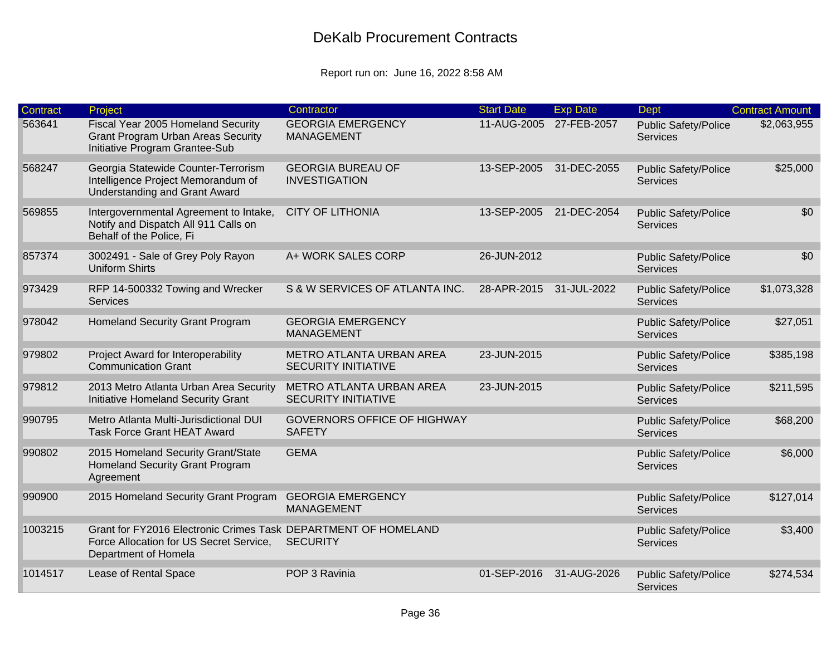| Contract | Project                                                                                                                           | Contractor                                             | <b>Start Date</b> | <b>Exp Date</b> | <b>Dept</b>                                    | <b>Contract Amount</b> |
|----------|-----------------------------------------------------------------------------------------------------------------------------------|--------------------------------------------------------|-------------------|-----------------|------------------------------------------------|------------------------|
| 563641   | Fiscal Year 2005 Homeland Security<br><b>Grant Program Urban Areas Security</b><br>Initiative Program Grantee-Sub                 | <b>GEORGIA EMERGENCY</b><br><b>MANAGEMENT</b>          | 11-AUG-2005       | 27-FEB-2057     | <b>Public Safety/Police</b><br><b>Services</b> | \$2,063,955            |
| 568247   | Georgia Statewide Counter-Terrorism<br>Intelligence Project Memorandum of<br><b>Understanding and Grant Award</b>                 | <b>GEORGIA BUREAU OF</b><br><b>INVESTIGATION</b>       | 13-SEP-2005       | 31-DEC-2055     | <b>Public Safety/Police</b><br><b>Services</b> | \$25,000               |
| 569855   | Intergovernmental Agreement to Intake,<br>Notify and Dispatch All 911 Calls on<br>Behalf of the Police, Fi                        | <b>CITY OF LITHONIA</b>                                | 13-SEP-2005       | 21-DEC-2054     | <b>Public Safety/Police</b><br><b>Services</b> | \$0                    |
| 857374   | 3002491 - Sale of Grey Poly Rayon<br><b>Uniform Shirts</b>                                                                        | A+ WORK SALES CORP                                     | 26-JUN-2012       |                 | <b>Public Safety/Police</b><br><b>Services</b> | \$0                    |
| 973429   | RFP 14-500332 Towing and Wrecker<br>Services                                                                                      | S & W SERVICES OF ATLANTA INC.                         | 28-APR-2015       | 31-JUL-2022     | <b>Public Safety/Police</b><br>Services        | \$1,073,328            |
| 978042   | Homeland Security Grant Program                                                                                                   | <b>GEORGIA EMERGENCY</b><br><b>MANAGEMENT</b>          |                   |                 | <b>Public Safety/Police</b><br><b>Services</b> | \$27,051               |
| 979802   | Project Award for Interoperability<br><b>Communication Grant</b>                                                                  | METRO ATLANTA URBAN AREA<br><b>SECURITY INITIATIVE</b> | 23-JUN-2015       |                 | <b>Public Safety/Police</b><br><b>Services</b> | \$385,198              |
| 979812   | 2013 Metro Atlanta Urban Area Security<br>Initiative Homeland Security Grant                                                      | METRO ATLANTA URBAN AREA<br><b>SECURITY INITIATIVE</b> | 23-JUN-2015       |                 | <b>Public Safety/Police</b><br><b>Services</b> | \$211,595              |
| 990795   | Metro Atlanta Multi-Jurisdictional DUI<br><b>Task Force Grant HEAT Award</b>                                                      | <b>GOVERNORS OFFICE OF HIGHWAY</b><br><b>SAFETY</b>    |                   |                 | <b>Public Safety/Police</b><br>Services        | \$68,200               |
| 990802   | 2015 Homeland Security Grant/State<br>Homeland Security Grant Program<br>Agreement                                                | <b>GEMA</b>                                            |                   |                 | <b>Public Safety/Police</b><br><b>Services</b> | \$6,000                |
| 990900   | 2015 Homeland Security Grant Program                                                                                              | <b>GEORGIA EMERGENCY</b><br><b>MANAGEMENT</b>          |                   |                 | <b>Public Safety/Police</b><br>Services        | \$127,014              |
| 1003215  | Grant for FY2016 Electronic Crimes Task DEPARTMENT OF HOMELAND<br>Force Allocation for US Secret Service,<br>Department of Homela | <b>SECURITY</b>                                        |                   |                 | <b>Public Safety/Police</b><br><b>Services</b> | \$3,400                |
| 1014517  | Lease of Rental Space                                                                                                             | POP 3 Ravinia                                          | 01-SEP-2016       | 31-AUG-2026     | <b>Public Safety/Police</b><br><b>Services</b> | \$274,534              |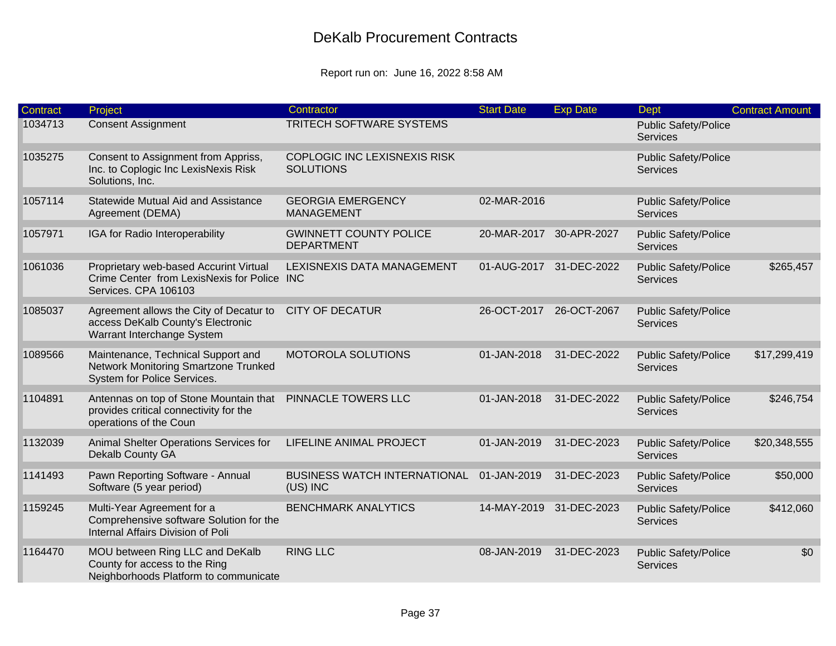| Contract | Project                                                                                                       | Contractor                                         | <b>Start Date</b>       | <b>Exp Date</b> | Dept                                           | <b>Contract Amount</b> |
|----------|---------------------------------------------------------------------------------------------------------------|----------------------------------------------------|-------------------------|-----------------|------------------------------------------------|------------------------|
| 1034713  | <b>Consent Assignment</b>                                                                                     | TRITECH SOFTWARE SYSTEMS                           |                         |                 | <b>Public Safety/Police</b><br><b>Services</b> |                        |
| 1035275  | Consent to Assignment from Appriss,<br>Inc. to Coplogic Inc LexisNexis Risk<br>Solutions, Inc.                | COPLOGIC INC LEXISNEXIS RISK<br><b>SOLUTIONS</b>   |                         |                 | <b>Public Safety/Police</b><br>Services        |                        |
| 1057114  | Statewide Mutual Aid and Assistance<br>Agreement (DEMA)                                                       | <b>GEORGIA EMERGENCY</b><br><b>MANAGEMENT</b>      | 02-MAR-2016             |                 | <b>Public Safety/Police</b><br><b>Services</b> |                        |
| 1057971  | IGA for Radio Interoperability                                                                                | <b>GWINNETT COUNTY POLICE</b><br><b>DEPARTMENT</b> | 20-MAR-2017             | 30-APR-2027     | <b>Public Safety/Police</b><br>Services        |                        |
| 1061036  | Proprietary web-based Accurint Virtual<br>Crime Center from LexisNexis for Police INC<br>Services. CPA 106103 | LEXISNEXIS DATA MANAGEMENT                         | 01-AUG-2017 31-DEC-2022 |                 | <b>Public Safety/Police</b><br><b>Services</b> | \$265,457              |
| 1085037  | Agreement allows the City of Decatur to<br>access DeKalb County's Electronic<br>Warrant Interchange System    | <b>CITY OF DECATUR</b>                             | 26-OCT-2017             | 26-OCT-2067     | <b>Public Safety/Police</b><br><b>Services</b> |                        |
| 1089566  | Maintenance, Technical Support and<br>Network Monitoring Smartzone Trunked<br>System for Police Services.     | <b>MOTOROLA SOLUTIONS</b>                          | 01-JAN-2018             | 31-DEC-2022     | <b>Public Safety/Police</b><br>Services        | \$17,299,419           |
| 1104891  | Antennas on top of Stone Mountain that<br>provides critical connectivity for the<br>operations of the Coun    | PINNACLE TOWERS LLC                                | 01-JAN-2018             | 31-DEC-2022     | <b>Public Safety/Police</b><br><b>Services</b> | \$246,754              |
| 1132039  | Animal Shelter Operations Services for<br>Dekalb County GA                                                    | LIFELINE ANIMAL PROJECT                            | 01-JAN-2019             | 31-DEC-2023     | <b>Public Safety/Police</b><br><b>Services</b> | \$20,348,555           |
| 1141493  | Pawn Reporting Software - Annual<br>Software (5 year period)                                                  | <b>BUSINESS WATCH INTERNATIONAL</b><br>(US) INC    | 01-JAN-2019             | 31-DEC-2023     | <b>Public Safety/Police</b><br>Services        | \$50,000               |
| 1159245  | Multi-Year Agreement for a<br>Comprehensive software Solution for the<br>Internal Affairs Division of Poli    | <b>BENCHMARK ANALYTICS</b>                         | 14-MAY-2019             | 31-DEC-2023     | <b>Public Safety/Police</b><br><b>Services</b> | \$412,060              |
| 1164470  | MOU between Ring LLC and DeKalb<br>County for access to the Ring<br>Neighborhoods Platform to communicate     | <b>RING LLC</b>                                    | 08-JAN-2019             | 31-DEC-2023     | <b>Public Safety/Police</b><br><b>Services</b> | \$0                    |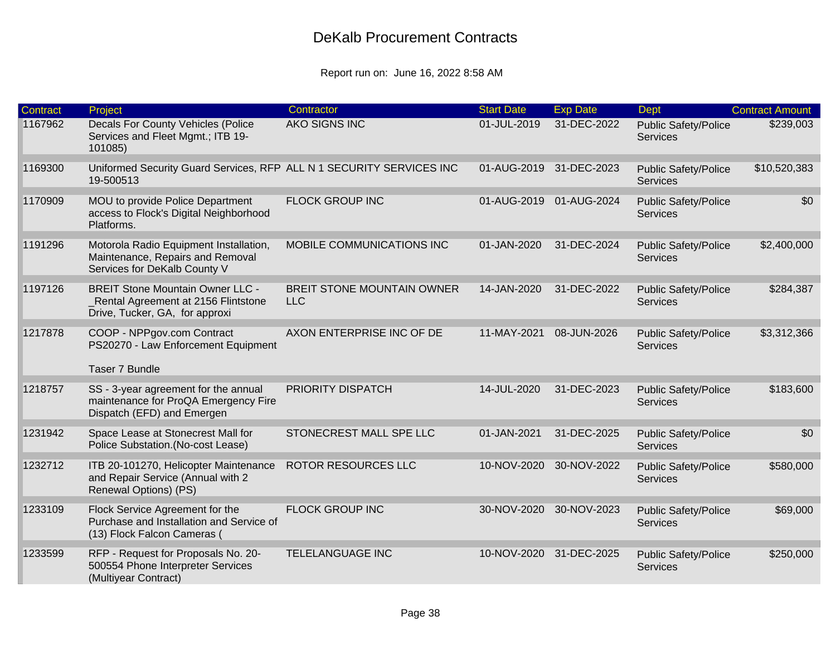| <b>Contract</b> | Project                                                                                                           | Contractor                               | <b>Start Date</b>       | <b>Exp Date</b>         | <b>Dept</b>                                    | <b>Contract Amount</b> |
|-----------------|-------------------------------------------------------------------------------------------------------------------|------------------------------------------|-------------------------|-------------------------|------------------------------------------------|------------------------|
| 1167962         | Decals For County Vehicles (Police<br>Services and Fleet Mgmt.; ITB 19-<br>101085)                                | <b>AKO SIGNS INC</b>                     | 01-JUL-2019             | 31-DEC-2022             | <b>Public Safety/Police</b><br><b>Services</b> | \$239,003              |
| 1169300         | Uniformed Security Guard Services, RFP ALL N 1 SECURITY SERVICES INC<br>19-500513                                 |                                          | 01-AUG-2019 31-DEC-2023 |                         | <b>Public Safety/Police</b><br>Services        | \$10,520,383           |
| 1170909         | MOU to provide Police Department<br>access to Flock's Digital Neighborhood<br>Platforms.                          | <b>FLOCK GROUP INC</b>                   |                         | 01-AUG-2019 01-AUG-2024 | <b>Public Safety/Police</b><br><b>Services</b> | \$0                    |
| 1191296         | Motorola Radio Equipment Installation,<br>Maintenance, Repairs and Removal<br>Services for DeKalb County V        | MOBILE COMMUNICATIONS INC                | 01-JAN-2020             | 31-DEC-2024             | <b>Public Safety/Police</b><br>Services        | \$2,400,000            |
| 1197126         | <b>BREIT Stone Mountain Owner LLC -</b><br>_Rental Agreement at 2156 Flintstone<br>Drive, Tucker, GA, for approxi | BREIT STONE MOUNTAIN OWNER<br><b>LLC</b> | 14-JAN-2020             | 31-DEC-2022             | <b>Public Safety/Police</b><br><b>Services</b> | \$284,387              |
| 1217878         | COOP - NPPgov.com Contract<br>PS20270 - Law Enforcement Equipment                                                 | AXON ENTERPRISE INC OF DE                | 11-MAY-2021             | 08-JUN-2026             | <b>Public Safety/Police</b><br><b>Services</b> | \$3,312,366            |
|                 | Taser 7 Bundle                                                                                                    |                                          |                         |                         |                                                |                        |
| 1218757         | SS - 3-year agreement for the annual<br>maintenance for ProQA Emergency Fire<br>Dispatch (EFD) and Emergen        | PRIORITY DISPATCH                        | 14-JUL-2020             | 31-DEC-2023             | <b>Public Safety/Police</b><br><b>Services</b> | \$183,600              |
| 1231942         | Space Lease at Stonecrest Mall for<br>Police Substation. (No-cost Lease)                                          | STONECREST MALL SPE LLC                  | 01-JAN-2021             | 31-DEC-2025             | <b>Public Safety/Police</b><br><b>Services</b> | \$0                    |
| 1232712         | ITB 20-101270, Helicopter Maintenance<br>and Repair Service (Annual with 2<br>Renewal Options) (PS)               | <b>ROTOR RESOURCES LLC</b>               | 10-NOV-2020             | 30-NOV-2022             | <b>Public Safety/Police</b><br><b>Services</b> | \$580,000              |
| 1233109         | Flock Service Agreement for the<br>Purchase and Installation and Service of<br>(13) Flock Falcon Cameras (        | <b>FLOCK GROUP INC</b>                   | 30-NOV-2020             | 30-NOV-2023             | <b>Public Safety/Police</b><br><b>Services</b> | \$69,000               |
| 1233599         | RFP - Request for Proposals No. 20-<br>500554 Phone Interpreter Services<br>(Multiyear Contract)                  | <b>TELELANGUAGE INC</b>                  | 10-NOV-2020 31-DEC-2025 |                         | <b>Public Safety/Police</b><br><b>Services</b> | \$250,000              |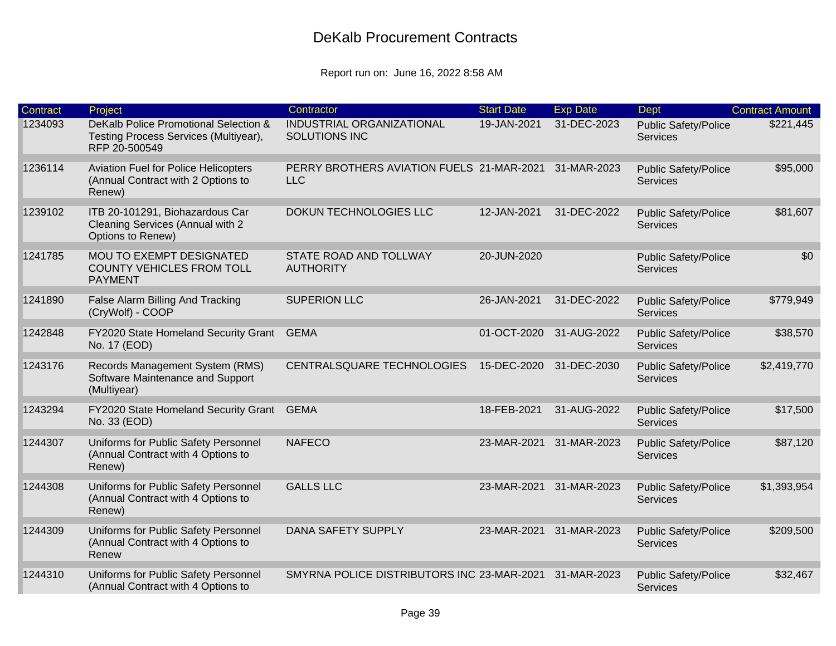| <b>Contract</b> | Project                                                                                         | Contractor                                              | <b>Start Date</b> | <b>Exp Date</b>         | Dept                                           | <b>Contract Amount</b> |
|-----------------|-------------------------------------------------------------------------------------------------|---------------------------------------------------------|-------------------|-------------------------|------------------------------------------------|------------------------|
| 1234093         | DeKalb Police Promotional Selection &<br>Testing Process Services (Multiyear),<br>RFP 20-500549 | INDUSTRIAL ORGANIZATIONAL<br>SOLUTIONS INC              | 19-JAN-2021       | 31-DEC-2023             | <b>Public Safety/Police</b><br><b>Services</b> | \$221,445              |
| 1236114         | <b>Aviation Fuel for Police Helicopters</b><br>(Annual Contract with 2 Options to<br>Renew)     | PERRY BROTHERS AVIATION FUELS 21-MAR-2021<br><b>LLC</b> |                   | 31-MAR-2023             | <b>Public Safety/Police</b><br>Services        | \$95,000               |
| 1239102         | ITB 20-101291, Biohazardous Car<br>Cleaning Services (Annual with 2<br>Options to Renew)        | DOKUN TECHNOLOGIES LLC                                  | 12-JAN-2021       | 31-DEC-2022             | <b>Public Safety/Police</b><br><b>Services</b> | \$81,607               |
| 1241785         | MOU TO EXEMPT DESIGNATED<br><b>COUNTY VEHICLES FROM TOLL</b><br><b>PAYMENT</b>                  | STATE ROAD AND TOLLWAY<br><b>AUTHORITY</b>              | 20-JUN-2020       |                         | <b>Public Safety/Police</b><br><b>Services</b> | \$0                    |
| 1241890         | False Alarm Billing And Tracking<br>(CryWolf) - COOP                                            | <b>SUPERION LLC</b>                                     | 26-JAN-2021       | 31-DEC-2022             | <b>Public Safety/Police</b><br><b>Services</b> | \$779,949              |
| 1242848         | FY2020 State Homeland Security Grant<br>No. 17 (EOD)                                            | <b>GEMA</b>                                             | 01-OCT-2020       | 31-AUG-2022             | <b>Public Safety/Police</b><br><b>Services</b> | \$38,570               |
| 1243176         | Records Management System (RMS)<br>Software Maintenance and Support<br>(Multiyear)              | CENTRALSQUARE TECHNOLOGIES                              | 15-DEC-2020       | 31-DEC-2030             | <b>Public Safety/Police</b><br><b>Services</b> | \$2,419,770            |
| 1243294         | FY2020 State Homeland Security Grant<br>No. 33 (EOD)                                            | <b>GEMA</b>                                             | 18-FEB-2021       | 31-AUG-2022             | <b>Public Safety/Police</b><br><b>Services</b> | \$17,500               |
| 1244307         | Uniforms for Public Safety Personnel<br>(Annual Contract with 4 Options to<br>Renew)            | <b>NAFECO</b>                                           | 23-MAR-2021       | 31-MAR-2023             | <b>Public Safety/Police</b><br><b>Services</b> | \$87,120               |
| 1244308         | Uniforms for Public Safety Personnel<br>(Annual Contract with 4 Options to<br>Renew)            | <b>GALLS LLC</b>                                        | 23-MAR-2021       | 31-MAR-2023             | <b>Public Safety/Police</b><br><b>Services</b> | \$1,393,954            |
| 1244309         | Uniforms for Public Safety Personnel<br>(Annual Contract with 4 Options to<br>Renew             | DANA SAFETY SUPPLY                                      |                   | 23-MAR-2021 31-MAR-2023 | <b>Public Safety/Police</b><br><b>Services</b> | \$209,500              |
| 1244310         | Uniforms for Public Safety Personnel<br>(Annual Contract with 4 Options to                      | SMYRNA POLICE DISTRIBUTORS INC 23-MAR-2021              |                   | 31-MAR-2023             | <b>Public Safety/Police</b><br><b>Services</b> | \$32,467               |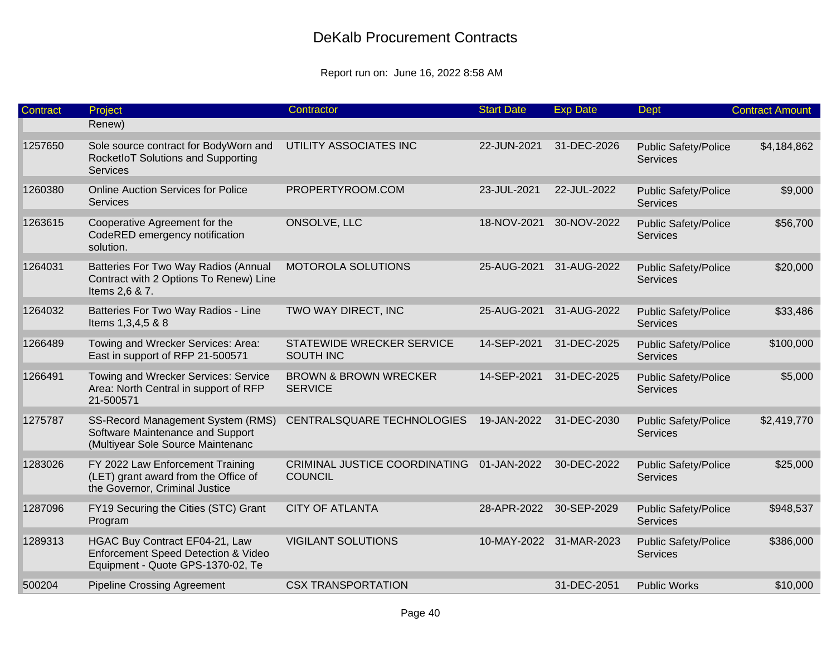| Contract | Project                                                                                                    | Contractor                                         | <b>Start Date</b> | <b>Exp Date</b>         | <b>Dept</b>                                    | <b>Contract Amount</b> |
|----------|------------------------------------------------------------------------------------------------------------|----------------------------------------------------|-------------------|-------------------------|------------------------------------------------|------------------------|
|          | Renew)                                                                                                     |                                                    |                   |                         |                                                |                        |
| 1257650  | Sole source contract for BodyWorn and<br>RocketloT Solutions and Supporting<br><b>Services</b>             | UTILITY ASSOCIATES INC                             | 22-JUN-2021       | 31-DEC-2026             | <b>Public Safety/Police</b><br>Services        | \$4,184,862            |
| 1260380  | <b>Online Auction Services for Police</b><br><b>Services</b>                                               | PROPERTYROOM.COM                                   | 23-JUL-2021       | 22-JUL-2022             | <b>Public Safety/Police</b><br>Services        | \$9,000                |
| 1263615  | Cooperative Agreement for the<br>CodeRED emergency notification<br>solution.                               | ONSOLVE, LLC                                       | 18-NOV-2021       | 30-NOV-2022             | <b>Public Safety/Police</b><br><b>Services</b> | \$56,700               |
| 1264031  | Batteries For Two Way Radios (Annual<br>Contract with 2 Options To Renew) Line<br>Items 2,6 & 7.           | <b>MOTOROLA SOLUTIONS</b>                          | 25-AUG-2021       | 31-AUG-2022             | <b>Public Safety/Police</b><br><b>Services</b> | \$20,000               |
| 1264032  | Batteries For Two Way Radios - Line<br>Items 1,3,4,5 & 8                                                   | TWO WAY DIRECT, INC                                | 25-AUG-2021       | 31-AUG-2022             | <b>Public Safety/Police</b><br>Services        | \$33,486               |
| 1266489  | Towing and Wrecker Services: Area:<br>East in support of RFP 21-500571                                     | STATEWIDE WRECKER SERVICE<br><b>SOUTH INC</b>      | 14-SEP-2021       | 31-DEC-2025             | <b>Public Safety/Police</b><br>Services        | \$100,000              |
| 1266491  | Towing and Wrecker Services: Service<br>Area: North Central in support of RFP<br>21-500571                 | <b>BROWN &amp; BROWN WRECKER</b><br><b>SERVICE</b> | 14-SEP-2021       | 31-DEC-2025             | <b>Public Safety/Police</b><br><b>Services</b> | \$5,000                |
| 1275787  | SS-Record Management System (RMS)<br>Software Maintenance and Support<br>(Multiyear Sole Source Maintenanc | CENTRALSQUARE TECHNOLOGIES                         | 19-JAN-2022       | 31-DEC-2030             | <b>Public Safety/Police</b><br><b>Services</b> | \$2,419,770            |
| 1283026  | FY 2022 Law Enforcement Training<br>(LET) grant award from the Office of<br>the Governor, Criminal Justice | CRIMINAL JUSTICE COORDINATING<br><b>COUNCIL</b>    | 01-JAN-2022       | 30-DEC-2022             | <b>Public Safety/Police</b><br><b>Services</b> | \$25,000               |
| 1287096  | FY19 Securing the Cities (STC) Grant<br>Program                                                            | <b>CITY OF ATLANTA</b>                             |                   | 28-APR-2022 30-SEP-2029 | <b>Public Safety/Police</b><br>Services        | \$948,537              |
| 1289313  | HGAC Buy Contract EF04-21, Law<br>Enforcement Speed Detection & Video<br>Equipment - Quote GPS-1370-02, Te | <b>VIGILANT SOLUTIONS</b>                          |                   | 10-MAY-2022 31-MAR-2023 | <b>Public Safety/Police</b><br><b>Services</b> | \$386,000              |
| 500204   | <b>Pipeline Crossing Agreement</b>                                                                         | <b>CSX TRANSPORTATION</b>                          |                   | 31-DEC-2051             | <b>Public Works</b>                            | \$10,000               |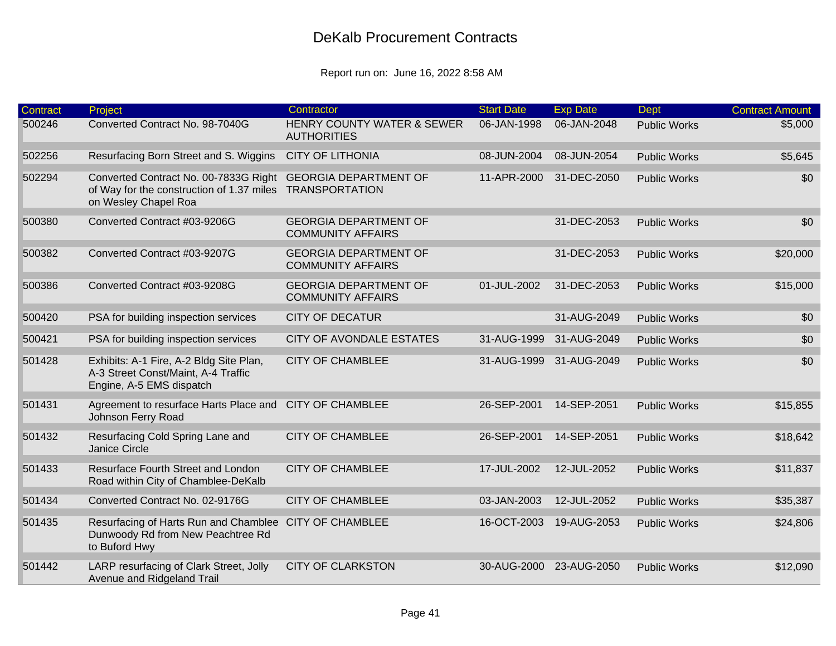| <b>Contract</b> | Project                                                                                                    | Contractor                                                  | <b>Start Date</b> | <b>Exp Date</b> | Dept                | <b>Contract Amount</b> |
|-----------------|------------------------------------------------------------------------------------------------------------|-------------------------------------------------------------|-------------------|-----------------|---------------------|------------------------|
| 500246          | Converted Contract No. 98-7040G                                                                            | <b>HENRY COUNTY WATER &amp; SEWER</b><br><b>AUTHORITIES</b> | 06-JAN-1998       | 06-JAN-2048     | <b>Public Works</b> | \$5,000                |
| 502256          | Resurfacing Born Street and S. Wiggins                                                                     | <b>CITY OF LITHONIA</b>                                     | 08-JUN-2004       | 08-JUN-2054     | <b>Public Works</b> | \$5,645                |
| 502294          | Converted Contract No. 00-7833G Right<br>of Way for the construction of 1.37 miles<br>on Wesley Chapel Roa | <b>GEORGIA DEPARTMENT OF</b><br><b>TRANSPORTATION</b>       | 11-APR-2000       | 31-DEC-2050     | <b>Public Works</b> | \$0                    |
| 500380          | Converted Contract #03-9206G                                                                               | <b>GEORGIA DEPARTMENT OF</b><br><b>COMMUNITY AFFAIRS</b>    |                   | 31-DEC-2053     | <b>Public Works</b> | \$0                    |
| 500382          | Converted Contract #03-9207G                                                                               | <b>GEORGIA DEPARTMENT OF</b><br><b>COMMUNITY AFFAIRS</b>    |                   | 31-DEC-2053     | <b>Public Works</b> | \$20,000               |
| 500386          | Converted Contract #03-9208G                                                                               | <b>GEORGIA DEPARTMENT OF</b><br><b>COMMUNITY AFFAIRS</b>    | 01-JUL-2002       | 31-DEC-2053     | <b>Public Works</b> | \$15,000               |
| 500420          | PSA for building inspection services                                                                       | <b>CITY OF DECATUR</b>                                      |                   | 31-AUG-2049     | <b>Public Works</b> | \$0                    |
| 500421          | PSA for building inspection services                                                                       | <b>CITY OF AVONDALE ESTATES</b>                             | 31-AUG-1999       | 31-AUG-2049     | <b>Public Works</b> | \$0                    |
| 501428          | Exhibits: A-1 Fire, A-2 Bldg Site Plan,<br>A-3 Street Const/Maint, A-4 Traffic<br>Engine, A-5 EMS dispatch | <b>CITY OF CHAMBLEE</b>                                     | 31-AUG-1999       | 31-AUG-2049     | <b>Public Works</b> | \$0                    |
| 501431          | Agreement to resurface Harts Place and<br>Johnson Ferry Road                                               | <b>CITY OF CHAMBLEE</b>                                     | 26-SEP-2001       | 14-SEP-2051     | <b>Public Works</b> | \$15,855               |
| 501432          | Resurfacing Cold Spring Lane and<br>Janice Circle                                                          | <b>CITY OF CHAMBLEE</b>                                     | 26-SEP-2001       | 14-SEP-2051     | <b>Public Works</b> | \$18,642               |
| 501433          | Resurface Fourth Street and London<br>Road within City of Chamblee-DeKalb                                  | <b>CITY OF CHAMBLEE</b>                                     | 17-JUL-2002       | 12-JUL-2052     | <b>Public Works</b> | \$11,837               |
| 501434          | Converted Contract No. 02-9176G                                                                            | <b>CITY OF CHAMBLEE</b>                                     | 03-JAN-2003       | 12-JUL-2052     | <b>Public Works</b> | \$35,387               |
| 501435          | Resurfacing of Harts Run and Chamblee<br>Dunwoody Rd from New Peachtree Rd<br>to Buford Hwy                | <b>CITY OF CHAMBLEE</b>                                     | 16-OCT-2003       | 19-AUG-2053     | <b>Public Works</b> | \$24,806               |
| 501442          | LARP resurfacing of Clark Street, Jolly<br>Avenue and Ridgeland Trail                                      | <b>CITY OF CLARKSTON</b>                                    | 30-AUG-2000       | 23-AUG-2050     | <b>Public Works</b> | \$12,090               |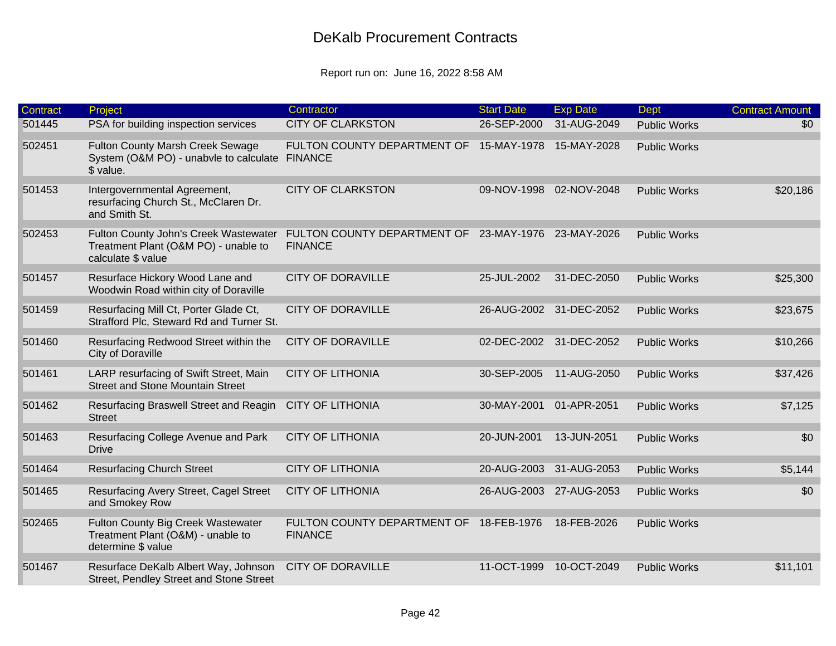| <b>Contract</b> | Project                                                                                                | Contractor                                                            | <b>Start Date</b> | <b>Exp Date</b>         | Dept                | <b>Contract Amount</b> |
|-----------------|--------------------------------------------------------------------------------------------------------|-----------------------------------------------------------------------|-------------------|-------------------------|---------------------|------------------------|
| 501445          | PSA for building inspection services                                                                   | <b>CITY OF CLARKSTON</b>                                              | 26-SEP-2000       | 31-AUG-2049             | <b>Public Works</b> | \$0                    |
| 502451          | <b>Fulton County Marsh Creek Sewage</b><br>System (O&M PO) - unabvle to calculate FINANCE<br>\$ value. | FULTON COUNTY DEPARTMENT OF                                           | 15-MAY-1978       | 15-MAY-2028             | <b>Public Works</b> |                        |
| 501453          | Intergovernmental Agreement,<br>resurfacing Church St., McClaren Dr.<br>and Smith St.                  | <b>CITY OF CLARKSTON</b>                                              |                   | 09-NOV-1998 02-NOV-2048 | <b>Public Works</b> | \$20,186               |
| 502453          | Fulton County John's Creek Wastewater<br>Treatment Plant (O&M PO) - unable to<br>calculate \$ value    | FULTON COUNTY DEPARTMENT OF 23-MAY-1976 23-MAY-2026<br><b>FINANCE</b> |                   |                         | <b>Public Works</b> |                        |
| 501457          | Resurface Hickory Wood Lane and<br>Woodwin Road within city of Doraville                               | <b>CITY OF DORAVILLE</b>                                              | 25-JUL-2002       | 31-DEC-2050             | <b>Public Works</b> | \$25,300               |
| 501459          | Resurfacing Mill Ct, Porter Glade Ct,<br>Strafford Plc, Steward Rd and Turner St.                      | <b>CITY OF DORAVILLE</b>                                              |                   | 26-AUG-2002 31-DEC-2052 | <b>Public Works</b> | \$23,675               |
| 501460          | Resurfacing Redwood Street within the<br>City of Doraville                                             | <b>CITY OF DORAVILLE</b>                                              | 02-DEC-2002       | 31-DEC-2052             | <b>Public Works</b> | \$10,266               |
| 501461          | LARP resurfacing of Swift Street, Main<br><b>Street and Stone Mountain Street</b>                      | <b>CITY OF LITHONIA</b>                                               | 30-SEP-2005       | 11-AUG-2050             | <b>Public Works</b> | \$37,426               |
| 501462          | Resurfacing Braswell Street and Reagin<br><b>Street</b>                                                | <b>CITY OF LITHONIA</b>                                               | 30-MAY-2001       | 01-APR-2051             | <b>Public Works</b> | \$7,125                |
| 501463          | Resurfacing College Avenue and Park<br><b>Drive</b>                                                    | <b>CITY OF LITHONIA</b>                                               | 20-JUN-2001       | 13-JUN-2051             | <b>Public Works</b> | \$0                    |
| 501464          | <b>Resurfacing Church Street</b>                                                                       | <b>CITY OF LITHONIA</b>                                               | 20-AUG-2003       | 31-AUG-2053             | <b>Public Works</b> | \$5,144                |
| 501465          | Resurfacing Avery Street, Cagel Street<br>and Smokey Row                                               | <b>CITY OF LITHONIA</b>                                               | 26-AUG-2003       | 27-AUG-2053             | <b>Public Works</b> | \$0                    |
| 502465          | Fulton County Big Creek Wastewater<br>Treatment Plant (O&M) - unable to<br>determine \$ value          | FULTON COUNTY DEPARTMENT OF 18-FEB-1976<br><b>FINANCE</b>             |                   | 18-FEB-2026             | <b>Public Works</b> |                        |
| 501467          | Resurface DeKalb Albert Way, Johnson<br>Street, Pendley Street and Stone Street                        | <b>CITY OF DORAVILLE</b>                                              | 11-OCT-1999       | 10-OCT-2049             | <b>Public Works</b> | \$11,101               |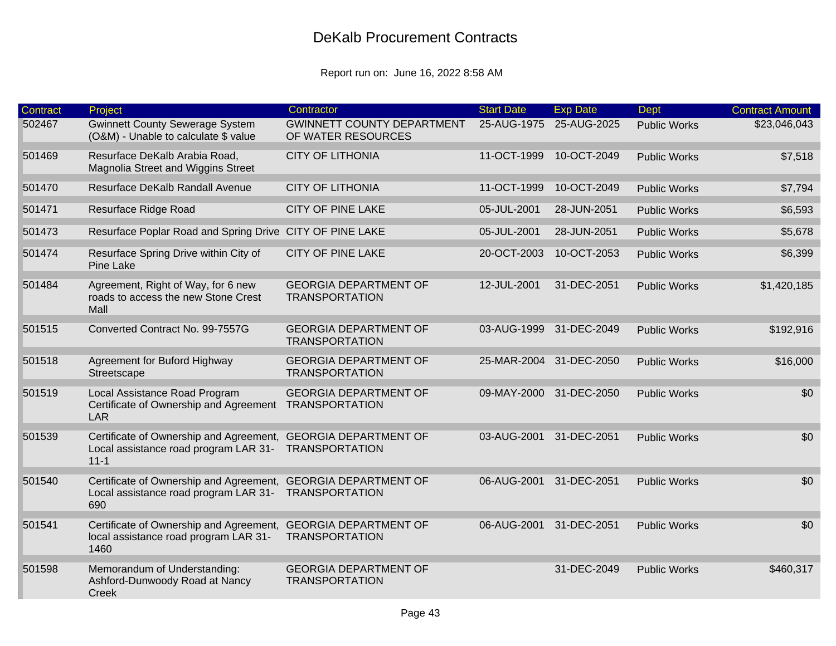| <b>Contract</b> | Project                                                                                      | Contractor                                              | <b>Start Date</b> | <b>Exp Date</b>         | <b>Dept</b>         | <b>Contract Amount</b> |
|-----------------|----------------------------------------------------------------------------------------------|---------------------------------------------------------|-------------------|-------------------------|---------------------|------------------------|
| 502467          | Gwinnett County Sewerage System<br>(O&M) - Unable to calculate \$ value                      | <b>GWINNETT COUNTY DEPARTMENT</b><br>OF WATER RESOURCES | 25-AUG-1975       | 25-AUG-2025             | <b>Public Works</b> | \$23,046,043           |
| 501469          | Resurface DeKalb Arabia Road,<br>Magnolia Street and Wiggins Street                          | <b>CITY OF LITHONIA</b>                                 | 11-OCT-1999       | 10-OCT-2049             | <b>Public Works</b> | \$7,518                |
| 501470          | Resurface DeKalb Randall Avenue                                                              | <b>CITY OF LITHONIA</b>                                 | 11-OCT-1999       | 10-OCT-2049             | <b>Public Works</b> | \$7,794                |
| 501471          | Resurface Ridge Road                                                                         | <b>CITY OF PINE LAKE</b>                                | 05-JUL-2001       | 28-JUN-2051             | <b>Public Works</b> | \$6,593                |
| 501473          | Resurface Poplar Road and Spring Drive CITY OF PINE LAKE                                     |                                                         | 05-JUL-2001       | 28-JUN-2051             | <b>Public Works</b> | \$5,678                |
| 501474          | Resurface Spring Drive within City of<br><b>Pine Lake</b>                                    | <b>CITY OF PINE LAKE</b>                                | 20-OCT-2003       | 10-OCT-2053             | <b>Public Works</b> | \$6,399                |
| 501484          | Agreement, Right of Way, for 6 new<br>roads to access the new Stone Crest<br>Mall            | <b>GEORGIA DEPARTMENT OF</b><br><b>TRANSPORTATION</b>   | 12-JUL-2001       | 31-DEC-2051             | <b>Public Works</b> | \$1,420,185            |
| 501515          | Converted Contract No. 99-7557G                                                              | <b>GEORGIA DEPARTMENT OF</b><br><b>TRANSPORTATION</b>   | 03-AUG-1999       | 31-DEC-2049             | <b>Public Works</b> | \$192,916              |
| 501518          | Agreement for Buford Highway<br>Streetscape                                                  | <b>GEORGIA DEPARTMENT OF</b><br><b>TRANSPORTATION</b>   |                   | 25-MAR-2004 31-DEC-2050 | <b>Public Works</b> | \$16,000               |
| 501519          | Local Assistance Road Program<br>Certificate of Ownership and Agreement<br><b>LAR</b>        | <b>GEORGIA DEPARTMENT OF</b><br><b>TRANSPORTATION</b>   | 09-MAY-2000       | 31-DEC-2050             | <b>Public Works</b> | \$0                    |
| 501539          | Certificate of Ownership and Agreement,<br>Local assistance road program LAR 31-<br>$11 - 1$ | <b>GEORGIA DEPARTMENT OF</b><br><b>TRANSPORTATION</b>   | 03-AUG-2001       | 31-DEC-2051             | <b>Public Works</b> | \$0                    |
| 501540          | Certificate of Ownership and Agreement,<br>Local assistance road program LAR 31-<br>690      | <b>GEORGIA DEPARTMENT OF</b><br><b>TRANSPORTATION</b>   | 06-AUG-2001       | 31-DEC-2051             | <b>Public Works</b> | \$0                    |
| 501541          | Certificate of Ownership and Agreement,<br>local assistance road program LAR 31-<br>1460     | <b>GEORGIA DEPARTMENT OF</b><br><b>TRANSPORTATION</b>   | 06-AUG-2001       | 31-DEC-2051             | <b>Public Works</b> | \$0                    |
| 501598          | Memorandum of Understanding:<br>Ashford-Dunwoody Road at Nancy<br>Creek                      | <b>GEORGIA DEPARTMENT OF</b><br><b>TRANSPORTATION</b>   |                   | 31-DEC-2049             | <b>Public Works</b> | \$460,317              |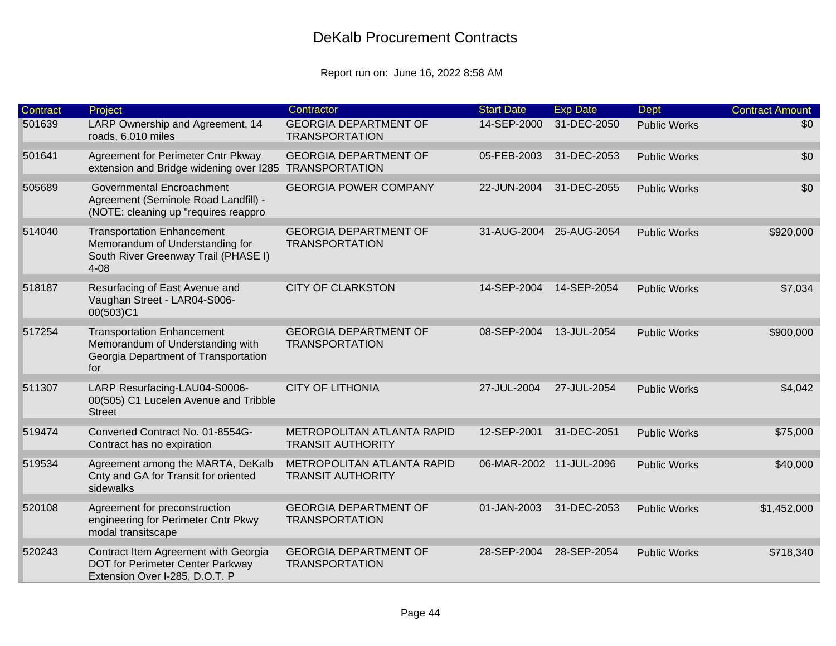| <b>Contract</b> | Project                                                                                                                  | Contractor                                             | <b>Start Date</b> | <b>Exp Date</b> | <b>Dept</b>         | <b>Contract Amount</b> |
|-----------------|--------------------------------------------------------------------------------------------------------------------------|--------------------------------------------------------|-------------------|-----------------|---------------------|------------------------|
| 501639          | LARP Ownership and Agreement, 14<br>roads, 6.010 miles                                                                   | <b>GEORGIA DEPARTMENT OF</b><br><b>TRANSPORTATION</b>  | 14-SEP-2000       | 31-DEC-2050     | <b>Public Works</b> | \$0                    |
| 501641          | Agreement for Perimeter Cntr Pkway<br>extension and Bridge widening over I285                                            | <b>GEORGIA DEPARTMENT OF</b><br><b>TRANSPORTATION</b>  | 05-FEB-2003       | 31-DEC-2053     | <b>Public Works</b> | \$0                    |
| 505689          | Governmental Encroachment<br>Agreement (Seminole Road Landfill) -<br>(NOTE: cleaning up "requires reappro                | <b>GEORGIA POWER COMPANY</b>                           | 22-JUN-2004       | 31-DEC-2055     | <b>Public Works</b> | \$0                    |
| 514040          | <b>Transportation Enhancement</b><br>Memorandum of Understanding for<br>South River Greenway Trail (PHASE I)<br>$4 - 08$ | <b>GEORGIA DEPARTMENT OF</b><br><b>TRANSPORTATION</b>  | 31-AUG-2004       | 25-AUG-2054     | <b>Public Works</b> | \$920,000              |
| 518187          | Resurfacing of East Avenue and<br>Vaughan Street - LAR04-S006-<br>00(503)C1                                              | <b>CITY OF CLARKSTON</b>                               | 14-SEP-2004       | 14-SEP-2054     | <b>Public Works</b> | \$7,034                |
| 517254          | <b>Transportation Enhancement</b><br>Memorandum of Understanding with<br>Georgia Department of Transportation<br>for     | <b>GEORGIA DEPARTMENT OF</b><br><b>TRANSPORTATION</b>  | 08-SEP-2004       | 13-JUL-2054     | <b>Public Works</b> | \$900,000              |
| 511307          | LARP Resurfacing-LAU04-S0006-<br>00(505) C1 Lucelen Avenue and Tribble<br><b>Street</b>                                  | <b>CITY OF LITHONIA</b>                                | 27-JUL-2004       | 27-JUL-2054     | <b>Public Works</b> | \$4,042                |
| 519474          | Converted Contract No. 01-8554G-<br>Contract has no expiration                                                           | METROPOLITAN ATLANTA RAPID<br><b>TRANSIT AUTHORITY</b> | 12-SEP-2001       | 31-DEC-2051     | <b>Public Works</b> | \$75,000               |
| 519534          | Agreement among the MARTA, DeKalb<br>Cnty and GA for Transit for oriented<br>sidewalks                                   | METROPOLITAN ATLANTA RAPID<br><b>TRANSIT AUTHORITY</b> | 06-MAR-2002       | 11-JUL-2096     | <b>Public Works</b> | \$40,000               |
| 520108          | Agreement for preconstruction<br>engineering for Perimeter Cntr Pkwy<br>modal transitscape                               | <b>GEORGIA DEPARTMENT OF</b><br><b>TRANSPORTATION</b>  | 01-JAN-2003       | 31-DEC-2053     | <b>Public Works</b> | \$1,452,000            |
| 520243          | Contract Item Agreement with Georgia<br>DOT for Perimeter Center Parkway<br>Extension Over I-285, D.O.T. P               | <b>GEORGIA DEPARTMENT OF</b><br><b>TRANSPORTATION</b>  | 28-SEP-2004       | 28-SEP-2054     | <b>Public Works</b> | \$718,340              |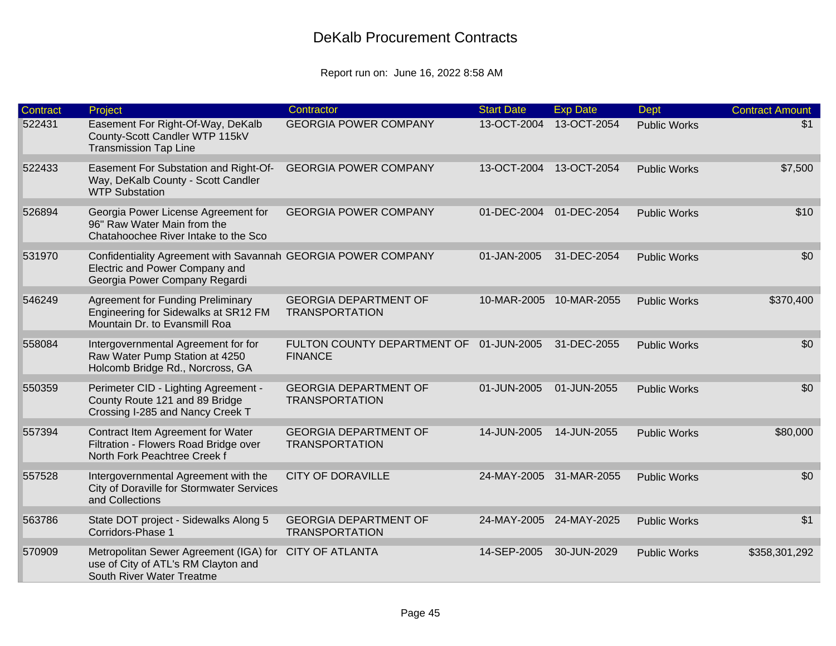| <b>Contract</b> | Project                                                                                                                          | Contractor                                                | <b>Start Date</b> | <b>Exp Date</b>         | <b>Dept</b>         | <b>Contract Amount</b> |
|-----------------|----------------------------------------------------------------------------------------------------------------------------------|-----------------------------------------------------------|-------------------|-------------------------|---------------------|------------------------|
| 522431          | Easement For Right-Of-Way, DeKalb<br>County-Scott Candler WTP 115kV<br><b>Transmission Tap Line</b>                              | <b>GEORGIA POWER COMPANY</b>                              | 13-OCT-2004       | 13-OCT-2054             | <b>Public Works</b> | \$1                    |
| 522433          | Easement For Substation and Right-Of-<br>Way, DeKalb County - Scott Candler<br><b>WTP Substation</b>                             | <b>GEORGIA POWER COMPANY</b>                              | 13-OCT-2004       | 13-OCT-2054             | <b>Public Works</b> | \$7,500                |
| 526894          | Georgia Power License Agreement for<br>96" Raw Water Main from the<br>Chatahoochee River Intake to the Sco                       | <b>GEORGIA POWER COMPANY</b>                              |                   | 01-DEC-2004 01-DEC-2054 | <b>Public Works</b> | \$10                   |
| 531970          | Confidentiality Agreement with Savannah GEORGIA POWER COMPANY<br>Electric and Power Company and<br>Georgia Power Company Regardi |                                                           | 01-JAN-2005       | 31-DEC-2054             | <b>Public Works</b> | \$0                    |
| 546249          | <b>Agreement for Funding Preliminary</b><br>Engineering for Sidewalks at SR12 FM<br>Mountain Dr. to Evansmill Roa                | <b>GEORGIA DEPARTMENT OF</b><br><b>TRANSPORTATION</b>     | 10-MAR-2005       | 10-MAR-2055             | <b>Public Works</b> | \$370,400              |
| 558084          | Intergovernmental Agreement for for<br>Raw Water Pump Station at 4250<br>Holcomb Bridge Rd., Norcross, GA                        | FULTON COUNTY DEPARTMENT OF 01-JUN-2005<br><b>FINANCE</b> |                   | 31-DEC-2055             | <b>Public Works</b> | \$0                    |
| 550359          | Perimeter CID - Lighting Agreement -<br>County Route 121 and 89 Bridge<br>Crossing I-285 and Nancy Creek T                       | <b>GEORGIA DEPARTMENT OF</b><br><b>TRANSPORTATION</b>     | 01-JUN-2005       | 01-JUN-2055             | <b>Public Works</b> | \$0                    |
| 557394          | Contract Item Agreement for Water<br>Filtration - Flowers Road Bridge over<br>North Fork Peachtree Creek f                       | <b>GEORGIA DEPARTMENT OF</b><br><b>TRANSPORTATION</b>     | 14-JUN-2005       | 14-JUN-2055             | <b>Public Works</b> | \$80,000               |
| 557528          | Intergovernmental Agreement with the<br>City of Doraville for Stormwater Services<br>and Collections                             | <b>CITY OF DORAVILLE</b>                                  | 24-MAY-2005       | 31-MAR-2055             | <b>Public Works</b> | \$0                    |
| 563786          | State DOT project - Sidewalks Along 5<br>Corridors-Phase 1                                                                       | <b>GEORGIA DEPARTMENT OF</b><br><b>TRANSPORTATION</b>     |                   | 24-MAY-2005 24-MAY-2025 | <b>Public Works</b> | \$1                    |
| 570909          | Metropolitan Sewer Agreement (IGA) for<br>use of City of ATL's RM Clayton and<br>South River Water Treatme                       | <b>CITY OF ATLANTA</b>                                    | 14-SEP-2005       | 30-JUN-2029             | <b>Public Works</b> | \$358,301,292          |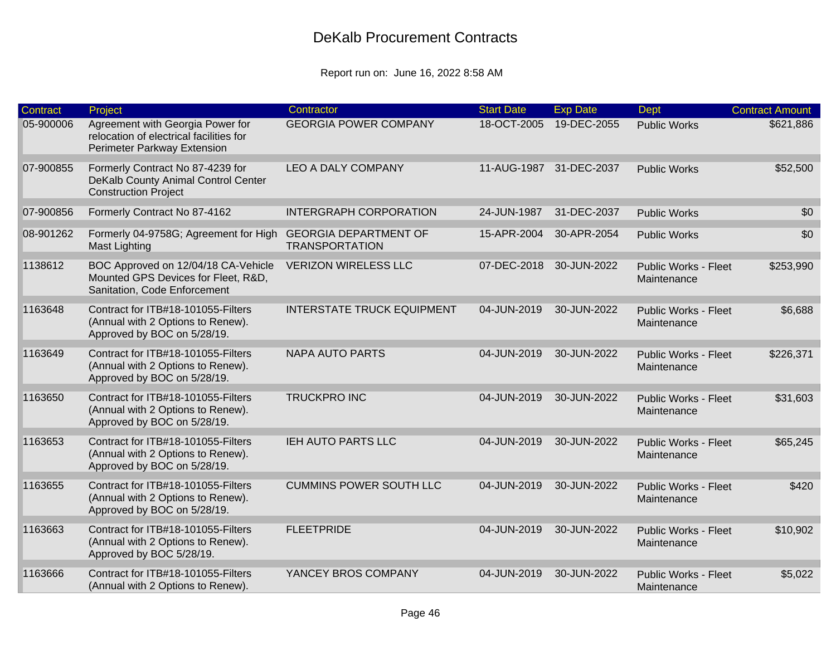| <b>Contract</b> | Project                                                                                                    | Contractor                                            | <b>Start Date</b> | <b>Exp Date</b> | <b>Dept</b>                                | <b>Contract Amount</b> |
|-----------------|------------------------------------------------------------------------------------------------------------|-------------------------------------------------------|-------------------|-----------------|--------------------------------------------|------------------------|
| 05-900006       | Agreement with Georgia Power for<br>relocation of electrical facilities for<br>Perimeter Parkway Extension | <b>GEORGIA POWER COMPANY</b>                          | 18-OCT-2005       | 19-DEC-2055     | <b>Public Works</b>                        | \$621,886              |
| 07-900855       | Formerly Contract No 87-4239 for<br>DeKalb County Animal Control Center<br><b>Construction Project</b>     | <b>LEO A DALY COMPANY</b>                             | 11-AUG-1987       | 31-DEC-2037     | <b>Public Works</b>                        | \$52,500               |
| 07-900856       | Formerly Contract No 87-4162                                                                               | <b>INTERGRAPH CORPORATION</b>                         | 24-JUN-1987       | 31-DEC-2037     | <b>Public Works</b>                        | \$0                    |
| 08-901262       | Formerly 04-9758G; Agreement for High<br><b>Mast Lighting</b>                                              | <b>GEORGIA DEPARTMENT OF</b><br><b>TRANSPORTATION</b> | 15-APR-2004       | 30-APR-2054     | <b>Public Works</b>                        | \$0                    |
| 1138612         | BOC Approved on 12/04/18 CA-Vehicle<br>Mounted GPS Devices for Fleet, R&D,<br>Sanitation, Code Enforcement | <b>VERIZON WIRELESS LLC</b>                           | 07-DEC-2018       | 30-JUN-2022     | <b>Public Works - Fleet</b><br>Maintenance | \$253,990              |
| 1163648         | Contract for ITB#18-101055-Filters<br>(Annual with 2 Options to Renew).<br>Approved by BOC on 5/28/19.     | <b>INTERSTATE TRUCK EQUIPMENT</b>                     | 04-JUN-2019       | 30-JUN-2022     | <b>Public Works - Fleet</b><br>Maintenance | \$6,688                |
| 1163649         | Contract for ITB#18-101055-Filters<br>(Annual with 2 Options to Renew).<br>Approved by BOC on 5/28/19.     | <b>NAPA AUTO PARTS</b>                                | 04-JUN-2019       | 30-JUN-2022     | <b>Public Works - Fleet</b><br>Maintenance | \$226,371              |
| 1163650         | Contract for ITB#18-101055-Filters<br>(Annual with 2 Options to Renew).<br>Approved by BOC on 5/28/19.     | <b>TRUCKPRO INC</b>                                   | 04-JUN-2019       | 30-JUN-2022     | <b>Public Works - Fleet</b><br>Maintenance | \$31,603               |
| 1163653         | Contract for ITB#18-101055-Filters<br>(Annual with 2 Options to Renew).<br>Approved by BOC on 5/28/19.     | IEH AUTO PARTS LLC                                    | 04-JUN-2019       | 30-JUN-2022     | <b>Public Works - Fleet</b><br>Maintenance | \$65,245               |
| 1163655         | Contract for ITB#18-101055-Filters<br>(Annual with 2 Options to Renew).<br>Approved by BOC on 5/28/19.     | <b>CUMMINS POWER SOUTH LLC</b>                        | 04-JUN-2019       | 30-JUN-2022     | <b>Public Works - Fleet</b><br>Maintenance | \$420                  |
| 1163663         | Contract for ITB#18-101055-Filters<br>(Annual with 2 Options to Renew).<br>Approved by BOC 5/28/19.        | <b>FLEETPRIDE</b>                                     | 04-JUN-2019       | 30-JUN-2022     | <b>Public Works - Fleet</b><br>Maintenance | \$10,902               |
| 1163666         | Contract for ITB#18-101055-Filters<br>(Annual with 2 Options to Renew).                                    | YANCEY BROS COMPANY                                   | 04-JUN-2019       | 30-JUN-2022     | <b>Public Works - Fleet</b><br>Maintenance | \$5,022                |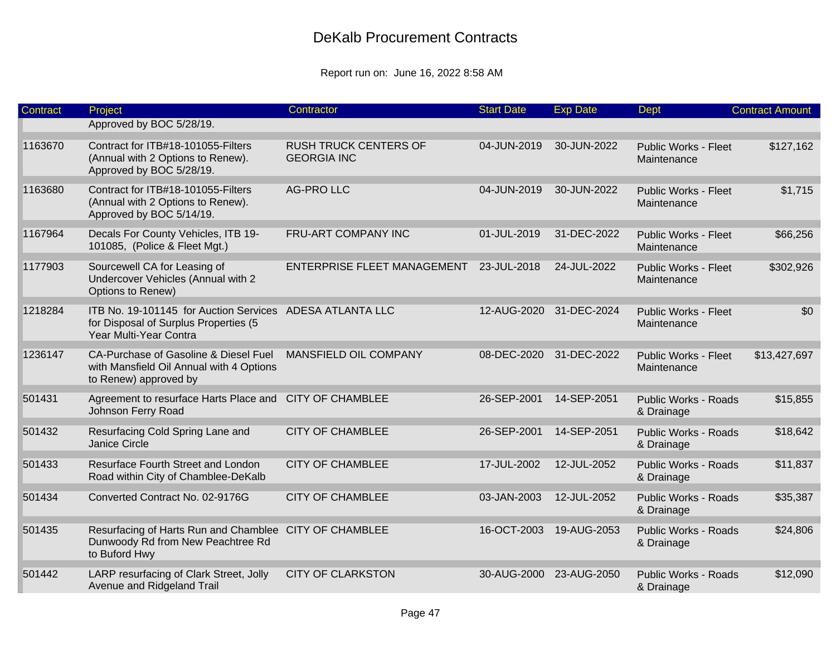| <b>Contract</b> | Project                                                                                                                     | Contractor                                         | <b>Start Date</b> | <b>Exp Date</b>         | <b>Dept</b>                                | <b>Contract Amount</b> |
|-----------------|-----------------------------------------------------------------------------------------------------------------------------|----------------------------------------------------|-------------------|-------------------------|--------------------------------------------|------------------------|
|                 | Approved by BOC 5/28/19.                                                                                                    |                                                    |                   |                         |                                            |                        |
| 1163670         | Contract for ITB#18-101055-Filters<br>(Annual with 2 Options to Renew).<br>Approved by BOC 5/28/19.                         | <b>RUSH TRUCK CENTERS OF</b><br><b>GEORGIA INC</b> | 04-JUN-2019       | 30-JUN-2022             | <b>Public Works - Fleet</b><br>Maintenance | \$127,162              |
| 1163680         | Contract for ITB#18-101055-Filters<br>(Annual with 2 Options to Renew).<br>Approved by BOC 5/14/19.                         | <b>AG-PRO LLC</b>                                  | 04-JUN-2019       | 30-JUN-2022             | <b>Public Works - Fleet</b><br>Maintenance | \$1,715                |
| 1167964         | Decals For County Vehicles, ITB 19-<br>101085, (Police & Fleet Mgt.)                                                        | FRU-ART COMPANY INC                                | 01-JUL-2019       | 31-DEC-2022             | <b>Public Works - Fleet</b><br>Maintenance | \$66,256               |
| 1177903         | Sourcewell CA for Leasing of<br>Undercover Vehicles (Annual with 2<br>Options to Renew)                                     | <b>ENTERPRISE FLEET MANAGEMENT</b>                 | 23-JUL-2018       | 24-JUL-2022             | <b>Public Works - Fleet</b><br>Maintenance | \$302,926              |
| 1218284         | ITB No. 19-101145 for Auction Services ADESA ATLANTA LLC<br>for Disposal of Surplus Properties (5<br>Year Multi-Year Contra |                                                    | 12-AUG-2020       | 31-DEC-2024             | Public Works - Fleet<br>Maintenance        | \$0                    |
| 1236147         | CA-Purchase of Gasoline & Diesel Fuel<br>with Mansfield Oil Annual with 4 Options<br>to Renew) approved by                  | MANSFIELD OIL COMPANY                              | 08-DEC-2020       | 31-DEC-2022             | <b>Public Works - Fleet</b><br>Maintenance | \$13,427,697           |
| 501431          | Agreement to resurface Harts Place and<br>Johnson Ferry Road                                                                | <b>CITY OF CHAMBLEE</b>                            | 26-SEP-2001       | 14-SEP-2051             | <b>Public Works - Roads</b><br>& Drainage  | \$15,855               |
| 501432          | Resurfacing Cold Spring Lane and<br>Janice Circle                                                                           | <b>CITY OF CHAMBLEE</b>                            | 26-SEP-2001       | 14-SEP-2051             | <b>Public Works - Roads</b><br>& Drainage  | \$18,642               |
| 501433          | Resurface Fourth Street and London<br>Road within City of Chamblee-DeKalb                                                   | <b>CITY OF CHAMBLEE</b>                            | 17-JUL-2002       | 12-JUL-2052             | <b>Public Works - Roads</b><br>& Drainage  | \$11,837               |
| 501434          | Converted Contract No. 02-9176G                                                                                             | <b>CITY OF CHAMBLEE</b>                            | 03-JAN-2003       | 12-JUL-2052             | <b>Public Works - Roads</b><br>& Drainage  | \$35,387               |
| 501435          | Resurfacing of Harts Run and Chamblee CITY OF CHAMBLEE<br>Dunwoody Rd from New Peachtree Rd<br>to Buford Hwy                |                                                    | 16-OCT-2003       | 19-AUG-2053             | <b>Public Works - Roads</b><br>& Drainage  | \$24,806               |
| 501442          | LARP resurfacing of Clark Street, Jolly<br>Avenue and Ridgeland Trail                                                       | <b>CITY OF CLARKSTON</b>                           |                   | 30-AUG-2000 23-AUG-2050 | <b>Public Works - Roads</b><br>& Drainage  | \$12,090               |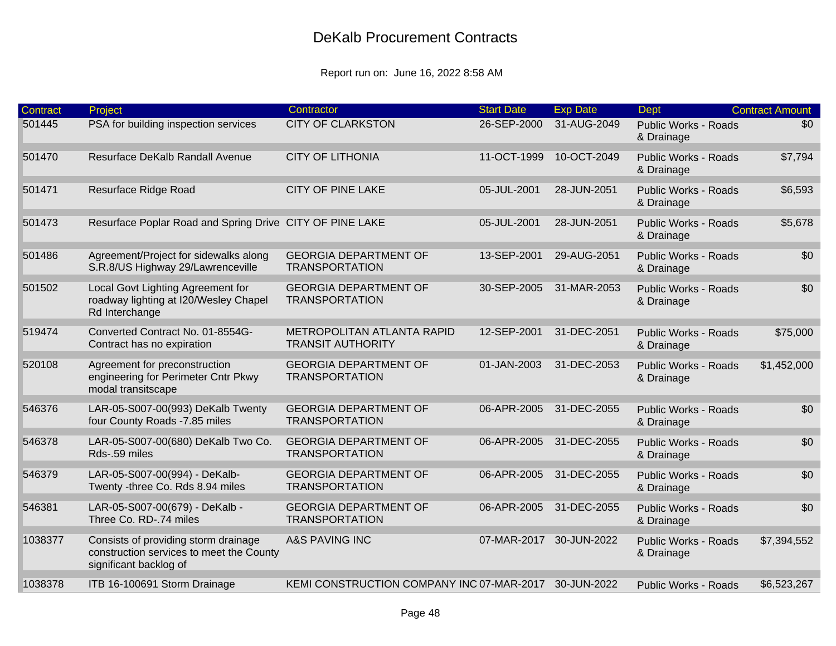| <b>Contract</b> | Project                                                                                                    | Contractor                                                    | <b>Start Date</b>       | <b>Exp Date</b> | <b>Dept</b>                               | <b>Contract Amount</b> |
|-----------------|------------------------------------------------------------------------------------------------------------|---------------------------------------------------------------|-------------------------|-----------------|-------------------------------------------|------------------------|
| 501445          | PSA for building inspection services                                                                       | <b>CITY OF CLARKSTON</b>                                      | 26-SEP-2000             | 31-AUG-2049     | <b>Public Works - Roads</b><br>& Drainage | \$0                    |
| 501470          | Resurface DeKalb Randall Avenue                                                                            | <b>CITY OF LITHONIA</b>                                       | 11-OCT-1999             | 10-OCT-2049     | <b>Public Works - Roads</b><br>& Drainage | \$7,794                |
| 501471          | Resurface Ridge Road                                                                                       | <b>CITY OF PINE LAKE</b>                                      | 05-JUL-2001             | 28-JUN-2051     | <b>Public Works - Roads</b><br>& Drainage | \$6,593                |
| 501473          | Resurface Poplar Road and Spring Drive CITY OF PINE LAKE                                                   |                                                               | 05-JUL-2001             | 28-JUN-2051     | <b>Public Works - Roads</b><br>& Drainage | \$5,678                |
| 501486          | Agreement/Project for sidewalks along<br>S.R.8/US Highway 29/Lawrenceville                                 | <b>GEORGIA DEPARTMENT OF</b><br><b>TRANSPORTATION</b>         | 13-SEP-2001             | 29-AUG-2051     | <b>Public Works - Roads</b><br>& Drainage | \$0                    |
| 501502          | Local Govt Lighting Agreement for<br>roadway lighting at I20/Wesley Chapel<br>Rd Interchange               | <b>GEORGIA DEPARTMENT OF</b><br><b>TRANSPORTATION</b>         | 30-SEP-2005             | 31-MAR-2053     | <b>Public Works - Roads</b><br>& Drainage | \$0                    |
| 519474          | Converted Contract No. 01-8554G-<br>Contract has no expiration                                             | <b>METROPOLITAN ATLANTA RAPID</b><br><b>TRANSIT AUTHORITY</b> | 12-SEP-2001             | 31-DEC-2051     | <b>Public Works - Roads</b><br>& Drainage | \$75,000               |
| 520108          | Agreement for preconstruction<br>engineering for Perimeter Cntr Pkwy<br>modal transitscape                 | <b>GEORGIA DEPARTMENT OF</b><br><b>TRANSPORTATION</b>         | 01-JAN-2003             | 31-DEC-2053     | <b>Public Works - Roads</b><br>& Drainage | \$1,452,000            |
| 546376          | LAR-05-S007-00(993) DeKalb Twenty<br>four County Roads -7.85 miles                                         | <b>GEORGIA DEPARTMENT OF</b><br><b>TRANSPORTATION</b>         | 06-APR-2005             | 31-DEC-2055     | <b>Public Works - Roads</b><br>& Drainage | \$0                    |
| 546378          | LAR-05-S007-00(680) DeKalb Two Co.<br>Rds-.59 miles                                                        | <b>GEORGIA DEPARTMENT OF</b><br><b>TRANSPORTATION</b>         | 06-APR-2005             | 31-DEC-2055     | <b>Public Works - Roads</b><br>& Drainage | \$0                    |
| 546379          | LAR-05-S007-00(994) - DeKalb-<br>Twenty -three Co. Rds 8.94 miles                                          | <b>GEORGIA DEPARTMENT OF</b><br><b>TRANSPORTATION</b>         | 06-APR-2005             | 31-DEC-2055     | <b>Public Works - Roads</b><br>& Drainage | \$0                    |
| 546381          | LAR-05-S007-00(679) - DeKalb -<br>Three Co. RD-.74 miles                                                   | <b>GEORGIA DEPARTMENT OF</b><br><b>TRANSPORTATION</b>         | 06-APR-2005             | 31-DEC-2055     | <b>Public Works - Roads</b><br>& Drainage | \$0                    |
| 1038377         | Consists of providing storm drainage<br>construction services to meet the County<br>significant backlog of | <b>A&amp;S PAVING INC</b>                                     | 07-MAR-2017 30-JUN-2022 |                 | <b>Public Works - Roads</b><br>& Drainage | \$7,394,552            |
| 1038378         | ITB 16-100691 Storm Drainage                                                                               | KEMI CONSTRUCTION COMPANY INC 07-MAR-2017                     |                         | 30-JUN-2022     | <b>Public Works - Roads</b>               | \$6,523,267            |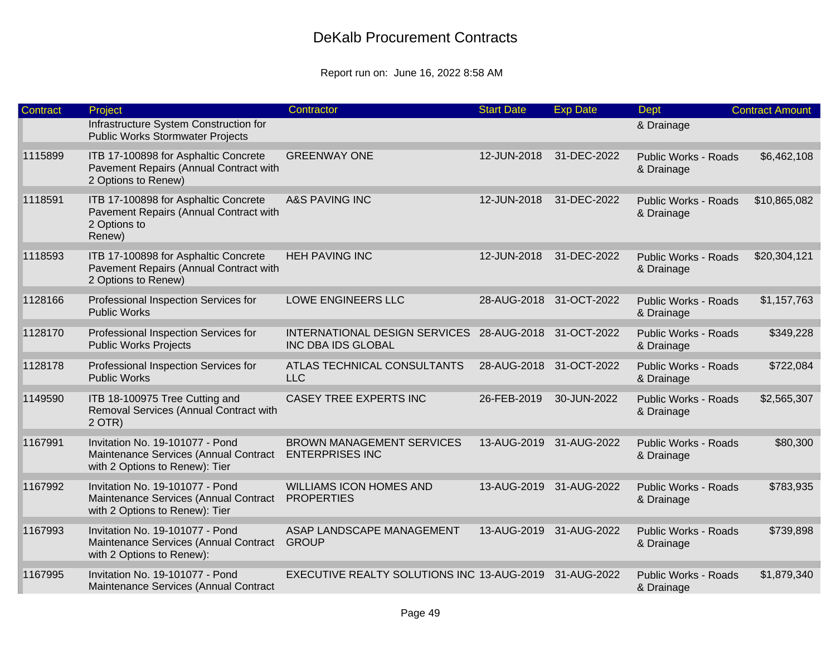| Contract | Project                                                                                                    | Contractor                                                 | <b>Start Date</b>       | <b>Exp Date</b>         | <b>Dept</b>                               | <b>Contract Amount</b> |
|----------|------------------------------------------------------------------------------------------------------------|------------------------------------------------------------|-------------------------|-------------------------|-------------------------------------------|------------------------|
|          | Infrastructure System Construction for<br><b>Public Works Stormwater Projects</b>                          |                                                            |                         |                         | & Drainage                                |                        |
| 1115899  | ITB 17-100898 for Asphaltic Concrete<br>Pavement Repairs (Annual Contract with<br>2 Options to Renew)      | <b>GREENWAY ONE</b>                                        | 12-JUN-2018             | 31-DEC-2022             | <b>Public Works - Roads</b><br>& Drainage | \$6,462,108            |
| 1118591  | ITB 17-100898 for Asphaltic Concrete<br>Pavement Repairs (Annual Contract with<br>2 Options to<br>Renew)   | <b>A&amp;S PAVING INC</b>                                  | 12-JUN-2018             | 31-DEC-2022             | <b>Public Works - Roads</b><br>& Drainage | \$10,865,082           |
| 1118593  | ITB 17-100898 for Asphaltic Concrete<br>Pavement Repairs (Annual Contract with<br>2 Options to Renew)      | <b>HEH PAVING INC</b>                                      | 12-JUN-2018             | 31-DEC-2022             | <b>Public Works - Roads</b><br>& Drainage | \$20,304,121           |
| 1128166  | Professional Inspection Services for<br><b>Public Works</b>                                                | LOWE ENGINEERS LLC                                         |                         | 28-AUG-2018 31-OCT-2022 | <b>Public Works - Roads</b><br>& Drainage | \$1,157,763            |
| 1128170  | Professional Inspection Services for<br><b>Public Works Projects</b>                                       | INTERNATIONAL DESIGN SERVICES<br><b>INC DBA IDS GLOBAL</b> | 28-AUG-2018 31-OCT-2022 |                         | <b>Public Works - Roads</b><br>& Drainage | \$349,228              |
| 1128178  | Professional Inspection Services for<br><b>Public Works</b>                                                | ATLAS TECHNICAL CONSULTANTS<br><b>LLC</b>                  | 28-AUG-2018 31-OCT-2022 |                         | <b>Public Works - Roads</b><br>& Drainage | \$722,084              |
| 1149590  | ITB 18-100975 Tree Cutting and<br>Removal Services (Annual Contract with<br>$2$ OTR)                       | <b>CASEY TREE EXPERTS INC</b>                              | 26-FEB-2019             | 30-JUN-2022             | <b>Public Works - Roads</b><br>& Drainage | \$2,565,307            |
| 1167991  | Invitation No. 19-101077 - Pond<br>Maintenance Services (Annual Contract<br>with 2 Options to Renew): Tier | <b>BROWN MANAGEMENT SERVICES</b><br><b>ENTERPRISES INC</b> |                         | 13-AUG-2019 31-AUG-2022 | <b>Public Works - Roads</b><br>& Drainage | \$80,300               |
| 1167992  | Invitation No. 19-101077 - Pond<br>Maintenance Services (Annual Contract<br>with 2 Options to Renew): Tier | <b>WILLIAMS ICON HOMES AND</b><br><b>PROPERTIES</b>        | 13-AUG-2019             | 31-AUG-2022             | <b>Public Works - Roads</b><br>& Drainage | \$783,935              |
| 1167993  | Invitation No. 19-101077 - Pond<br>Maintenance Services (Annual Contract<br>with 2 Options to Renew):      | ASAP LANDSCAPE MANAGEMENT<br><b>GROUP</b>                  | 13-AUG-2019             | 31-AUG-2022             | <b>Public Works - Roads</b><br>& Drainage | \$739,898              |
| 1167995  | Invitation No. 19-101077 - Pond<br>Maintenance Services (Annual Contract                                   | EXECUTIVE REALTY SOLUTIONS INC 13-AUG-2019 31-AUG-2022     |                         |                         | <b>Public Works - Roads</b><br>& Drainage | \$1,879,340            |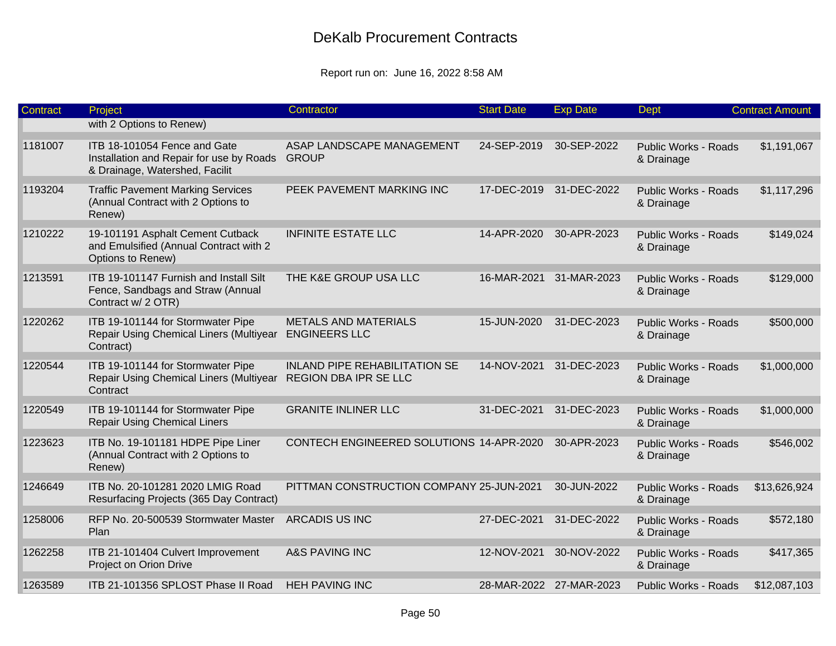| Contract | Project                                                                                                    | Contractor                                                    | <b>Start Date</b> | <b>Exp Date</b>         | Dept                                      | <b>Contract Amount</b> |
|----------|------------------------------------------------------------------------------------------------------------|---------------------------------------------------------------|-------------------|-------------------------|-------------------------------------------|------------------------|
|          | with 2 Options to Renew)                                                                                   |                                                               |                   |                         |                                           |                        |
| 1181007  | ITB 18-101054 Fence and Gate<br>Installation and Repair for use by Roads<br>& Drainage, Watershed, Facilit | ASAP LANDSCAPE MANAGEMENT<br><b>GROUP</b>                     | 24-SEP-2019       | 30-SEP-2022             | <b>Public Works - Roads</b><br>& Drainage | \$1,191,067            |
| 1193204  | <b>Traffic Pavement Marking Services</b><br>(Annual Contract with 2 Options to<br>Renew)                   | PEEK PAVEMENT MARKING INC                                     |                   | 17-DEC-2019 31-DEC-2022 | <b>Public Works - Roads</b><br>& Drainage | \$1,117,296            |
| 1210222  | 19-101191 Asphalt Cement Cutback<br>and Emulsified (Annual Contract with 2<br>Options to Renew)            | <b>INFINITE ESTATE LLC</b>                                    | 14-APR-2020       | 30-APR-2023             | <b>Public Works - Roads</b><br>& Drainage | \$149,024              |
| 1213591  | ITB 19-101147 Furnish and Install Silt<br>Fence, Sandbags and Straw (Annual<br>Contract w/ 2 OTR)          | THE K&E GROUP USA LLC                                         | 16-MAR-2021       | 31-MAR-2023             | <b>Public Works - Roads</b><br>& Drainage | \$129,000              |
| 1220262  | ITB 19-101144 for Stormwater Pipe<br>Repair Using Chemical Liners (Multiyear<br>Contract)                  | <b>METALS AND MATERIALS</b><br><b>ENGINEERS LLC</b>           | 15-JUN-2020       | 31-DEC-2023             | <b>Public Works - Roads</b><br>& Drainage | \$500,000              |
| 1220544  | ITB 19-101144 for Stormwater Pipe<br>Repair Using Chemical Liners (Multiyear<br>Contract                   | <b>INLAND PIPE REHABILITATION SE</b><br>REGION DBA IPR SE LLC | 14-NOV-2021       | 31-DEC-2023             | <b>Public Works - Roads</b><br>& Drainage | \$1,000,000            |
| 1220549  | ITB 19-101144 for Stormwater Pipe<br><b>Repair Using Chemical Liners</b>                                   | <b>GRANITE INLINER LLC</b>                                    | 31-DEC-2021       | 31-DEC-2023             | <b>Public Works - Roads</b><br>& Drainage | \$1,000,000            |
| 1223623  | ITB No. 19-101181 HDPE Pipe Liner<br>(Annual Contract with 2 Options to<br>Renew)                          | CONTECH ENGINEERED SOLUTIONS 14-APR-2020                      |                   | 30-APR-2023             | <b>Public Works - Roads</b><br>& Drainage | \$546,002              |
| 1246649  | ITB No. 20-101281 2020 LMIG Road<br>Resurfacing Projects (365 Day Contract)                                | PITTMAN CONSTRUCTION COMPANY 25-JUN-2021                      |                   | 30-JUN-2022             | <b>Public Works - Roads</b><br>& Drainage | \$13,626,924           |
| 1258006  | RFP No. 20-500539 Stormwater Master<br>Plan                                                                | <b>ARCADIS US INC</b>                                         | 27-DEC-2021       | 31-DEC-2022             | <b>Public Works - Roads</b><br>& Drainage | \$572,180              |
| 1262258  | ITB 21-101404 Culvert Improvement<br>Project on Orion Drive                                                | <b>A&amp;S PAVING INC</b>                                     | 12-NOV-2021       | 30-NOV-2022             | <b>Public Works - Roads</b><br>& Drainage | \$417,365              |
| 1263589  | ITB 21-101356 SPLOST Phase II Road                                                                         | <b>HEH PAVING INC</b>                                         |                   | 28-MAR-2022 27-MAR-2023 | <b>Public Works - Roads</b>               | \$12,087,103           |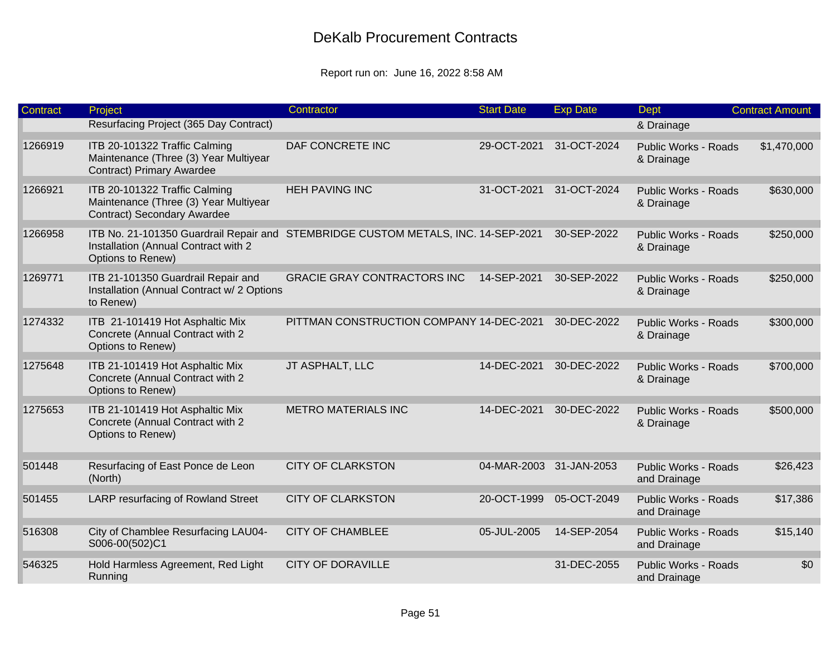| <b>Contract</b> | Project                                                                                                    | Contractor                                 | <b>Start Date</b>       | <b>Exp Date</b> | <b>Dept</b>                                 | <b>Contract Amount</b> |
|-----------------|------------------------------------------------------------------------------------------------------------|--------------------------------------------|-------------------------|-----------------|---------------------------------------------|------------------------|
|                 | Resurfacing Project (365 Day Contract)                                                                     |                                            |                         |                 | & Drainage                                  |                        |
| 1266919         | ITB 20-101322 Traffic Calming<br>Maintenance (Three (3) Year Multiyear<br><b>Contract) Primary Awardee</b> | DAF CONCRETE INC                           | 29-OCT-2021             | 31-OCT-2024     | <b>Public Works - Roads</b><br>& Drainage   | \$1,470,000            |
| 1266921         | ITB 20-101322 Traffic Calming<br>Maintenance (Three (3) Year Multiyear<br>Contract) Secondary Awardee      | <b>HEH PAVING INC</b>                      | 31-OCT-2021             | 31-OCT-2024     | <b>Public Works - Roads</b><br>& Drainage   | \$630,000              |
| 1266958         | ITB No. 21-101350 Guardrail Repair and<br>Installation (Annual Contract with 2<br>Options to Renew)        | STEMBRIDGE CUSTOM METALS, INC. 14-SEP-2021 |                         | 30-SEP-2022     | <b>Public Works - Roads</b><br>& Drainage   | \$250,000              |
| 1269771         | ITB 21-101350 Guardrail Repair and<br>Installation (Annual Contract w/ 2 Options<br>to Renew)              | <b>GRACIE GRAY CONTRACTORS INC</b>         | 14-SEP-2021             | 30-SEP-2022     | <b>Public Works - Roads</b><br>& Drainage   | \$250,000              |
| 1274332         | ITB 21-101419 Hot Asphaltic Mix<br>Concrete (Annual Contract with 2<br>Options to Renew)                   | PITTMAN CONSTRUCTION COMPANY 14-DEC-2021   |                         | 30-DEC-2022     | <b>Public Works - Roads</b><br>& Drainage   | \$300,000              |
| 1275648         | ITB 21-101419 Hot Asphaltic Mix<br>Concrete (Annual Contract with 2<br>Options to Renew)                   | JT ASPHALT, LLC                            | 14-DEC-2021             | 30-DEC-2022     | <b>Public Works - Roads</b><br>& Drainage   | \$700,000              |
| 1275653         | ITB 21-101419 Hot Asphaltic Mix<br>Concrete (Annual Contract with 2<br>Options to Renew)                   | <b>METRO MATERIALS INC</b>                 | 14-DEC-2021             | 30-DEC-2022     | <b>Public Works - Roads</b><br>& Drainage   | \$500,000              |
| 501448          | Resurfacing of East Ponce de Leon<br>(North)                                                               | <b>CITY OF CLARKSTON</b>                   | 04-MAR-2003 31-JAN-2053 |                 | <b>Public Works - Roads</b><br>and Drainage | \$26,423               |
| 501455          | LARP resurfacing of Rowland Street                                                                         | <b>CITY OF CLARKSTON</b>                   | 20-OCT-1999             | 05-OCT-2049     | <b>Public Works - Roads</b><br>and Drainage | \$17,386               |
| 516308          | City of Chamblee Resurfacing LAU04-<br>S006-00(502)C1                                                      | <b>CITY OF CHAMBLEE</b>                    | 05-JUL-2005             | 14-SEP-2054     | <b>Public Works - Roads</b><br>and Drainage | \$15,140               |
| 546325          | Hold Harmless Agreement, Red Light<br>Running                                                              | <b>CITY OF DORAVILLE</b>                   |                         | 31-DEC-2055     | <b>Public Works - Roads</b><br>and Drainage | \$0                    |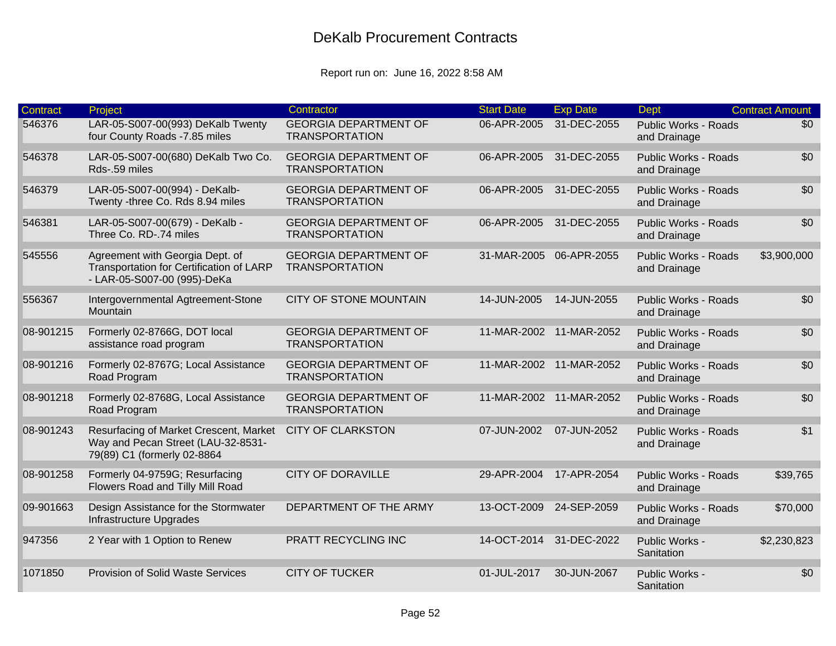| <b>Contract</b> | Project                                                                                                     | Contractor                                            | <b>Start Date</b>       | <b>Exp Date</b>         | <b>Dept</b>                                 | <b>Contract Amount</b> |
|-----------------|-------------------------------------------------------------------------------------------------------------|-------------------------------------------------------|-------------------------|-------------------------|---------------------------------------------|------------------------|
| 546376          | LAR-05-S007-00(993) DeKalb Twenty<br>four County Roads -7.85 miles                                          | <b>GEORGIA DEPARTMENT OF</b><br><b>TRANSPORTATION</b> | 06-APR-2005             | 31-DEC-2055             | <b>Public Works - Roads</b><br>and Drainage | \$0                    |
| 546378          | LAR-05-S007-00(680) DeKalb Two Co.<br>Rds-.59 miles                                                         | <b>GEORGIA DEPARTMENT OF</b><br><b>TRANSPORTATION</b> | 06-APR-2005             | 31-DEC-2055             | <b>Public Works - Roads</b><br>and Drainage | \$0                    |
| 546379          | LAR-05-S007-00(994) - DeKalb-<br>Twenty -three Co. Rds 8.94 miles                                           | <b>GEORGIA DEPARTMENT OF</b><br><b>TRANSPORTATION</b> | 06-APR-2005             | 31-DEC-2055             | <b>Public Works - Roads</b><br>and Drainage | \$0                    |
| 546381          | LAR-05-S007-00(679) - DeKalb -<br>Three Co. RD-.74 miles                                                    | <b>GEORGIA DEPARTMENT OF</b><br><b>TRANSPORTATION</b> | 06-APR-2005             | 31-DEC-2055             | <b>Public Works - Roads</b><br>and Drainage | \$0                    |
| 545556          | Agreement with Georgia Dept. of<br>Transportation for Certification of LARP<br>- LAR-05-S007-00 (995)-DeKa  | <b>GEORGIA DEPARTMENT OF</b><br><b>TRANSPORTATION</b> | 31-MAR-2005 06-APR-2055 |                         | <b>Public Works - Roads</b><br>and Drainage | \$3,900,000            |
| 556367          | Intergovernmental Agtreement-Stone<br>Mountain                                                              | <b>CITY OF STONE MOUNTAIN</b>                         | 14-JUN-2005             | 14-JUN-2055             | <b>Public Works - Roads</b><br>and Drainage | \$0                    |
| 08-901215       | Formerly 02-8766G, DOT local<br>assistance road program                                                     | <b>GEORGIA DEPARTMENT OF</b><br><b>TRANSPORTATION</b> | 11-MAR-2002 11-MAR-2052 |                         | <b>Public Works - Roads</b><br>and Drainage | \$0                    |
| 08-901216       | Formerly 02-8767G; Local Assistance<br>Road Program                                                         | <b>GEORGIA DEPARTMENT OF</b><br><b>TRANSPORTATION</b> | 11-MAR-2002 11-MAR-2052 |                         | <b>Public Works - Roads</b><br>and Drainage | \$0                    |
| 08-901218       | Formerly 02-8768G, Local Assistance<br>Road Program                                                         | <b>GEORGIA DEPARTMENT OF</b><br><b>TRANSPORTATION</b> |                         | 11-MAR-2002 11-MAR-2052 | <b>Public Works - Roads</b><br>and Drainage | \$0                    |
| 08-901243       | Resurfacing of Market Crescent, Market<br>Way and Pecan Street (LAU-32-8531-<br>79(89) C1 (formerly 02-8864 | <b>CITY OF CLARKSTON</b>                              | 07-JUN-2002             | 07-JUN-2052             | <b>Public Works - Roads</b><br>and Drainage | \$1                    |
| 08-901258       | Formerly 04-9759G; Resurfacing<br>Flowers Road and Tilly Mill Road                                          | <b>CITY OF DORAVILLE</b>                              | 29-APR-2004             | 17-APR-2054             | <b>Public Works - Roads</b><br>and Drainage | \$39,765               |
| 09-901663       | Design Assistance for the Stormwater<br>Infrastructure Upgrades                                             | DEPARTMENT OF THE ARMY                                | 13-OCT-2009             | 24-SEP-2059             | <b>Public Works - Roads</b><br>and Drainage | \$70,000               |
| 947356          | 2 Year with 1 Option to Renew                                                                               | PRATT RECYCLING INC                                   | 14-OCT-2014 31-DEC-2022 |                         | Public Works -<br>Sanitation                | \$2,230,823            |
| 1071850         | <b>Provision of Solid Waste Services</b>                                                                    | <b>CITY OF TUCKER</b>                                 | 01-JUL-2017             | 30-JUN-2067             | Public Works -<br>Sanitation                | \$0                    |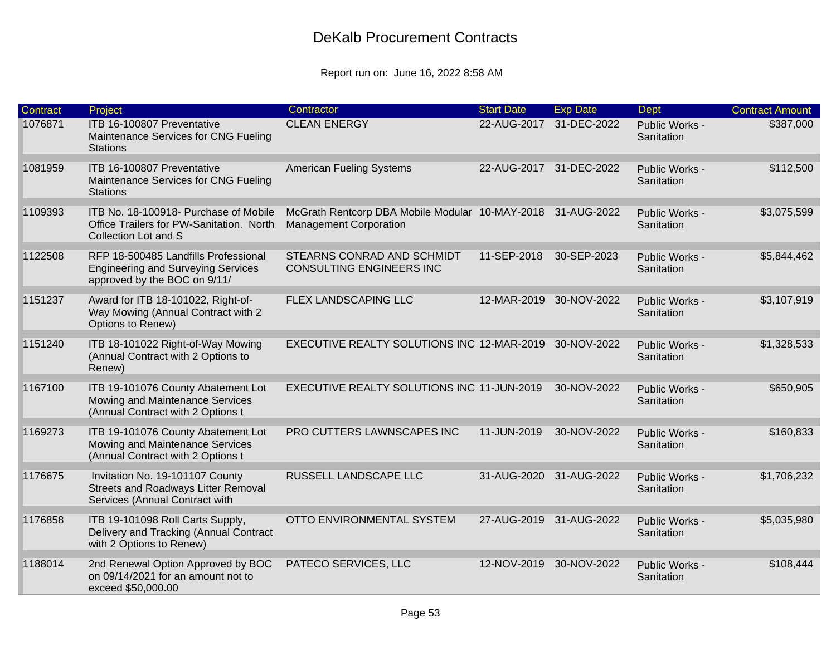| Contract | Project                                                                                                           | Contractor                                                                                   | <b>Start Date</b> | <b>Exp Date</b>         | <b>Dept</b>                  | <b>Contract Amount</b> |
|----------|-------------------------------------------------------------------------------------------------------------------|----------------------------------------------------------------------------------------------|-------------------|-------------------------|------------------------------|------------------------|
| 1076871  | ITB 16-100807 Preventative<br>Maintenance Services for CNG Fueling<br><b>Stations</b>                             | <b>CLEAN ENERGY</b>                                                                          | 22-AUG-2017       | 31-DEC-2022             | Public Works -<br>Sanitation | \$387,000              |
| 1081959  | ITB 16-100807 Preventative<br>Maintenance Services for CNG Fueling<br><b>Stations</b>                             | <b>American Fueling Systems</b>                                                              |                   | 22-AUG-2017 31-DEC-2022 | Public Works -<br>Sanitation | \$112,500              |
| 1109393  | ITB No. 18-100918- Purchase of Mobile<br>Office Trailers for PW-Sanitation. North<br>Collection Lot and S         | McGrath Rentcorp DBA Mobile Modular 10-MAY-2018 31-AUG-2022<br><b>Management Corporation</b> |                   |                         | Public Works -<br>Sanitation | \$3,075,599            |
| 1122508  | RFP 18-500485 Landfills Professional<br><b>Engineering and Surveying Services</b><br>approved by the BOC on 9/11/ | STEARNS CONRAD AND SCHMIDT<br><b>CONSULTING ENGINEERS INC</b>                                | 11-SEP-2018       | 30-SEP-2023             | Public Works -<br>Sanitation | \$5,844,462            |
| 1151237  | Award for ITB 18-101022, Right-of-<br>Way Mowing (Annual Contract with 2<br>Options to Renew)                     | FLEX LANDSCAPING LLC                                                                         |                   | 12-MAR-2019 30-NOV-2022 | Public Works -<br>Sanitation | \$3,107,919            |
| 1151240  | ITB 18-101022 Right-of-Way Mowing<br>(Annual Contract with 2 Options to<br>Renew)                                 | EXECUTIVE REALTY SOLUTIONS INC 12-MAR-2019                                                   |                   | 30-NOV-2022             | Public Works -<br>Sanitation | \$1,328,533            |
| 1167100  | ITB 19-101076 County Abatement Lot<br>Mowing and Maintenance Services<br>(Annual Contract with 2 Options t        | EXECUTIVE REALTY SOLUTIONS INC 11-JUN-2019                                                   |                   | 30-NOV-2022             | Public Works -<br>Sanitation | \$650,905              |
| 1169273  | ITB 19-101076 County Abatement Lot<br>Mowing and Maintenance Services<br>(Annual Contract with 2 Options t        | PRO CUTTERS LAWNSCAPES INC                                                                   | 11-JUN-2019       | 30-NOV-2022             | Public Works -<br>Sanitation | \$160,833              |
| 1176675  | Invitation No. 19-101107 County<br><b>Streets and Roadways Litter Removal</b><br>Services (Annual Contract with   | RUSSELL LANDSCAPE LLC                                                                        |                   | 31-AUG-2020 31-AUG-2022 | Public Works -<br>Sanitation | \$1,706,232            |
| 1176858  | ITB 19-101098 Roll Carts Supply,<br>Delivery and Tracking (Annual Contract<br>with 2 Options to Renew)            | OTTO ENVIRONMENTAL SYSTEM                                                                    |                   | 27-AUG-2019 31-AUG-2022 | Public Works -<br>Sanitation | \$5,035,980            |
| 1188014  | 2nd Renewal Option Approved by BOC<br>on 09/14/2021 for an amount not to<br>exceed \$50,000.00                    | PATECO SERVICES, LLC                                                                         | 12-NOV-2019       | 30-NOV-2022             | Public Works -<br>Sanitation | \$108,444              |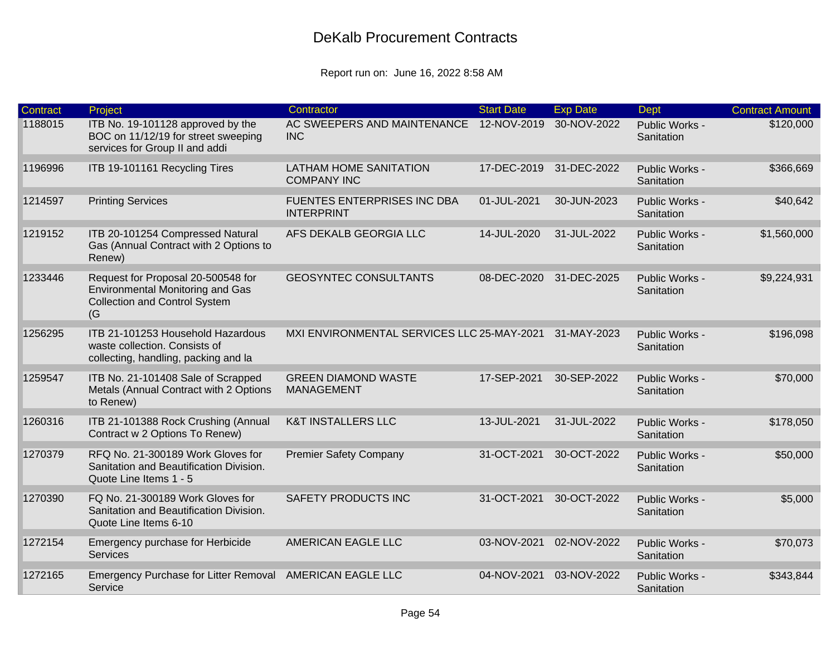| Contract | Project                                                                                                                      | Contractor                                              | <b>Start Date</b> | <b>Exp Date</b> | <b>Dept</b>                  | <b>Contract Amount</b> |
|----------|------------------------------------------------------------------------------------------------------------------------------|---------------------------------------------------------|-------------------|-----------------|------------------------------|------------------------|
| 1188015  | ITB No. 19-101128 approved by the<br>BOC on 11/12/19 for street sweeping<br>services for Group II and addi                   | AC SWEEPERS AND MAINTENANCE<br><b>INC</b>               | 12-NOV-2019       | 30-NOV-2022     | Public Works -<br>Sanitation | \$120,000              |
| 1196996  | ITB 19-101161 Recycling Tires                                                                                                | <b>LATHAM HOME SANITATION</b><br><b>COMPANY INC</b>     | 17-DEC-2019       | 31-DEC-2022     | Public Works -<br>Sanitation | \$366,669              |
| 1214597  | <b>Printing Services</b>                                                                                                     | <b>FUENTES ENTERPRISES INC DBA</b><br><b>INTERPRINT</b> | 01-JUL-2021       | 30-JUN-2023     | Public Works -<br>Sanitation | \$40,642               |
| 1219152  | ITB 20-101254 Compressed Natural<br>Gas (Annual Contract with 2 Options to<br>Renew)                                         | AFS DEKALB GEORGIA LLC                                  | 14-JUL-2020       | 31-JUL-2022     | Public Works -<br>Sanitation | \$1,560,000            |
| 1233446  | Request for Proposal 20-500548 for<br><b>Environmental Monitoring and Gas</b><br><b>Collection and Control System</b><br>(G) | <b>GEOSYNTEC CONSULTANTS</b>                            | 08-DEC-2020       | 31-DEC-2025     | Public Works -<br>Sanitation | \$9,224,931            |
| 1256295  | ITB 21-101253 Household Hazardous<br>waste collection. Consists of<br>collecting, handling, packing and la                   | MXI ENVIRONMENTAL SERVICES LLC 25-MAY-2021              |                   | 31-MAY-2023     | Public Works -<br>Sanitation | \$196,098              |
| 1259547  | ITB No. 21-101408 Sale of Scrapped<br>Metals (Annual Contract with 2 Options<br>to Renew)                                    | <b>GREEN DIAMOND WASTE</b><br><b>MANAGEMENT</b>         | 17-SEP-2021       | 30-SEP-2022     | Public Works -<br>Sanitation | \$70,000               |
| 1260316  | ITB 21-101388 Rock Crushing (Annual<br>Contract w 2 Options To Renew)                                                        | <b>K&amp;T INSTALLERS LLC</b>                           | 13-JUL-2021       | 31-JUL-2022     | Public Works -<br>Sanitation | \$178,050              |
| 1270379  | RFQ No. 21-300189 Work Gloves for<br>Sanitation and Beautification Division.<br>Quote Line Items 1 - 5                       | <b>Premier Safety Company</b>                           | 31-OCT-2021       | 30-OCT-2022     | Public Works -<br>Sanitation | \$50,000               |
| 1270390  | FQ No. 21-300189 Work Gloves for<br>Sanitation and Beautification Division.<br>Quote Line Items 6-10                         | <b>SAFETY PRODUCTS INC</b>                              | 31-OCT-2021       | 30-OCT-2022     | Public Works -<br>Sanitation | \$5,000                |
| 1272154  | Emergency purchase for Herbicide<br><b>Services</b>                                                                          | AMERICAN EAGLE LLC                                      | 03-NOV-2021       | 02-NOV-2022     | Public Works -<br>Sanitation | \$70,073               |
| 1272165  | Emergency Purchase for Litter Removal AMERICAN EAGLE LLC<br>Service                                                          |                                                         | 04-NOV-2021       | 03-NOV-2022     | Public Works -<br>Sanitation | \$343,844              |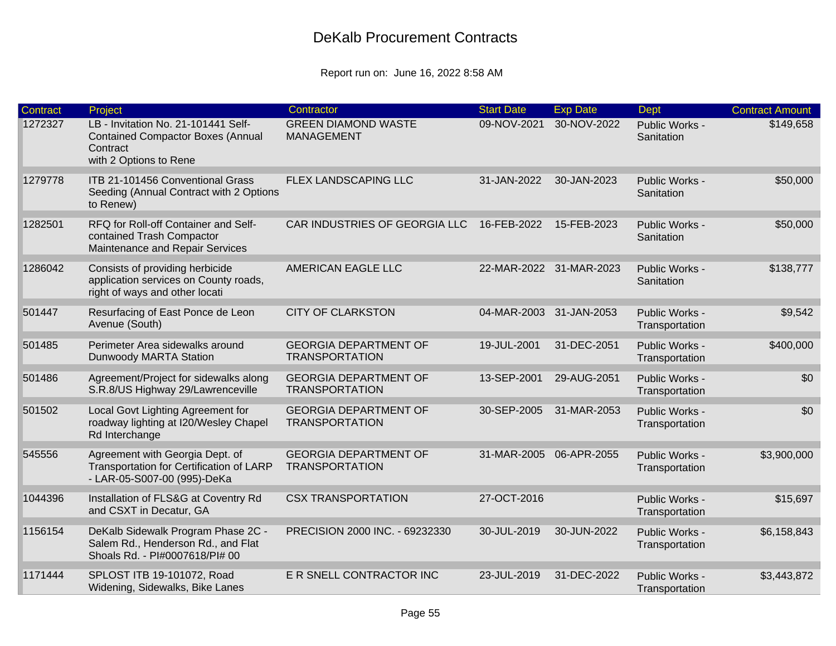| <b>Contract</b> | Project                                                                                                               | Contractor                                            | <b>Start Date</b>       | <b>Exp Date</b>         | <b>Dept</b>                      | <b>Contract Amount</b> |
|-----------------|-----------------------------------------------------------------------------------------------------------------------|-------------------------------------------------------|-------------------------|-------------------------|----------------------------------|------------------------|
| 1272327         | LB - Invitation No. 21-101441 Self-<br><b>Contained Compactor Boxes (Annual</b><br>Contract<br>with 2 Options to Rene | <b>GREEN DIAMOND WASTE</b><br><b>MANAGEMENT</b>       | 09-NOV-2021             | 30-NOV-2022             | Public Works -<br>Sanitation     | \$149,658              |
| 1279778         | ITB 21-101456 Conventional Grass<br>Seeding (Annual Contract with 2 Options<br>to Renew)                              | FLEX LANDSCAPING LLC                                  | 31-JAN-2022             | 30-JAN-2023             | Public Works -<br>Sanitation     | \$50,000               |
| 1282501         | RFQ for Roll-off Container and Self-<br>contained Trash Compactor<br>Maintenance and Repair Services                  | CAR INDUSTRIES OF GEORGIA LLC                         | 16-FEB-2022             | 15-FEB-2023             | Public Works -<br>Sanitation     | \$50,000               |
| 1286042         | Consists of providing herbicide<br>application services on County roads,<br>right of ways and other locati            | AMERICAN EAGLE LLC                                    |                         | 22-MAR-2022 31-MAR-2023 | Public Works -<br>Sanitation     | \$138,777              |
| 501447          | Resurfacing of East Ponce de Leon<br>Avenue (South)                                                                   | <b>CITY OF CLARKSTON</b>                              | 04-MAR-2003 31-JAN-2053 |                         | Public Works -<br>Transportation | \$9,542                |
| 501485          | Perimeter Area sidewalks around<br>Dunwoody MARTA Station                                                             | <b>GEORGIA DEPARTMENT OF</b><br><b>TRANSPORTATION</b> | 19-JUL-2001             | 31-DEC-2051             | Public Works -<br>Transportation | \$400,000              |
| 501486          | Agreement/Project for sidewalks along<br>S.R.8/US Highway 29/Lawrenceville                                            | <b>GEORGIA DEPARTMENT OF</b><br><b>TRANSPORTATION</b> | 13-SEP-2001             | 29-AUG-2051             | Public Works -<br>Transportation | \$0                    |
| 501502          | Local Govt Lighting Agreement for<br>roadway lighting at I20/Wesley Chapel<br>Rd Interchange                          | <b>GEORGIA DEPARTMENT OF</b><br><b>TRANSPORTATION</b> | 30-SEP-2005             | 31-MAR-2053             | Public Works -<br>Transportation | \$0                    |
| 545556          | Agreement with Georgia Dept. of<br>Transportation for Certification of LARP<br>- LAR-05-S007-00 (995)-DeKa            | <b>GEORGIA DEPARTMENT OF</b><br><b>TRANSPORTATION</b> |                         | 31-MAR-2005 06-APR-2055 | Public Works -<br>Transportation | \$3,900,000            |
| 1044396         | Installation of FLS&G at Coventry Rd<br>and CSXT in Decatur, GA                                                       | <b>CSX TRANSPORTATION</b>                             | 27-OCT-2016             |                         | Public Works -<br>Transportation | \$15,697               |
| 1156154         | DeKalb Sidewalk Program Phase 2C -<br>Salem Rd., Henderson Rd., and Flat<br>Shoals Rd. - PI#0007618/PI# 00            | PRECISION 2000 INC. - 69232330                        | 30-JUL-2019             | 30-JUN-2022             | Public Works -<br>Transportation | \$6,158,843            |
| 1171444         | SPLOST ITB 19-101072, Road<br>Widening, Sidewalks, Bike Lanes                                                         | E R SNELL CONTRACTOR INC                              | 23-JUL-2019             | 31-DEC-2022             | Public Works -<br>Transportation | \$3,443,872            |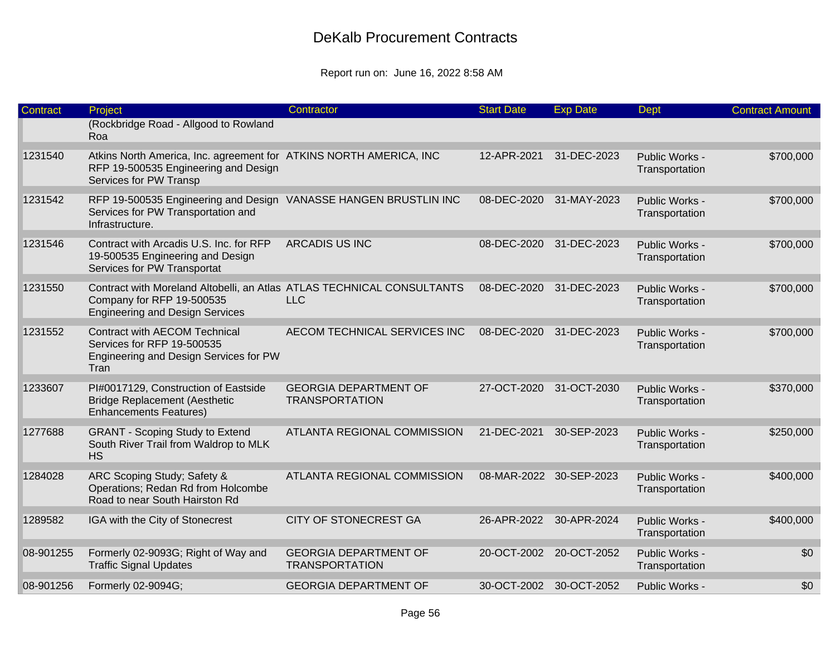| Contract  | Project                                                                                                                                       | Contractor                                            | <b>Start Date</b> | <b>Exp Date</b>         | Dept                             | <b>Contract Amount</b> |
|-----------|-----------------------------------------------------------------------------------------------------------------------------------------------|-------------------------------------------------------|-------------------|-------------------------|----------------------------------|------------------------|
|           | (Rockbridge Road - Allgood to Rowland<br>Roa                                                                                                  |                                                       |                   |                         |                                  |                        |
| 1231540   | Atkins North America, Inc. agreement for ATKINS NORTH AMERICA, INC<br>RFP 19-500535 Engineering and Design<br>Services for PW Transp          |                                                       | 12-APR-2021       | 31-DEC-2023             | Public Works -<br>Transportation | \$700,000              |
| 1231542   | RFP 19-500535 Engineering and Design VANASSE HANGEN BRUSTLIN INC<br>Services for PW Transportation and<br>Infrastructure.                     |                                                       | 08-DEC-2020       | 31-MAY-2023             | Public Works -<br>Transportation | \$700,000              |
| 1231546   | Contract with Arcadis U.S. Inc. for RFP<br>19-500535 Engineering and Design<br>Services for PW Transportat                                    | <b>ARCADIS US INC</b>                                 | 08-DEC-2020       | 31-DEC-2023             | Public Works -<br>Transportation | \$700,000              |
| 1231550   | Contract with Moreland Altobelli, an Atlas ATLAS TECHNICAL CONSULTANTS<br>Company for RFP 19-500535<br><b>Engineering and Design Services</b> | <b>LLC</b>                                            | 08-DEC-2020       | 31-DEC-2023             | Public Works -<br>Transportation | \$700,000              |
| 1231552   | <b>Contract with AECOM Technical</b><br>Services for RFP 19-500535<br>Engineering and Design Services for PW<br>Tran                          | AECOM TECHNICAL SERVICES INC                          | 08-DEC-2020       | 31-DEC-2023             | Public Works -<br>Transportation | \$700,000              |
| 1233607   | PI#0017129, Construction of Eastside<br><b>Bridge Replacement (Aesthetic</b><br><b>Enhancements Features)</b>                                 | <b>GEORGIA DEPARTMENT OF</b><br><b>TRANSPORTATION</b> | 27-OCT-2020       | 31-OCT-2030             | Public Works -<br>Transportation | \$370,000              |
| 1277688   | <b>GRANT - Scoping Study to Extend</b><br>South River Trail from Waldrop to MLK<br><b>HS</b>                                                  | ATLANTA REGIONAL COMMISSION                           | 21-DEC-2021       | 30-SEP-2023             | Public Works -<br>Transportation | \$250,000              |
| 1284028   | ARC Scoping Study; Safety &<br>Operations; Redan Rd from Holcombe<br>Road to near South Hairston Rd                                           | ATLANTA REGIONAL COMMISSION                           |                   | 08-MAR-2022 30-SEP-2023 | Public Works -<br>Transportation | \$400,000              |
| 1289582   | IGA with the City of Stonecrest                                                                                                               | <b>CITY OF STONECREST GA</b>                          | 26-APR-2022       | 30-APR-2024             | Public Works -<br>Transportation | \$400,000              |
| 08-901255 | Formerly 02-9093G; Right of Way and<br><b>Traffic Signal Updates</b>                                                                          | <b>GEORGIA DEPARTMENT OF</b><br><b>TRANSPORTATION</b> |                   | 20-OCT-2002 20-OCT-2052 | Public Works -<br>Transportation | \$0                    |
| 08-901256 | Formerly 02-9094G;                                                                                                                            | <b>GEORGIA DEPARTMENT OF</b>                          |                   | 30-OCT-2002 30-OCT-2052 | Public Works -                   | \$0                    |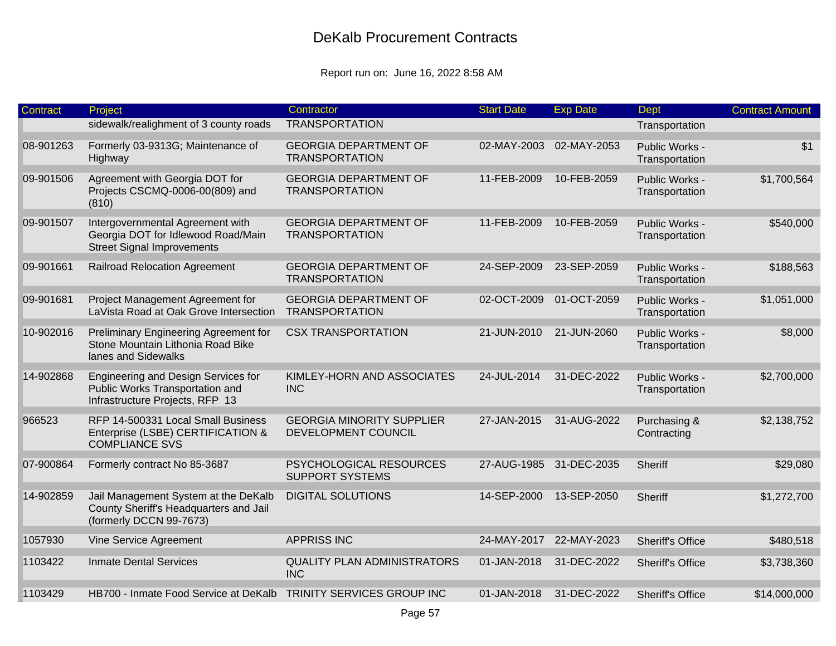| Contract  | Project                                                                                                     | Contractor                                              | <b>Start Date</b>       | <b>Exp Date</b> | Dept                             | <b>Contract Amount</b> |
|-----------|-------------------------------------------------------------------------------------------------------------|---------------------------------------------------------|-------------------------|-----------------|----------------------------------|------------------------|
|           | sidewalk/realighment of 3 county roads                                                                      | <b>TRANSPORTATION</b>                                   |                         |                 | Transportation                   |                        |
| 08-901263 | Formerly 03-9313G; Maintenance of<br>Highway                                                                | <b>GEORGIA DEPARTMENT OF</b><br><b>TRANSPORTATION</b>   | 02-MAY-2003             | 02-MAY-2053     | Public Works -<br>Transportation | \$1                    |
| 09-901506 | Agreement with Georgia DOT for<br>Projects CSCMQ-0006-00(809) and<br>(810)                                  | <b>GEORGIA DEPARTMENT OF</b><br><b>TRANSPORTATION</b>   | 11-FEB-2009             | 10-FEB-2059     | Public Works -<br>Transportation | \$1,700,564            |
| 09-901507 | Intergovernmental Agreement with<br>Georgia DOT for Idlewood Road/Main<br><b>Street Signal Improvements</b> | <b>GEORGIA DEPARTMENT OF</b><br><b>TRANSPORTATION</b>   | 11-FEB-2009             | 10-FEB-2059     | Public Works -<br>Transportation | \$540,000              |
| 09-901661 | <b>Railroad Relocation Agreement</b>                                                                        | <b>GEORGIA DEPARTMENT OF</b><br><b>TRANSPORTATION</b>   | 24-SEP-2009             | 23-SEP-2059     | Public Works -<br>Transportation | \$188,563              |
| 09-901681 | Project Management Agreement for<br>LaVista Road at Oak Grove Intersection                                  | <b>GEORGIA DEPARTMENT OF</b><br><b>TRANSPORTATION</b>   | 02-OCT-2009             | 01-OCT-2059     | Public Works -<br>Transportation | \$1,051,000            |
| 10-902016 | Preliminary Engineering Agreement for<br>Stone Mountain Lithonia Road Bike<br>lanes and Sidewalks           | <b>CSX TRANSPORTATION</b>                               | 21-JUN-2010             | 21-JUN-2060     | Public Works -<br>Transportation | \$8,000                |
| 14-902868 | Engineering and Design Services for<br>Public Works Transportation and<br>Infrastructure Projects, RFP 13   | KIMLEY-HORN AND ASSOCIATES<br><b>INC</b>                | 24-JUL-2014             | 31-DEC-2022     | Public Works -<br>Transportation | \$2,700,000            |
| 966523    | RFP 14-500331 Local Small Business<br>Enterprise (LSBE) CERTIFICATION &<br><b>COMPLIANCE SVS</b>            | <b>GEORGIA MINORITY SUPPLIER</b><br>DEVELOPMENT COUNCIL | 27-JAN-2015             | 31-AUG-2022     | Purchasing &<br>Contracting      | \$2,138,752            |
| 07-900864 | Formerly contract No 85-3687                                                                                | PSYCHOLOGICAL RESOURCES<br><b>SUPPORT SYSTEMS</b>       | 27-AUG-1985 31-DEC-2035 |                 | Sheriff                          | \$29,080               |
| 14-902859 | Jail Management System at the DeKalb<br>County Sheriff's Headquarters and Jail<br>(formerly DCCN 99-7673)   | <b>DIGITAL SOLUTIONS</b>                                | 14-SEP-2000             | 13-SEP-2050     | Sheriff                          | \$1,272,700            |
| 1057930   | Vine Service Agreement                                                                                      | <b>APPRISS INC</b>                                      | 24-MAY-2017             | 22-MAY-2023     | <b>Sheriff's Office</b>          | \$480,518              |
| 1103422   | <b>Inmate Dental Services</b>                                                                               | <b>QUALITY PLAN ADMINISTRATORS</b><br><b>INC</b>        | 01-JAN-2018             | 31-DEC-2022     | <b>Sheriff's Office</b>          | \$3,738,360            |
| 1103429   | HB700 - Inmate Food Service at DeKalb                                                                       | TRINITY SERVICES GROUP INC                              | 01-JAN-2018             | 31-DEC-2022     | <b>Sheriff's Office</b>          | \$14,000,000           |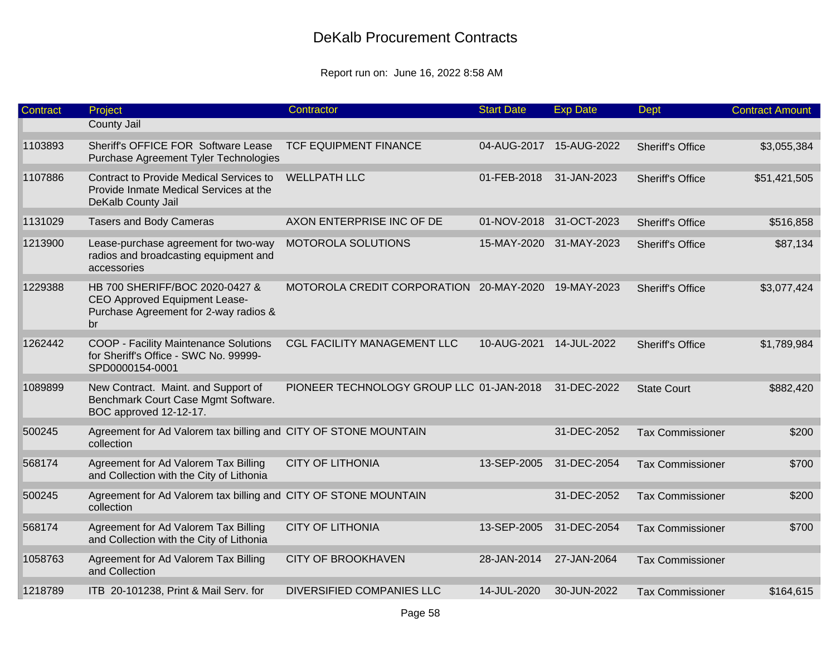| <b>Contract</b> | Project                                                                                                        | Contractor                                          | <b>Start Date</b>       | <b>Exp Date</b>         | Dept                    | <b>Contract Amount</b> |
|-----------------|----------------------------------------------------------------------------------------------------------------|-----------------------------------------------------|-------------------------|-------------------------|-------------------------|------------------------|
|                 | County Jail                                                                                                    |                                                     |                         |                         |                         |                        |
| 1103893         | Sheriff's OFFICE FOR Software Lease<br>Purchase Agreement Tyler Technologies                                   | <b>TCF EQUIPMENT FINANCE</b>                        |                         | 04-AUG-2017 15-AUG-2022 | <b>Sheriff's Office</b> | \$3,055,384            |
| 1107886         | Contract to Provide Medical Services to<br>Provide Inmate Medical Services at the<br>DeKalb County Jail        | <b>WELLPATH LLC</b>                                 | 01-FEB-2018             | 31-JAN-2023             | <b>Sheriff's Office</b> | \$51,421,505           |
| 1131029         | <b>Tasers and Body Cameras</b>                                                                                 | AXON ENTERPRISE INC OF DE                           | 01-NOV-2018 31-OCT-2023 |                         | <b>Sheriff's Office</b> | \$516,858              |
| 1213900         | Lease-purchase agreement for two-way<br>radios and broadcasting equipment and<br>accessories                   | <b>MOTOROLA SOLUTIONS</b>                           |                         | 15-MAY-2020 31-MAY-2023 | <b>Sheriff's Office</b> | \$87,134               |
| 1229388         | HB 700 SHERIFF/BOC 2020-0427 &<br>CEO Approved Equipment Lease-<br>Purchase Agreement for 2-way radios &<br>br | MOTOROLA CREDIT CORPORATION 20-MAY-2020 19-MAY-2023 |                         |                         | <b>Sheriff's Office</b> | \$3,077,424            |
| 1262442         | COOP - Facility Maintenance Solutions<br>for Sheriff's Office - SWC No. 99999-<br>SPD0000154-0001              | <b>CGL FACILITY MANAGEMENT LLC</b>                  | 10-AUG-2021             | 14-JUL-2022             | <b>Sheriff's Office</b> | \$1,789,984            |
| 1089899         | New Contract. Maint. and Support of<br>Benchmark Court Case Mgmt Software.<br>BOC approved 12-12-17.           | PIONEER TECHNOLOGY GROUP LLC 01-JAN-2018            |                         | 31-DEC-2022             | <b>State Court</b>      | \$882,420              |
| 500245          | Agreement for Ad Valorem tax billing and CITY OF STONE MOUNTAIN<br>collection                                  |                                                     |                         | 31-DEC-2052             | <b>Tax Commissioner</b> | \$200                  |
| 568174          | Agreement for Ad Valorem Tax Billing<br>and Collection with the City of Lithonia                               | <b>CITY OF LITHONIA</b>                             | 13-SEP-2005             | 31-DEC-2054             | <b>Tax Commissioner</b> | \$700                  |
| 500245          | Agreement for Ad Valorem tax billing and CITY OF STONE MOUNTAIN<br>collection                                  |                                                     |                         | 31-DEC-2052             | <b>Tax Commissioner</b> | \$200                  |
| 568174          | Agreement for Ad Valorem Tax Billing<br>and Collection with the City of Lithonia                               | <b>CITY OF LITHONIA</b>                             | 13-SEP-2005             | 31-DEC-2054             | <b>Tax Commissioner</b> | \$700                  |
| 1058763         | Agreement for Ad Valorem Tax Billing<br>and Collection                                                         | <b>CITY OF BROOKHAVEN</b>                           | 28-JAN-2014             | 27-JAN-2064             | <b>Tax Commissioner</b> |                        |
| 1218789         | ITB 20-101238, Print & Mail Serv. for                                                                          | <b>DIVERSIFIED COMPANIES LLC</b>                    | 14-JUL-2020             | 30-JUN-2022             | <b>Tax Commissioner</b> | \$164,615              |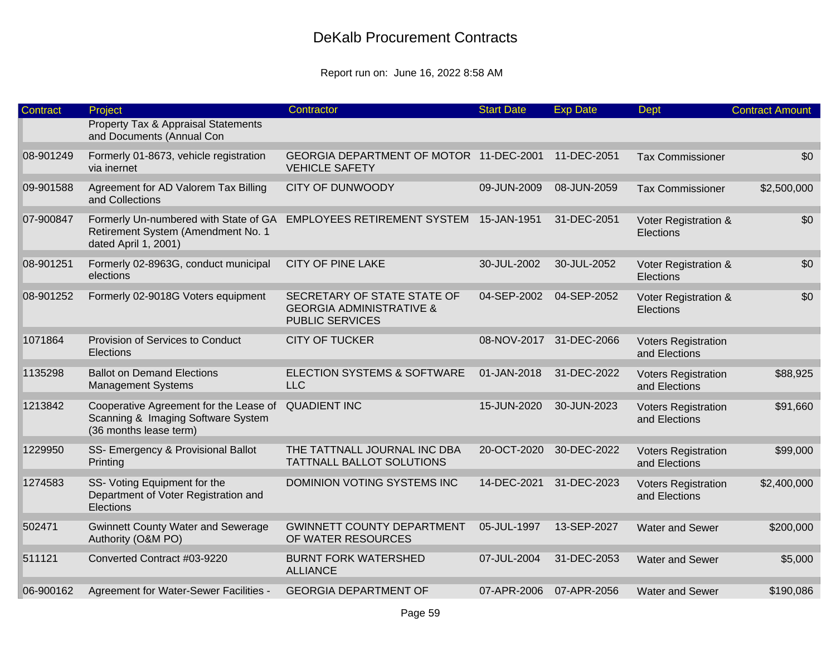| Contract  | Project                                                                                                | Contractor                                                                                   | <b>Start Date</b> | <b>Exp Date</b>         | <b>Dept</b>                                 | <b>Contract Amount</b> |
|-----------|--------------------------------------------------------------------------------------------------------|----------------------------------------------------------------------------------------------|-------------------|-------------------------|---------------------------------------------|------------------------|
|           | <b>Property Tax &amp; Appraisal Statements</b><br>and Documents (Annual Con                            |                                                                                              |                   |                         |                                             |                        |
| 08-901249 | Formerly 01-8673, vehicle registration<br>via inernet                                                  | GEORGIA DEPARTMENT OF MOTOR 11-DEC-2001<br><b>VEHICLE SAFETY</b>                             |                   | 11-DEC-2051             | <b>Tax Commissioner</b>                     | \$0                    |
| 09-901588 | Agreement for AD Valorem Tax Billing<br>and Collections                                                | <b>CITY OF DUNWOODY</b>                                                                      | 09-JUN-2009       | 08-JUN-2059             | <b>Tax Commissioner</b>                     | \$2,500,000            |
| 07-900847 | Formerly Un-numbered with State of GA<br>Retirement System (Amendment No. 1<br>dated April 1, 2001)    | EMPLOYEES RETIREMENT SYSTEM 15-JAN-1951                                                      |                   | 31-DEC-2051             | Voter Registration &<br>Elections           | \$0                    |
| 08-901251 | Formerly 02-8963G, conduct municipal<br>elections                                                      | CITY OF PINE LAKE                                                                            | 30-JUL-2002       | 30-JUL-2052             | Voter Registration &<br>Elections           | \$0                    |
| 08-901252 | Formerly 02-9018G Voters equipment                                                                     | SECRETARY OF STATE STATE OF<br><b>GEORGIA ADMINISTRATIVE &amp;</b><br><b>PUBLIC SERVICES</b> | 04-SEP-2002       | 04-SEP-2052             | Voter Registration &<br>Elections           | \$0                    |
| 1071864   | Provision of Services to Conduct<br>Elections                                                          | <b>CITY OF TUCKER</b>                                                                        |                   | 08-NOV-2017 31-DEC-2066 | <b>Voters Registration</b><br>and Elections |                        |
| 1135298   | <b>Ballot on Demand Elections</b><br><b>Management Systems</b>                                         | <b>ELECTION SYSTEMS &amp; SOFTWARE</b><br><b>LLC</b>                                         | 01-JAN-2018       | 31-DEC-2022             | <b>Voters Registration</b><br>and Elections | \$88,925               |
| 1213842   | Cooperative Agreement for the Lease of<br>Scanning & Imaging Software System<br>(36 months lease term) | <b>QUADIENT INC</b>                                                                          | 15-JUN-2020       | 30-JUN-2023             | <b>Voters Registration</b><br>and Elections | \$91,660               |
| 1229950   | SS- Emergency & Provisional Ballot<br>Printing                                                         | THE TATTNALL JOURNAL INC DBA<br>TATTNALL BALLOT SOLUTIONS                                    | 20-OCT-2020       | 30-DEC-2022             | <b>Voters Registration</b><br>and Elections | \$99,000               |
| 1274583   | SS- Voting Equipment for the<br>Department of Voter Registration and<br>Elections                      | <b>DOMINION VOTING SYSTEMS INC</b>                                                           | 14-DEC-2021       | 31-DEC-2023             | <b>Voters Registration</b><br>and Elections | \$2,400,000            |
| 502471    | <b>Gwinnett County Water and Sewerage</b><br>Authority (O&M PO)                                        | <b>GWINNETT COUNTY DEPARTMENT</b><br>OF WATER RESOURCES                                      | 05-JUL-1997       | 13-SEP-2027             | <b>Water and Sewer</b>                      | \$200,000              |
| 511121    | Converted Contract #03-9220                                                                            | <b>BURNT FORK WATERSHED</b><br><b>ALLIANCE</b>                                               | 07-JUL-2004       | 31-DEC-2053             | Water and Sewer                             | \$5,000                |
| 06-900162 | Agreement for Water-Sewer Facilities -                                                                 | <b>GEORGIA DEPARTMENT OF</b>                                                                 |                   | 07-APR-2006 07-APR-2056 | Water and Sewer                             | \$190,086              |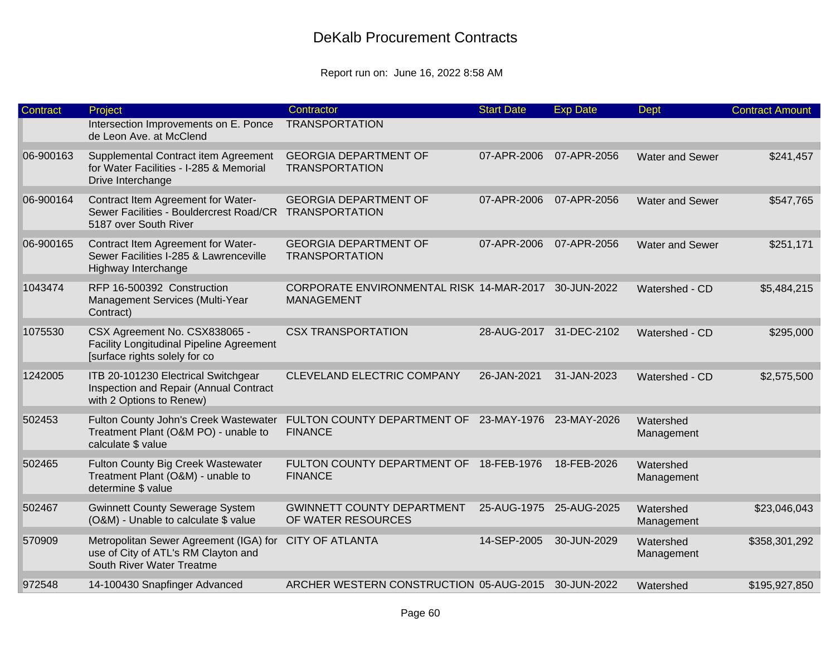| Contract  | Project                                                                                                    | Contractor                                                                | <b>Start Date</b>       | <b>Exp Date</b> | <b>Dept</b>             | <b>Contract Amount</b> |
|-----------|------------------------------------------------------------------------------------------------------------|---------------------------------------------------------------------------|-------------------------|-----------------|-------------------------|------------------------|
|           | Intersection Improvements on E. Ponce<br>de Leon Ave. at McClend                                           | <b>TRANSPORTATION</b>                                                     |                         |                 |                         |                        |
| 06-900163 | Supplemental Contract item Agreement<br>for Water Facilities - I-285 & Memorial<br>Drive Interchange       | <b>GEORGIA DEPARTMENT OF</b><br><b>TRANSPORTATION</b>                     | 07-APR-2006             | 07-APR-2056     | <b>Water and Sewer</b>  | \$241,457              |
| 06-900164 | Contract Item Agreement for Water-<br>Sewer Facilities - Bouldercrest Road/CR<br>5187 over South River     | <b>GEORGIA DEPARTMENT OF</b><br><b>TRANSPORTATION</b>                     | 07-APR-2006             | 07-APR-2056     | Water and Sewer         | \$547,765              |
| 06-900165 | Contract Item Agreement for Water-<br>Sewer Facilities I-285 & Lawrenceville<br>Highway Interchange        | <b>GEORGIA DEPARTMENT OF</b><br><b>TRANSPORTATION</b>                     | 07-APR-2006             | 07-APR-2056     | <b>Water and Sewer</b>  | \$251,171              |
| 1043474   | RFP 16-500392 Construction<br>Management Services (Multi-Year<br>Contract)                                 | CORPORATE ENVIRONMENTAL RISK 14-MAR-2017 30-JUN-2022<br><b>MANAGEMENT</b> |                         |                 | Watershed - CD          | \$5,484,215            |
| 1075530   | CSX Agreement No. CSX838065 -<br>Facility Longitudinal Pipeline Agreement<br>[surface rights solely for co | <b>CSX TRANSPORTATION</b>                                                 | 28-AUG-2017 31-DEC-2102 |                 | Watershed - CD          | \$295,000              |
| 1242005   | ITB 20-101230 Electrical Switchgear<br>Inspection and Repair (Annual Contract<br>with 2 Options to Renew)  | CLEVELAND ELECTRIC COMPANY                                                | 26-JAN-2021             | 31-JAN-2023     | Watershed - CD          | \$2,575,500            |
| 502453    | Fulton County John's Creek Wastewater<br>Treatment Plant (O&M PO) - unable to<br>calculate \$ value        | FULTON COUNTY DEPARTMENT OF 23-MAY-1976 23-MAY-2026<br><b>FINANCE</b>     |                         |                 | Watershed<br>Management |                        |
| 502465    | Fulton County Big Creek Wastewater<br>Treatment Plant (O&M) - unable to<br>determine \$ value              | FULTON COUNTY DEPARTMENT OF 18-FEB-1976<br><b>FINANCE</b>                 |                         | 18-FEB-2026     | Watershed<br>Management |                        |
| 502467    | <b>Gwinnett County Sewerage System</b><br>(O&M) - Unable to calculate \$ value                             | <b>GWINNETT COUNTY DEPARTMENT</b><br>OF WATER RESOURCES                   | 25-AUG-1975 25-AUG-2025 |                 | Watershed<br>Management | \$23,046,043           |
| 570909    | Metropolitan Sewer Agreement (IGA) for<br>use of City of ATL's RM Clayton and<br>South River Water Treatme | <b>CITY OF ATLANTA</b>                                                    | 14-SEP-2005             | 30-JUN-2029     | Watershed<br>Management | \$358,301,292          |
| 972548    | 14-100430 Snapfinger Advanced                                                                              | ARCHER WESTERN CONSTRUCTION 05-AUG-2015                                   |                         | 30-JUN-2022     | Watershed               | \$195,927,850          |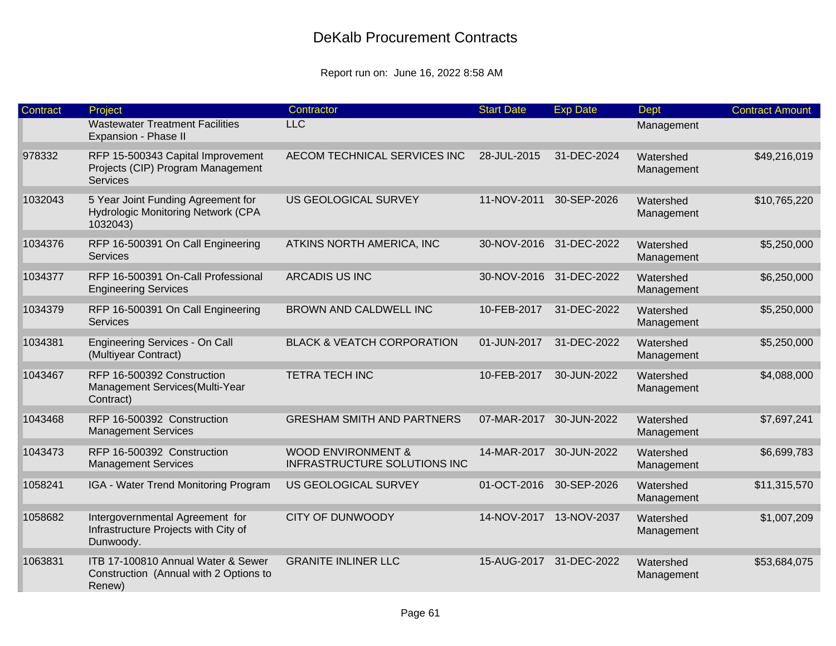| <b>Contract</b> | Project                                                                                   | Contractor                                                    | <b>Start Date</b>       | <b>Exp Date</b> | <b>Dept</b>             | <b>Contract Amount</b> |
|-----------------|-------------------------------------------------------------------------------------------|---------------------------------------------------------------|-------------------------|-----------------|-------------------------|------------------------|
|                 | <b>Wastewater Treatment Facilities</b><br>Expansion - Phase II                            | <b>LLC</b>                                                    |                         |                 | Management              |                        |
| 978332          | RFP 15-500343 Capital Improvement<br>Projects (CIP) Program Management<br><b>Services</b> | AECOM TECHNICAL SERVICES INC                                  | 28-JUL-2015             | 31-DEC-2024     | Watershed<br>Management | \$49,216,019           |
| 1032043         | 5 Year Joint Funding Agreement for<br>Hydrologic Monitoring Network (CPA<br>1032043)      | US GEOLOGICAL SURVEY                                          | 11-NOV-2011             | 30-SEP-2026     | Watershed<br>Management | \$10,765,220           |
| 1034376         | RFP 16-500391 On Call Engineering<br><b>Services</b>                                      | ATKINS NORTH AMERICA, INC                                     | 30-NOV-2016             | 31-DEC-2022     | Watershed<br>Management | \$5,250,000            |
| 1034377         | RFP 16-500391 On-Call Professional<br><b>Engineering Services</b>                         | <b>ARCADIS US INC</b>                                         | 30-NOV-2016             | 31-DEC-2022     | Watershed<br>Management | \$6,250,000            |
| 1034379         | RFP 16-500391 On Call Engineering<br><b>Services</b>                                      | BROWN AND CALDWELL INC                                        | 10-FEB-2017             | 31-DEC-2022     | Watershed<br>Management | \$5,250,000            |
| 1034381         | Engineering Services - On Call<br>(Multiyear Contract)                                    | <b>BLACK &amp; VEATCH CORPORATION</b>                         | 01-JUN-2017             | 31-DEC-2022     | Watershed<br>Management | \$5,250,000            |
| 1043467         | RFP 16-500392 Construction<br>Management Services(Multi-Year<br>Contract)                 | <b>TETRA TECH INC</b>                                         | 10-FEB-2017             | 30-JUN-2022     | Watershed<br>Management | \$4,088,000            |
| 1043468         | RFP 16-500392 Construction<br><b>Management Services</b>                                  | <b>GRESHAM SMITH AND PARTNERS</b>                             | 07-MAR-2017             | 30-JUN-2022     | Watershed<br>Management | \$7,697,241            |
| 1043473         | RFP 16-500392 Construction<br><b>Management Services</b>                                  | <b>WOOD ENVIRONMENT &amp;</b><br>INFRASTRUCTURE SOLUTIONS INC | 14-MAR-2017 30-JUN-2022 |                 | Watershed<br>Management | \$6,699,783            |
| 1058241         | IGA - Water Trend Monitoring Program                                                      | US GEOLOGICAL SURVEY                                          | 01-OCT-2016             | 30-SEP-2026     | Watershed<br>Management | \$11,315,570           |
| 1058682         | Intergovernmental Agreement for<br>Infrastructure Projects with City of<br>Dunwoody.      | <b>CITY OF DUNWOODY</b>                                       | 14-NOV-2017             | 13-NOV-2037     | Watershed<br>Management | \$1,007,209            |
| 1063831         | ITB 17-100810 Annual Water & Sewer<br>Construction (Annual with 2 Options to<br>Renew)    | <b>GRANITE INLINER LLC</b>                                    | 15-AUG-2017             | 31-DEC-2022     | Watershed<br>Management | \$53,684,075           |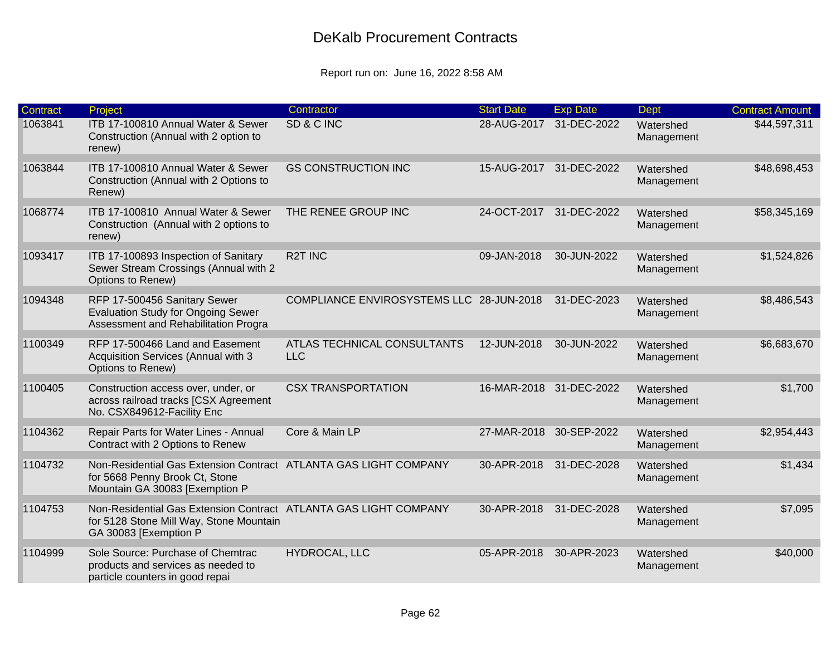| Contract | Project                                                                                                                              | Contractor                                | <b>Start Date</b>       | <b>Exp Date</b>         | <b>Dept</b>             | <b>Contract Amount</b> |
|----------|--------------------------------------------------------------------------------------------------------------------------------------|-------------------------------------------|-------------------------|-------------------------|-------------------------|------------------------|
| 1063841  | ITB 17-100810 Annual Water & Sewer<br>Construction (Annual with 2 option to<br>renew)                                                | SD & C INC                                | 28-AUG-2017             | 31-DEC-2022             | Watershed<br>Management | \$44,597,311           |
| 1063844  | ITB 17-100810 Annual Water & Sewer<br>Construction (Annual with 2 Options to<br>Renew)                                               | <b>GS CONSTRUCTION INC</b>                |                         | 15-AUG-2017 31-DEC-2022 | Watershed<br>Management | \$48,698,453           |
| 1068774  | ITB 17-100810 Annual Water & Sewer<br>Construction (Annual with 2 options to<br>renew)                                               | THE RENEE GROUP INC                       | 24-OCT-2017             | 31-DEC-2022             | Watershed<br>Management | \$58,345,169           |
| 1093417  | ITB 17-100893 Inspection of Sanitary<br>Sewer Stream Crossings (Annual with 2<br>Options to Renew)                                   | <b>R2T INC</b>                            | 09-JAN-2018             | 30-JUN-2022             | Watershed<br>Management | \$1,524,826            |
| 1094348  | RFP 17-500456 Sanitary Sewer<br><b>Evaluation Study for Ongoing Sewer</b><br>Assessment and Rehabilitation Progra                    | COMPLIANCE ENVIROSYSTEMS LLC 28-JUN-2018  |                         | 31-DEC-2023             | Watershed<br>Management | \$8,486,543            |
| 1100349  | RFP 17-500466 Land and Easement<br>Acquisition Services (Annual with 3<br>Options to Renew)                                          | ATLAS TECHNICAL CONSULTANTS<br><b>LLC</b> | 12-JUN-2018             | 30-JUN-2022             | Watershed<br>Management | \$6,683,670            |
| 1100405  | Construction access over, under, or<br>across railroad tracks [CSX Agreement<br>No. CSX849612-Facility Enc                           | <b>CSX TRANSPORTATION</b>                 |                         | 16-MAR-2018 31-DEC-2022 | Watershed<br>Management | \$1,700                |
| 1104362  | Repair Parts for Water Lines - Annual<br>Contract with 2 Options to Renew                                                            | Core & Main LP                            | 27-MAR-2018 30-SEP-2022 |                         | Watershed<br>Management | \$2,954,443            |
| 1104732  | Non-Residential Gas Extension Contract ATLANTA GAS LIGHT COMPANY<br>for 5668 Penny Brook Ct, Stone<br>Mountain GA 30083 [Exemption P |                                           | 30-APR-2018             | 31-DEC-2028             | Watershed<br>Management | \$1,434                |
| 1104753  | Non-Residential Gas Extension Contract ATLANTA GAS LIGHT COMPANY<br>for 5128 Stone Mill Way, Stone Mountain<br>GA 30083 [Exemption P |                                           | 30-APR-2018             | 31-DEC-2028             | Watershed<br>Management | \$7,095                |
| 1104999  | Sole Source: Purchase of Chemtrac<br>products and services as needed to<br>particle counters in good repai                           | HYDROCAL, LLC                             | 05-APR-2018             | 30-APR-2023             | Watershed<br>Management | \$40,000               |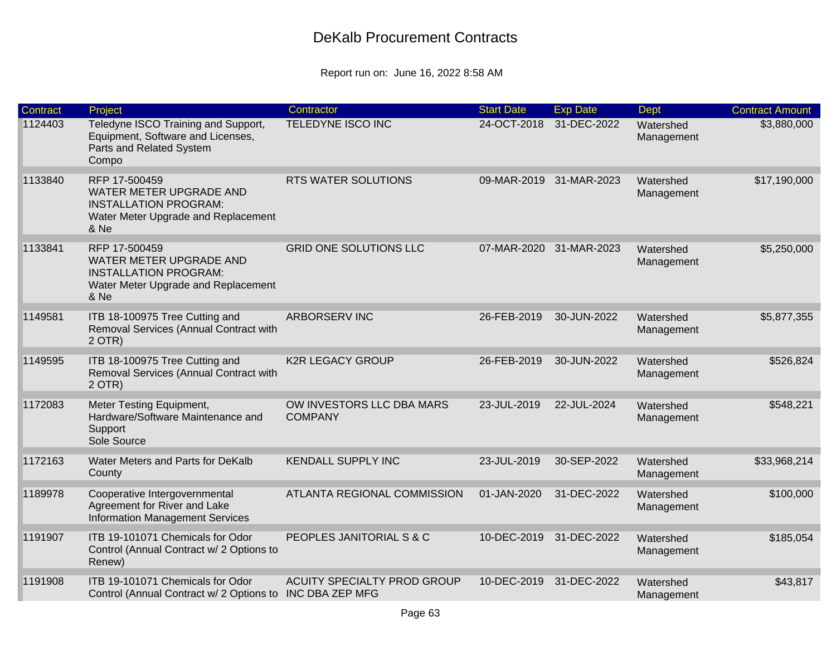| <b>Contract</b> | Project                                                                                                                 | Contractor                                     | <b>Start Date</b> | <b>Exp Date</b>         | Dept                    | <b>Contract Amount</b> |
|-----------------|-------------------------------------------------------------------------------------------------------------------------|------------------------------------------------|-------------------|-------------------------|-------------------------|------------------------|
| 1124403         | Teledyne ISCO Training and Support,<br>Equipment, Software and Licenses,<br>Parts and Related System<br>Compo           | TELEDYNE ISCO INC                              | 24-OCT-2018       | 31-DEC-2022             | Watershed<br>Management | \$3,880,000            |
| 1133840         | RFP 17-500459<br>WATER METER UPGRADE AND<br><b>INSTALLATION PROGRAM:</b><br>Water Meter Upgrade and Replacement<br>& Ne | <b>RTS WATER SOLUTIONS</b>                     |                   | 09-MAR-2019 31-MAR-2023 | Watershed<br>Management | \$17,190,000           |
| 1133841         | RFP 17-500459<br>WATER METER UPGRADE AND<br><b>INSTALLATION PROGRAM:</b><br>Water Meter Upgrade and Replacement<br>& Ne | <b>GRID ONE SOLUTIONS LLC</b>                  | 07-MAR-2020       | 31-MAR-2023             | Watershed<br>Management | \$5,250,000            |
| 1149581         | ITB 18-100975 Tree Cutting and<br>Removal Services (Annual Contract with<br>$2$ OTR)                                    | ARBORSERV INC                                  | 26-FEB-2019       | 30-JUN-2022             | Watershed<br>Management | \$5,877,355            |
| 1149595         | ITB 18-100975 Tree Cutting and<br>Removal Services (Annual Contract with<br>$2$ OTR)                                    | <b>K2R LEGACY GROUP</b>                        | 26-FEB-2019       | 30-JUN-2022             | Watershed<br>Management | \$526,824              |
| 1172083         | Meter Testing Equipment,<br>Hardware/Software Maintenance and<br>Support<br>Sole Source                                 | OW INVESTORS LLC DBA MARS<br><b>COMPANY</b>    | 23-JUL-2019       | 22-JUL-2024             | Watershed<br>Management | \$548,221              |
| 1172163         | Water Meters and Parts for DeKalb<br>County                                                                             | <b>KENDALL SUPPLY INC</b>                      | 23-JUL-2019       | 30-SEP-2022             | Watershed<br>Management | \$33,968,214           |
| 1189978         | Cooperative Intergovernmental<br>Agreement for River and Lake<br><b>Information Management Services</b>                 | <b>ATLANTA REGIONAL COMMISSION</b>             | 01-JAN-2020       | 31-DEC-2022             | Watershed<br>Management | \$100,000              |
| 1191907         | ITB 19-101071 Chemicals for Odor<br>Control (Annual Contract w/ 2 Options to<br>Renew)                                  | PEOPLES JANITORIAL S & C                       |                   | 10-DEC-2019 31-DEC-2022 | Watershed<br>Management | \$185,054              |
| 1191908         | ITB 19-101071 Chemicals for Odor<br>Control (Annual Contract w/ 2 Options to                                            | ACUITY SPECIALTY PROD GROUP<br>INC DBA ZEP MFG | 10-DEC-2019       | 31-DEC-2022             | Watershed<br>Management | \$43,817               |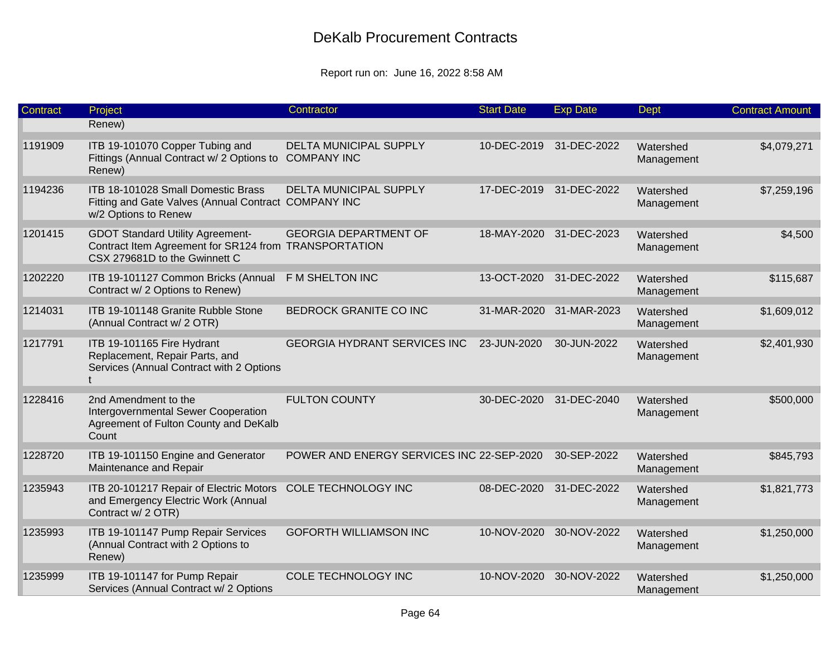| Contract | Project                                                                                                                           | Contractor                                   | <b>Start Date</b>       | <b>Exp Date</b> | <b>Dept</b>             | <b>Contract Amount</b> |
|----------|-----------------------------------------------------------------------------------------------------------------------------------|----------------------------------------------|-------------------------|-----------------|-------------------------|------------------------|
|          | Renew)                                                                                                                            |                                              |                         |                 |                         |                        |
| 1191909  | ITB 19-101070 Copper Tubing and<br>Fittings (Annual Contract w/ 2 Options to<br>Renew)                                            | DELTA MUNICIPAL SUPPLY<br><b>COMPANY INC</b> | 10-DEC-2019             | 31-DEC-2022     | Watershed<br>Management | \$4,079,271            |
| 1194236  | ITB 18-101028 Small Domestic Brass<br>Fitting and Gate Valves (Annual Contract COMPANY INC<br>w/2 Options to Renew                | <b>DELTA MUNICIPAL SUPPLY</b>                | 17-DEC-2019 31-DEC-2022 |                 | Watershed<br>Management | \$7,259,196            |
| 1201415  | <b>GDOT Standard Utility Agreement-</b><br>Contract Item Agreement for SR124 from TRANSPORTATION<br>CSX 279681D to the Gwinnett C | <b>GEORGIA DEPARTMENT OF</b>                 | 18-MAY-2020             | 31-DEC-2023     | Watershed<br>Management | \$4,500                |
| 1202220  | ITB 19-101127 Common Bricks (Annual<br>Contract w/ 2 Options to Renew)                                                            | F M SHELTON INC                              | 13-OCT-2020             | 31-DEC-2022     | Watershed<br>Management | \$115,687              |
| 1214031  | ITB 19-101148 Granite Rubble Stone<br>(Annual Contract w/ 2 OTR)                                                                  | BEDROCK GRANITE CO INC                       | 31-MAR-2020             | 31-MAR-2023     | Watershed<br>Management | \$1,609,012            |
| 1217791  | ITB 19-101165 Fire Hydrant<br>Replacement, Repair Parts, and<br>Services (Annual Contract with 2 Options                          | <b>GEORGIA HYDRANT SERVICES INC</b>          | 23-JUN-2020             | 30-JUN-2022     | Watershed<br>Management | \$2,401,930            |
| 1228416  | 2nd Amendment to the<br>Intergovernmental Sewer Cooperation<br>Agreement of Fulton County and DeKalb<br>Count                     | <b>FULTON COUNTY</b>                         | 30-DEC-2020             | 31-DEC-2040     | Watershed<br>Management | \$500,000              |
| 1228720  | ITB 19-101150 Engine and Generator<br>Maintenance and Repair                                                                      | POWER AND ENERGY SERVICES INC 22-SEP-2020    |                         | 30-SEP-2022     | Watershed<br>Management | \$845,793              |
| 1235943  | ITB 20-101217 Repair of Electric Motors<br>and Emergency Electric Work (Annual<br>Contract w/ 2 OTR)                              | COLE TECHNOLOGY INC                          | 08-DEC-2020             | 31-DEC-2022     | Watershed<br>Management | \$1,821,773            |
| 1235993  | ITB 19-101147 Pump Repair Services<br>(Annual Contract with 2 Options to<br>Renew)                                                | <b>GOFORTH WILLIAMSON INC</b>                | 10-NOV-2020             | 30-NOV-2022     | Watershed<br>Management | \$1,250,000            |
| 1235999  | ITB 19-101147 for Pump Repair<br>Services (Annual Contract w/ 2 Options                                                           | COLE TECHNOLOGY INC                          | 10-NOV-2020             | 30-NOV-2022     | Watershed<br>Management | \$1,250,000            |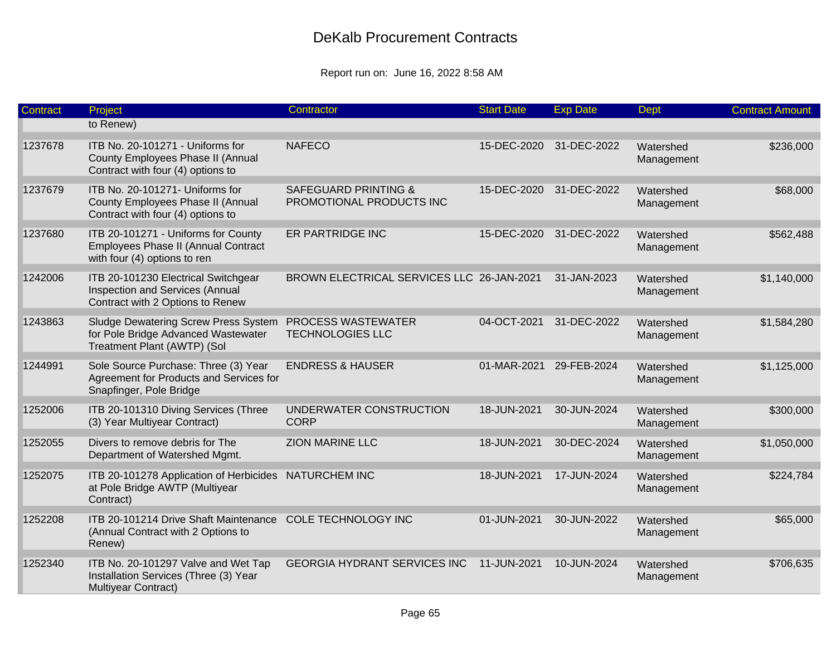| <b>Contract</b> | Project                                                                                                           | Contractor                                                  | <b>Start Date</b> | <b>Exp Date</b> | Dept                    | <b>Contract Amount</b> |
|-----------------|-------------------------------------------------------------------------------------------------------------------|-------------------------------------------------------------|-------------------|-----------------|-------------------------|------------------------|
|                 | to Renew)                                                                                                         |                                                             |                   |                 |                         |                        |
| 1237678         | ITB No. 20-101271 - Uniforms for<br>County Employees Phase II (Annual<br>Contract with four (4) options to        | <b>NAFECO</b>                                               | 15-DEC-2020       | 31-DEC-2022     | Watershed<br>Management | \$236,000              |
| 1237679         | ITB No. 20-101271- Uniforms for<br>County Employees Phase II (Annual<br>Contract with four (4) options to         | <b>SAFEGUARD PRINTING &amp;</b><br>PROMOTIONAL PRODUCTS INC | 15-DEC-2020       | 31-DEC-2022     | Watershed<br>Management | \$68,000               |
| 1237680         | ITB 20-101271 - Uniforms for County<br>Employees Phase II (Annual Contract<br>with four (4) options to ren        | ER PARTRIDGE INC                                            | 15-DEC-2020       | 31-DEC-2022     | Watershed<br>Management | \$562,488              |
| 1242006         | ITB 20-101230 Electrical Switchgear<br>Inspection and Services (Annual<br>Contract with 2 Options to Renew        | BROWN ELECTRICAL SERVICES LLC 26-JAN-2021                   |                   | 31-JAN-2023     | Watershed<br>Management | \$1,140,000            |
| 1243863         | <b>Sludge Dewatering Screw Press System</b><br>for Pole Bridge Advanced Wastewater<br>Treatment Plant (AWTP) (Sol | PROCESS WASTEWATER<br><b>TECHNOLOGIES LLC</b>               | 04-OCT-2021       | 31-DEC-2022     | Watershed<br>Management | \$1,584,280            |
| 1244991         | Sole Source Purchase: Three (3) Year<br>Agreement for Products and Services for<br>Snapfinger, Pole Bridge        | <b>ENDRESS &amp; HAUSER</b>                                 | 01-MAR-2021       | 29-FEB-2024     | Watershed<br>Management | \$1,125,000            |
| 1252006         | ITB 20-101310 Diving Services (Three<br>(3) Year Multiyear Contract)                                              | UNDERWATER CONSTRUCTION<br><b>CORP</b>                      | 18-JUN-2021       | 30-JUN-2024     | Watershed<br>Management | \$300,000              |
| 1252055         | Divers to remove debris for The<br>Department of Watershed Mgmt.                                                  | <b>ZION MARINE LLC</b>                                      | 18-JUN-2021       | 30-DEC-2024     | Watershed<br>Management | \$1,050,000            |
| 1252075         | ITB 20-101278 Application of Herbicides<br>at Pole Bridge AWTP (Multiyear<br>Contract)                            | <b>NATURCHEM INC</b>                                        | 18-JUN-2021       | 17-JUN-2024     | Watershed<br>Management | \$224,784              |
| 1252208         | ITB 20-101214 Drive Shaft Maintenance<br>(Annual Contract with 2 Options to<br>Renew)                             | COLE TECHNOLOGY INC                                         | 01-JUN-2021       | 30-JUN-2022     | Watershed<br>Management | \$65,000               |
| 1252340         | ITB No. 20-101297 Valve and Wet Tap<br>Installation Services (Three (3) Year<br>Multiyear Contract)               | <b>GEORGIA HYDRANT SERVICES INC</b>                         | 11-JUN-2021       | 10-JUN-2024     | Watershed<br>Management | \$706,635              |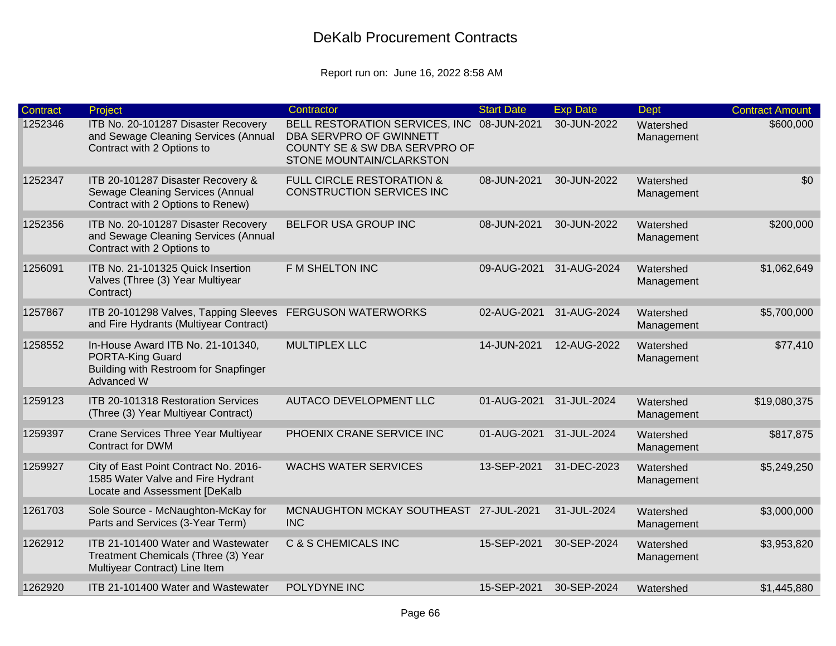| Contract | Project                                                                                                             | Contractor                                                                                                                         | <b>Start Date</b> | <b>Exp Date</b> | <b>Dept</b>             | <b>Contract Amount</b> |
|----------|---------------------------------------------------------------------------------------------------------------------|------------------------------------------------------------------------------------------------------------------------------------|-------------------|-----------------|-------------------------|------------------------|
| 1252346  | ITB No. 20-101287 Disaster Recovery<br>and Sewage Cleaning Services (Annual<br>Contract with 2 Options to           | BELL RESTORATION SERVICES, INC 08-JUN-2021<br>DBA SERVPRO OF GWINNETT<br>COUNTY SE & SW DBA SERVPRO OF<br>STONE MOUNTAIN/CLARKSTON |                   | 30-JUN-2022     | Watershed<br>Management | \$600,000              |
| 1252347  | ITB 20-101287 Disaster Recovery &<br>Sewage Cleaning Services (Annual<br>Contract with 2 Options to Renew)          | <b>FULL CIRCLE RESTORATION &amp;</b><br><b>CONSTRUCTION SERVICES INC</b>                                                           | 08-JUN-2021       | 30-JUN-2022     | Watershed<br>Management | \$0                    |
| 1252356  | ITB No. 20-101287 Disaster Recovery<br>and Sewage Cleaning Services (Annual<br>Contract with 2 Options to           | <b>BELFOR USA GROUP INC</b>                                                                                                        | 08-JUN-2021       | 30-JUN-2022     | Watershed<br>Management | \$200,000              |
| 1256091  | ITB No. 21-101325 Quick Insertion<br>Valves (Three (3) Year Multiyear<br>Contract)                                  | F M SHELTON INC                                                                                                                    | 09-AUG-2021       | 31-AUG-2024     | Watershed<br>Management | \$1,062,649            |
| 1257867  | ITB 20-101298 Valves, Tapping Sleeves<br>and Fire Hydrants (Multiyear Contract)                                     | <b>FERGUSON WATERWORKS</b>                                                                                                         | 02-AUG-2021       | 31-AUG-2024     | Watershed<br>Management | \$5,700,000            |
| 1258552  | In-House Award ITB No. 21-101340,<br><b>PORTA-King Guard</b><br>Building with Restroom for Snapfinger<br>Advanced W | <b>MULTIPLEX LLC</b>                                                                                                               | 14-JUN-2021       | 12-AUG-2022     | Watershed<br>Management | \$77,410               |
| 1259123  | <b>ITB 20-101318 Restoration Services</b><br>(Three (3) Year Multiyear Contract)                                    | <b>AUTACO DEVELOPMENT LLC</b>                                                                                                      | 01-AUG-2021       | 31-JUL-2024     | Watershed<br>Management | \$19,080,375           |
| 1259397  | <b>Crane Services Three Year Multiyear</b><br><b>Contract for DWM</b>                                               | PHOENIX CRANE SERVICE INC                                                                                                          | 01-AUG-2021       | 31-JUL-2024     | Watershed<br>Management | \$817,875              |
| 1259927  | City of East Point Contract No. 2016-<br>1585 Water Valve and Fire Hydrant<br>Locate and Assessment [DeKalb         | <b>WACHS WATER SERVICES</b>                                                                                                        | 13-SEP-2021       | 31-DEC-2023     | Watershed<br>Management | \$5,249,250            |
| 1261703  | Sole Source - McNaughton-McKay for<br>Parts and Services (3-Year Term)                                              | MCNAUGHTON MCKAY SOUTHEAST 27-JUL-2021<br><b>INC</b>                                                                               |                   | 31-JUL-2024     | Watershed<br>Management | \$3,000,000            |
| 1262912  | ITB 21-101400 Water and Wastewater<br>Treatment Chemicals (Three (3) Year<br>Multiyear Contract) Line Item          | <b>C &amp; S CHEMICALS INC</b>                                                                                                     | 15-SEP-2021       | 30-SEP-2024     | Watershed<br>Management | \$3,953,820            |
| 1262920  | ITB 21-101400 Water and Wastewater                                                                                  | POLYDYNE INC                                                                                                                       | 15-SEP-2021       | 30-SEP-2024     | Watershed               | \$1,445,880            |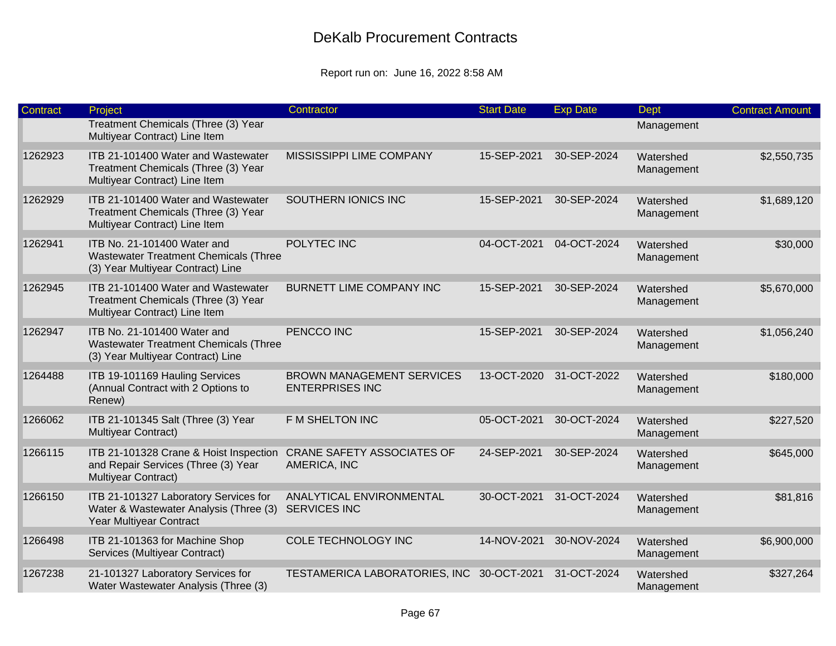| <b>Contract</b> | Project                                                                                                          | Contractor                                                 | <b>Start Date</b> | <b>Exp Date</b> | <b>Dept</b>             | <b>Contract Amount</b> |
|-----------------|------------------------------------------------------------------------------------------------------------------|------------------------------------------------------------|-------------------|-----------------|-------------------------|------------------------|
|                 | Treatment Chemicals (Three (3) Year<br>Multiyear Contract) Line Item                                             |                                                            |                   |                 | Management              |                        |
| 1262923         | ITB 21-101400 Water and Wastewater<br>Treatment Chemicals (Three (3) Year<br>Multiyear Contract) Line Item       | MISSISSIPPI LIME COMPANY                                   | 15-SEP-2021       | 30-SEP-2024     | Watershed<br>Management | \$2,550,735            |
| 1262929         | ITB 21-101400 Water and Wastewater<br>Treatment Chemicals (Three (3) Year<br>Multiyear Contract) Line Item       | SOUTHERN IONICS INC                                        | 15-SEP-2021       | 30-SEP-2024     | Watershed<br>Management | \$1,689,120            |
| 1262941         | ITB No. 21-101400 Water and<br><b>Wastewater Treatment Chemicals (Three</b><br>(3) Year Multiyear Contract) Line | POLYTEC INC                                                | 04-OCT-2021       | 04-OCT-2024     | Watershed<br>Management | \$30,000               |
| 1262945         | ITB 21-101400 Water and Wastewater<br>Treatment Chemicals (Three (3) Year<br>Multiyear Contract) Line Item       | <b>BURNETT LIME COMPANY INC</b>                            | 15-SEP-2021       | 30-SEP-2024     | Watershed<br>Management | \$5,670,000            |
| 1262947         | ITB No. 21-101400 Water and<br><b>Wastewater Treatment Chemicals (Three</b><br>(3) Year Multiyear Contract) Line | PENCCO INC                                                 | 15-SEP-2021       | 30-SEP-2024     | Watershed<br>Management | \$1,056,240            |
| 1264488         | ITB 19-101169 Hauling Services<br>(Annual Contract with 2 Options to<br>Renew)                                   | <b>BROWN MANAGEMENT SERVICES</b><br><b>ENTERPRISES INC</b> | 13-OCT-2020       | 31-OCT-2022     | Watershed<br>Management | \$180,000              |
| 1266062         | ITB 21-101345 Salt (Three (3) Year<br>Multiyear Contract)                                                        | F M SHELTON INC                                            | 05-OCT-2021       | 30-OCT-2024     | Watershed<br>Management | \$227,520              |
| 1266115         | ITB 21-101328 Crane & Hoist Inspection<br>and Repair Services (Three (3) Year<br>Multiyear Contract)             | <b>CRANE SAFETY ASSOCIATES OF</b><br>AMERICA, INC          | 24-SEP-2021       | 30-SEP-2024     | Watershed<br>Management | \$645,000              |
| 1266150         | ITB 21-101327 Laboratory Services for<br>Water & Wastewater Analysis (Three (3)<br>Year Multiyear Contract       | ANALYTICAL ENVIRONMENTAL<br><b>SERVICES INC</b>            | 30-OCT-2021       | 31-OCT-2024     | Watershed<br>Management | \$81,816               |
| 1266498         | ITB 21-101363 for Machine Shop<br>Services (Multiyear Contract)                                                  | COLE TECHNOLOGY INC                                        | 14-NOV-2021       | 30-NOV-2024     | Watershed<br>Management | \$6,900,000            |
| 1267238         | 21-101327 Laboratory Services for<br>Water Wastewater Analysis (Three (3)                                        | TESTAMERICA LABORATORIES, INC                              | 30-OCT-2021       | 31-OCT-2024     | Watershed<br>Management | \$327,264              |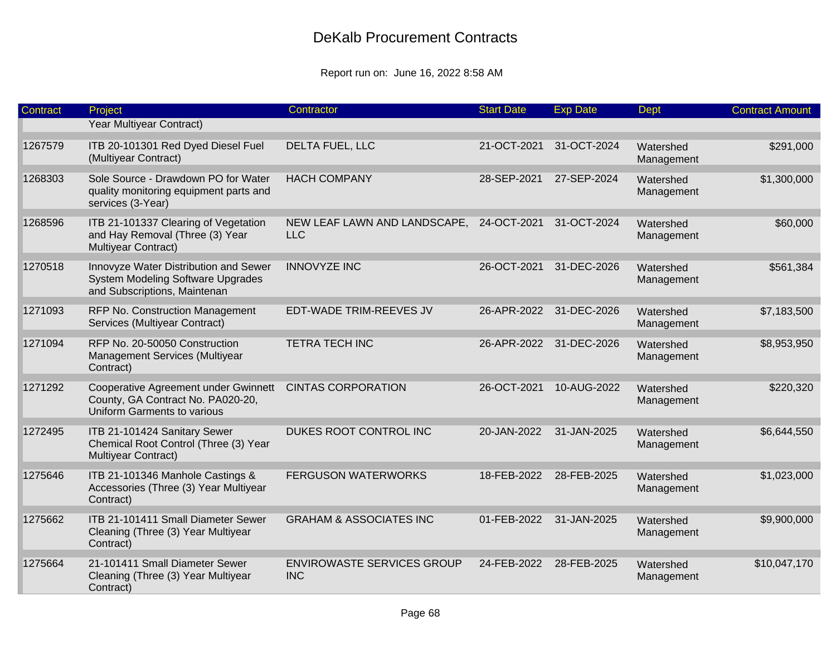| <b>Contract</b> | Project                                                                                                           | Contractor                                      | <b>Start Date</b> | <b>Exp Date</b>         | <b>Dept</b>             | <b>Contract Amount</b> |
|-----------------|-------------------------------------------------------------------------------------------------------------------|-------------------------------------------------|-------------------|-------------------------|-------------------------|------------------------|
|                 | Year Multiyear Contract)                                                                                          |                                                 |                   |                         |                         |                        |
| 1267579         | ITB 20-101301 Red Dyed Diesel Fuel<br>(Multiyear Contract)                                                        | DELTA FUEL, LLC                                 | 21-OCT-2021       | 31-OCT-2024             | Watershed<br>Management | \$291,000              |
| 1268303         | Sole Source - Drawdown PO for Water<br>quality monitoring equipment parts and<br>services (3-Year)                | <b>HACH COMPANY</b>                             | 28-SEP-2021       | 27-SEP-2024             | Watershed<br>Management | \$1,300,000            |
| 1268596         | ITB 21-101337 Clearing of Vegetation<br>and Hay Removal (Three (3) Year<br>Multiyear Contract)                    | NEW LEAF LAWN AND LANDSCAPE,<br><b>LLC</b>      | 24-OCT-2021       | 31-OCT-2024             | Watershed<br>Management | \$60,000               |
| 1270518         | Innovyze Water Distribution and Sewer<br><b>System Modeling Software Upgrades</b><br>and Subscriptions, Maintenan | <b>INNOVYZE INC</b>                             | 26-OCT-2021       | 31-DEC-2026             | Watershed<br>Management | \$561,384              |
| 1271093         | RFP No. Construction Management<br>Services (Multiyear Contract)                                                  | EDT-WADE TRIM-REEVES JV                         |                   | 26-APR-2022 31-DEC-2026 | Watershed<br>Management | \$7,183,500            |
| 1271094         | RFP No. 20-50050 Construction<br>Management Services (Multiyear<br>Contract)                                      | <b>TETRA TECH INC</b>                           | 26-APR-2022       | 31-DEC-2026             | Watershed<br>Management | \$8,953,950            |
| 1271292         | Cooperative Agreement under Gwinnett<br>County, GA Contract No. PA020-20,<br>Uniform Garments to various          | <b>CINTAS CORPORATION</b>                       | 26-OCT-2021       | 10-AUG-2022             | Watershed<br>Management | \$220,320              |
| 1272495         | ITB 21-101424 Sanitary Sewer<br>Chemical Root Control (Three (3) Year<br>Multiyear Contract)                      | DUKES ROOT CONTROL INC                          | 20-JAN-2022       | 31-JAN-2025             | Watershed<br>Management | \$6,644,550            |
| 1275646         | ITB 21-101346 Manhole Castings &<br>Accessories (Three (3) Year Multiyear<br>Contract)                            | <b>FERGUSON WATERWORKS</b>                      | 18-FEB-2022       | 28-FEB-2025             | Watershed<br>Management | \$1,023,000            |
| 1275662         | ITB 21-101411 Small Diameter Sewer<br>Cleaning (Three (3) Year Multiyear<br>Contract)                             | <b>GRAHAM &amp; ASSOCIATES INC</b>              | 01-FEB-2022       | 31-JAN-2025             | Watershed<br>Management | \$9,900,000            |
| 1275664         | 21-101411 Small Diameter Sewer<br>Cleaning (Three (3) Year Multiyear<br>Contract)                                 | <b>ENVIROWASTE SERVICES GROUP</b><br><b>INC</b> | 24-FEB-2022       | 28-FEB-2025             | Watershed<br>Management | \$10,047,170           |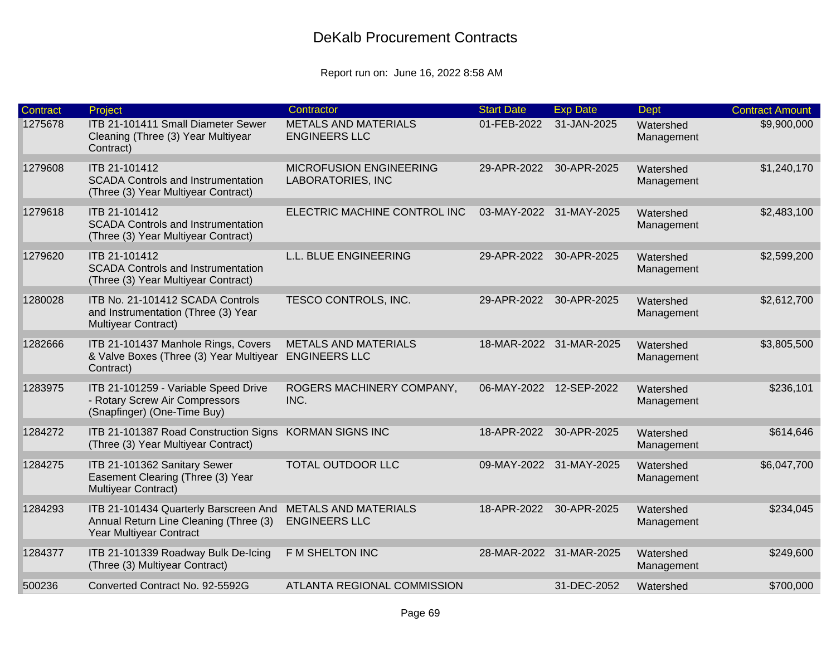| <b>Contract</b> | Project                                                                                                    | Contractor                                                 | <b>Start Date</b> | <b>Exp Date</b>         | Dept                    | <b>Contract Amount</b> |
|-----------------|------------------------------------------------------------------------------------------------------------|------------------------------------------------------------|-------------------|-------------------------|-------------------------|------------------------|
| 1275678         | ITB 21-101411 Small Diameter Sewer<br>Cleaning (Three (3) Year Multiyear<br>Contract)                      | <b>METALS AND MATERIALS</b><br><b>ENGINEERS LLC</b>        | 01-FEB-2022       | 31-JAN-2025             | Watershed<br>Management | \$9,900,000            |
| 1279608         | ITB 21-101412<br><b>SCADA Controls and Instrumentation</b><br>(Three (3) Year Multiyear Contract)          | <b>MICROFUSION ENGINEERING</b><br><b>LABORATORIES, INC</b> | 29-APR-2022       | 30-APR-2025             | Watershed<br>Management | \$1,240,170            |
| 1279618         | ITB 21-101412<br><b>SCADA Controls and Instrumentation</b><br>(Three (3) Year Multiyear Contract)          | ELECTRIC MACHINE CONTROL INC                               |                   | 03-MAY-2022 31-MAY-2025 | Watershed<br>Management | \$2,483,100            |
| 1279620         | ITB 21-101412<br><b>SCADA Controls and Instrumentation</b><br>(Three (3) Year Multiyear Contract)          | L.L. BLUE ENGINEERING                                      | 29-APR-2022       | 30-APR-2025             | Watershed<br>Management | \$2,599,200            |
| 1280028         | ITB No. 21-101412 SCADA Controls<br>and Instrumentation (Three (3) Year<br>Multiyear Contract)             | TESCO CONTROLS, INC.                                       | 29-APR-2022       | 30-APR-2025             | Watershed<br>Management | \$2,612,700            |
| 1282666         | ITB 21-101437 Manhole Rings, Covers<br>& Valve Boxes (Three (3) Year Multiyear<br>Contract)                | <b>METALS AND MATERIALS</b><br><b>ENGINEERS LLC</b>        |                   | 18-MAR-2022 31-MAR-2025 | Watershed<br>Management | \$3,805,500            |
| 1283975         | ITB 21-101259 - Variable Speed Drive<br>- Rotary Screw Air Compressors<br>(Snapfinger) (One-Time Buy)      | ROGERS MACHINERY COMPANY,<br>INC.                          | 06-MAY-2022       | 12-SEP-2022             | Watershed<br>Management | \$236,101              |
| 1284272         | ITB 21-101387 Road Construction Signs<br>(Three (3) Year Multiyear Contract)                               | <b>KORMAN SIGNS INC</b>                                    | 18-APR-2022       | 30-APR-2025             | Watershed<br>Management | \$614,646              |
| 1284275         | ITB 21-101362 Sanitary Sewer<br>Easement Clearing (Three (3) Year<br>Multiyear Contract)                   | TOTAL OUTDOOR LLC                                          |                   | 09-MAY-2022 31-MAY-2025 | Watershed<br>Management | \$6,047,700            |
| 1284293         | ITB 21-101434 Quarterly Barscreen And<br>Annual Return Line Cleaning (Three (3)<br>Year Multiyear Contract | <b>METALS AND MATERIALS</b><br><b>ENGINEERS LLC</b>        |                   | 18-APR-2022 30-APR-2025 | Watershed<br>Management | \$234,045              |
| 1284377         | ITB 21-101339 Roadway Bulk De-Icing<br>(Three (3) Multiyear Contract)                                      | F M SHELTON INC                                            |                   | 28-MAR-2022 31-MAR-2025 | Watershed<br>Management | \$249,600              |
| 500236          | Converted Contract No. 92-5592G                                                                            | <b>ATLANTA REGIONAL COMMISSION</b>                         |                   | 31-DEC-2052             | Watershed               | \$700,000              |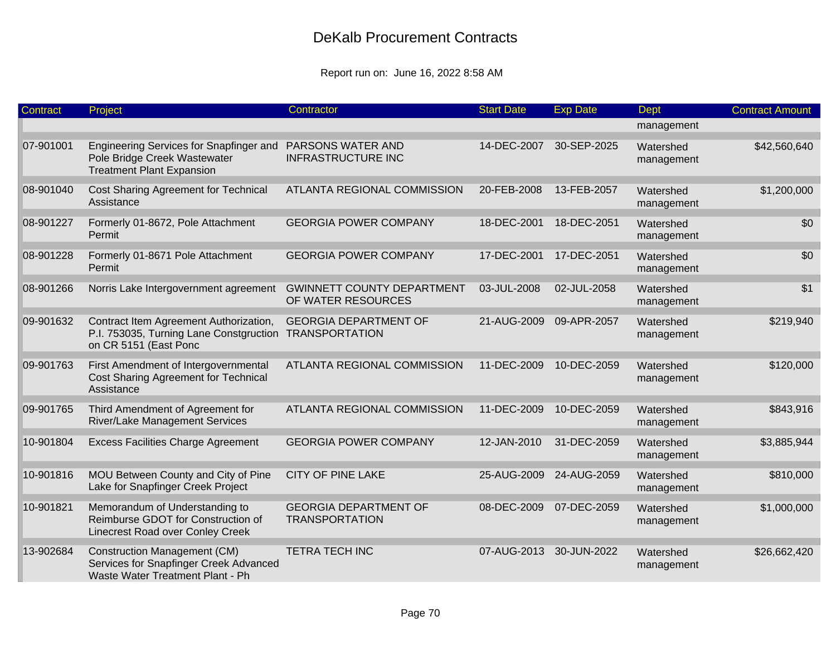| Contract  | Project                                                                                                           | Contractor                                              | <b>Start Date</b> | <b>Exp Date</b> | <b>Dept</b>             | <b>Contract Amount</b> |
|-----------|-------------------------------------------------------------------------------------------------------------------|---------------------------------------------------------|-------------------|-----------------|-------------------------|------------------------|
|           |                                                                                                                   |                                                         |                   |                 | management              |                        |
| 07-901001 | Engineering Services for Snapfinger and<br>Pole Bridge Creek Wastewater<br><b>Treatment Plant Expansion</b>       | PARSONS WATER AND<br><b>INFRASTRUCTURE INC</b>          | 14-DEC-2007       | 30-SEP-2025     | Watershed<br>management | \$42,560,640           |
| 08-901040 | Cost Sharing Agreement for Technical<br>Assistance                                                                | <b>ATLANTA REGIONAL COMMISSION</b>                      | 20-FEB-2008       | 13-FEB-2057     | Watershed<br>management | \$1,200,000            |
| 08-901227 | Formerly 01-8672, Pole Attachment<br>Permit                                                                       | <b>GEORGIA POWER COMPANY</b>                            | 18-DEC-2001       | 18-DEC-2051     | Watershed<br>management | \$0                    |
| 08-901228 | Formerly 01-8671 Pole Attachment<br>Permit                                                                        | <b>GEORGIA POWER COMPANY</b>                            | 17-DEC-2001       | 17-DEC-2051     | Watershed<br>management | \$0                    |
| 08-901266 | Norris Lake Intergovernment agreement                                                                             | <b>GWINNETT COUNTY DEPARTMENT</b><br>OF WATER RESOURCES | 03-JUL-2008       | 02-JUL-2058     | Watershed<br>management | \$1                    |
| 09-901632 | Contract Item Agreement Authorization,<br>P.I. 753035, Turning Lane Constgruction<br>on CR 5151 (East Ponc        | <b>GEORGIA DEPARTMENT OF</b><br><b>TRANSPORTATION</b>   | 21-AUG-2009       | 09-APR-2057     | Watershed<br>management | \$219,940              |
| 09-901763 | First Amendment of Intergovernmental<br>Cost Sharing Agreement for Technical<br>Assistance                        | ATLANTA REGIONAL COMMISSION                             | 11-DEC-2009       | 10-DEC-2059     | Watershed<br>management | \$120,000              |
| 09-901765 | Third Amendment of Agreement for<br><b>River/Lake Management Services</b>                                         | ATLANTA REGIONAL COMMISSION                             | 11-DEC-2009       | 10-DEC-2059     | Watershed<br>management | \$843,916              |
| 10-901804 | <b>Excess Facilities Charge Agreement</b>                                                                         | <b>GEORGIA POWER COMPANY</b>                            | 12-JAN-2010       | 31-DEC-2059     | Watershed<br>management | \$3,885,944            |
| 10-901816 | MOU Between County and City of Pine<br>Lake for Snapfinger Creek Project                                          | <b>CITY OF PINE LAKE</b>                                | 25-AUG-2009       | 24-AUG-2059     | Watershed<br>management | \$810,000              |
| 10-901821 | Memorandum of Understanding to<br>Reimburse GDOT for Construction of<br>Linecrest Road over Conley Creek          | <b>GEORGIA DEPARTMENT OF</b><br><b>TRANSPORTATION</b>   | 08-DEC-2009       | 07-DEC-2059     | Watershed<br>management | \$1,000,000            |
| 13-902684 | <b>Construction Management (CM)</b><br>Services for Snapfinger Creek Advanced<br>Waste Water Treatment Plant - Ph | <b>TETRA TECH INC</b>                                   | 07-AUG-2013       | 30-JUN-2022     | Watershed<br>management | \$26,662,420           |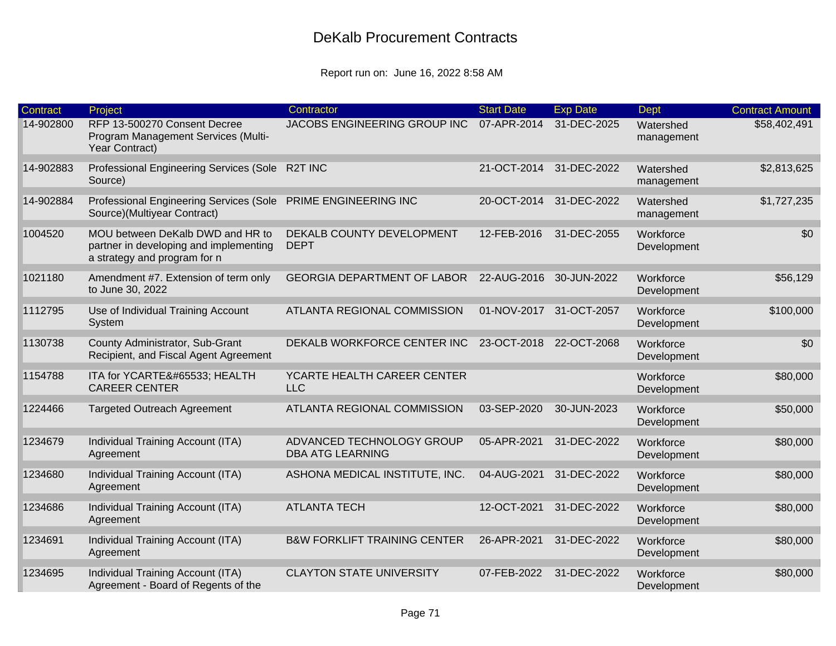| <b>Contract</b> | Project                                                                                                    | Contractor                                           | <b>Start Date</b>       | <b>Exp Date</b> | <b>Dept</b>              | <b>Contract Amount</b> |
|-----------------|------------------------------------------------------------------------------------------------------------|------------------------------------------------------|-------------------------|-----------------|--------------------------|------------------------|
| 14-902800       | RFP 13-500270 Consent Decree<br>Program Management Services (Multi-<br>Year Contract)                      | JACOBS ENGINEERING GROUP INC                         | 07-APR-2014             | 31-DEC-2025     | Watershed<br>management  | \$58,402,491           |
| 14-902883       | Professional Engineering Services (Sole<br>Source)                                                         | R2T INC                                              | 21-OCT-2014             | 31-DEC-2022     | Watershed<br>management  | \$2,813,625            |
| 14-902884       | <b>Professional Engineering Services (Sole</b><br>Source)(Multiyear Contract)                              | PRIME ENGINEERING INC                                | 20-OCT-2014             | 31-DEC-2022     | Watershed<br>management  | \$1,727,235            |
| 1004520         | MOU between DeKalb DWD and HR to<br>partner in developing and implementing<br>a strategy and program for n | DEKALB COUNTY DEVELOPMENT<br><b>DEPT</b>             | 12-FEB-2016             | 31-DEC-2055     | Workforce<br>Development | \$0                    |
| 1021180         | Amendment #7. Extension of term only<br>to June 30, 2022                                                   | <b>GEORGIA DEPARTMENT OF LABOR</b>                   | 22-AUG-2016             | 30-JUN-2022     | Workforce<br>Development | \$56,129               |
| 1112795         | Use of Individual Training Account<br>System                                                               | ATLANTA REGIONAL COMMISSION                          | 01-NOV-2017 31-OCT-2057 |                 | Workforce<br>Development | \$100,000              |
| 1130738         | County Administrator, Sub-Grant<br>Recipient, and Fiscal Agent Agreement                                   | DEKALB WORKFORCE CENTER INC                          | 23-OCT-2018 22-OCT-2068 |                 | Workforce<br>Development | \$0                    |
| 1154788         | ITA for YCARTE� HEALTH<br><b>CAREER CENTER</b>                                                             | YCARTE HEALTH CAREER CENTER<br><b>LLC</b>            |                         |                 | Workforce<br>Development | \$80,000               |
| 1224466         | <b>Targeted Outreach Agreement</b>                                                                         | ATLANTA REGIONAL COMMISSION                          | 03-SEP-2020             | 30-JUN-2023     | Workforce<br>Development | \$50,000               |
| 1234679         | Individual Training Account (ITA)<br>Agreement                                                             | ADVANCED TECHNOLOGY GROUP<br><b>DBA ATG LEARNING</b> | 05-APR-2021             | 31-DEC-2022     | Workforce<br>Development | \$80,000               |
| 1234680         | Individual Training Account (ITA)<br>Agreement                                                             | ASHONA MEDICAL INSTITUTE, INC.                       | 04-AUG-2021             | 31-DEC-2022     | Workforce<br>Development | \$80,000               |
| 1234686         | Individual Training Account (ITA)<br>Agreement                                                             | <b>ATLANTA TECH</b>                                  | 12-OCT-2021             | 31-DEC-2022     | Workforce<br>Development | \$80,000               |
| 1234691         | Individual Training Account (ITA)<br>Agreement                                                             | <b>B&amp;W FORKLIFT TRAINING CENTER</b>              | 26-APR-2021             | 31-DEC-2022     | Workforce<br>Development | \$80,000               |
| 1234695         | Individual Training Account (ITA)<br>Agreement - Board of Regents of the                                   | <b>CLAYTON STATE UNIVERSITY</b>                      | 07-FEB-2022             | 31-DEC-2022     | Workforce<br>Development | \$80,000               |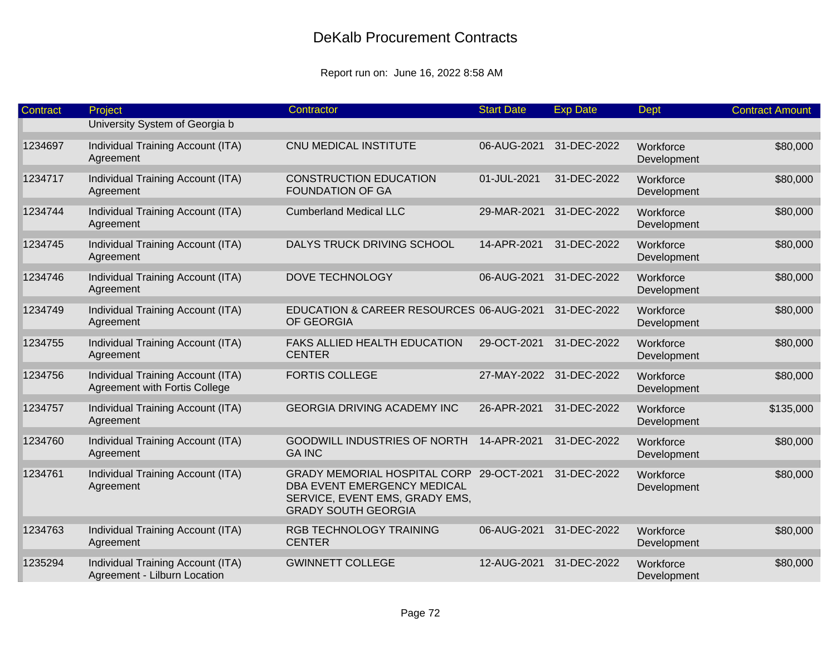| Contract | Project                                                            | Contractor                                                                                                                              | <b>Start Date</b> | <b>Exp Date</b> | Dept                     | <b>Contract Amount</b> |
|----------|--------------------------------------------------------------------|-----------------------------------------------------------------------------------------------------------------------------------------|-------------------|-----------------|--------------------------|------------------------|
|          | University System of Georgia b                                     |                                                                                                                                         |                   |                 |                          |                        |
| 1234697  | Individual Training Account (ITA)<br>Agreement                     | CNU MEDICAL INSTITUTE                                                                                                                   | 06-AUG-2021       | 31-DEC-2022     | Workforce<br>Development | \$80,000               |
| 1234717  | Individual Training Account (ITA)<br>Agreement                     | <b>CONSTRUCTION EDUCATION</b><br><b>FOUNDATION OF GA</b>                                                                                | 01-JUL-2021       | 31-DEC-2022     | Workforce<br>Development | \$80,000               |
| 1234744  | Individual Training Account (ITA)<br>Agreement                     | <b>Cumberland Medical LLC</b>                                                                                                           | 29-MAR-2021       | 31-DEC-2022     | Workforce<br>Development | \$80,000               |
| 1234745  | Individual Training Account (ITA)<br>Agreement                     | DALYS TRUCK DRIVING SCHOOL                                                                                                              | 14-APR-2021       | 31-DEC-2022     | Workforce<br>Development | \$80,000               |
| 1234746  | Individual Training Account (ITA)<br>Agreement                     | DOVE TECHNOLOGY                                                                                                                         | 06-AUG-2021       | 31-DEC-2022     | Workforce<br>Development | \$80,000               |
| 1234749  | Individual Training Account (ITA)<br>Agreement                     | EDUCATION & CAREER RESOURCES 06-AUG-2021<br>OF GEORGIA                                                                                  |                   | 31-DEC-2022     | Workforce<br>Development | \$80,000               |
| 1234755  | Individual Training Account (ITA)<br>Agreement                     | FAKS ALLIED HEALTH EDUCATION<br><b>CENTER</b>                                                                                           | 29-OCT-2021       | 31-DEC-2022     | Workforce<br>Development | \$80,000               |
| 1234756  | Individual Training Account (ITA)<br>Agreement with Fortis College | <b>FORTIS COLLEGE</b>                                                                                                                   | 27-MAY-2022       | 31-DEC-2022     | Workforce<br>Development | \$80,000               |
| 1234757  | Individual Training Account (ITA)<br>Agreement                     | <b>GEORGIA DRIVING ACADEMY INC</b>                                                                                                      | 26-APR-2021       | 31-DEC-2022     | Workforce<br>Development | \$135,000              |
| 1234760  | Individual Training Account (ITA)<br>Agreement                     | <b>GOODWILL INDUSTRIES OF NORTH</b><br><b>GA INC</b>                                                                                    | 14-APR-2021       | 31-DEC-2022     | Workforce<br>Development | \$80,000               |
| 1234761  | Individual Training Account (ITA)<br>Agreement                     | GRADY MEMORIAL HOSPITAL CORP 29-OCT-2021<br>DBA EVENT EMERGENCY MEDICAL<br>SERVICE, EVENT EMS, GRADY EMS,<br><b>GRADY SOUTH GEORGIA</b> |                   | 31-DEC-2022     | Workforce<br>Development | \$80,000               |
| 1234763  | Individual Training Account (ITA)<br>Agreement                     | RGB TECHNOLOGY TRAINING<br><b>CENTER</b>                                                                                                | 06-AUG-2021       | 31-DEC-2022     | Workforce<br>Development | \$80,000               |
| 1235294  | Individual Training Account (ITA)<br>Agreement - Lilburn Location  | <b>GWINNETT COLLEGE</b>                                                                                                                 | 12-AUG-2021       | 31-DEC-2022     | Workforce<br>Development | \$80,000               |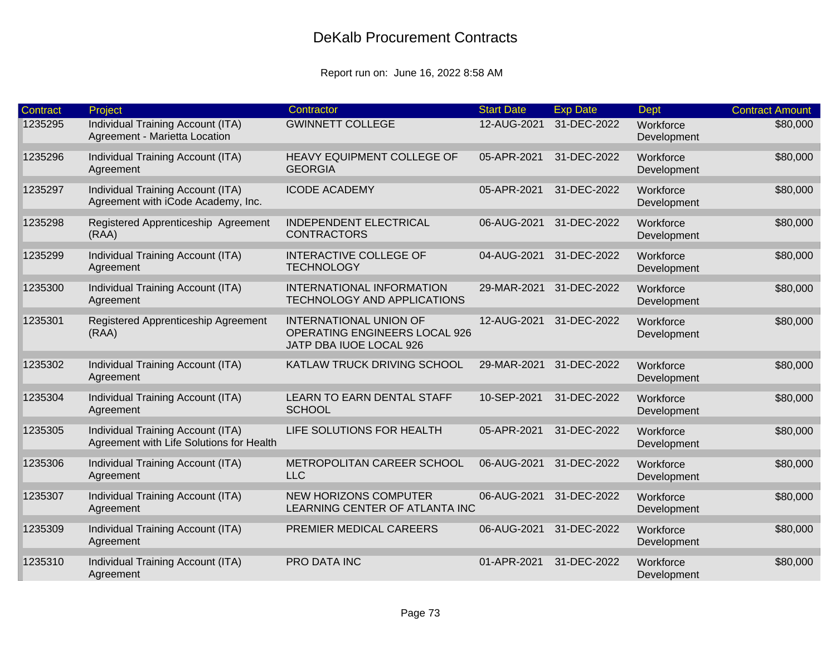| Contract | Project                                                                       | Contractor                                                                                | <b>Start Date</b> | <b>Exp Date</b> | Dept                     | <b>Contract Amount</b> |
|----------|-------------------------------------------------------------------------------|-------------------------------------------------------------------------------------------|-------------------|-----------------|--------------------------|------------------------|
| 1235295  | Individual Training Account (ITA)<br>Agreement - Marietta Location            | <b>GWINNETT COLLEGE</b>                                                                   | 12-AUG-2021       | 31-DEC-2022     | Workforce<br>Development | \$80,000               |
| 1235296  | Individual Training Account (ITA)<br>Agreement                                | HEAVY EQUIPMENT COLLEGE OF<br><b>GEORGIA</b>                                              | 05-APR-2021       | 31-DEC-2022     | Workforce<br>Development | \$80,000               |
| 1235297  | Individual Training Account (ITA)<br>Agreement with iCode Academy, Inc.       | <b>ICODE ACADEMY</b>                                                                      | 05-APR-2021       | 31-DEC-2022     | Workforce<br>Development | \$80,000               |
| 1235298  | Registered Apprenticeship Agreement<br>(RAA)                                  | <b>INDEPENDENT ELECTRICAL</b><br><b>CONTRACTORS</b>                                       | 06-AUG-2021       | 31-DEC-2022     | Workforce<br>Development | \$80,000               |
| 1235299  | Individual Training Account (ITA)<br>Agreement                                | <b>INTERACTIVE COLLEGE OF</b><br><b>TECHNOLOGY</b>                                        | 04-AUG-2021       | 31-DEC-2022     | Workforce<br>Development | \$80,000               |
| 1235300  | Individual Training Account (ITA)<br>Agreement                                | INTERNATIONAL INFORMATION<br>TECHNOLOGY AND APPLICATIONS                                  | 29-MAR-2021       | 31-DEC-2022     | Workforce<br>Development | \$80,000               |
| 1235301  | Registered Apprenticeship Agreement<br>(RAA)                                  | <b>INTERNATIONAL UNION OF</b><br>OPERATING ENGINEERS LOCAL 926<br>JATP DBA IUOE LOCAL 926 | 12-AUG-2021       | 31-DEC-2022     | Workforce<br>Development | \$80,000               |
| 1235302  | Individual Training Account (ITA)<br>Agreement                                | KATLAW TRUCK DRIVING SCHOOL                                                               | 29-MAR-2021       | 31-DEC-2022     | Workforce<br>Development | \$80,000               |
| 1235304  | Individual Training Account (ITA)<br>Agreement                                | LEARN TO EARN DENTAL STAFF<br><b>SCHOOL</b>                                               | 10-SEP-2021       | 31-DEC-2022     | Workforce<br>Development | \$80,000               |
| 1235305  | Individual Training Account (ITA)<br>Agreement with Life Solutions for Health | LIFE SOLUTIONS FOR HEALTH                                                                 | 05-APR-2021       | 31-DEC-2022     | Workforce<br>Development | \$80,000               |
| 1235306  | Individual Training Account (ITA)<br>Agreement                                | METROPOLITAN CAREER SCHOOL<br><b>LLC</b>                                                  | 06-AUG-2021       | 31-DEC-2022     | Workforce<br>Development | \$80,000               |
| 1235307  | Individual Training Account (ITA)<br>Agreement                                | <b>NEW HORIZONS COMPUTER</b><br>LEARNING CENTER OF ATLANTA INC                            | 06-AUG-2021       | 31-DEC-2022     | Workforce<br>Development | \$80,000               |
| 1235309  | Individual Training Account (ITA)<br>Agreement                                | PREMIER MEDICAL CAREERS                                                                   | 06-AUG-2021       | 31-DEC-2022     | Workforce<br>Development | \$80,000               |
| 1235310  | Individual Training Account (ITA)<br>Agreement                                | PRO DATA INC                                                                              | 01-APR-2021       | 31-DEC-2022     | Workforce<br>Development | \$80,000               |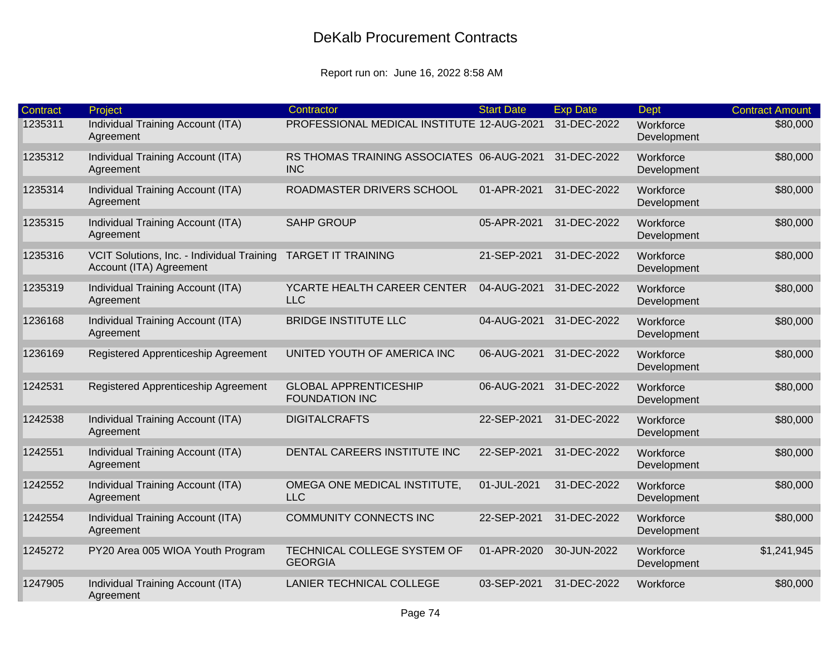| Contract | Project                                                               | Contractor                                              | <b>Start Date</b> | <b>Exp Date</b> | <b>Dept</b>              | <b>Contract Amount</b> |
|----------|-----------------------------------------------------------------------|---------------------------------------------------------|-------------------|-----------------|--------------------------|------------------------|
| 1235311  | Individual Training Account (ITA)<br>Agreement                        | PROFESSIONAL MEDICAL INSTITUTE 12-AUG-2021              |                   | 31-DEC-2022     | Workforce<br>Development | \$80,000               |
| 1235312  | Individual Training Account (ITA)<br>Agreement                        | RS THOMAS TRAINING ASSOCIATES 06-AUG-2021<br><b>INC</b> |                   | 31-DEC-2022     | Workforce<br>Development | \$80,000               |
| 1235314  | Individual Training Account (ITA)<br>Agreement                        | ROADMASTER DRIVERS SCHOOL                               | 01-APR-2021       | 31-DEC-2022     | Workforce<br>Development | \$80,000               |
| 1235315  | Individual Training Account (ITA)<br>Agreement                        | <b>SAHP GROUP</b>                                       | 05-APR-2021       | 31-DEC-2022     | Workforce<br>Development | \$80,000               |
| 1235316  | VCIT Solutions, Inc. - Individual Training<br>Account (ITA) Agreement | <b>TARGET IT TRAINING</b>                               | 21-SEP-2021       | 31-DEC-2022     | Workforce<br>Development | \$80,000               |
| 1235319  | Individual Training Account (ITA)<br>Agreement                        | YCARTE HEALTH CAREER CENTER<br><b>LLC</b>               | 04-AUG-2021       | 31-DEC-2022     | Workforce<br>Development | \$80,000               |
| 1236168  | Individual Training Account (ITA)<br>Agreement                        | <b>BRIDGE INSTITUTE LLC</b>                             | 04-AUG-2021       | 31-DEC-2022     | Workforce<br>Development | \$80,000               |
| 1236169  | Registered Apprenticeship Agreement                                   | UNITED YOUTH OF AMERICA INC                             | 06-AUG-2021       | 31-DEC-2022     | Workforce<br>Development | \$80,000               |
| 1242531  | Registered Apprenticeship Agreement                                   | <b>GLOBAL APPRENTICESHIP</b><br><b>FOUNDATION INC</b>   | 06-AUG-2021       | 31-DEC-2022     | Workforce<br>Development | \$80,000               |
| 1242538  | Individual Training Account (ITA)<br>Agreement                        | <b>DIGITALCRAFTS</b>                                    | 22-SEP-2021       | 31-DEC-2022     | Workforce<br>Development | \$80,000               |
| 1242551  | Individual Training Account (ITA)<br>Agreement                        | DENTAL CAREERS INSTITUTE INC                            | 22-SEP-2021       | 31-DEC-2022     | Workforce<br>Development | \$80,000               |
| 1242552  | Individual Training Account (ITA)<br>Agreement                        | OMEGA ONE MEDICAL INSTITUTE,<br><b>LLC</b>              | 01-JUL-2021       | 31-DEC-2022     | Workforce<br>Development | \$80,000               |
| 1242554  | Individual Training Account (ITA)<br>Agreement                        | COMMUNITY CONNECTS INC                                  | 22-SEP-2021       | 31-DEC-2022     | Workforce<br>Development | \$80,000               |
| 1245272  | PY20 Area 005 WIOA Youth Program                                      | TECHNICAL COLLEGE SYSTEM OF<br><b>GEORGIA</b>           | 01-APR-2020       | 30-JUN-2022     | Workforce<br>Development | \$1,241,945            |
| 1247905  | Individual Training Account (ITA)<br>Agreement                        | LANIER TECHNICAL COLLEGE                                | 03-SEP-2021       | 31-DEC-2022     | Workforce                | \$80,000               |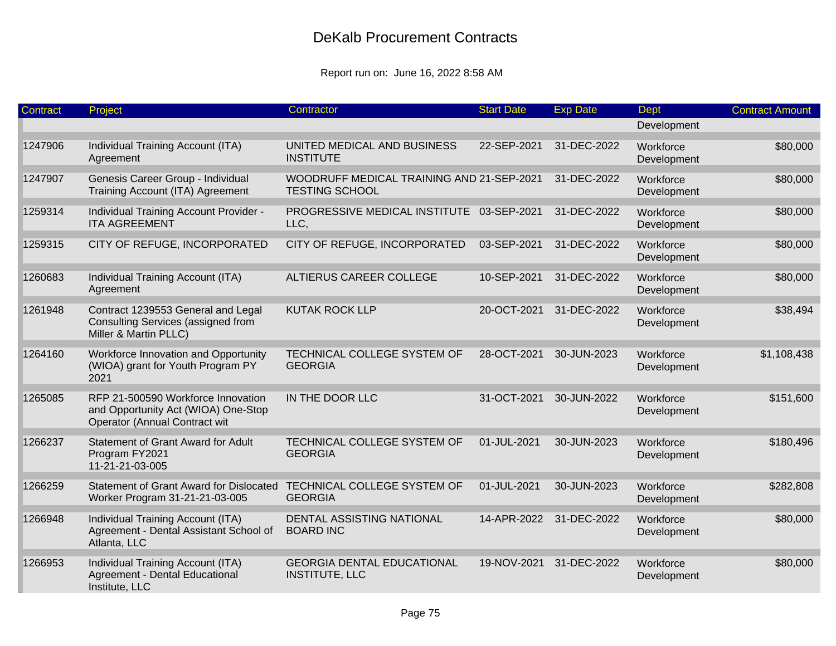| Contract | Project                                                                                                    | Contractor                                                         | <b>Start Date</b> | <b>Exp Date</b> | <b>Dept</b>              | <b>Contract Amount</b> |
|----------|------------------------------------------------------------------------------------------------------------|--------------------------------------------------------------------|-------------------|-----------------|--------------------------|------------------------|
|          |                                                                                                            |                                                                    |                   |                 | Development              |                        |
| 1247906  | Individual Training Account (ITA)<br>Agreement                                                             | UNITED MEDICAL AND BUSINESS<br><b>INSTITUTE</b>                    | 22-SEP-2021       | 31-DEC-2022     | Workforce<br>Development | \$80,000               |
| 1247907  | Genesis Career Group - Individual<br>Training Account (ITA) Agreement                                      | WOODRUFF MEDICAL TRAINING AND 21-SEP-2021<br><b>TESTING SCHOOL</b> |                   | 31-DEC-2022     | Workforce<br>Development | \$80,000               |
| 1259314  | Individual Training Account Provider -<br><b>ITA AGREEMENT</b>                                             | PROGRESSIVE MEDICAL INSTITUTE 03-SEP-2021<br>LLC,                  |                   | 31-DEC-2022     | Workforce<br>Development | \$80,000               |
| 1259315  | CITY OF REFUGE, INCORPORATED                                                                               | CITY OF REFUGE, INCORPORATED                                       | 03-SEP-2021       | 31-DEC-2022     | Workforce<br>Development | \$80,000               |
| 1260683  | Individual Training Account (ITA)<br>Agreement                                                             | ALTIERUS CAREER COLLEGE                                            | 10-SEP-2021       | 31-DEC-2022     | Workforce<br>Development | \$80,000               |
| 1261948  | Contract 1239553 General and Legal<br>Consulting Services (assigned from<br>Miller & Martin PLLC)          | <b>KUTAK ROCK LLP</b>                                              | 20-OCT-2021       | 31-DEC-2022     | Workforce<br>Development | \$38,494               |
| 1264160  | Workforce Innovation and Opportunity<br>(WIOA) grant for Youth Program PY<br>2021                          | TECHNICAL COLLEGE SYSTEM OF<br><b>GEORGIA</b>                      | 28-OCT-2021       | 30-JUN-2023     | Workforce<br>Development | \$1,108,438            |
| 1265085  | RFP 21-500590 Workforce Innovation<br>and Opportunity Act (WIOA) One-Stop<br>Operator (Annual Contract wit | IN THE DOOR LLC                                                    | 31-OCT-2021       | 30-JUN-2022     | Workforce<br>Development | \$151,600              |
| 1266237  | <b>Statement of Grant Award for Adult</b><br>Program FY2021<br>11-21-21-03-005                             | TECHNICAL COLLEGE SYSTEM OF<br><b>GEORGIA</b>                      | 01-JUL-2021       | 30-JUN-2023     | Workforce<br>Development | \$180,496              |
| 1266259  | <b>Statement of Grant Award for Dislocated</b><br>Worker Program 31-21-21-03-005                           | TECHNICAL COLLEGE SYSTEM OF<br><b>GEORGIA</b>                      | 01-JUL-2021       | 30-JUN-2023     | Workforce<br>Development | \$282,808              |
| 1266948  | Individual Training Account (ITA)<br>Agreement - Dental Assistant School of<br>Atlanta, LLC                | <b>DENTAL ASSISTING NATIONAL</b><br><b>BOARD INC</b>               | 14-APR-2022       | 31-DEC-2022     | Workforce<br>Development | \$80,000               |
| 1266953  | Individual Training Account (ITA)<br><b>Agreement - Dental Educational</b><br>Institute, LLC               | <b>GEORGIA DENTAL EDUCATIONAL</b><br><b>INSTITUTE, LLC</b>         | 19-NOV-2021       | 31-DEC-2022     | Workforce<br>Development | \$80,000               |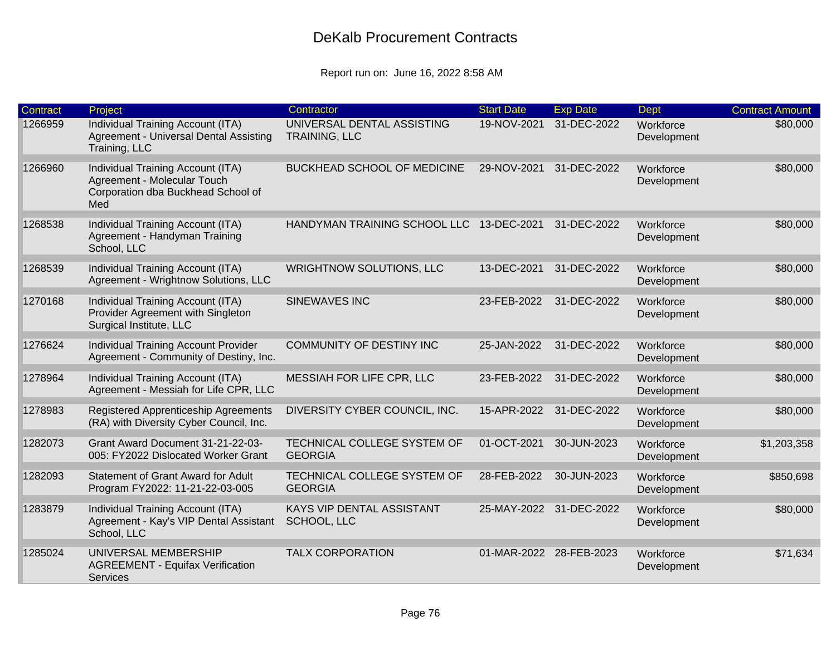| <b>Contract</b> | Project                                                                                                       | Contractor                                    | <b>Start Date</b>       | <b>Exp Date</b> | <b>Dept</b>              | <b>Contract Amount</b> |
|-----------------|---------------------------------------------------------------------------------------------------------------|-----------------------------------------------|-------------------------|-----------------|--------------------------|------------------------|
| 1266959         | Individual Training Account (ITA)<br>Agreement - Universal Dental Assisting<br>Training, LLC                  | UNIVERSAL DENTAL ASSISTING<br>TRAINING, LLC   | 19-NOV-2021             | 31-DEC-2022     | Workforce<br>Development | \$80,000               |
| 1266960         | Individual Training Account (ITA)<br>Agreement - Molecular Touch<br>Corporation dba Buckhead School of<br>Med | <b>BUCKHEAD SCHOOL OF MEDICINE</b>            | 29-NOV-2021             | 31-DEC-2022     | Workforce<br>Development | \$80,000               |
| 1268538         | Individual Training Account (ITA)<br>Agreement - Handyman Training<br>School, LLC                             | HANDYMAN TRAINING SCHOOL LLC                  | 13-DEC-2021             | 31-DEC-2022     | Workforce<br>Development | \$80,000               |
| 1268539         | Individual Training Account (ITA)<br>Agreement - Wrightnow Solutions, LLC                                     | <b>WRIGHTNOW SOLUTIONS, LLC</b>               | 13-DEC-2021             | 31-DEC-2022     | Workforce<br>Development | \$80,000               |
| 1270168         | Individual Training Account (ITA)<br>Provider Agreement with Singleton<br>Surgical Institute, LLC             | <b>SINEWAVES INC</b>                          | 23-FEB-2022             | 31-DEC-2022     | Workforce<br>Development | \$80,000               |
| 1276624         | Individual Training Account Provider<br>Agreement - Community of Destiny, Inc.                                | COMMUNITY OF DESTINY INC                      | 25-JAN-2022             | 31-DEC-2022     | Workforce<br>Development | \$80,000               |
| 1278964         | Individual Training Account (ITA)<br>Agreement - Messiah for Life CPR, LLC                                    | MESSIAH FOR LIFE CPR, LLC                     | 23-FEB-2022             | 31-DEC-2022     | Workforce<br>Development | \$80,000               |
| 1278983         | Registered Apprenticeship Agreements<br>(RA) with Diversity Cyber Council, Inc.                               | DIVERSITY CYBER COUNCIL, INC.                 | 15-APR-2022             | 31-DEC-2022     | Workforce<br>Development | \$80,000               |
| 1282073         | Grant Award Document 31-21-22-03-<br>005: FY2022 Dislocated Worker Grant                                      | TECHNICAL COLLEGE SYSTEM OF<br><b>GEORGIA</b> | 01-OCT-2021             | 30-JUN-2023     | Workforce<br>Development | \$1,203,358            |
| 1282093         | <b>Statement of Grant Award for Adult</b><br>Program FY2022: 11-21-22-03-005                                  | TECHNICAL COLLEGE SYSTEM OF<br><b>GEORGIA</b> | 28-FEB-2022             | 30-JUN-2023     | Workforce<br>Development | \$850,698              |
| 1283879         | Individual Training Account (ITA)<br>Agreement - Kay's VIP Dental Assistant<br>School, LLC                    | KAYS VIP DENTAL ASSISTANT<br>SCHOOL, LLC      | 25-MAY-2022 31-DEC-2022 |                 | Workforce<br>Development | \$80,000               |
| 1285024         | UNIVERSAL MEMBERSHIP<br><b>AGREEMENT - Equifax Verification</b><br><b>Services</b>                            | <b>TALX CORPORATION</b>                       | 01-MAR-2022 28-FEB-2023 |                 | Workforce<br>Development | \$71,634               |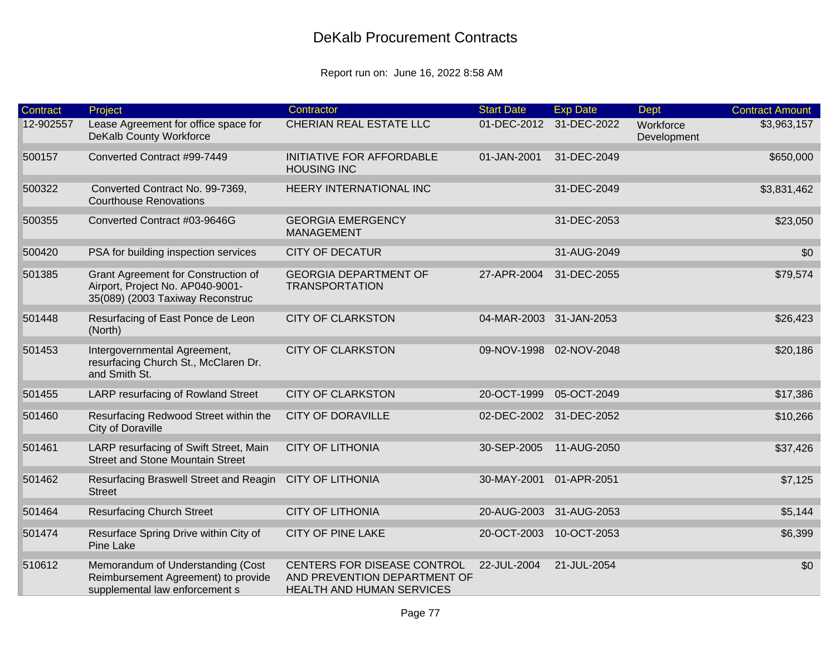| Contract  | Project                                                                                                     | Contractor                                                                               | <b>Start Date</b>       | <b>Exp Date</b>         | Dept                     | <b>Contract Amount</b> |
|-----------|-------------------------------------------------------------------------------------------------------------|------------------------------------------------------------------------------------------|-------------------------|-------------------------|--------------------------|------------------------|
| 12-902557 | Lease Agreement for office space for<br>DeKalb County Workforce                                             | CHERIAN REAL ESTATE LLC                                                                  |                         | 01-DEC-2012 31-DEC-2022 | Workforce<br>Development | \$3,963,157            |
| 500157    | Converted Contract #99-7449                                                                                 | <b>INITIATIVE FOR AFFORDABLE</b><br><b>HOUSING INC</b>                                   | 01-JAN-2001             | 31-DEC-2049             |                          | \$650,000              |
| 500322    | Converted Contract No. 99-7369,<br><b>Courthouse Renovations</b>                                            | HEERY INTERNATIONAL INC                                                                  |                         | 31-DEC-2049             |                          | \$3,831,462            |
| 500355    | Converted Contract #03-9646G                                                                                | <b>GEORGIA EMERGENCY</b><br>MANAGEMENT                                                   |                         | 31-DEC-2053             |                          | \$23,050               |
| 500420    | PSA for building inspection services                                                                        | <b>CITY OF DECATUR</b>                                                                   |                         | 31-AUG-2049             |                          | \$0                    |
| 501385    | Grant Agreement for Construction of<br>Airport, Project No. AP040-9001-<br>35(089) (2003 Taxiway Reconstruc | <b>GEORGIA DEPARTMENT OF</b><br><b>TRANSPORTATION</b>                                    | 27-APR-2004             | 31-DEC-2055             |                          | \$79,574               |
| 501448    | Resurfacing of East Ponce de Leon<br>(North)                                                                | <b>CITY OF CLARKSTON</b>                                                                 | 04-MAR-2003 31-JAN-2053 |                         |                          | \$26,423               |
| 501453    | Intergovernmental Agreement,<br>resurfacing Church St., McClaren Dr.<br>and Smith St.                       | <b>CITY OF CLARKSTON</b>                                                                 |                         | 09-NOV-1998 02-NOV-2048 |                          | \$20,186               |
| 501455    | LARP resurfacing of Rowland Street                                                                          | <b>CITY OF CLARKSTON</b>                                                                 | 20-OCT-1999             | 05-OCT-2049             |                          | \$17,386               |
| 501460    | Resurfacing Redwood Street within the<br>City of Doraville                                                  | <b>CITY OF DORAVILLE</b>                                                                 |                         | 02-DEC-2002 31-DEC-2052 |                          | \$10,266               |
| 501461    | LARP resurfacing of Swift Street, Main<br><b>Street and Stone Mountain Street</b>                           | <b>CITY OF LITHONIA</b>                                                                  | 30-SEP-2005             | 11-AUG-2050             |                          | \$37,426               |
| 501462    | Resurfacing Braswell Street and Reagin CITY OF LITHONIA<br><b>Street</b>                                    |                                                                                          | 30-MAY-2001             | 01-APR-2051             |                          | \$7,125                |
| 501464    | <b>Resurfacing Church Street</b>                                                                            | <b>CITY OF LITHONIA</b>                                                                  | 20-AUG-2003             | 31-AUG-2053             |                          | \$5,144                |
| 501474    | Resurface Spring Drive within City of<br><b>Pine Lake</b>                                                   | <b>CITY OF PINE LAKE</b>                                                                 |                         | 20-OCT-2003 10-OCT-2053 |                          | \$6,399                |
| 510612    | Memorandum of Understanding (Cost<br>Reimbursement Agreement) to provide<br>supplemental law enforcement s  | CENTERS FOR DISEASE CONTROL<br>AND PREVENTION DEPARTMENT OF<br>HEALTH AND HUMAN SERVICES | 22-JUL-2004             | 21-JUL-2054             |                          | \$0                    |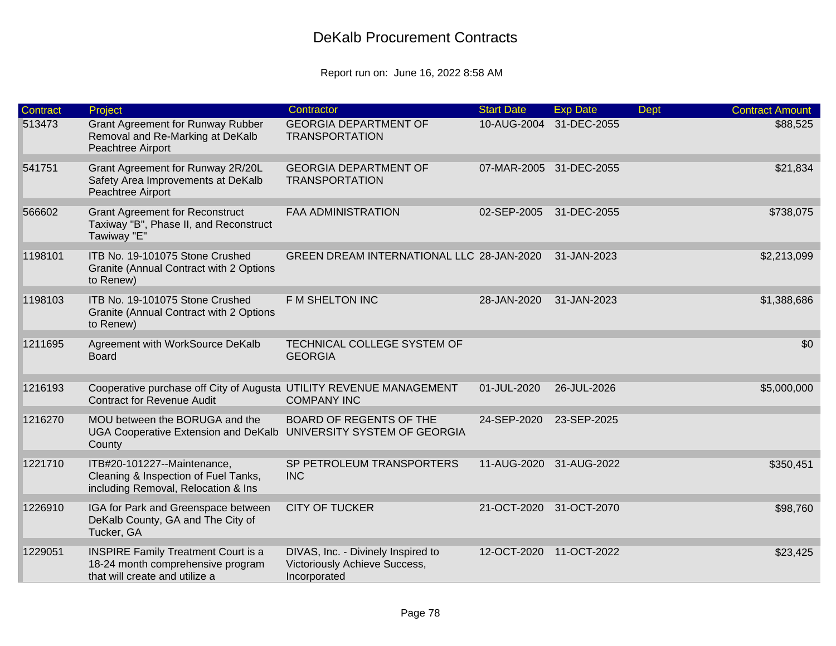| <b>Contract</b> | Project                                                                                                           | Contractor                                                                          | <b>Start Date</b>       | <b>Exp Date</b> | <b>Dept</b> | <b>Contract Amount</b> |
|-----------------|-------------------------------------------------------------------------------------------------------------------|-------------------------------------------------------------------------------------|-------------------------|-----------------|-------------|------------------------|
| 513473          | <b>Grant Agreement for Runway Rubber</b><br>Removal and Re-Marking at DeKalb<br>Peachtree Airport                 | <b>GEORGIA DEPARTMENT OF</b><br><b>TRANSPORTATION</b>                               | 10-AUG-2004             | 31-DEC-2055     |             | \$88,525               |
| 541751          | Grant Agreement for Runway 2R/20L<br>Safety Area Improvements at DeKalb<br>Peachtree Airport                      | <b>GEORGIA DEPARTMENT OF</b><br><b>TRANSPORTATION</b>                               | 07-MAR-2005 31-DEC-2055 |                 |             | \$21,834               |
| 566602          | <b>Grant Agreement for Reconstruct</b><br>Taxiway "B", Phase II, and Reconstruct<br>Tawiway "E"                   | <b>FAA ADMINISTRATION</b>                                                           | 02-SEP-2005             | 31-DEC-2055     |             | \$738,075              |
| 1198101         | ITB No. 19-101075 Stone Crushed<br>Granite (Annual Contract with 2 Options<br>to Renew)                           | GREEN DREAM INTERNATIONAL LLC 28-JAN-2020                                           |                         | 31-JAN-2023     |             | \$2,213,099            |
| 1198103         | ITB No. 19-101075 Stone Crushed<br>Granite (Annual Contract with 2 Options<br>to Renew)                           | F M SHELTON INC                                                                     | 28-JAN-2020             | 31-JAN-2023     |             | \$1,388,686            |
| 1211695         | Agreement with WorkSource DeKalb<br><b>Board</b>                                                                  | TECHNICAL COLLEGE SYSTEM OF<br><b>GEORGIA</b>                                       |                         |                 |             | \$0                    |
| 1216193         | Cooperative purchase off City of Augusta UTILITY REVENUE MANAGEMENT<br><b>Contract for Revenue Audit</b>          | <b>COMPANY INC</b>                                                                  | 01-JUL-2020             | 26-JUL-2026     |             | \$5,000,000            |
| 1216270         | MOU between the BORUGA and the<br>UGA Cooperative Extension and DeKalb UNIVERSITY SYSTEM OF GEORGIA<br>County     | <b>BOARD OF REGENTS OF THE</b>                                                      | 24-SEP-2020             | 23-SEP-2025     |             |                        |
| 1221710         | ITB#20-101227--Maintenance,<br>Cleaning & Inspection of Fuel Tanks,<br>including Removal, Relocation & Ins        | SP PETROLEUM TRANSPORTERS<br><b>INC</b>                                             | 11-AUG-2020             | 31-AUG-2022     |             | \$350,451              |
| 1226910         | IGA for Park and Greenspace between<br>DeKalb County, GA and The City of<br>Tucker, GA                            | <b>CITY OF TUCKER</b>                                                               | 21-OCT-2020             | 31-OCT-2070     |             | \$98,760               |
| 1229051         | <b>INSPIRE Family Treatment Court is a</b><br>18-24 month comprehensive program<br>that will create and utilize a | DIVAS, Inc. - Divinely Inspired to<br>Victoriously Achieve Success,<br>Incorporated | 12-OCT-2020             | 11-OCT-2022     |             | \$23,425               |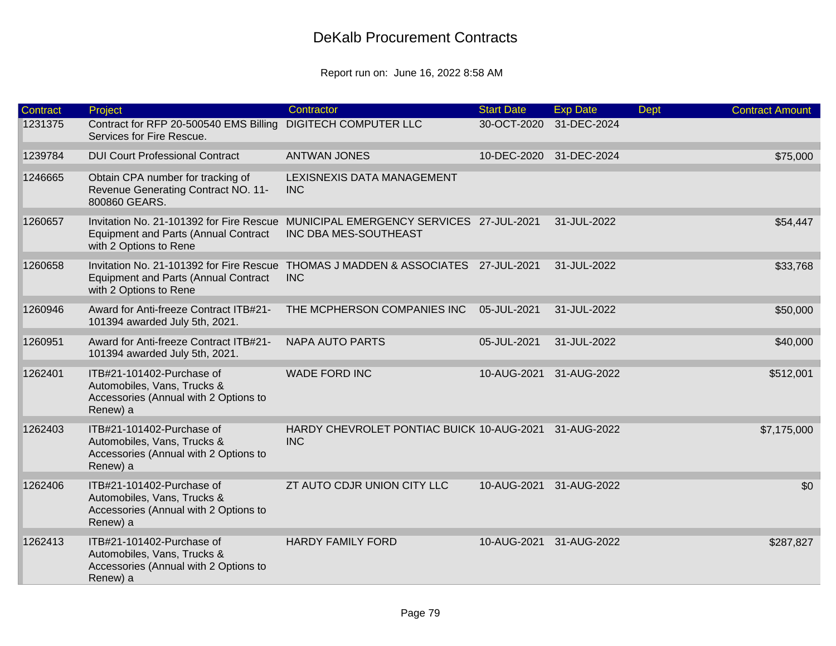| Contract | Project                                                                                                           | Contractor                                                        | <b>Start Date</b> | <b>Exp Date</b>         | Dept | <b>Contract Amount</b> |
|----------|-------------------------------------------------------------------------------------------------------------------|-------------------------------------------------------------------|-------------------|-------------------------|------|------------------------|
| 1231375  | Contract for RFP 20-500540 EMS Billing<br>Services for Fire Rescue.                                               | <b>DIGITECH COMPUTER LLC</b>                                      | 30-OCT-2020       | 31-DEC-2024             |      |                        |
| 1239784  | <b>DUI Court Professional Contract</b>                                                                            | <b>ANTWAN JONES</b>                                               |                   | 10-DEC-2020 31-DEC-2024 |      | \$75,000               |
| 1246665  | Obtain CPA number for tracking of<br>Revenue Generating Contract NO. 11-<br>800860 GEARS.                         | LEXISNEXIS DATA MANAGEMENT<br><b>INC</b>                          |                   |                         |      |                        |
| 1260657  | Invitation No. 21-101392 for Fire Rescue<br><b>Equipment and Parts (Annual Contract</b><br>with 2 Options to Rene | MUNICIPAL EMERGENCY SERVICES 27-JUL-2021<br>INC DBA MES-SOUTHEAST |                   | 31-JUL-2022             |      | \$54,447               |
| 1260658  | Invitation No. 21-101392 for Fire Rescue<br><b>Equipment and Parts (Annual Contract</b><br>with 2 Options to Rene | THOMAS J MADDEN & ASSOCIATES 27-JUL-2021<br><b>INC</b>            |                   | 31-JUL-2022             |      | \$33,768               |
| 1260946  | Award for Anti-freeze Contract ITB#21-<br>101394 awarded July 5th, 2021.                                          | THE MCPHERSON COMPANIES INC                                       | 05-JUL-2021       | 31-JUL-2022             |      | \$50,000               |
| 1260951  | Award for Anti-freeze Contract ITB#21-<br>101394 awarded July 5th, 2021.                                          | <b>NAPA AUTO PARTS</b>                                            | 05-JUL-2021       | 31-JUL-2022             |      | \$40,000               |
| 1262401  | ITB#21-101402-Purchase of<br>Automobiles, Vans, Trucks &<br>Accessories (Annual with 2 Options to<br>Renew) a     | <b>WADE FORD INC</b>                                              | 10-AUG-2021       | 31-AUG-2022             |      | \$512,001              |
| 1262403  | ITB#21-101402-Purchase of<br>Automobiles, Vans, Trucks &<br>Accessories (Annual with 2 Options to<br>Renew) a     | HARDY CHEVROLET PONTIAC BUICK 10-AUG-2021<br><b>INC</b>           |                   | 31-AUG-2022             |      | \$7,175,000            |
| 1262406  | ITB#21-101402-Purchase of<br>Automobiles, Vans, Trucks &<br>Accessories (Annual with 2 Options to<br>Renew) a     | ZT AUTO CDJR UNION CITY LLC                                       | 10-AUG-2021       | 31-AUG-2022             |      | \$0                    |
| 1262413  | ITB#21-101402-Purchase of<br>Automobiles, Vans, Trucks &<br>Accessories (Annual with 2 Options to<br>Renew) a     | <b>HARDY FAMILY FORD</b>                                          | 10-AUG-2021       | 31-AUG-2022             |      | \$287,827              |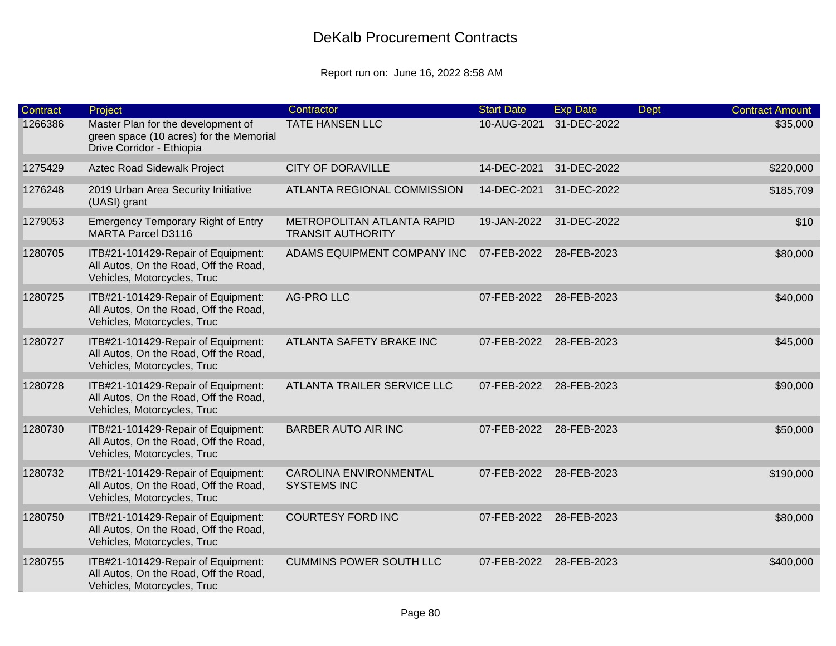| Contract | Project                                                                                                    | Contractor                                             | <b>Start Date</b> | <b>Exp Date</b> | <b>Dept</b> | <b>Contract Amount</b> |
|----------|------------------------------------------------------------------------------------------------------------|--------------------------------------------------------|-------------------|-----------------|-------------|------------------------|
| 1266386  | Master Plan for the development of<br>green space (10 acres) for the Memorial<br>Drive Corridor - Ethiopia | <b>TATE HANSEN LLC</b>                                 | 10-AUG-2021       | 31-DEC-2022     |             | \$35,000               |
| 1275429  | Aztec Road Sidewalk Project                                                                                | <b>CITY OF DORAVILLE</b>                               | 14-DEC-2021       | 31-DEC-2022     |             | \$220,000              |
| 1276248  | 2019 Urban Area Security Initiative<br>(UASI) grant                                                        | ATLANTA REGIONAL COMMISSION                            | 14-DEC-2021       | 31-DEC-2022     |             | \$185,709              |
| 1279053  | <b>Emergency Temporary Right of Entry</b><br><b>MARTA Parcel D3116</b>                                     | METROPOLITAN ATLANTA RAPID<br><b>TRANSIT AUTHORITY</b> | 19-JAN-2022       | 31-DEC-2022     |             | \$10                   |
| 1280705  | ITB#21-101429-Repair of Equipment:<br>All Autos, On the Road, Off the Road,<br>Vehicles, Motorcycles, Truc | ADAMS EQUIPMENT COMPANY INC                            | 07-FEB-2022       | 28-FEB-2023     |             | \$80,000               |
| 1280725  | ITB#21-101429-Repair of Equipment:<br>All Autos, On the Road, Off the Road,<br>Vehicles, Motorcycles, Truc | <b>AG-PRO LLC</b>                                      | 07-FEB-2022       | 28-FEB-2023     |             | \$40,000               |
| 1280727  | ITB#21-101429-Repair of Equipment:<br>All Autos, On the Road, Off the Road,<br>Vehicles, Motorcycles, Truc | ATLANTA SAFETY BRAKE INC                               | 07-FEB-2022       | 28-FEB-2023     |             | \$45,000               |
| 1280728  | ITB#21-101429-Repair of Equipment:<br>All Autos, On the Road, Off the Road,<br>Vehicles, Motorcycles, Truc | ATLANTA TRAILER SERVICE LLC                            | 07-FEB-2022       | 28-FEB-2023     |             | \$90,000               |
| 1280730  | ITB#21-101429-Repair of Equipment:<br>All Autos, On the Road, Off the Road,<br>Vehicles, Motorcycles, Truc | <b>BARBER AUTO AIR INC</b>                             | 07-FEB-2022       | 28-FEB-2023     |             | \$50,000               |
| 1280732  | ITB#21-101429-Repair of Equipment:<br>All Autos, On the Road, Off the Road,<br>Vehicles, Motorcycles, Truc | <b>CAROLINA ENVIRONMENTAL</b><br><b>SYSTEMS INC</b>    | 07-FEB-2022       | 28-FEB-2023     |             | \$190,000              |
| 1280750  | ITB#21-101429-Repair of Equipment:<br>All Autos, On the Road, Off the Road,<br>Vehicles, Motorcycles, Truc | <b>COURTESY FORD INC</b>                               | 07-FEB-2022       | 28-FEB-2023     |             | \$80,000               |
| 1280755  | ITB#21-101429-Repair of Equipment:<br>All Autos, On the Road, Off the Road,<br>Vehicles, Motorcycles, Truc | <b>CUMMINS POWER SOUTH LLC</b>                         | 07-FEB-2022       | 28-FEB-2023     |             | \$400,000              |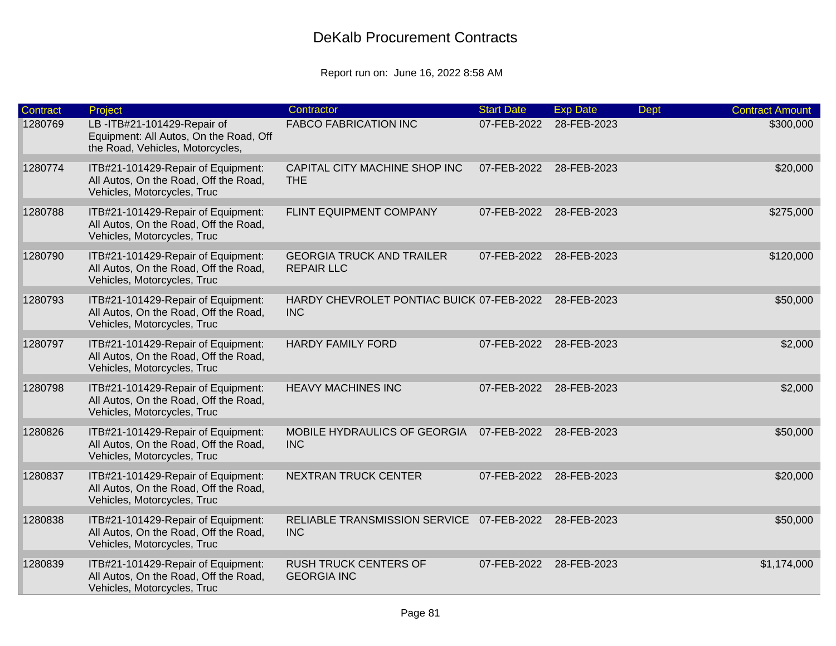| Contract | Project                                                                                                    | Contractor                                              | <b>Start Date</b> | <b>Exp Date</b> | <b>Dept</b> | <b>Contract Amount</b> |
|----------|------------------------------------------------------------------------------------------------------------|---------------------------------------------------------|-------------------|-----------------|-------------|------------------------|
| 1280769  | LB-ITB#21-101429-Repair of<br>Equipment: All Autos, On the Road, Off<br>the Road, Vehicles, Motorcycles,   | <b>FABCO FABRICATION INC</b>                            | 07-FEB-2022       | 28-FEB-2023     |             | \$300,000              |
| 1280774  | ITB#21-101429-Repair of Equipment:<br>All Autos, On the Road, Off the Road,<br>Vehicles, Motorcycles, Truc | CAPITAL CITY MACHINE SHOP INC<br><b>THE</b>             | 07-FEB-2022       | 28-FEB-2023     |             | \$20,000               |
| 1280788  | ITB#21-101429-Repair of Equipment:<br>All Autos, On the Road, Off the Road,<br>Vehicles, Motorcycles, Truc | FLINT EQUIPMENT COMPANY                                 | 07-FEB-2022       | 28-FEB-2023     |             | \$275,000              |
| 1280790  | ITB#21-101429-Repair of Equipment:<br>All Autos, On the Road, Off the Road,<br>Vehicles, Motorcycles, Truc | <b>GEORGIA TRUCK AND TRAILER</b><br><b>REPAIR LLC</b>   | 07-FEB-2022       | 28-FEB-2023     |             | \$120,000              |
| 1280793  | ITB#21-101429-Repair of Equipment:<br>All Autos, On the Road, Off the Road,<br>Vehicles, Motorcycles, Truc | HARDY CHEVROLET PONTIAC BUICK 07-FEB-2022<br><b>INC</b> |                   | 28-FEB-2023     |             | \$50,000               |
| 1280797  | ITB#21-101429-Repair of Equipment:<br>All Autos, On the Road, Off the Road,<br>Vehicles, Motorcycles, Truc | <b>HARDY FAMILY FORD</b>                                | 07-FEB-2022       | 28-FEB-2023     |             | \$2,000                |
| 1280798  | ITB#21-101429-Repair of Equipment:<br>All Autos, On the Road, Off the Road,<br>Vehicles, Motorcycles, Truc | <b>HEAVY MACHINES INC</b>                               | 07-FEB-2022       | 28-FEB-2023     |             | \$2,000                |
| 1280826  | ITB#21-101429-Repair of Equipment:<br>All Autos, On the Road, Off the Road,<br>Vehicles, Motorcycles, Truc | MOBILE HYDRAULICS OF GEORGIA<br><b>INC</b>              | 07-FEB-2022       | 28-FEB-2023     |             | \$50,000               |
| 1280837  | ITB#21-101429-Repair of Equipment:<br>All Autos, On the Road, Off the Road,<br>Vehicles, Motorcycles, Truc | NEXTRAN TRUCK CENTER                                    | 07-FEB-2022       | 28-FEB-2023     |             | \$20,000               |
| 1280838  | ITB#21-101429-Repair of Equipment:<br>All Autos, On the Road, Off the Road,<br>Vehicles, Motorcycles, Truc | RELIABLE TRANSMISSION SERVICE 07-FEB-2022<br><b>INC</b> |                   | 28-FEB-2023     |             | \$50,000               |
| 1280839  | ITB#21-101429-Repair of Equipment:<br>All Autos, On the Road, Off the Road,<br>Vehicles, Motorcycles, Truc | <b>RUSH TRUCK CENTERS OF</b><br><b>GEORGIA INC</b>      | 07-FEB-2022       | 28-FEB-2023     |             | \$1,174,000            |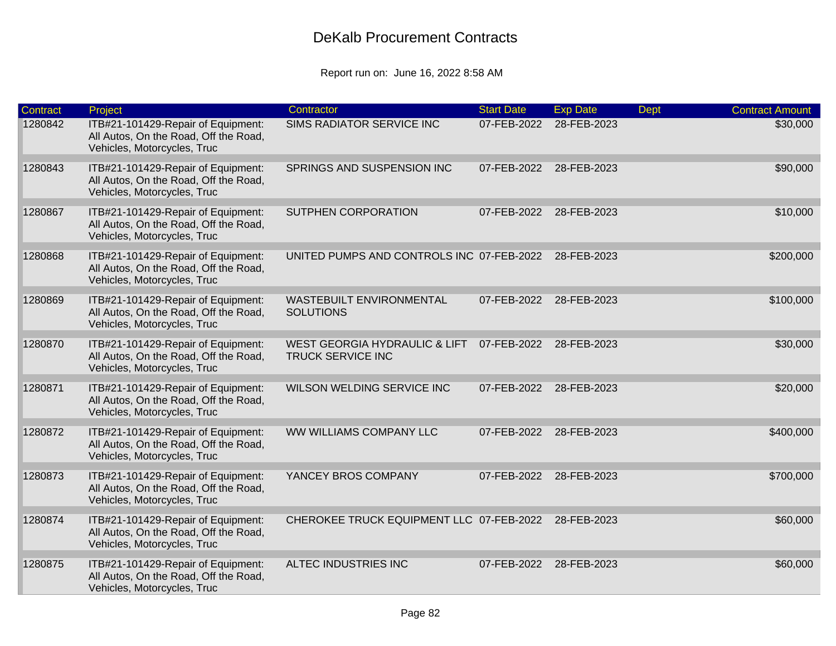| Contract | Project                                                                                                    | Contractor                                                           | <b>Start Date</b> | <b>Exp Date</b> | <b>Dept</b> | <b>Contract Amount</b> |
|----------|------------------------------------------------------------------------------------------------------------|----------------------------------------------------------------------|-------------------|-----------------|-------------|------------------------|
| 1280842  | ITB#21-101429-Repair of Equipment:<br>All Autos, On the Road, Off the Road,<br>Vehicles, Motorcycles, Truc | SIMS RADIATOR SERVICE INC                                            | 07-FEB-2022       | 28-FEB-2023     |             | \$30,000               |
| 1280843  | ITB#21-101429-Repair of Equipment:<br>All Autos, On the Road, Off the Road,<br>Vehicles, Motorcycles, Truc | SPRINGS AND SUSPENSION INC                                           | 07-FEB-2022       | 28-FEB-2023     |             | \$90,000               |
| 1280867  | ITB#21-101429-Repair of Equipment:<br>All Autos, On the Road, Off the Road,<br>Vehicles, Motorcycles, Truc | <b>SUTPHEN CORPORATION</b>                                           | 07-FEB-2022       | 28-FEB-2023     |             | \$10,000               |
| 1280868  | ITB#21-101429-Repair of Equipment:<br>All Autos, On the Road, Off the Road,<br>Vehicles, Motorcycles, Truc | UNITED PUMPS AND CONTROLS INC 07-FEB-2022                            |                   | 28-FEB-2023     |             | \$200,000              |
| 1280869  | ITB#21-101429-Repair of Equipment:<br>All Autos, On the Road, Off the Road,<br>Vehicles, Motorcycles, Truc | WASTEBUILT ENVIRONMENTAL<br><b>SOLUTIONS</b>                         | 07-FEB-2022       | 28-FEB-2023     |             | \$100,000              |
| 1280870  | ITB#21-101429-Repair of Equipment:<br>All Autos, On the Road, Off the Road,<br>Vehicles, Motorcycles, Truc | <b>WEST GEORGIA HYDRAULIC &amp; LIFT</b><br><b>TRUCK SERVICE INC</b> | 07-FEB-2022       | 28-FEB-2023     |             | \$30,000               |
| 1280871  | ITB#21-101429-Repair of Equipment:<br>All Autos, On the Road, Off the Road,<br>Vehicles, Motorcycles, Truc | WILSON WELDING SERVICE INC                                           | 07-FEB-2022       | 28-FEB-2023     |             | \$20,000               |
| 1280872  | ITB#21-101429-Repair of Equipment:<br>All Autos, On the Road, Off the Road,<br>Vehicles, Motorcycles, Truc | WW WILLIAMS COMPANY LLC                                              | 07-FEB-2022       | 28-FEB-2023     |             | \$400,000              |
| 1280873  | ITB#21-101429-Repair of Equipment:<br>All Autos, On the Road, Off the Road,<br>Vehicles, Motorcycles, Truc | YANCEY BROS COMPANY                                                  | 07-FEB-2022       | 28-FEB-2023     |             | \$700,000              |
| 1280874  | ITB#21-101429-Repair of Equipment:<br>All Autos, On the Road, Off the Road,<br>Vehicles, Motorcycles, Truc | CHEROKEE TRUCK EQUIPMENT LLC 07-FEB-2022                             |                   | 28-FEB-2023     |             | \$60,000               |
| 1280875  | ITB#21-101429-Repair of Equipment:<br>All Autos, On the Road, Off the Road,<br>Vehicles, Motorcycles, Truc | ALTEC INDUSTRIES INC                                                 | 07-FEB-2022       | 28-FEB-2023     |             | \$60,000               |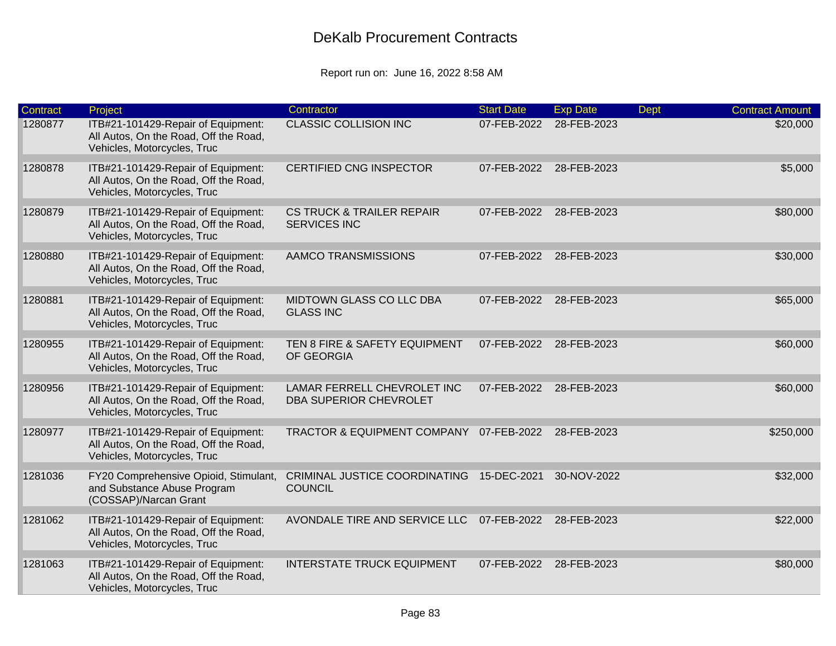| <b>Contract</b> | Project                                                                                                    | Contractor                                                  | <b>Start Date</b> | <b>Exp Date</b> | <b>Dept</b> | <b>Contract Amount</b> |
|-----------------|------------------------------------------------------------------------------------------------------------|-------------------------------------------------------------|-------------------|-----------------|-------------|------------------------|
| 1280877         | ITB#21-101429-Repair of Equipment:<br>All Autos, On the Road, Off the Road,<br>Vehicles, Motorcycles, Truc | <b>CLASSIC COLLISION INC</b>                                | 07-FEB-2022       | 28-FEB-2023     |             | \$20,000               |
| 1280878         | ITB#21-101429-Repair of Equipment:<br>All Autos, On the Road, Off the Road,<br>Vehicles, Motorcycles, Truc | <b>CERTIFIED CNG INSPECTOR</b>                              | 07-FEB-2022       | 28-FEB-2023     |             | \$5,000                |
| 1280879         | ITB#21-101429-Repair of Equipment:<br>All Autos, On the Road, Off the Road,<br>Vehicles, Motorcycles, Truc | <b>CS TRUCK &amp; TRAILER REPAIR</b><br><b>SERVICES INC</b> | 07-FEB-2022       | 28-FEB-2023     |             | \$80,000               |
| 1280880         | ITB#21-101429-Repair of Equipment:<br>All Autos, On the Road, Off the Road,<br>Vehicles, Motorcycles, Truc | AAMCO TRANSMISSIONS                                         | 07-FEB-2022       | 28-FEB-2023     |             | \$30,000               |
| 1280881         | ITB#21-101429-Repair of Equipment:<br>All Autos, On the Road, Off the Road,<br>Vehicles, Motorcycles, Truc | MIDTOWN GLASS CO LLC DBA<br><b>GLASS INC</b>                | 07-FEB-2022       | 28-FEB-2023     |             | \$65,000               |
| 1280955         | ITB#21-101429-Repair of Equipment:<br>All Autos, On the Road, Off the Road,<br>Vehicles, Motorcycles, Truc | TEN 8 FIRE & SAFETY EQUIPMENT<br>OF GEORGIA                 | 07-FEB-2022       | 28-FEB-2023     |             | \$60,000               |
| 1280956         | ITB#21-101429-Repair of Equipment:<br>All Autos, On the Road, Off the Road,<br>Vehicles, Motorcycles, Truc | LAMAR FERRELL CHEVROLET INC<br>DBA SUPERIOR CHEVROLET       | 07-FEB-2022       | 28-FEB-2023     |             | \$60,000               |
| 1280977         | ITB#21-101429-Repair of Equipment:<br>All Autos, On the Road, Off the Road,<br>Vehicles, Motorcycles, Truc | <b>TRACTOR &amp; EQUIPMENT COMPANY</b>                      | 07-FEB-2022       | 28-FEB-2023     |             | \$250,000              |
| 1281036         | FY20 Comprehensive Opioid, Stimulant,<br>and Substance Abuse Program<br>(COSSAP)/Narcan Grant              | <b>CRIMINAL JUSTICE COORDINATING</b><br><b>COUNCIL</b>      | 15-DEC-2021       | 30-NOV-2022     |             | \$32,000               |
| 1281062         | ITB#21-101429-Repair of Equipment:<br>All Autos, On the Road, Off the Road,<br>Vehicles, Motorcycles, Truc | AVONDALE TIRE AND SERVICE LLC                               | 07-FEB-2022       | 28-FEB-2023     |             | \$22,000               |
| 1281063         | ITB#21-101429-Repair of Equipment:<br>All Autos, On the Road, Off the Road,<br>Vehicles, Motorcycles, Truc | <b>INTERSTATE TRUCK EQUIPMENT</b>                           | 07-FEB-2022       | 28-FEB-2023     |             | \$80,000               |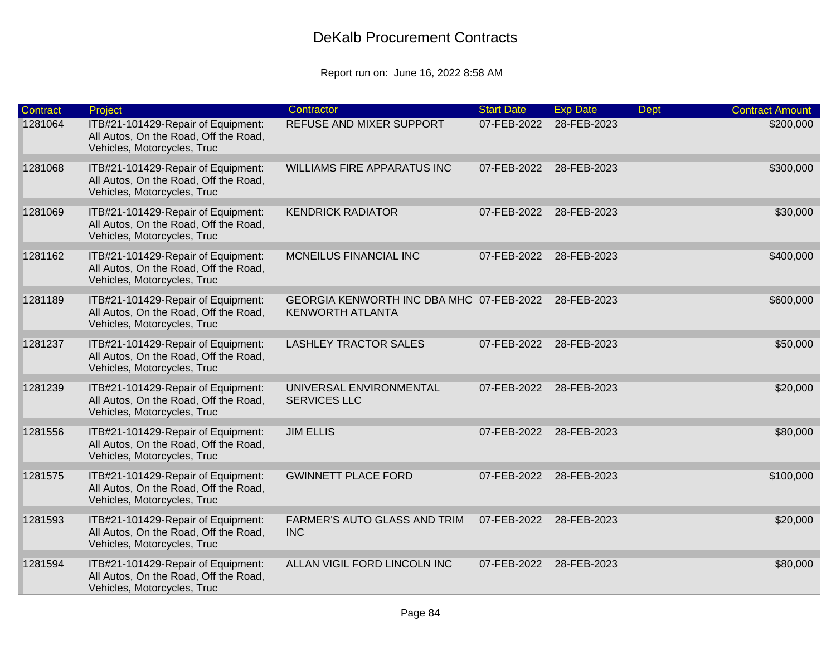| <b>Contract</b> | Project                                                                                                    | Contractor                                                          | <b>Start Date</b> | <b>Exp Date</b> | <b>Dept</b> | <b>Contract Amount</b> |
|-----------------|------------------------------------------------------------------------------------------------------------|---------------------------------------------------------------------|-------------------|-----------------|-------------|------------------------|
| 1281064         | ITB#21-101429-Repair of Equipment:<br>All Autos, On the Road, Off the Road,<br>Vehicles, Motorcycles, Truc | REFUSE AND MIXER SUPPORT                                            | 07-FEB-2022       | 28-FEB-2023     |             | \$200,000              |
| 1281068         | ITB#21-101429-Repair of Equipment:<br>All Autos, On the Road, Off the Road,<br>Vehicles, Motorcycles, Truc | <b>WILLIAMS FIRE APPARATUS INC</b>                                  | 07-FEB-2022       | 28-FEB-2023     |             | \$300,000              |
| 1281069         | ITB#21-101429-Repair of Equipment:<br>All Autos, On the Road, Off the Road,<br>Vehicles, Motorcycles, Truc | <b>KENDRICK RADIATOR</b>                                            | 07-FEB-2022       | 28-FEB-2023     |             | \$30,000               |
| 1281162         | ITB#21-101429-Repair of Equipment:<br>All Autos, On the Road, Off the Road,<br>Vehicles, Motorcycles, Truc | MCNEILUS FINANCIAL INC                                              | 07-FEB-2022       | 28-FEB-2023     |             | \$400,000              |
| 1281189         | ITB#21-101429-Repair of Equipment:<br>All Autos, On the Road, Off the Road,<br>Vehicles, Motorcycles, Truc | GEORGIA KENWORTH INC DBA MHC 07-FEB-2022<br><b>KENWORTH ATLANTA</b> |                   | 28-FEB-2023     |             | \$600,000              |
| 1281237         | ITB#21-101429-Repair of Equipment:<br>All Autos, On the Road, Off the Road,<br>Vehicles, Motorcycles, Truc | <b>LASHLEY TRACTOR SALES</b>                                        | 07-FEB-2022       | 28-FEB-2023     |             | \$50,000               |
| 1281239         | ITB#21-101429-Repair of Equipment:<br>All Autos, On the Road, Off the Road,<br>Vehicles, Motorcycles, Truc | UNIVERSAL ENVIRONMENTAL<br><b>SERVICES LLC</b>                      | 07-FEB-2022       | 28-FEB-2023     |             | \$20,000               |
| 1281556         | ITB#21-101429-Repair of Equipment:<br>All Autos, On the Road, Off the Road,<br>Vehicles, Motorcycles, Truc | <b>JIM ELLIS</b>                                                    | 07-FEB-2022       | 28-FEB-2023     |             | \$80,000               |
| 1281575         | ITB#21-101429-Repair of Equipment:<br>All Autos, On the Road, Off the Road,<br>Vehicles, Motorcycles, Truc | <b>GWINNETT PLACE FORD</b>                                          | 07-FEB-2022       | 28-FEB-2023     |             | \$100,000              |
| 1281593         | ITB#21-101429-Repair of Equipment:<br>All Autos, On the Road, Off the Road,<br>Vehicles, Motorcycles, Truc | <b>FARMER'S AUTO GLASS AND TRIM</b><br><b>INC</b>                   | 07-FEB-2022       | 28-FEB-2023     |             | \$20,000               |
| 1281594         | ITB#21-101429-Repair of Equipment:<br>All Autos, On the Road, Off the Road,<br>Vehicles, Motorcycles, Truc | ALLAN VIGIL FORD LINCOLN INC                                        | 07-FEB-2022       | 28-FEB-2023     |             | \$80,000               |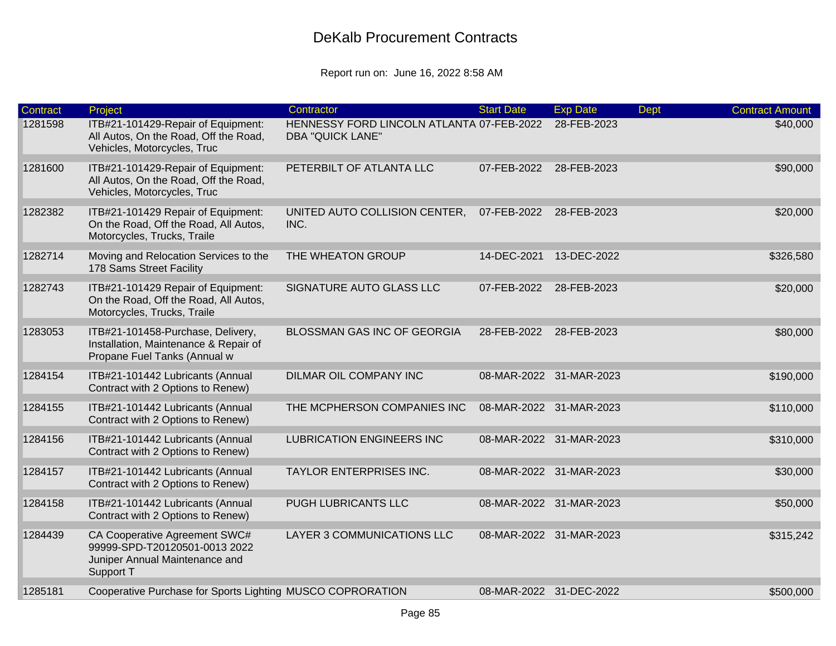| Contract | Project                                                                                                       | Contractor                                                           | <b>Start Date</b>       | <b>Exp Date</b>         | <b>Dept</b> | <b>Contract Amount</b> |
|----------|---------------------------------------------------------------------------------------------------------------|----------------------------------------------------------------------|-------------------------|-------------------------|-------------|------------------------|
| 1281598  | ITB#21-101429-Repair of Equipment:<br>All Autos, On the Road, Off the Road,<br>Vehicles, Motorcycles, Truc    | HENNESSY FORD LINCOLN ATLANTA 07-FEB-2022<br><b>DBA "QUICK LANE"</b> |                         | 28-FEB-2023             |             | \$40,000               |
| 1281600  | ITB#21-101429-Repair of Equipment:<br>All Autos, On the Road, Off the Road,<br>Vehicles, Motorcycles, Truc    | PETERBILT OF ATLANTA LLC                                             | 07-FEB-2022             | 28-FEB-2023             |             | \$90,000               |
| 1282382  | ITB#21-101429 Repair of Equipment:<br>On the Road, Off the Road, All Autos,<br>Motorcycles, Trucks, Traile    | UNITED AUTO COLLISION CENTER,<br>INC.                                | 07-FEB-2022             | 28-FEB-2023             |             | \$20,000               |
| 1282714  | Moving and Relocation Services to the<br>178 Sams Street Facility                                             | THE WHEATON GROUP                                                    | 14-DEC-2021             | 13-DEC-2022             |             | \$326,580              |
| 1282743  | ITB#21-101429 Repair of Equipment:<br>On the Road, Off the Road, All Autos,<br>Motorcycles, Trucks, Traile    | SIGNATURE AUTO GLASS LLC                                             | 07-FEB-2022             | 28-FEB-2023             |             | \$20,000               |
| 1283053  | ITB#21-101458-Purchase, Delivery,<br>Installation, Maintenance & Repair of<br>Propane Fuel Tanks (Annual w    | BLOSSMAN GAS INC OF GEORGIA                                          | 28-FEB-2022             | 28-FEB-2023             |             | \$80,000               |
| 1284154  | ITB#21-101442 Lubricants (Annual<br>Contract with 2 Options to Renew)                                         | DILMAR OIL COMPANY INC                                               |                         | 08-MAR-2022 31-MAR-2023 |             | \$190,000              |
| 1284155  | ITB#21-101442 Lubricants (Annual<br>Contract with 2 Options to Renew)                                         | THE MCPHERSON COMPANIES INC                                          | 08-MAR-2022 31-MAR-2023 |                         |             | \$110,000              |
| 1284156  | ITB#21-101442 Lubricants (Annual<br>Contract with 2 Options to Renew)                                         | <b>LUBRICATION ENGINEERS INC</b>                                     |                         | 08-MAR-2022 31-MAR-2023 |             | \$310,000              |
| 1284157  | ITB#21-101442 Lubricants (Annual<br>Contract with 2 Options to Renew)                                         | TAYLOR ENTERPRISES INC.                                              |                         | 08-MAR-2022 31-MAR-2023 |             | \$30,000               |
| 1284158  | ITB#21-101442 Lubricants (Annual<br>Contract with 2 Options to Renew)                                         | PUGH LUBRICANTS LLC                                                  |                         | 08-MAR-2022 31-MAR-2023 |             | \$50,000               |
| 1284439  | CA Cooperative Agreement SWC#<br>99999-SPD-T20120501-0013 2022<br>Juniper Annual Maintenance and<br>Support T | LAYER 3 COMMUNICATIONS LLC                                           |                         | 08-MAR-2022 31-MAR-2023 |             | \$315,242              |
| 1285181  | Cooperative Purchase for Sports Lighting MUSCO COPRORATION                                                    |                                                                      | 08-MAR-2022 31-DEC-2022 |                         |             | \$500,000              |